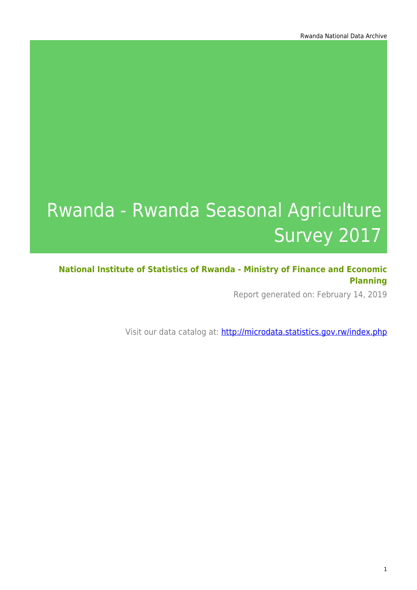# Rwanda - Rwanda Seasonal Agriculture Survey 2017

**National Institute of Statistics of Rwanda - Ministry of Finance and Economic Planning**

Report generated on: February 14, 2019

Visit our data catalog at: http://microdata.statistics.gov.rw/index.php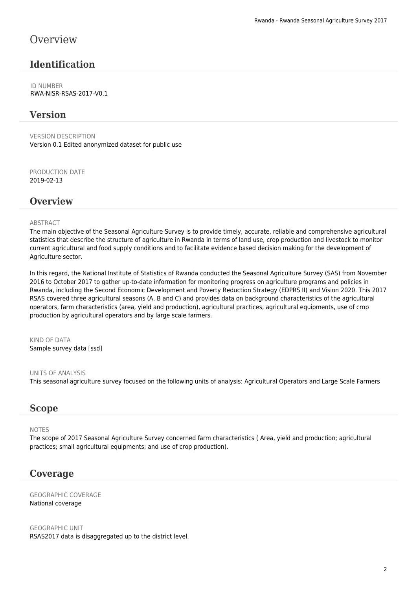#### **Overview**

#### **Identification**

ID NUMBER RWA-NISR-RSAS-2017-V0.1

#### **Version**

VERSION DESCRIPTION Version 0.1 Edited anonymized dataset for public use

PRODUCTION DATE 2019-02-13

#### **Overview**

#### **ABSTRACT**

The main objective of the Seasonal Agriculture Survey is to provide timely, accurate, reliable and comprehensive agricultural statistics that describe the structure of agriculture in Rwanda in terms of land use, crop production and livestock to monitor current agricultural and food supply conditions and to facilitate evidence based decision making for the development of Agriculture sector.

In this regard, the National Institute of Statistics of Rwanda conducted the Seasonal Agriculture Survey (SAS) from November 2016 to October 2017 to gather up-to-date information for monitoring progress on agriculture programs and policies in Rwanda, including the Second Economic Development and Poverty Reduction Strategy (EDPRS II) and Vision 2020. This 2017 RSAS covered three agricultural seasons (A, B and C) and provides data on background characteristics of the agricultural operators, farm characteristics (area, yield and production), agricultural practices, agricultural equipments, use of crop production by agricultural operators and by large scale farmers.

KIND OF DATA Sample survey data [ssd]

UNITS OF ANALYSIS This seasonal agriculture survey focused on the following units of analysis: Agricultural Operators and Large Scale Farmers

#### **Scope**

#### NOTES

The scope of 2017 Seasonal Agriculture Survey concerned farm characteristics ( Area, yield and production; agricultural practices; small agricultural equipments; and use of crop production).

#### **Coverage**

GEOGRAPHIC COVERAGE National coverage

GEOGRAPHIC UNIT RSAS2017 data is disaggregated up to the district level.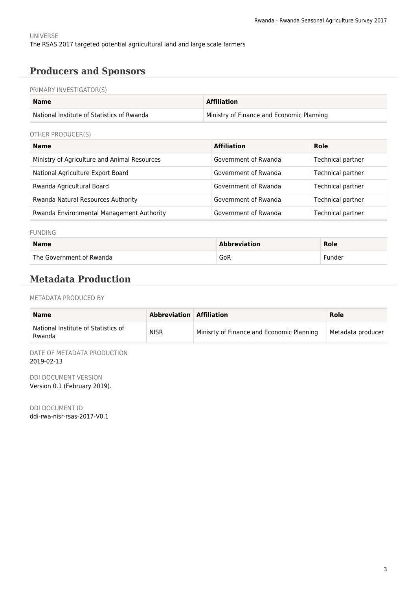#### **Producers and Sponsors**

PRIMARY INVESTIGATOR(S)

| <b>Name</b>                                | <b>Affiliation</b>                        |
|--------------------------------------------|-------------------------------------------|
| National Institute of Statistics of Rwanda | Ministry of Finance and Economic Planning |

OTHER PRODUCER(S)

| <b>Name</b>                                  | <b>Affiliation</b>   | Role              |  |
|----------------------------------------------|----------------------|-------------------|--|
| Ministry of Agriculture and Animal Resources | Government of Rwanda | Technical partner |  |
| National Agriculture Export Board            | Government of Rwanda | Technical partner |  |
| Rwanda Agricultural Board                    | Government of Rwanda | Technical partner |  |
| Rwanda Natural Resources Authority           | Government of Rwanda | Technical partner |  |
| Rwanda Environmental Management Authority    | Government of Rwanda | Technical partner |  |

#### FUNDING

| <b>Name</b>              | <b>Abbreviation</b> | Role   |  |
|--------------------------|---------------------|--------|--|
| The Government of Rwanda | GoR                 | Funder |  |

#### **Metadata Production**

METADATA PRODUCED BY

| <b>Name</b>                                   | Abbreviation   Affiliation |                                           | Role              |
|-----------------------------------------------|----------------------------|-------------------------------------------|-------------------|
| National Institute of Statistics of<br>Rwanda | <b>NISR</b>                | Minisrty of Finance and Economic Planning | Metadata producer |

DATE OF METADATA PRODUCTION 2019-02-13

DDI DOCUMENT VERSION Version 0.1 (February 2019).

DDI DOCUMENT ID ddi-rwa-nisr-rsas-2017-V0.1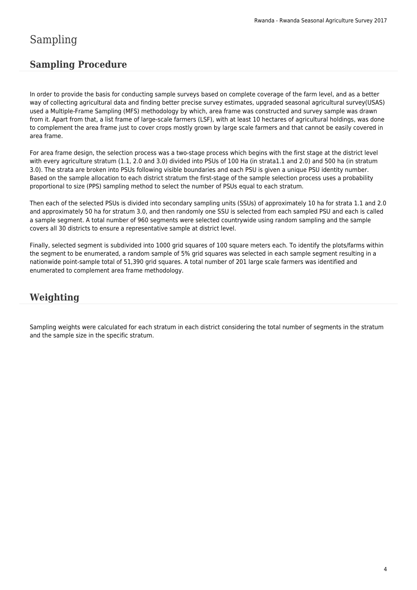### Sampling

#### **Sampling Procedure**

In order to provide the basis for conducting sample surveys based on complete coverage of the farm level, and as a better way of collecting agricultural data and finding better precise survey estimates, upgraded seasonal agricultural survey(USAS) used a Multiple-Frame Sampling (MFS) methodology by which, area frame was constructed and survey sample was drawn from it. Apart from that, a list frame of large-scale farmers (LSF), with at least 10 hectares of agricultural holdings, was done to complement the area frame just to cover crops mostly grown by large scale farmers and that cannot be easily covered in area frame.

For area frame design, the selection process was a two-stage process which begins with the first stage at the district level with every agriculture stratum (1.1, 2.0 and 3.0) divided into PSUs of 100 Ha (in strata1.1 and 2.0) and 500 ha (in stratum 3.0). The strata are broken into PSUs following visible boundaries and each PSU is given a unique PSU identity number. Based on the sample allocation to each district stratum the first-stage of the sample selection process uses a probability proportional to size (PPS) sampling method to select the number of PSUs equal to each stratum.

Then each of the selected PSUs is divided into secondary sampling units (SSUs) of approximately 10 ha for strata 1.1 and 2.0 and approximately 50 ha for stratum 3.0, and then randomly one SSU is selected from each sampled PSU and each is called a sample segment. A total number of 960 segments were selected countrywide using random sampling and the sample covers all 30 districts to ensure a representative sample at district level.

Finally, selected segment is subdivided into 1000 grid squares of 100 square meters each. To identify the plots/farms within the segment to be enumerated, a random sample of 5% grid squares was selected in each sample segment resulting in a nationwide point-sample total of 51,390 grid squares. A total number of 201 large scale farmers was identified and enumerated to complement area frame methodology.

#### **Weighting**

Sampling weights were calculated for each stratum in each district considering the total number of segments in the stratum and the sample size in the specific stratum.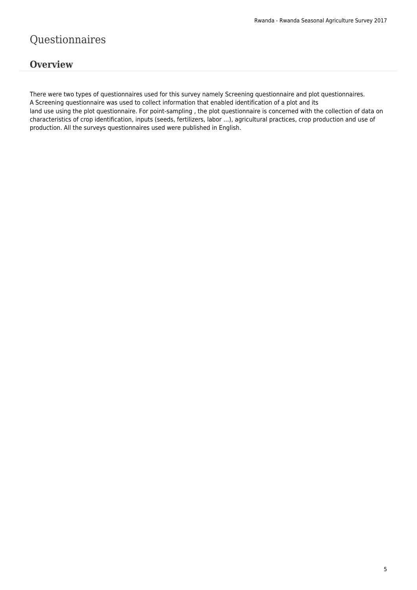### Questionnaires

#### **Overview**

There were two types of questionnaires used for this survey namely Screening questionnaire and plot questionnaires. A Screening questionnaire was used to collect information that enabled identification of a plot and its land use using the plot questionnaire. For point-sampling , the plot questionnaire is concerned with the collection of data on characteristics of crop identification, inputs (seeds, fertilizers, labor …), agricultural practices, crop production and use of production. All the surveys questionnaires used were published in English.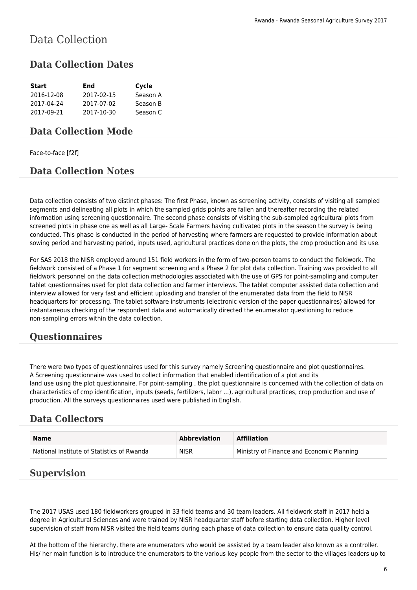### Data Collection

#### **Data Collection Dates**

| Start      | End        | Cycle    |
|------------|------------|----------|
| 2016-12-08 | 2017-02-15 | Season A |
| 2017-04-24 | 2017-07-02 | Season B |
| 2017-09-21 | 2017-10-30 | Season C |

#### **Data Collection Mode**

Face-to-face [f2f]

#### **Data Collection Notes**

Data collection consists of two distinct phases: The first Phase, known as screening activity, consists of visiting all sampled segments and delineating all plots in which the sampled grids points are fallen and thereafter recording the related information using screening questionnaire. The second phase consists of visiting the sub-sampled agricultural plots from screened plots in phase one as well as all Large- Scale Farmers having cultivated plots in the season the survey is being conducted. This phase is conducted in the period of harvesting where farmers are requested to provide information about sowing period and harvesting period, inputs used, agricultural practices done on the plots, the crop production and its use.

For SAS 2018 the NISR employed around 151 field workers in the form of two-person teams to conduct the fieldwork. The fieldwork consisted of a Phase 1 for segment screening and a Phase 2 for plot data collection. Training was provided to all fieldwork personnel on the data collection methodologies associated with the use of GPS for point-sampling and computer tablet questionnaires used for plot data collection and farmer interviews. The tablet computer assisted data collection and interview allowed for very fast and efficient uploading and transfer of the enumerated data from the field to NISR headquarters for processing. The tablet software instruments (electronic version of the paper questionnaires) allowed for instantaneous checking of the respondent data and automatically directed the enumerator questioning to reduce non-sampling errors within the data collection.

#### **Questionnaires**

There were two types of questionnaires used for this survey namely Screening questionnaire and plot questionnaires. A Screening questionnaire was used to collect information that enabled identification of a plot and its land use using the plot questionnaire. For point-sampling , the plot questionnaire is concerned with the collection of data on characteristics of crop identification, inputs (seeds, fertilizers, labor …), agricultural practices, crop production and use of production. All the surveys questionnaires used were published in English.

#### **Data Collectors**

| <b>Name</b>                                | <b>Abbreviation</b> | <b>Affiliation</b>                        |
|--------------------------------------------|---------------------|-------------------------------------------|
| National Institute of Statistics of Rwanda | <b>NISR</b>         | Ministry of Finance and Economic Planning |

#### **Supervision**

The 2017 USAS used 180 fieldworkers grouped in 33 field teams and 30 team leaders. All fieldwork staff in 2017 held a degree in Agricultural Sciences and were trained by NISR headquarter staff before starting data collection. Higher level supervision of staff from NISR visited the field teams during each phase of data collection to ensure data quality control.

At the bottom of the hierarchy, there are enumerators who would be assisted by a team leader also known as a controller. His/ her main function is to introduce the enumerators to the various key people from the sector to the villages leaders up to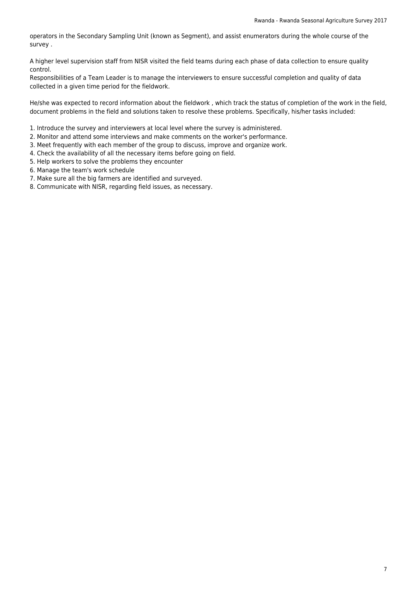operators in the Secondary Sampling Unit (known as Segment), and assist enumerators during the whole course of the survey .

A higher level supervision staff from NISR visited the field teams during each phase of data collection to ensure quality control.

Responsibilities of a Team Leader is to manage the interviewers to ensure successful completion and quality of data collected in a given time period for the fieldwork.

He/she was expected to record information about the fieldwork , which track the status of completion of the work in the field, document problems in the field and solutions taken to resolve these problems. Specifically, his/her tasks included:

- 1. Introduce the survey and interviewers at local level where the survey is administered.
- 2. Monitor and attend some interviews and make comments on the worker's performance.
- 3. Meet frequently with each member of the group to discuss, improve and organize work.
- 4. Check the availability of all the necessary items before going on field.
- 5. Help workers to solve the problems they encounter
- 6. Manage the team's work schedule
- 7. Make sure all the big farmers are identified and surveyed.
- 8. Communicate with NISR, regarding field issues, as necessary.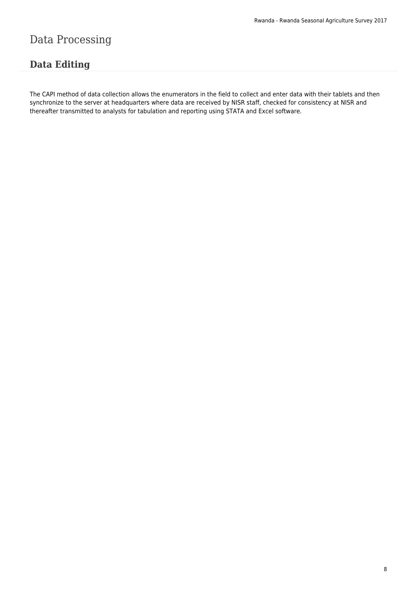### Data Processing

#### **Data Editing**

The CAPI method of data collection allows the enumerators in the field to collect and enter data with their tablets and then synchronize to the server at headquarters where data are received by NISR staff, checked for consistency at NISR and thereafter transmitted to analysts for tabulation and reporting using STATA and Excel software.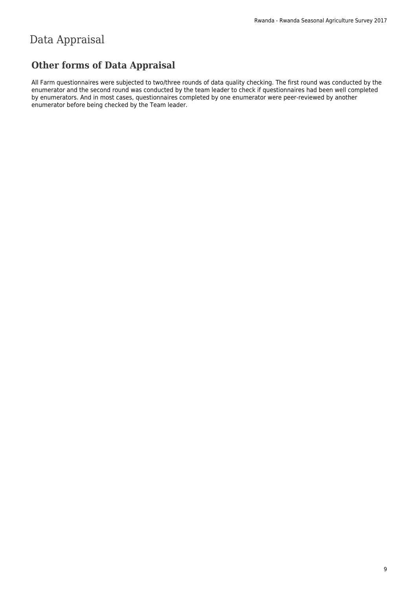#### Data Appraisal

#### **Other forms of Data Appraisal**

All Farm questionnaires were subjected to two/three rounds of data quality checking. The first round was conducted by the enumerator and the second round was conducted by the team leader to check if questionnaires had been well completed by enumerators. And in most cases, questionnaires completed by one enumerator were peer-reviewed by another enumerator before being checked by the Team leader.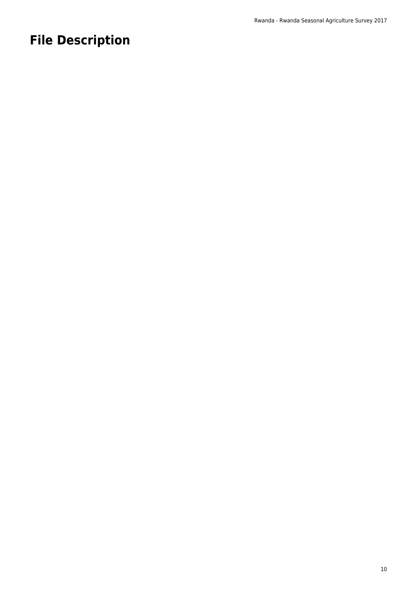# **File Description**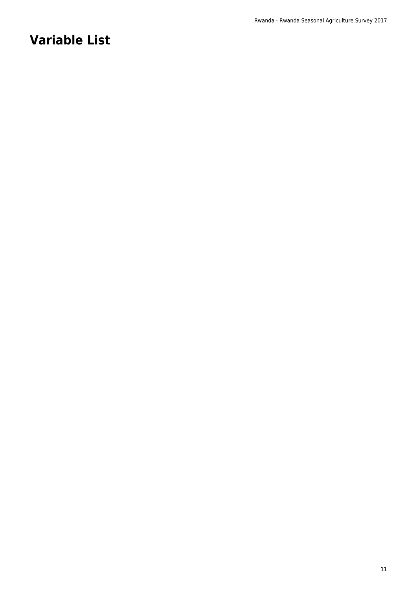# **Variable List**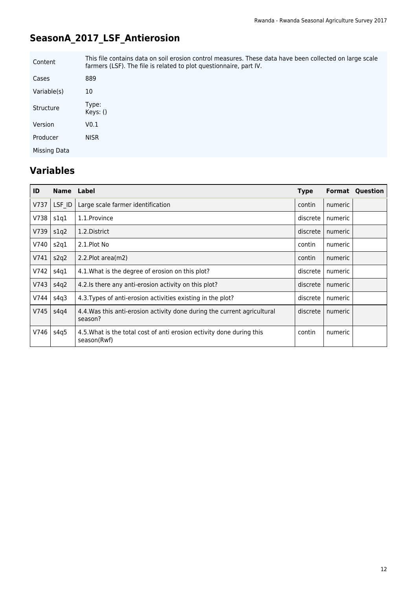## **SeasonA\_2017\_LSF\_Antierosion**

| Content      | This file contains data on soil erosion control measures. These data have been collected on large scale<br>farmers (LSF). The file is related to plot questionnaire, part IV. |
|--------------|-------------------------------------------------------------------------------------------------------------------------------------------------------------------------------|
| Cases        | 889                                                                                                                                                                           |
| Variable(s)  | 10                                                                                                                                                                            |
| Structure    | Type:<br>Keys: ()                                                                                                                                                             |
| Version      | V <sub>0.1</sub>                                                                                                                                                              |
| Producer     | <b>NISR</b>                                                                                                                                                                   |
| Missing Data |                                                                                                                                                                               |

| ID   | <b>Name</b> | Label                                                                                | Type     | Format  | Question |
|------|-------------|--------------------------------------------------------------------------------------|----------|---------|----------|
| V737 | LSF ID      | Large scale farmer identification                                                    | contin   | numeric |          |
| V738 | slq1        | 1.1.Province                                                                         | discrete | numeric |          |
| V739 | slq2        | 1.2. District                                                                        | discrete | numeric |          |
| V740 | s2q1        | 2.1.Plot No                                                                          | contin   | numeric |          |
| V741 | s2q2        | 2.2.Plot area(m2)                                                                    | contin   | numeric |          |
| V742 | s4q1        | 4.1. What is the degree of erosion on this plot?                                     | discrete | numeric |          |
| V743 | s4q2        | 4.2. Is there any anti-erosion activity on this plot?                                | discrete | numeric |          |
| V744 | s4q3        | 4.3. Types of anti-erosion activities existing in the plot?                          | discrete | numeric |          |
| V745 | s4q4        | 4.4. Was this anti-erosion activity done during the current agricultural<br>season?  | discrete | numeric |          |
| V746 | s4q5        | 4.5. What is the total cost of anti erosion ectivity done during this<br>season(Rwf) | contin   | numeric |          |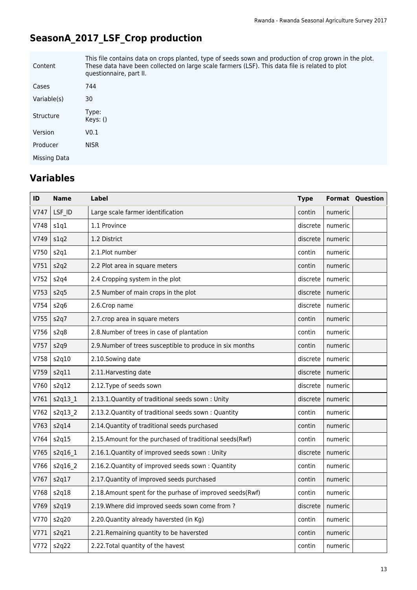### **SeasonA\_2017\_LSF\_Crop production**

| Content      | This file contains data on crops planted, type of seeds sown and production of crop grown in the plot.<br>These data have been collected on large scale farmers (LSF). This data file is related to plot<br>questionnaire, part II. |
|--------------|-------------------------------------------------------------------------------------------------------------------------------------------------------------------------------------------------------------------------------------|
| Cases        | 744                                                                                                                                                                                                                                 |
| Variable(s)  | 30                                                                                                                                                                                                                                  |
| Structure    | Type:<br>Keys: ()                                                                                                                                                                                                                   |
| Version      | V <sub>0.1</sub>                                                                                                                                                                                                                    |
| Producer     | <b>NISR</b>                                                                                                                                                                                                                         |
| Missing Data |                                                                                                                                                                                                                                     |

| ID   | <b>Name</b> | Label                                                      | <b>Type</b> |         | <b>Format Question</b> |
|------|-------------|------------------------------------------------------------|-------------|---------|------------------------|
| V747 | LSF ID      | Large scale farmer identification                          | contin      | numeric |                        |
| V748 | s1q1        | 1.1 Province                                               | discrete    | numeric |                        |
| V749 | slq2        | 1.2 District                                               | discrete    | numeric |                        |
| V750 | s2q1        | 2.1.Plot number                                            | contin      | numeric |                        |
| V751 | s2q2        | 2.2 Plot area in square meters                             | contin      | numeric |                        |
| V752 | s2q4        | 2.4 Cropping system in the plot                            | discrete    | numeric |                        |
| V753 | s2q5        | 2.5 Number of main crops in the plot                       | discrete    | numeric |                        |
| V754 | s2q6        | 2.6.Crop name                                              | discrete    | numeric |                        |
| V755 | s2q7        | 2.7.crop area in square meters                             | contin      | numeric |                        |
| V756 | s2q8        | 2.8. Number of trees in case of plantation                 | contin      | numeric |                        |
| V757 | s2q9        | 2.9. Number of trees susceptible to produce in six months  | contin      | numeric |                        |
| V758 | s2q10       | 2.10.Sowing date                                           | discrete    | numeric |                        |
| V759 | s2q11       | 2.11. Harvesting date                                      | discrete    | numeric |                        |
| V760 | s2q12       | 2.12. Type of seeds sown                                   | discrete    | numeric |                        |
| V761 | $s2q13_1$   | 2.13.1. Quantity of traditional seeds sown: Unity          | discrete    | numeric |                        |
| V762 | s2q13 2     | 2.13.2. Quantity of traditional seeds sown: Quantity       | contin      | numeric |                        |
| V763 | s2q14       | 2.14. Quantity of traditional seeds purchased              | contin      | numeric |                        |
| V764 | s2q15       | 2.15. Amount for the purchased of traditional seeds (Rwf)  | contin      | numeric |                        |
| V765 | s2q16 1     | 2.16.1. Quantity of improved seeds sown: Unity             | discrete    | numeric |                        |
| V766 | s2q16_2     | 2.16.2. Quantity of improved seeds sown: Quantity          | contin      | numeric |                        |
| V767 | s2q17       | 2.17. Quantity of improved seeds purchased                 | contin      | numeric |                        |
| V768 | s2q18       | 2.18. Amount spent for the purhase of improved seeds (Rwf) | contin      | numeric |                        |
| V769 | s2q19       | 2.19. Where did improved seeds sown come from?             | discrete    | numeric |                        |
| V770 | s2q20       | 2.20.Quantity already haversted (in Kg)                    | contin      | numeric |                        |
| V771 | s2q21       | 2.21. Remaining quantity to be haversted                   | contin      | numeric |                        |
| V772 | s2q22       | 2.22. Total quantity of the havest                         | contin      | numeric |                        |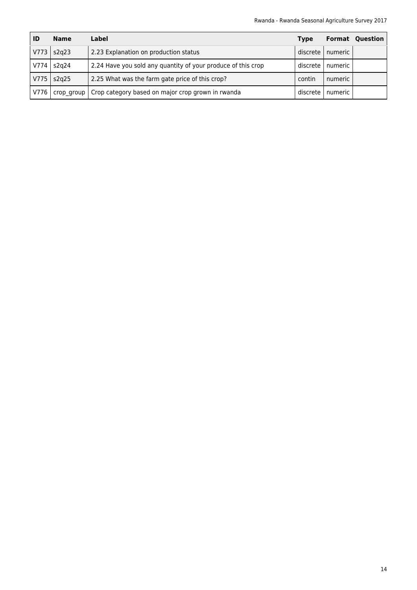| ID   | <b>Name</b>  | Label                                                          | <b>Type</b> |            | <b>Format Question</b> |
|------|--------------|----------------------------------------------------------------|-------------|------------|------------------------|
|      | $V773$ s2q23 | 2.23 Explanation on production status                          | discrete    | I numeric. |                        |
| V774 | s2q24        | 2.24 Have you sold any quantity of your produce of this crop   | discrete    | numeric    |                        |
| V775 | s2q25        | 2.25 What was the farm gate price of this crop?                | contin      | numeric    |                        |
| V776 |              | crop group   Crop category based on major crop grown in rwanda | discrete    | numeric    |                        |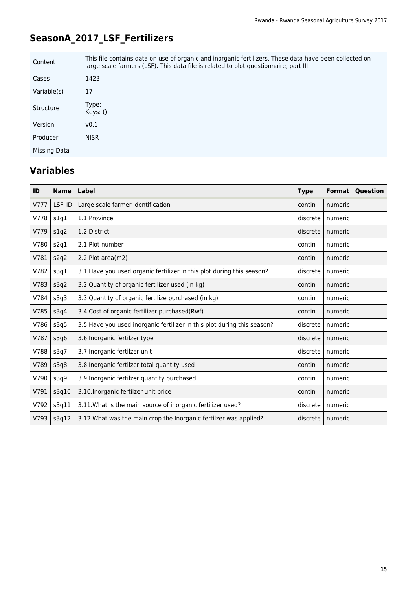### **SeasonA\_2017\_LSF\_Fertilizers**

| Content      | This file contains data on use of organic and inorganic fertilizers. These data have been collected on<br>large scale farmers (LSF). This data file is related to plot questionnaire, part III. |
|--------------|-------------------------------------------------------------------------------------------------------------------------------------------------------------------------------------------------|
| Cases        | 1423                                                                                                                                                                                            |
| Variable(s)  | 17                                                                                                                                                                                              |
| Structure    | Type:<br>Keys: ()                                                                                                                                                                               |
| Version      | v0.1                                                                                                                                                                                            |
| Producer     | <b>NISR</b>                                                                                                                                                                                     |
| Missing Data |                                                                                                                                                                                                 |

| ID   | <b>Name</b> | Label                                                                    | <b>Type</b> |         | <b>Format Question</b> |
|------|-------------|--------------------------------------------------------------------------|-------------|---------|------------------------|
| V777 | LSF ID      | Large scale farmer identification                                        | contin      | numeric |                        |
| V778 | s1q1        | 1.1.Province                                                             | discrete    | numeric |                        |
| V779 | slq2        | 1.2. District                                                            | discrete    | numeric |                        |
| V780 | s2q1        | 2.1.Plot number                                                          | contin      | numeric |                        |
| V781 | s2q2        | 2.2. Plot area(m2)                                                       | contin      | numeric |                        |
| V782 | s3q1        | 3.1. Have you used organic fertilizer in this plot during this season?   | discrete    | numeric |                        |
| V783 | s3q2        | 3.2. Quantity of organic fertilizer used (in kg)                         | contin      | numeric |                        |
| V784 | s3q3        | 3.3. Quantity of organic fertilize purchased (in kg)                     | contin      | numeric |                        |
| V785 | s3q4        | 3.4. Cost of organic fertilizer purchased (Rwf)                          | contin      | numeric |                        |
| V786 | s3q5        | 3.5. Have you used inorganic fertilizer in this plot during this season? | discrete    | numeric |                        |
| V787 | s3q6        | 3.6. Inorganic fertilzer type                                            | discrete    | numeric |                        |
| V788 | s3q7        | 3.7. Inorganic fertilzer unit                                            | discrete    | numeric |                        |
| V789 | s3q8        | 3.8. Inorganic fertilzer total quantity used                             | contin      | numeric |                        |
| V790 | s3q9        | 3.9. Inorganic fertilzer quantity purchased                              | contin      | numeric |                        |
| V791 | s3q10       | 3.10. Inorganic fertilzer unit price                                     | contin      | numeric |                        |
| V792 | s3q11       | 3.11. What is the main source of inorganic fertilizer used?              | discrete    | numeric |                        |
| V793 | s3q12       | 3.12. What was the main crop the Inorganic fertilzer was applied?        | discrete    | numeric |                        |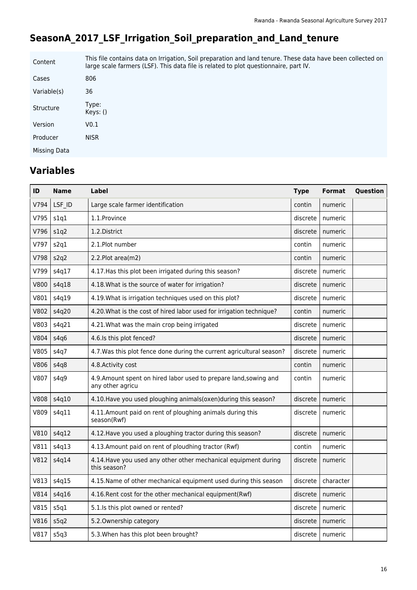### **SeasonA\_2017\_LSF\_Irrigation\_Soil\_preparation\_and\_Land\_tenure**

| Content      | This file contains data on Irrigation, Soil preparation and land tenure. These data have been collected on<br>large scale farmers (LSF). This data file is related to plot questionnaire, part IV. |
|--------------|----------------------------------------------------------------------------------------------------------------------------------------------------------------------------------------------------|
| Cases        | 806                                                                                                                                                                                                |
| Variable(s)  | 36                                                                                                                                                                                                 |
| Structure    | Type:<br>Keys: ()                                                                                                                                                                                  |
| Version      | V <sub>0.1</sub>                                                                                                                                                                                   |
| Producer     | <b>NISR</b>                                                                                                                                                                                        |
| Missing Data |                                                                                                                                                                                                    |

| ID   | <b>Name</b> | Label                                                                                 | <b>Type</b> | <b>Format</b> | Question |
|------|-------------|---------------------------------------------------------------------------------------|-------------|---------------|----------|
| V794 | LSF ID      | Large scale farmer identification                                                     | contin      | numeric       |          |
| V795 | slq1        | 1.1.Province                                                                          | discrete    | numeric       |          |
| V796 | slq2        | 1.2. District                                                                         | discrete    | numeric       |          |
| V797 | s2q1        | 2.1.Plot number                                                                       | contin      | numeric       |          |
| V798 | s2q2        | 2.2.Plot area(m2)                                                                     | contin      | numeric       |          |
| V799 | s4q17       | 4.17. Has this plot been irrigated during this season?                                | discrete    | numeric       |          |
| V800 | s4q18       | 4.18. What is the source of water for irrigation?                                     | discrete    | numeric       |          |
| V801 | s4q19       | 4.19. What is irrigation techniques used on this plot?                                | discrete    | numeric       |          |
| V802 | s4q20       | 4.20. What is the cost of hired labor used for irrigation technique?                  | contin      | numeric       |          |
| V803 | s4q21       | 4.21. What was the main crop being irrigated                                          | discrete    | numeric       |          |
| V804 | s4q6        | 4.6.ls this plot fenced?                                                              | discrete    | numeric       |          |
| V805 | s4q7        | 4.7. Was this plot fence done during the current agricultural season?                 | discrete    | numeric       |          |
| V806 | s4q8        | 4.8. Activity cost                                                                    | contin      | numeric       |          |
| V807 | s4q9        | 4.9. Amount spent on hired labor used to prepare land, sowing and<br>any other agricu | contin      | numeric       |          |
| V808 | s4q10       | 4.10. Have you used ploughing animals(oxen) during this season?                       | discrete    | numeric       |          |
| V809 | s4q11       | 4.11.Amount paid on rent of ploughing animals during this<br>season(Rwf)              | discrete    | numeric       |          |
| V810 | s4q12       | 4.12. Have you used a ploughing tractor during this season?                           | discrete    | numeric       |          |
| V811 | s4q13       | 4.13. Amount paid on rent of ploudhing tractor (Rwf)                                  | contin      | numeric       |          |
| V812 | s4q14       | 4.14. Have you used any other other mechanical equipment during<br>this season?       | discrete    | numeric       |          |
| V813 | s4q15       | 4.15. Name of other mechanical equipment used during this season                      | discrete    | character     |          |
| V814 | s4q16       | 4.16. Rent cost for the other mechanical equipment (Rwf)                              | discrete    | numeric       |          |
| V815 | s5q1        | 5.1.Is this plot owned or rented?                                                     | discrete    | numeric       |          |
| V816 | s5q2        | 5.2. Ownership category                                                               | discrete    | numeric       |          |
| V817 | s5q3        | 5.3. When has this plot been brought?                                                 | discrete    | numeric       |          |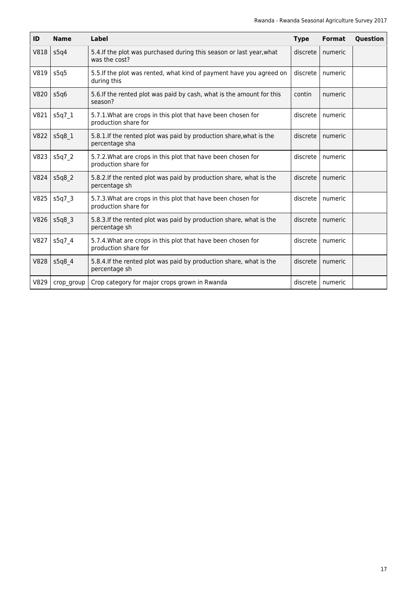| ID          | <b>Name</b> | Label                                                                                 | <b>Type</b> | <b>Format</b> | Question |
|-------------|-------------|---------------------------------------------------------------------------------------|-------------|---------------|----------|
| <b>V818</b> | s5q4        | 5.4. If the plot was purchased during this season or last year, what<br>was the cost? | discrete    | numeric       |          |
| V819        | s5q5        | 5.5. If the plot was rented, what kind of payment have you agreed on<br>during this   | discrete    | numeric       |          |
| V820        | s5q6        | 5.6. If the rented plot was paid by cash, what is the amount for this<br>season?      | contin      | numeric       |          |
| V821        | s5q7 1      | 5.7.1. What are crops in this plot that have been chosen for<br>production share for  | discrete    | numeric       |          |
| V822        | $s5q8$ 1    | 5.8.1. If the rented plot was paid by production share, what is the<br>percentage sha | discrete    | numeric       |          |
| V823        | s5q7 2      | 5.7.2. What are crops in this plot that have been chosen for<br>production share for  | discrete    | numeric       |          |
| V824        | s5q8 2      | 5.8.2. If the rented plot was paid by production share, what is the<br>percentage sh  | discrete    | numeric       |          |
| V825        | $s5q7$ 3    | 5.7.3. What are crops in this plot that have been chosen for<br>production share for  | discrete    | numeric       |          |
| V826        | s5q83       | 5.8.3. If the rented plot was paid by production share, what is the<br>percentage sh  | discrete    | numeric       |          |
| V827        | s5q7 4      | 5.7.4. What are crops in this plot that have been chosen for<br>production share for  | discrete    | numeric       |          |
| V828        | s5q84       | 5.8.4. If the rented plot was paid by production share, what is the<br>percentage sh  | discrete    | numeric       |          |
| V829        | crop group  | Crop category for major crops grown in Rwanda                                         | discrete    | numeric       |          |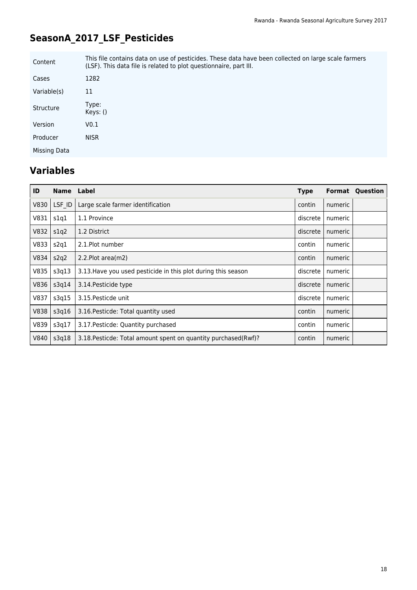### **SeasonA\_2017\_LSF\_Pesticides**

| Content      | This file contains data on use of pesticides. These data have been collected on large scale farmers<br>(LSF). This data file is related to plot questionnaire, part III. |
|--------------|--------------------------------------------------------------------------------------------------------------------------------------------------------------------------|
| Cases        | 1282                                                                                                                                                                     |
| Variable(s)  | 11                                                                                                                                                                       |
| Structure    | Type:<br>Keys: ()                                                                                                                                                        |
| Version      | V <sub>0.1</sub>                                                                                                                                                         |
| Producer     | <b>NISR</b>                                                                                                                                                              |
| Missing Data |                                                                                                                                                                          |

| ID   | <b>Name</b> | Label                                                           | <b>Type</b> | Format  | Question |
|------|-------------|-----------------------------------------------------------------|-------------|---------|----------|
| V830 | LSF ID      | Large scale farmer identification                               | contin      | numeric |          |
| V831 | slg1        | 1.1 Province                                                    | discrete    | numeric |          |
| V832 | slq2        | 1.2 District                                                    | discrete    | numeric |          |
| V833 | s2q1        | 2.1.Plot number                                                 | contin      | numeric |          |
| V834 | s2q2        | 2.2.Plot area(m2)                                               | contin      | numeric |          |
| V835 | s3q13       | 3.13. Have you used pesticide in this plot during this season   | discrete    | numeric |          |
| V836 | s3q14       | 3.14. Pesticide type                                            | discrete    | numeric |          |
| V837 | s3q15       | 3.15. Pesticde unit                                             | discrete    | numeric |          |
| V838 | s3q16       | 3.16. Pesticde: Total quantity used                             | contin      | numeric |          |
| V839 | s3q17       | 3.17. Pesticde: Quantity purchased                              | contin      | numeric |          |
| V840 | s3q18       | 3.18. Pesticde: Total amount spent on quantity purchased (Rwf)? | contin      | numeric |          |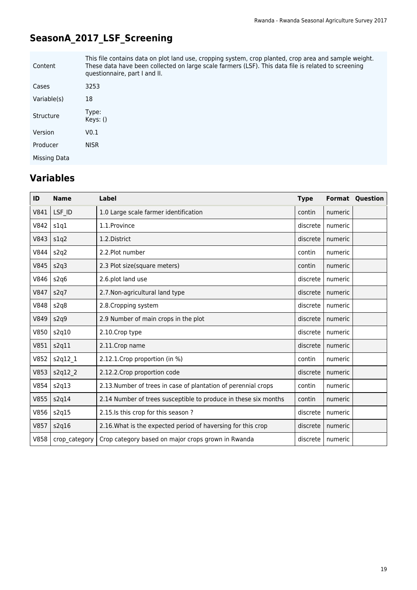### **SeasonA\_2017\_LSF\_Screening**

| Content      | This file contains data on plot land use, cropping system, crop planted, crop area and sample weight.<br>These data have been collected on large scale farmers (LSF). This data file is related to screening<br>questionnaire, part I and II. |
|--------------|-----------------------------------------------------------------------------------------------------------------------------------------------------------------------------------------------------------------------------------------------|
| Cases        | 3253                                                                                                                                                                                                                                          |
| Variable(s)  | 18                                                                                                                                                                                                                                            |
| Structure    | Type:<br>Keys: ()                                                                                                                                                                                                                             |
| Version      | V <sub>0.1</sub>                                                                                                                                                                                                                              |
| Producer     | <b>NISR</b>                                                                                                                                                                                                                                   |
| Missing Data |                                                                                                                                                                                                                                               |

| ID   | <b>Name</b>   | Label                                                           | <b>Type</b> | Format  | Question |
|------|---------------|-----------------------------------------------------------------|-------------|---------|----------|
| V841 | LSF ID        | 1.0 Large scale farmer identification                           | contin      | numeric |          |
| V842 | s1q1          | 1.1.Province                                                    | discrete    | numeric |          |
| V843 | s1q2          | 1.2. District                                                   | discrete    | numeric |          |
| V844 | s2q2          | 2.2. Plot number                                                | contin      | numeric |          |
| V845 | s2q3          | 2.3 Plot size(square meters)                                    | contin      | numeric |          |
| V846 | s2q6          | 2.6.plot land use                                               | discrete    | numeric |          |
| V847 | s2q7          | 2.7. Non-agricultural land type                                 | discrete    | numeric |          |
| V848 | s2q8          | 2.8. Cropping system                                            | discrete    | numeric |          |
| V849 | s2q9          | 2.9 Number of main crops in the plot                            | discrete    | numeric |          |
| V850 | s2q10         | 2.10. Crop type                                                 | discrete    | numeric |          |
| V851 | s2q11         | 2.11. Crop name                                                 | discrete    | numeric |          |
| V852 | s2q12_1       | 2.12.1. Crop proportion (in %)                                  | contin      | numeric |          |
| V853 | s2q12_2       | 2.12.2. Crop proportion code                                    | discrete    | numeric |          |
| V854 | s2q13         | 2.13. Number of trees in case of plantation of perennial crops  | contin      | numeric |          |
| V855 | s2q14         | 2.14 Number of trees susceptible to produce in these six months | contin      | numeric |          |
| V856 | s2q15         | 2.15. Is this crop for this season?                             | discrete    | numeric |          |
| V857 | s2q16         | 2.16. What is the expected period of haversing for this crop    | discrete    | numeric |          |
| V858 | crop category | Crop category based on major crops grown in Rwanda              | discrete    | numeric |          |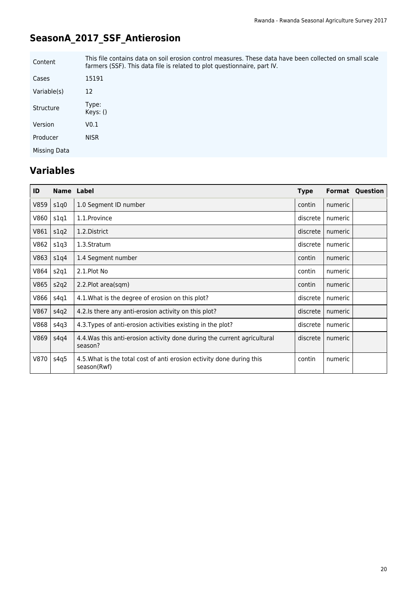### **SeasonA\_2017\_SSF\_Antierosion**

| Content      | This file contains data on soil erosion control measures. These data have been collected on small scale<br>farmers (SSF). This data file is related to plot questionnaire, part IV. |
|--------------|-------------------------------------------------------------------------------------------------------------------------------------------------------------------------------------|
| Cases        | 15191                                                                                                                                                                               |
| Variable(s)  | 12                                                                                                                                                                                  |
| Structure    | Type:<br>Keys: ()                                                                                                                                                                   |
| Version      | V <sub>0.1</sub>                                                                                                                                                                    |
| Producer     | <b>NISR</b>                                                                                                                                                                         |
| Missing Data |                                                                                                                                                                                     |

| ID   | Name Label |                                                                                      | Type     | Format  | Question |
|------|------------|--------------------------------------------------------------------------------------|----------|---------|----------|
| V859 | s1q0       | 1.0 Segment ID number                                                                | contin   | numeric |          |
| V860 | slq1       | 1.1.Province                                                                         | discrete | numeric |          |
| V861 | slq2       | 1.2. District                                                                        | discrete | numeric |          |
| V862 | s1q3       | 1.3.Stratum                                                                          | discrete | numeric |          |
| V863 | s1q4       | 1.4 Segment number                                                                   | contin   | numeric |          |
| V864 | s2q1       | 2.1.Plot No                                                                          | contin   | numeric |          |
| V865 | s2q2       | 2.2. Plot area(sqm)                                                                  | contin   | numeric |          |
| V866 | s4q1       | 4.1. What is the degree of erosion on this plot?                                     | discrete | numeric |          |
| V867 | s4q2       | 4.2.Is there any anti-erosion activity on this plot?                                 | discrete | numeric |          |
| V868 | s4q3       | 4.3. Types of anti-erosion activities existing in the plot?                          | discrete | numeric |          |
| V869 | s4q4       | 4.4. Was this anti-erosion activity done during the current agricultural<br>season?  | discrete | numeric |          |
| V870 | s4q5       | 4.5. What is the total cost of anti erosion ectivity done during this<br>season(Rwf) | contin   | numeric |          |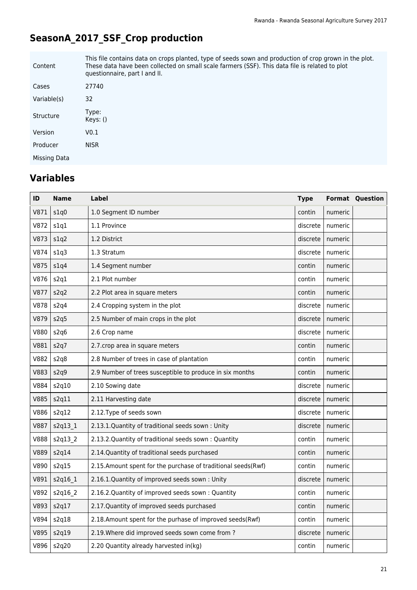## **SeasonA\_2017\_SSF\_Crop production**

| Content      | This file contains data on crops planted, type of seeds sown and production of crop grown in the plot.<br>These data have been collected on small scale farmers (SSF). This data file is related to plot<br>questionnaire, part I and II. |
|--------------|-------------------------------------------------------------------------------------------------------------------------------------------------------------------------------------------------------------------------------------------|
| Cases        | 27740                                                                                                                                                                                                                                     |
| Variable(s)  | 32                                                                                                                                                                                                                                        |
| Structure    | Type:<br>Keys: ()                                                                                                                                                                                                                         |
| Version      | V <sub>0.1</sub>                                                                                                                                                                                                                          |
| Producer     | <b>NISR</b>                                                                                                                                                                                                                               |
| Missing Data |                                                                                                                                                                                                                                           |

| ID          | <b>Name</b> | Label                                                          | <b>Type</b> |         | <b>Format Question</b> |
|-------------|-------------|----------------------------------------------------------------|-------------|---------|------------------------|
| V871        | s1q0        | 1.0 Segment ID number                                          | contin      | numeric |                        |
| V872        | s1q1        | 1.1 Province                                                   | discrete    | numeric |                        |
| V873        | s1q2        | 1.2 District                                                   | discrete    | numeric |                        |
| V874        | s1q3        | 1.3 Stratum                                                    | discrete    | numeric |                        |
| V875        | s1q4        | 1.4 Segment number                                             | contin      | numeric |                        |
| V876        | s2q1        | 2.1 Plot number                                                | contin      | numeric |                        |
| V877        | s2q2        | 2.2 Plot area in square meters                                 | contin      | numeric |                        |
| <b>V878</b> | s2q4        | 2.4 Cropping system in the plot                                | discrete    | numeric |                        |
| V879        | s2q5        | 2.5 Number of main crops in the plot                           | discrete    | numeric |                        |
| V880        | s2q6        | 2.6 Crop name                                                  | discrete    | numeric |                        |
| V881        | s2q7        | 2.7.crop area in square meters                                 | contin      | numeric |                        |
| V882        | s2q8        | 2.8 Number of trees in case of plantation                      | contin      | numeric |                        |
| V883        | s2q9        | 2.9 Number of trees susceptible to produce in six months       | contin      | numeric |                        |
| V884        | s2q10       | 2.10 Sowing date                                               | discrete    | numeric |                        |
| V885        | s2q11       | 2.11 Harvesting date                                           | discrete    | numeric |                        |
| V886        | s2q12       | 2.12. Type of seeds sown                                       | discrete    | numeric |                        |
| V887        | s2q13 1     | 2.13.1. Quantity of traditional seeds sown: Unity              | discrete    | numeric |                        |
| <b>V888</b> | s2q13 2     | 2.13.2. Quantity of traditional seeds sown: Quantity           | contin      | numeric |                        |
| V889        | s2q14       | 2.14. Quantity of traditional seeds purchased                  | contin      | numeric |                        |
| V890        | s2q15       | 2.15. Amount spent for the purchase of traditional seeds (Rwf) | contin      | numeric |                        |
| V891        | s2q16 1     | 2.16.1. Quantity of improved seeds sown: Unity                 | discrete    | numeric |                        |
| V892        | s2q16 2     | 2.16.2. Quantity of improved seeds sown: Quantity              | contin      | numeric |                        |
| V893        | s2q17       | 2.17. Quantity of improved seeds purchased                     | contin      | numeric |                        |
| V894        | s2q18       | 2.18. Amount spent for the purhase of improved seeds (Rwf)     | contin      | numeric |                        |
| V895        | s2q19       | 2.19. Where did improved seeds sown come from?                 | discrete    | numeric |                        |
| V896        | s2q20       | 2.20 Quantity already harvested in(kg)                         | contin      | numeric |                        |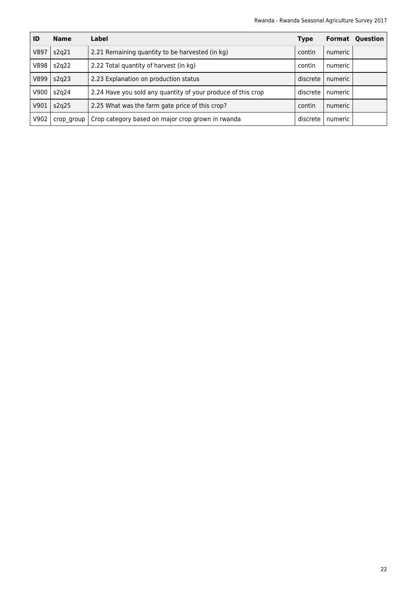| ID   | <b>Name</b> | Label                                                        | <b>Type</b> | Format  | <b>Question</b> |
|------|-------------|--------------------------------------------------------------|-------------|---------|-----------------|
| V897 | s2q21       | 2.21 Remaining quantity to be harvested (in kg)              | contin      | numeric |                 |
| V898 | s2q22       | 2.22 Total quantity of harvest (in kg)                       | contin      | numeric |                 |
| V899 | s2q23       | 2.23 Explanation on production status                        | discrete    | numeric |                 |
| V900 | s2a24       | 2.24 Have you sold any quantity of your produce of this crop | discrete    | numeric |                 |
| V901 | s2q25       | 2.25 What was the farm gate price of this crop?              | contin      | numeric |                 |
| V902 | crop group  | Crop category based on major crop grown in rwanda            | discrete    | numeric |                 |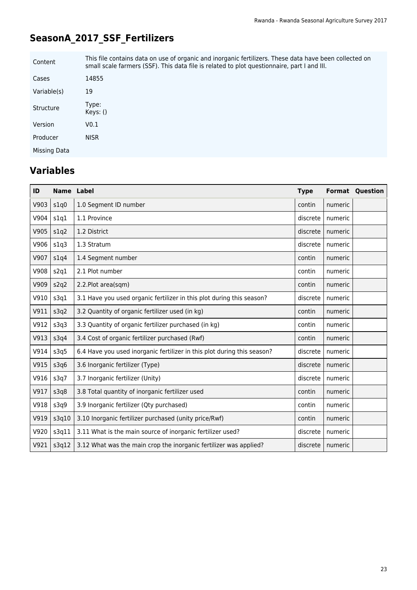### **SeasonA\_2017\_SSF\_Fertilizers**

| Content      | This file contains data on use of organic and inorganic fertilizers. These data have been collected on<br>small scale farmers (SSF). This data file is related to plot questionnaire, part I and III. |
|--------------|-------------------------------------------------------------------------------------------------------------------------------------------------------------------------------------------------------|
| Cases        | 14855                                                                                                                                                                                                 |
| Variable(s)  | 19                                                                                                                                                                                                    |
| Structure    | Type:<br>Keys: ()                                                                                                                                                                                     |
| Version      | V <sub>0.1</sub>                                                                                                                                                                                      |
| Producer     | <b>NISR</b>                                                                                                                                                                                           |
| Missing Data |                                                                                                                                                                                                       |

| ID   | Name Label |                                                                         | <b>Type</b> |         | <b>Format Question</b> |
|------|------------|-------------------------------------------------------------------------|-------------|---------|------------------------|
| V903 | s1q0       | 1.0 Segment ID number                                                   | contin      | numeric |                        |
| V904 | s1q1       | 1.1 Province                                                            | discrete    | numeric |                        |
| V905 | s1q2       | 1.2 District                                                            | discrete    | numeric |                        |
| V906 | s1q3       | 1.3 Stratum                                                             | discrete    | numeric |                        |
| V907 | s1q4       | 1.4 Segment number                                                      | contin      | numeric |                        |
| V908 | s2q1       | 2.1 Plot number                                                         | contin      | numeric |                        |
| V909 | s2q2       | 2.2. Plot area(sqm)                                                     | contin      | numeric |                        |
| V910 | s3q1       | 3.1 Have you used organic fertilizer in this plot during this season?   | discrete    | numeric |                        |
| V911 | s3q2       | 3.2 Quantity of organic fertilizer used (in kg)                         | contin      | numeric |                        |
| V912 | s3q3       | 3.3 Quantity of organic fertilizer purchased (in kg)                    | contin      | numeric |                        |
| V913 | s3q4       | 3.4 Cost of organic fertilizer purchased (Rwf)                          | contin      | numeric |                        |
| V914 | s3q5       | 6.4 Have you used inorganic fertilizer in this plot during this season? | discrete    | numeric |                        |
| V915 | s3q6       | 3.6 Inorganic fertilizer (Type)                                         | discrete    | numeric |                        |
| V916 | s3q7       | 3.7 Inorganic fertilizer (Unity)                                        | discrete    | numeric |                        |
| V917 | s3q8       | 3.8 Total quantity of inorganic fertilizer used                         | contin      | numeric |                        |
| V918 | s3q9       | 3.9 Inorganic fertilizer (Qty purchased)                                | contin      | numeric |                        |
| V919 | s3q10      | 3.10 Inorganic fertilizer purchased (unity price/Rwf)                   | contin      | numeric |                        |
| V920 | s3q11      | 3.11 What is the main source of inorganic fertilizer used?              | discrete    | numeric |                        |
| V921 | s3q12      | 3.12 What was the main crop the inorganic fertilizer was applied?       | discrete    | numeric |                        |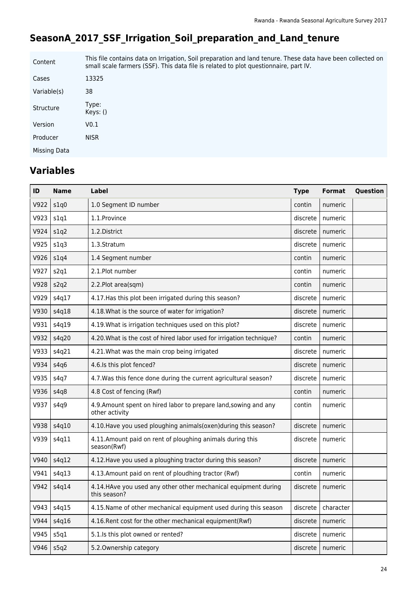### **SeasonA\_2017\_SSF\_Irrigation\_Soil\_preparation\_and\_Land\_tenure**

| Content     | This file contains data on Irrigation, Soil preparation and land tenure. These data have been collected on<br>small scale farmers (SSF). This data file is related to plot questionnaire, part IV. |
|-------------|----------------------------------------------------------------------------------------------------------------------------------------------------------------------------------------------------|
| Cases       | 13325                                                                                                                                                                                              |
| Variable(s) | 38                                                                                                                                                                                                 |
| Structure   | Type:<br>Keys: ()                                                                                                                                                                                  |
| Version     | V0.1                                                                                                                                                                                               |

Missing Data

Producer NISR

| ID   | <b>Name</b> | <b>Label</b>                                                                       | <b>Type</b> | <b>Format</b> | Question |
|------|-------------|------------------------------------------------------------------------------------|-------------|---------------|----------|
| V922 | s1q0        | 1.0 Segment ID number                                                              | contin      | numeric       |          |
| V923 | s1q1        | 1.1.Province                                                                       | discrete    | numeric       |          |
| V924 | s1q2        | 1.2. District                                                                      | discrete    | numeric       |          |
| V925 | s1q3        | 1.3.Stratum                                                                        | discrete    | numeric       |          |
| V926 | s1q4        | 1.4 Segment number                                                                 | contin      | numeric       |          |
| V927 | s2q1        | 2.1.Plot number                                                                    | contin      | numeric       |          |
| V928 | s2q2        | 2.2.Plot area(sqm)                                                                 | contin      | numeric       |          |
| V929 | s4q17       | 4.17. Has this plot been irrigated during this season?                             | discrete    | numeric       |          |
| V930 | s4q18       | 4.18. What is the source of water for irrigation?                                  | discrete    | numeric       |          |
| V931 | s4q19       | 4.19. What is irrigation techniques used on this plot?                             | discrete    | numeric       |          |
| V932 | s4q20       | 4.20. What is the cost of hired labor used for irrigation technique?               | contin      | numeric       |          |
| V933 | s4q21       | 4.21. What was the main crop being irrigated                                       | discrete    | numeric       |          |
| V934 | s4q6        | 4.6.ls this plot fenced?                                                           | discrete    | numeric       |          |
| V935 | s4q7        | 4.7. Was this fence done during the current agricultural season?                   | discrete    | numeric       |          |
| V936 | s4q8        | 4.8 Cost of fencing (Rwf)                                                          | contin      | numeric       |          |
| V937 | s4q9        | 4.9. Amount spent on hired labor to prepare land, sowing and any<br>other activity | contin      | numeric       |          |
| V938 | s4q10       | 4.10. Have you used ploughing animals(oxen) during this season?                    | discrete    | numeric       |          |
| V939 | s4q11       | 4.11. Amount paid on rent of ploughing animals during this<br>season(Rwf)          | discrete    | numeric       |          |
| V940 | s4q12       | 4.12. Have you used a ploughing tractor during this season?                        | discrete    | numeric       |          |
| V941 | s4q13       | 4.13. Amount paid on rent of ploudhing tractor (Rwf)                               | contin      | numeric       |          |
| V942 | s4q14       | 4.14. HAve you used any other other mechanical equipment during<br>this season?    | discrete    | numeric       |          |
| V943 | s4q15       | 4.15. Name of other mechanical equipment used during this season                   | discrete    | character     |          |
| V944 | s4q16       | 4.16. Rent cost for the other mechanical equipment(Rwf)                            | discrete    | numeric       |          |
| V945 | s5q1        | 5.1.Is this plot owned or rented?                                                  | discrete    | numeric       |          |
| V946 | s5q2        | 5.2. Ownership category                                                            | discrete    | numeric       |          |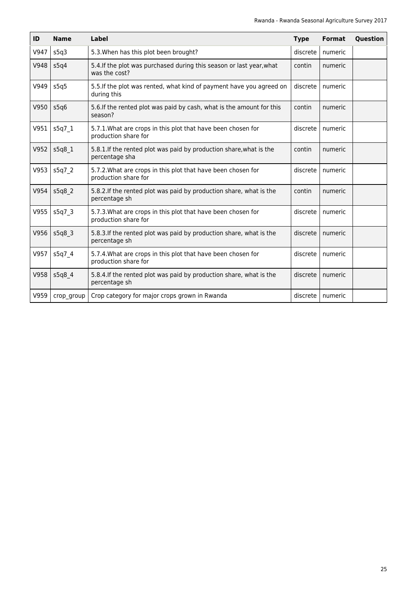| ID   | <b>Name</b> | Label                                                                                 | <b>Type</b> | Format  | <b>Ouestion</b> |
|------|-------------|---------------------------------------------------------------------------------------|-------------|---------|-----------------|
| V947 | s5q3        | 5.3. When has this plot been brought?                                                 | discrete    | numeric |                 |
| V948 | s5q4        | 5.4. If the plot was purchased during this season or last year, what<br>was the cost? | contin      | numeric |                 |
| V949 | s5q5        | 5.5. If the plot was rented, what kind of payment have you agreed on<br>during this   | discrete    | numeric |                 |
| V950 | s5q6        | 5.6. If the rented plot was paid by cash, what is the amount for this<br>season?      | contin      | numeric |                 |
| V951 | $s5q7$ 1    | 5.7.1. What are crops in this plot that have been chosen for<br>production share for  | discrete    | numeric |                 |
| V952 | s5q8 1      | 5.8.1. If the rented plot was paid by production share, what is the<br>percentage sha | contin      | numeric |                 |
| V953 | s5q7 2      | 5.7.2. What are crops in this plot that have been chosen for<br>production share for  | discrete    | numeric |                 |
| V954 | s5q8 2      | 5.8.2. If the rented plot was paid by production share, what is the<br>percentage sh  | contin      | numeric |                 |
| V955 | s5q73       | 5.7.3. What are crops in this plot that have been chosen for<br>production share for  | discrete    | numeric |                 |
| V956 | s5q83       | 5.8.3. If the rented plot was paid by production share, what is the<br>percentage sh  | discrete    | numeric |                 |
| V957 | s5q7 4      | 5.7.4. What are crops in this plot that have been chosen for<br>production share for  | discrete    | numeric |                 |
| V958 | s5q8 4      | 5.8.4. If the rented plot was paid by production share, what is the<br>percentage sh  | discrete    | numeric |                 |
| V959 | crop group  | Crop category for major crops grown in Rwanda                                         | discrete    | numeric |                 |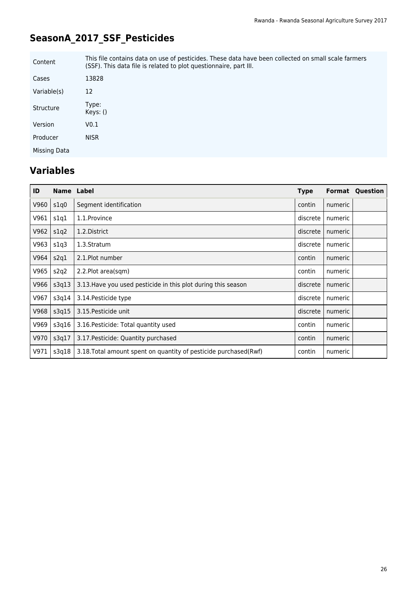### **SeasonA\_2017\_SSF\_Pesticides**

| Content      | This file contains data on use of pesticides. These data have been collected on small scale farmers<br>(SSF). This data file is related to plot questionnaire, part III. |
|--------------|--------------------------------------------------------------------------------------------------------------------------------------------------------------------------|
| Cases        | 13828                                                                                                                                                                    |
| Variable(s)  | 12                                                                                                                                                                       |
| Structure    | Type:<br>Keys: ()                                                                                                                                                        |
| Version      | V <sub>0.1</sub>                                                                                                                                                         |
| Producer     | <b>NISR</b>                                                                                                                                                              |
| Missing Data |                                                                                                                                                                          |

| ID   | <b>Name</b> | Label                                                            | <b>Type</b> | Format  | Question |
|------|-------------|------------------------------------------------------------------|-------------|---------|----------|
| V960 | s1q0        | Segment identification                                           | contin      | numeric |          |
| V961 | slq1        | 1.1.Province                                                     | discrete    | numeric |          |
| V962 | slq2        | 1.2. District                                                    | discrete    | numeric |          |
| V963 | slq3        | 1.3.Stratum                                                      | discrete    | numeric |          |
| V964 | s2q1        | 2.1.Plot number                                                  | contin      | numeric |          |
| V965 | s2q2        | 2.2. Plot area(sqm)                                              | contin      | numeric |          |
| V966 | s3q13       | 3.13. Have you used pesticide in this plot during this season    | discrete    | numeric |          |
| V967 | s3q14       | 3.14. Pesticide type                                             | discrete    | numeric |          |
| V968 | s3q15       | 3.15. Pesticide unit                                             | discrete    | numeric |          |
| V969 | s3q16       | 3.16. Pesticide: Total quantity used                             | contin      | numeric |          |
| V970 | s3q17       | 3.17. Pesticide: Quantity purchased                              | contin      | numeric |          |
| V971 | s3q18       | 3.18. Total amount spent on quantity of pesticide purchased(Rwf) | contin      | numeric |          |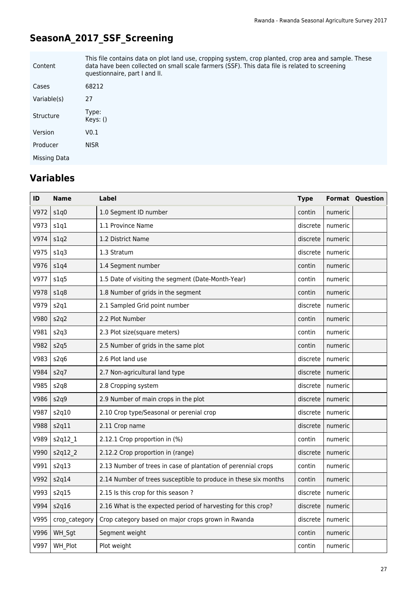## **SeasonA\_2017\_SSF\_Screening**

| Content      | This file contains data on plot land use, cropping system, crop planted, crop area and sample. These<br>data have been collected on small scale farmers (SSF). This data file is related to screening<br>questionnaire, part I and II. |
|--------------|----------------------------------------------------------------------------------------------------------------------------------------------------------------------------------------------------------------------------------------|
| Cases        | 68212                                                                                                                                                                                                                                  |
| Variable(s)  | 27                                                                                                                                                                                                                                     |
| Structure    | Type:<br>Keys: ()                                                                                                                                                                                                                      |
| Version      | V <sub>0.1</sub>                                                                                                                                                                                                                       |
| Producer     | <b>NISR</b>                                                                                                                                                                                                                            |
| Missing Data |                                                                                                                                                                                                                                        |

| ID   | <b>Name</b>   | Label                                                           | <b>Type</b> |         | <b>Format Question</b> |
|------|---------------|-----------------------------------------------------------------|-------------|---------|------------------------|
| V972 | s1q0          | 1.0 Segment ID number                                           | contin      | numeric |                        |
| V973 | slq1          | 1.1 Province Name                                               | discrete    | numeric |                        |
| V974 | s1q2          | 1.2 District Name                                               | discrete    | numeric |                        |
| V975 | s1q3          | 1.3 Stratum                                                     | discrete    | numeric |                        |
| V976 | s1q4          | 1.4 Segment number                                              | contin      | numeric |                        |
| V977 | s1q5          | 1.5 Date of visiting the segment (Date-Month-Year)              | contin      | numeric |                        |
| V978 | s1q8          | 1.8 Number of grids in the segment                              | contin      | numeric |                        |
| V979 | s2q1          | 2.1 Sampled Grid point number                                   | discrete    | numeric |                        |
| V980 | s2q2          | 2.2 Plot Number                                                 | contin      | numeric |                        |
| V981 | s2q3          | 2.3 Plot size(square meters)                                    | contin      | numeric |                        |
| V982 | s2q5          | 2.5 Number of grids in the same plot                            | contin      | numeric |                        |
| V983 | s2q6          | 2.6 Plot land use                                               | discrete    | numeric |                        |
| V984 | s2q7          | 2.7 Non-agricultural land type                                  | discrete    | numeric |                        |
| V985 | s2q8          | 2.8 Cropping system                                             | discrete    | numeric |                        |
| V986 | s2q9          | 2.9 Number of main crops in the plot                            | discrete    | numeric |                        |
| V987 | s2q10         | 2.10 Crop type/Seasonal or perenial crop                        | discrete    | numeric |                        |
| V988 | s2q11         | 2.11 Crop name                                                  | discrete    | numeric |                        |
| V989 | s2q12_1       | 2.12.1 Crop proportion in (%)                                   | contin      | numeric |                        |
| V990 | s2q12 2       | 2.12.2 Crop proportion in (range)                               | discrete    | numeric |                        |
| V991 | s2q13         | 2.13 Number of trees in case of plantation of perennial crops   | contin      | numeric |                        |
| V992 | s2q14         | 2.14 Number of trees susceptible to produce in these six months | contin      | numeric |                        |
| V993 | s2q15         | 2.15 Is this crop for this season?                              | discrete    | numeric |                        |
| V994 | s2q16         | 2.16 What is the expected period of harvesting for this crop?   | discrete    | numeric |                        |
| V995 | crop category | Crop category based on major crops grown in Rwanda              | discrete    | numeric |                        |
| V996 | WH_Sgt        | Segment weight                                                  | contin      | numeric |                        |
| V997 | WH Plot       | Plot weight                                                     | contin      | numeric |                        |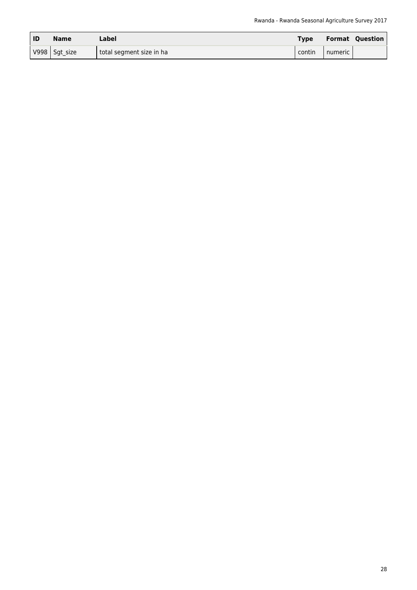| ID | <b>Name</b>     | ∟abel                    | <b>Type</b> |         | <b>Format Question</b> |
|----|-----------------|--------------------------|-------------|---------|------------------------|
|    | V998   Sgt_size | total segment size in ha | contin      | numeric |                        |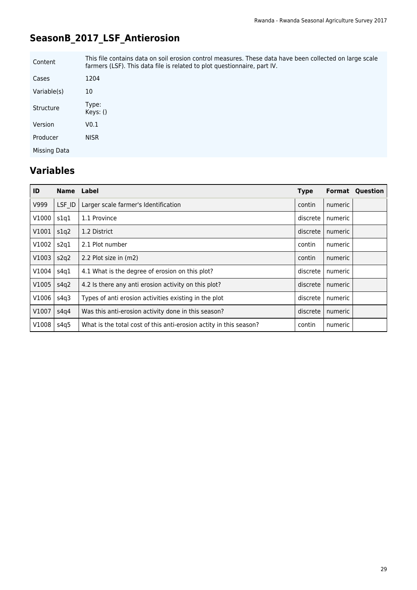### **SeasonB\_2017\_LSF\_Antierosion**

| Content      | This file contains data on soil erosion control measures. These data have been collected on large scale<br>farmers (LSF). This data file is related to plot questionnaire, part IV. |
|--------------|-------------------------------------------------------------------------------------------------------------------------------------------------------------------------------------|
| Cases        | 1204                                                                                                                                                                                |
| Variable(s)  | 10                                                                                                                                                                                  |
| Structure    | Type:<br>Keys: ()                                                                                                                                                                   |
| Version      | V <sub>0.1</sub>                                                                                                                                                                    |
| Producer     | <b>NISR</b>                                                                                                                                                                         |
| Missing Data |                                                                                                                                                                                     |

| ID    | <b>Name</b> | Label                                                              | <b>Type</b> | Format  | Question |
|-------|-------------|--------------------------------------------------------------------|-------------|---------|----------|
| V999  | LSF ID      | Larger scale farmer's Identification                               | contin      | numeric |          |
| V1000 | slq1        | 1.1 Province                                                       | discrete    | numeric |          |
| V1001 | slq2        | 1.2 District                                                       | discrete    | numeric |          |
| V1002 | s2q1        | 2.1 Plot number                                                    | contin      | numeric |          |
| V1003 | s2q2        | 2.2 Plot size in (m2)                                              | contin      | numeric |          |
| V1004 | s4q1        | 4.1 What is the degree of erosion on this plot?                    | discrete    | numeric |          |
| V1005 | s4q2        | 4.2 Is there any anti erosion activity on this plot?               | discrete    | numeric |          |
| V1006 | s4q3        | Types of anti erosion activities existing in the plot              | discrete    | numeric |          |
| V1007 | s4q4        | Was this anti-erosion activity done in this season?                | discrete    | numeric |          |
| V1008 | s4q5        | What is the total cost of this anti-erosion actity in this season? | contin      | numeric |          |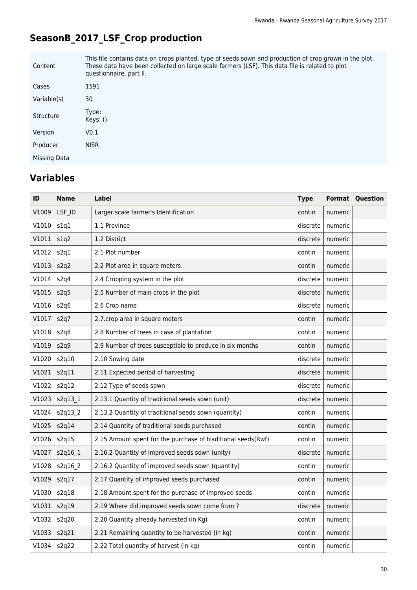## **SeasonB\_2017\_LSF\_Crop production**

| Content      | This file contains data on crops planted, type of seeds sown and production of crop grown in the plot.<br>These data have been collected on large scale farmers (LSF). This data file is related to plot<br>questionnaire, part II. |
|--------------|-------------------------------------------------------------------------------------------------------------------------------------------------------------------------------------------------------------------------------------|
| Cases        | 1591                                                                                                                                                                                                                                |
| Variable(s)  | 30                                                                                                                                                                                                                                  |
| Structure    | Type:<br>Keys: ()                                                                                                                                                                                                                   |
| Version      | V <sub>0.1</sub>                                                                                                                                                                                                                    |
| Producer     | <b>NISR</b>                                                                                                                                                                                                                         |
| Missing Data |                                                                                                                                                                                                                                     |

| ID    | <b>Name</b> | Label                                                        | <b>Type</b> |         | <b>Format Question</b> |
|-------|-------------|--------------------------------------------------------------|-------------|---------|------------------------|
| V1009 | LSF ID      | Larger scale farmer's Identification                         | contin      | numeric |                        |
| V1010 | s1q1        | 1.1 Province                                                 | discrete    | numeric |                        |
| V1011 | s1q2        | 1.2 District                                                 | discrete    | numeric |                        |
| V1012 | s2q1        | 2.1 Plot number                                              | contin      | numeric |                        |
| V1013 | s2q2        | 2.2 Plot area in square meters                               | contin      | numeric |                        |
| V1014 | s2q4        | 2.4 Cropping system in the plot                              | discrete    | numeric |                        |
| V1015 | s2q5        | 2.5 Number of main crops in the plot                         | discrete    | numeric |                        |
| V1016 | s2q6        | 2.6 Crop name                                                | discrete    | numeric |                        |
| V1017 | s2q7        | 2.7.crop area in square meters                               | contin      | numeric |                        |
| V1018 | s2q8        | 2.8 Number of trees in case of plantation                    | contin      | numeric |                        |
| V1019 | s2q9        | 2.9 Number of trees susceptible to produce in six months     | contin      | numeric |                        |
| V1020 | s2q10       | 2.10 Sowing date                                             | discrete    | numeric |                        |
| V1021 | s2q11       | 2.11 Expected period of harvesting                           | discrete    | numeric |                        |
| V1022 | s2q12       | 2.12 Type of seeds sown                                      | discrete    | numeric |                        |
| V1023 | $s2q13_1$   | 2.13.1 Quantity of traditional seeds sown (unit)             | discrete    | numeric |                        |
| V1024 | s2q13 2     | 2.13.2 Quantity of traditional seeds sown (quantity)         | contin      | numeric |                        |
| V1025 | s2q14       | 2.14 Quantity of traditional seeds purchased                 | contin      | numeric |                        |
| V1026 | s2q15       | 2.15 Amount spent for the purchase of traditional seeds(Rwf) | contin      | numeric |                        |
| V1027 | s2q16_1     | 2.16.2 Quantity of improved seeds sown (unity)               | discrete    | numeric |                        |
| V1028 | s2q16_2     | 2.16.2 Quantity of improved seeds sown (quantity)            | contin      | numeric |                        |
| V1029 | s2q17       | 2.17 Quantity of improved seeds purchased                    | contin      | numeric |                        |
| V1030 | s2q18       | 2.18 Amount spent for the purchase of improved seeds         | contin      | numeric |                        |
| V1031 | s2q19       | 2.19 Where did improved seeds sown come from?                | discrete    | numeric |                        |
| V1032 | s2q20       | 2.20 Quantity already harvested (in Kg)                      | contin      | numeric |                        |
| V1033 | s2q21       | 2.21 Remaining quantity to be harvested (in kg)              | contin      | numeric |                        |
| V1034 | s2q22       | 2.22 Total quantity of harvest (in kg)                       | contin      | numeric |                        |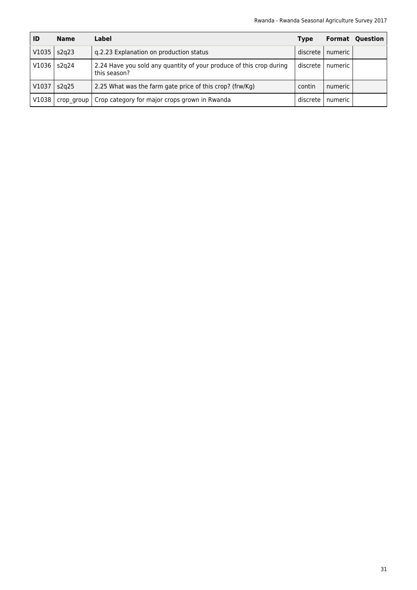| ID    | <b>Name</b> | Label                                                                               | <b>Type</b> |          | <b>Format Question</b> |
|-------|-------------|-------------------------------------------------------------------------------------|-------------|----------|------------------------|
| V1035 | s2q23       | q.2.23 Explanation on production status                                             | discrete    | numeric. |                        |
| V1036 | s2q24       | 2.24 Have you sold any quantity of your produce of this crop during<br>this season? | discrete    | numeric. |                        |
| V1037 | s2q25       | 2.25 What was the farm gate price of this crop? (frw/Kg)                            | contin      | numeric  |                        |
| V1038 | crop group  | Crop category for major crops grown in Rwanda                                       | discrete    | numeric  |                        |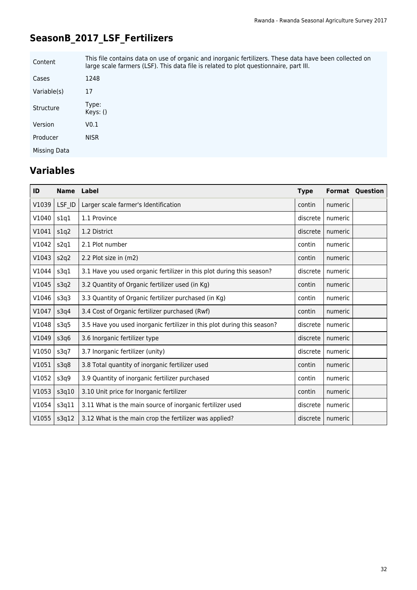### **SeasonB\_2017\_LSF\_Fertilizers**

| Content      | This file contains data on use of organic and inorganic fertilizers. These data have been collected on<br>large scale farmers (LSF). This data file is related to plot questionnaire, part III. |
|--------------|-------------------------------------------------------------------------------------------------------------------------------------------------------------------------------------------------|
| Cases        | 1248                                                                                                                                                                                            |
| Variable(s)  | 17                                                                                                                                                                                              |
| Structure    | Type:<br>Keys: ()                                                                                                                                                                               |
| Version      | V <sub>0.1</sub>                                                                                                                                                                                |
| Producer     | <b>NISR</b>                                                                                                                                                                                     |
| Missing Data |                                                                                                                                                                                                 |

| ID    | <b>Name</b> | Label                                                                   | <b>Type</b> |         | <b>Format Question</b> |
|-------|-------------|-------------------------------------------------------------------------|-------------|---------|------------------------|
| V1039 | LSF ID      | Larger scale farmer's Identification                                    | contin      | numeric |                        |
| V1040 | s1q1        | 1.1 Province                                                            | discrete    | numeric |                        |
| V1041 | s1q2        | 1.2 District                                                            | discrete    | numeric |                        |
| V1042 | s2q1        | 2.1 Plot number                                                         | contin      | numeric |                        |
| V1043 | s2q2        | 2.2 Plot size in (m2)                                                   | contin      | numeric |                        |
| V1044 | s3q1        | 3.1 Have you used organic fertilizer in this plot during this season?   | discrete    | numeric |                        |
| V1045 | s3q2        | 3.2 Quantity of Organic fertilizer used (in Kg)                         | contin      | numeric |                        |
| V1046 | s3q3        | 3.3 Quantity of Organic fertilizer purchased (in Kg)                    | contin      | numeric |                        |
| V1047 | s3q4        | 3.4 Cost of Organic fertilizer purchased (Rwf)                          | contin      | numeric |                        |
| V1048 | s3q5        | 3.5 Have you used inorganic fertilizer in this plot during this season? | discrete    | numeric |                        |
| V1049 | s3q6        | 3.6 Inorganic fertilizer type                                           | discrete    | numeric |                        |
| V1050 | s3q7        | 3.7 Inorganic fertilizer (unity)                                        | discrete    | numeric |                        |
| V1051 | s3q8        | 3.8 Total quantity of inorganic fertilizer used                         | contin      | numeric |                        |
| V1052 | s3q9        | 3.9 Quantity of inorganic fertilizer purchased                          | contin      | numeric |                        |
| V1053 | s3q10       | 3.10 Unit price for Inorganic fertilizer                                | contin      | numeric |                        |
| V1054 | s3q11       | 3.11 What is the main source of inorganic fertilizer used               | discrete    | numeric |                        |
| V1055 | s3q12       | 3.12 What is the main crop the fertilizer was applied?                  | discrete    | numeric |                        |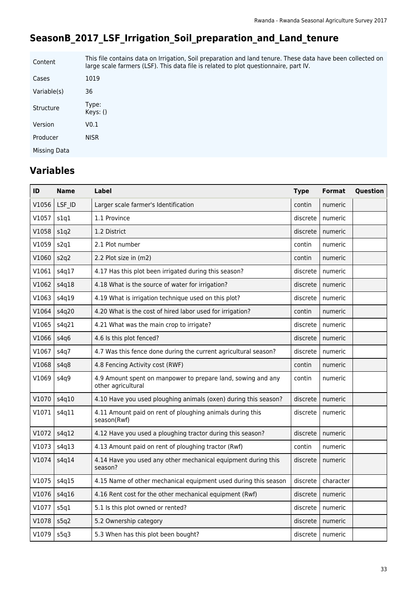### **SeasonB\_2017\_LSF\_Irrigation\_Soil\_preparation\_and\_Land\_tenure**

| Content      | This file contains data on Irrigation, Soil preparation and land tenure. These data have been collected on<br>large scale farmers (LSF). This data file is related to plot questionnaire, part IV. |
|--------------|----------------------------------------------------------------------------------------------------------------------------------------------------------------------------------------------------|
| Cases        | 1019                                                                                                                                                                                               |
| Variable(s)  | 36                                                                                                                                                                                                 |
| Structure    | Type:<br>Keys: ()                                                                                                                                                                                  |
| Version      | V <sub>0.1</sub>                                                                                                                                                                                   |
| Producer     | <b>NISR</b>                                                                                                                                                                                        |
| Missing Data |                                                                                                                                                                                                    |

| ID    | <b>Name</b> | <b>Label</b>                                                                       | <b>Type</b> | <b>Format</b> | Question |
|-------|-------------|------------------------------------------------------------------------------------|-------------|---------------|----------|
| V1056 | LSF ID      | Larger scale farmer's Identification                                               | contin      | numeric       |          |
| V1057 | slq1        | 1.1 Province                                                                       | discrete    | numeric       |          |
| V1058 | s1q2        | 1.2 District                                                                       | discrete    | numeric       |          |
| V1059 | s2q1        | 2.1 Plot number                                                                    | contin      | numeric       |          |
| V1060 | s2q2        | 2.2 Plot size in (m2)                                                              | contin      | numeric       |          |
| V1061 | s4q17       | 4.17 Has this plot been irrigated during this season?                              | discrete    | numeric       |          |
| V1062 | s4q18       | 4.18 What is the source of water for irrigation?                                   | discrete    | numeric       |          |
| V1063 | s4q19       | 4.19 What is irrigation technique used on this plot?                               | discrete    | numeric       |          |
| V1064 | s4q20       | 4.20 What is the cost of hired labor used for irrigation?                          | contin      | numeric       |          |
| V1065 | s4q21       | 4.21 What was the main crop to irrigate?                                           | discrete    | numeric       |          |
| V1066 | s4q6        | 4.6 Is this plot fenced?                                                           | discrete    | numeric       |          |
| V1067 | s4q7        | 4.7 Was this fence done during the current agricultural season?                    | discrete    | numeric       |          |
| V1068 | s4q8        | 4.8 Fencing Activity cost (RWF)                                                    | contin      | numeric       |          |
| V1069 | s4q9        | 4.9 Amount spent on manpower to prepare land, sowing and any<br>other agricultural | contin      | numeric       |          |
| V1070 | s4q10       | 4.10 Have you used ploughing animals (oxen) during this season?                    | discrete    | numeric       |          |
| V1071 | s4q11       | 4.11 Amount paid on rent of ploughing animals during this<br>season(Rwf)           | discrete    | numeric       |          |
| V1072 | s4q12       | 4.12 Have you used a ploughing tractor during this season?                         | discrete    | numeric       |          |
| V1073 | s4q13       | 4.13 Amount paid on rent of ploughing tractor (Rwf)                                | contin      | numeric       |          |
| V1074 | s4q14       | 4.14 Have you used any other mechanical equipment during this<br>season?           | discrete    | numeric       |          |
| V1075 | s4q15       | 4.15 Name of other mechanical equipment used during this season                    | discrete    | character     |          |
| V1076 | s4q16       | 4.16 Rent cost for the other mechanical equipment (Rwf)                            | discrete    | numeric       |          |
| V1077 | s5q1        | 5.1 Is this plot owned or rented?                                                  | discrete    | numeric       |          |
| V1078 | s5q2        | 5.2 Ownership category                                                             | discrete    | numeric       |          |
| V1079 | s5q3        | 5.3 When has this plot been bought?                                                | discrete    | numeric       |          |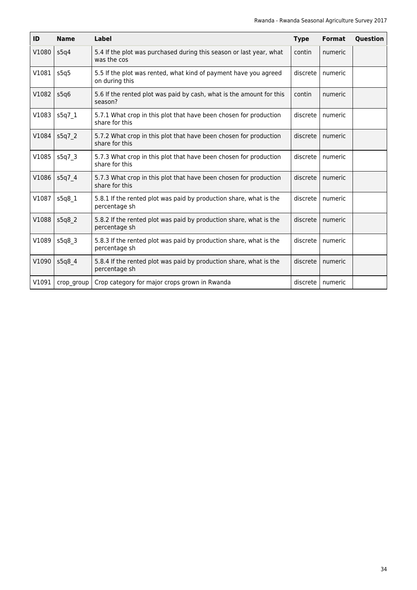| ID    | <b>Name</b> | Label                                                                               | <b>Type</b> | <b>Format</b> | Question |
|-------|-------------|-------------------------------------------------------------------------------------|-------------|---------------|----------|
| V1080 | s5q4        | 5.4 If the plot was purchased during this season or last year, what<br>was the cos  | contin      | numeric       |          |
| V1081 | s5q5        | 5.5 If the plot was rented, what kind of payment have you agreed<br>on during this  | discrete    | numeric       |          |
| V1082 | s5q6        | 5.6 If the rented plot was paid by cash, what is the amount for this<br>season?     | contin      | numeric       |          |
| V1083 | $s5q7_1$    | 5.7.1 What crop in this plot that have been chosen for production<br>share for this | discrete    | numeric       |          |
| V1084 | s5q7 2      | 5.7.2 What crop in this plot that have been chosen for production<br>share for this | discrete    | numeric       |          |
| V1085 | s5q7 3      | 5.7.3 What crop in this plot that have been chosen for production<br>share for this | discrete    | numeric       |          |
| V1086 | s5q7 4      | 5.7.3 What crop in this plot that have been chosen for production<br>share for this | discrete    | numeric       |          |
| V1087 | s5q8 1      | 5.8.1 If the rented plot was paid by production share, what is the<br>percentage sh | discrete    | numeric       |          |
| V1088 | s5q8 2      | 5.8.2 If the rented plot was paid by production share, what is the<br>percentage sh | discrete    | numeric       |          |
| V1089 | $s5q8$ _3   | 5.8.3 If the rented plot was paid by production share, what is the<br>percentage sh | discrete    | numeric       |          |
| V1090 | s5q8 4      | 5.8.4 If the rented plot was paid by production share, what is the<br>percentage sh | discrete    | numeric       |          |
| V1091 | crop group  | Crop category for major crops grown in Rwanda                                       | discrete    | numeric       |          |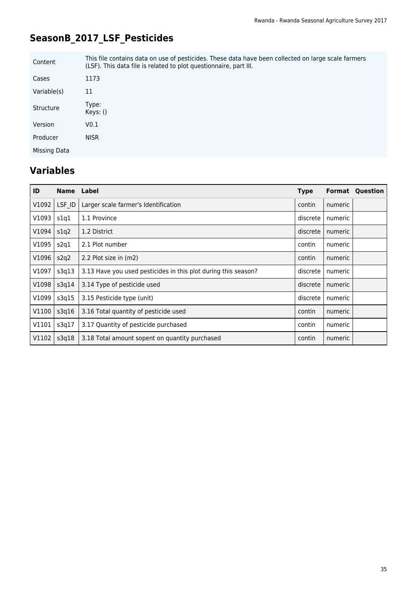### **SeasonB\_2017\_LSF\_Pesticides**

| Content      | This file contains data on use of pesticides. These data have been collected on large scale farmers<br>(LSF). This data file is related to plot questionnaire, part III. |
|--------------|--------------------------------------------------------------------------------------------------------------------------------------------------------------------------|
| Cases        | 1173                                                                                                                                                                     |
| Variable(s)  | 11                                                                                                                                                                       |
| Structure    | Type:<br>Keys: ()                                                                                                                                                        |
| Version      | V <sub>0.1</sub>                                                                                                                                                         |
| Producer     | <b>NISR</b>                                                                                                                                                              |
| Missing Data |                                                                                                                                                                          |

| ID    | <b>Name</b> | Label                                                          | <b>Type</b> | Format  | Question |
|-------|-------------|----------------------------------------------------------------|-------------|---------|----------|
| V1092 | LSF ID      | Larger scale farmer's Identification                           | contin      | numeric |          |
| V1093 | slq1        | 1.1 Province                                                   | discrete    | numeric |          |
| V1094 | slq2        | 1.2 District                                                   | discrete    | numeric |          |
| V1095 | s2q1        | 2.1 Plot number                                                | contin      | numeric |          |
| V1096 | s2q2        | 2.2 Plot size in (m2)                                          | contin      | numeric |          |
| V1097 | s3q13       | 3.13 Have you used pesticides in this plot during this season? | discrete    | numeric |          |
| V1098 | s3q14       | 3.14 Type of pesticide used                                    | discrete    | numeric |          |
| V1099 | s3q15       | 3.15 Pesticide type (unit)                                     | discrete    | numeric |          |
| V1100 | s3q16       | 3.16 Total quantity of pesticide used                          | contin      | numeric |          |
| V1101 | s3q17       | 3.17 Quantity of pesticide purchased                           | contin      | numeric |          |
| V1102 | s3q18       | 3.18 Total amount sopent on quantity purchased                 | contin      | numeric |          |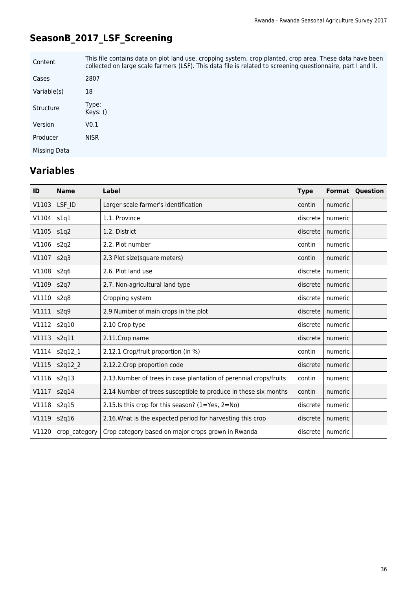### **SeasonB\_2017\_LSF\_Screening**

| Content      | This file contains data on plot land use, cropping system, crop planted, crop area. These data have been<br>collected on large scale farmers (LSF). This data file is related to screening questionnaire, part I and II. |
|--------------|--------------------------------------------------------------------------------------------------------------------------------------------------------------------------------------------------------------------------|
| Cases        | 2807                                                                                                                                                                                                                     |
| Variable(s)  | 18                                                                                                                                                                                                                       |
| Structure    | Type:<br>Keys: ()                                                                                                                                                                                                        |
| Version      | V <sub>0.1</sub>                                                                                                                                                                                                         |
| Producer     | <b>NISR</b>                                                                                                                                                                                                              |
| Missing Data |                                                                                                                                                                                                                          |

| ID    | <b>Name</b>   | Label                                                              | <b>Type</b> |         | <b>Format Question</b> |
|-------|---------------|--------------------------------------------------------------------|-------------|---------|------------------------|
| V1103 | LSF ID        | Larger scale farmer's Identification                               | contin      | numeric |                        |
| V1104 | s1q1          | 1.1. Province                                                      | discrete    | numeric |                        |
| V1105 | s1q2          | 1.2. District                                                      | discrete    | numeric |                        |
| V1106 | s2q2          | 2.2. Plot number                                                   | contin      | numeric |                        |
| V1107 | s2q3          | 2.3 Plot size(square meters)                                       | contin      | numeric |                        |
| V1108 | s2q6          | 2.6. Plot land use                                                 | discrete    | numeric |                        |
| V1109 | s2q7          | 2.7. Non-agricultural land type                                    | discrete    | numeric |                        |
| V1110 | s2q8          | Cropping system                                                    | discrete    | numeric |                        |
| V1111 | s2q9          | 2.9 Number of main crops in the plot                               | discrete    | numeric |                        |
| V1112 | s2q10         | 2.10 Crop type                                                     | discrete    | numeric |                        |
| V1113 | s2q11         | 2.11. Crop name                                                    | discrete    | numeric |                        |
| V1114 | s2q12_1       | 2.12.1 Crop/fruit proportion (in %)                                | contin      | numeric |                        |
| V1115 | s2q12_2       | 2.12.2. Crop proportion code                                       | discrete    | numeric |                        |
| V1116 | s2q13         | 2.13. Number of trees in case plantation of perennial crops/fruits | contin      | numeric |                        |
| V1117 | s2q14         | 2.14 Number of trees susceptible to produce in these six months    | contin      | numeric |                        |
| V1118 | s2q15         | 2.15. Is this crop for this season? $(1 = Yes, 2 = No)$            | discrete    | numeric |                        |
| V1119 | s2q16         | 2.16. What is the expected period for harvesting this crop         | discrete    | numeric |                        |
| V1120 | crop category | Crop category based on major crops grown in Rwanda                 | discrete    | numeric |                        |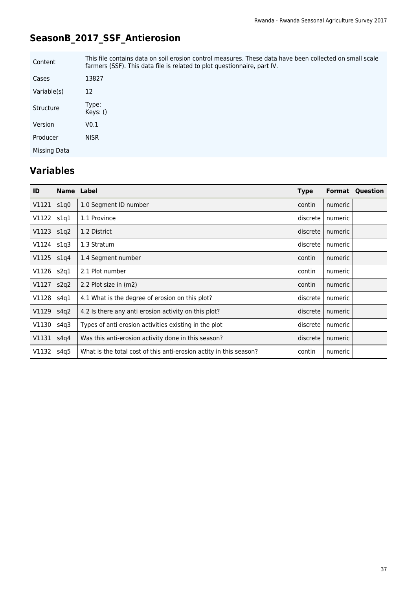# **SeasonB\_2017\_SSF\_Antierosion**

| Content      | This file contains data on soil erosion control measures. These data have been collected on small scale<br>farmers (SSF). This data file is related to plot questionnaire, part IV. |
|--------------|-------------------------------------------------------------------------------------------------------------------------------------------------------------------------------------|
| Cases        | 13827                                                                                                                                                                               |
| Variable(s)  | 12                                                                                                                                                                                  |
| Structure    | Type:<br>Keys: ()                                                                                                                                                                   |
| Version      | V <sub>0.1</sub>                                                                                                                                                                    |
| Producer     | <b>NISR</b>                                                                                                                                                                         |
| Missing Data |                                                                                                                                                                                     |

| ID    | Name Label |                                                                    | Type     | Format  | Question |
|-------|------------|--------------------------------------------------------------------|----------|---------|----------|
| V1121 | s1q0       | 1.0 Segment ID number                                              | contin   | numeric |          |
| V1122 | s1q1       | 1.1 Province                                                       | discrete | numeric |          |
| V1123 | slq2       | 1.2 District                                                       | discrete | numeric |          |
| V1124 | slq3       | 1.3 Stratum                                                        | discrete | numeric |          |
| V1125 | slq4       | 1.4 Segment number                                                 | contin   | numeric |          |
| V1126 | s2q1       | 2.1 Plot number                                                    | contin   | numeric |          |
| V1127 | s2q2       | 2.2 Plot size in (m2)                                              | contin   | numeric |          |
| V1128 | s4q1       | 4.1 What is the degree of erosion on this plot?                    | discrete | numeric |          |
| V1129 | s4q2       | 4.2 Is there any anti erosion activity on this plot?               | discrete | numeric |          |
| V1130 | s4q3       | Types of anti erosion activities existing in the plot              | discrete | numeric |          |
| V1131 | s4q4       | Was this anti-erosion activity done in this season?                | discrete | numeric |          |
| V1132 | s4q5       | What is the total cost of this anti-erosion actity in this season? | contin   | numeric |          |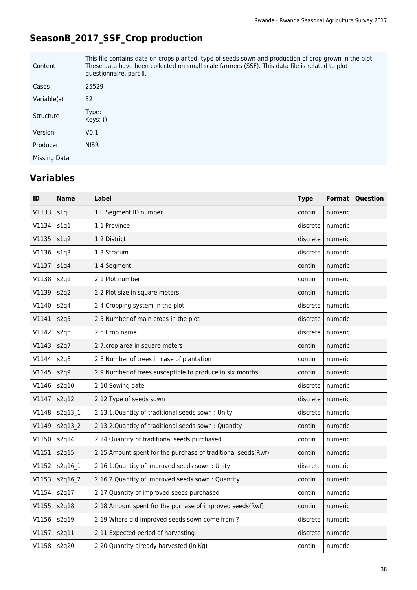## **SeasonB\_2017\_SSF\_Crop production**

| Content      | This file contains data on crops planted, type of seeds sown and production of crop grown in the plot.<br>These data have been collected on small scale farmers (SSF). This data file is related to plot<br>questionnaire, part II. |
|--------------|-------------------------------------------------------------------------------------------------------------------------------------------------------------------------------------------------------------------------------------|
| Cases        | 25529                                                                                                                                                                                                                               |
| Variable(s)  | 32                                                                                                                                                                                                                                  |
| Structure    | Type:<br>Keys: ()                                                                                                                                                                                                                   |
| Version      | V <sub>0.1</sub>                                                                                                                                                                                                                    |
| Producer     | <b>NISR</b>                                                                                                                                                                                                                         |
| Missing Data |                                                                                                                                                                                                                                     |

| ID    | <b>Name</b> | Label                                                          | <b>Type</b> |         | <b>Format Question</b> |
|-------|-------------|----------------------------------------------------------------|-------------|---------|------------------------|
| V1133 | s1q0        | 1.0 Segment ID number                                          | contin      | numeric |                        |
| V1134 | slq1        | 1.1 Province                                                   | discrete    | numeric |                        |
| V1135 | s1q2        | 1.2 District                                                   | discrete    | numeric |                        |
| V1136 | slq3        | 1.3 Stratum                                                    | discrete    | numeric |                        |
| V1137 | s1q4        | 1.4 Segment                                                    | contin      | numeric |                        |
| V1138 | s2q1        | 2.1 Plot number                                                | contin      | numeric |                        |
| V1139 | s2q2        | 2.2 Plot size in square meters                                 | contin      | numeric |                        |
| V1140 | s2q4        | 2.4 Cropping system in the plot                                | discrete    | numeric |                        |
| V1141 | s2q5        | 2.5 Number of main crops in the plot                           | discrete    | numeric |                        |
| V1142 | s2q6        | 2.6 Crop name                                                  | discrete    | numeric |                        |
| V1143 | s2q7        | 2.7.crop area in square meters                                 | contin      | numeric |                        |
| V1144 | s2q8        | 2.8 Number of trees in case of plantation                      | contin      | numeric |                        |
| V1145 | s2q9        | 2.9 Number of trees susceptible to produce in six months       | contin      | numeric |                        |
| V1146 | s2q10       | 2.10 Sowing date                                               | discrete    | numeric |                        |
| V1147 | s2q12       | 2.12. Type of seeds sown                                       | discrete    | numeric |                        |
| V1148 | s2q13 1     | 2.13.1. Quantity of traditional seeds sown: Unity              | discrete    | numeric |                        |
| V1149 | s2q13 2     | 2.13.2. Quantity of traditional seeds sown: Quantity           | contin      | numeric |                        |
| V1150 | s2q14       | 2.14. Quantity of traditional seeds purchased                  | contin      | numeric |                        |
| V1151 | s2q15       | 2.15. Amount spent for the purchase of traditional seeds (Rwf) | contin      | numeric |                        |
| V1152 | s2q16_1     | 2.16.1. Quantity of improved seeds sown: Unity                 | discrete    | numeric |                        |
| V1153 | s2q16 2     | 2.16.2. Quantity of improved seeds sown: Quantity              | contin      | numeric |                        |
| V1154 | s2q17       | 2.17. Quantity of improved seeds purchased                     | contin      | numeric |                        |
| V1155 | s2q18       | 2.18. Amount spent for the purhase of improved seeds (Rwf)     | contin      | numeric |                        |
| V1156 | s2q19       | 2.19. Where did improved seeds sown come from?                 | discrete    | numeric |                        |
| V1157 | s2q11       | 2.11 Expected period of harvesting                             | discrete    | numeric |                        |
| V1158 | s2q20       | 2.20 Quantity already harvested (in Kg)                        | contin      | numeric |                        |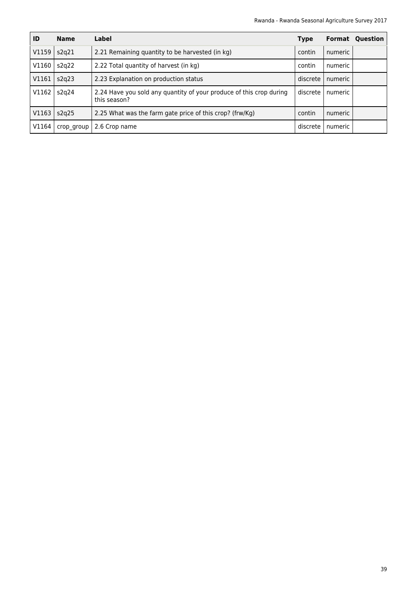| ID    | <b>Name</b> | Label                                                                               | <b>Type</b> | Format  | Question |
|-------|-------------|-------------------------------------------------------------------------------------|-------------|---------|----------|
| V1159 | s2q21       | 2.21 Remaining quantity to be harvested (in kg)                                     | contin      | numeric |          |
| V1160 | s2q22       | 2.22 Total quantity of harvest (in kg)                                              | contin      | numeric |          |
| V1161 | s2q23       | 2.23 Explanation on production status                                               | discrete    | numeric |          |
| V1162 | s2g24       | 2.24 Have you sold any quantity of your produce of this crop during<br>this season? | discrete    | numeric |          |
| V1163 | s2q25       | 2.25 What was the farm gate price of this crop? (frw/Kg)                            | contin      | numeric |          |
| V1164 | crop group  | 2.6 Crop name                                                                       | discrete    | numeric |          |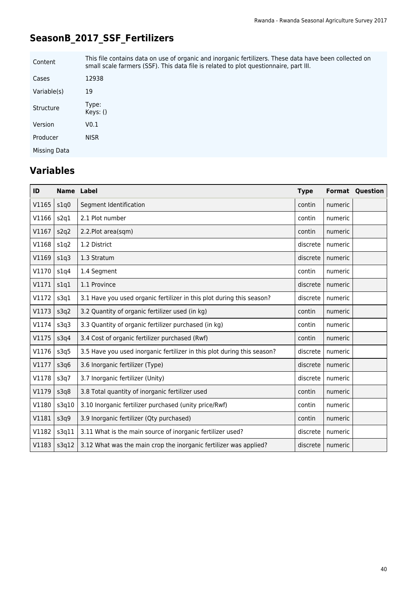# **SeasonB\_2017\_SSF\_Fertilizers**

| Content      | This file contains data on use of organic and inorganic fertilizers. These data have been collected on<br>small scale farmers (SSF). This data file is related to plot questionnaire, part III. |
|--------------|-------------------------------------------------------------------------------------------------------------------------------------------------------------------------------------------------|
| Cases        | 12938                                                                                                                                                                                           |
| Variable(s)  | 19                                                                                                                                                                                              |
| Structure    | Type:<br>Keys: ()                                                                                                                                                                               |
| Version      | V <sub>0.1</sub>                                                                                                                                                                                |
| Producer     | <b>NISR</b>                                                                                                                                                                                     |
| Missing Data |                                                                                                                                                                                                 |

| ID    | Name Label |                                                                         | <b>Type</b> |         | <b>Format Question</b> |
|-------|------------|-------------------------------------------------------------------------|-------------|---------|------------------------|
| V1165 | s1q0       | Segment Identification                                                  | contin      | numeric |                        |
| V1166 | s2q1       | 2.1 Plot number                                                         | contin      | numeric |                        |
| V1167 | s2q2       | 2.2. Plot area(sqm)                                                     | contin      | numeric |                        |
| V1168 | s1q2       | 1.2 District                                                            | discrete    | numeric |                        |
| V1169 | s1q3       | 1.3 Stratum                                                             | discrete    | numeric |                        |
| V1170 | slq4       | 1.4 Segment                                                             | contin      | numeric |                        |
| V1171 | s1q1       | 1.1 Province                                                            | discrete    | numeric |                        |
| V1172 | s3q1       | 3.1 Have you used organic fertilizer in this plot during this season?   | discrete    | numeric |                        |
| V1173 | s3q2       | 3.2 Quantity of organic fertilizer used (in kg)                         | contin      | numeric |                        |
| V1174 | s3q3       | 3.3 Quantity of organic fertilizer purchased (in kg)                    | contin      | numeric |                        |
| V1175 | s3q4       | 3.4 Cost of organic fertilizer purchased (Rwf)                          | contin      | numeric |                        |
| V1176 | s3q5       | 3.5 Have you used inorganic fertilizer in this plot during this season? | discrete    | numeric |                        |
| V1177 | s3q6       | 3.6 Inorganic fertilizer (Type)                                         | discrete    | numeric |                        |
| V1178 | s3q7       | 3.7 Inorganic fertilizer (Unity)                                        | discrete    | numeric |                        |
| V1179 | s3q8       | 3.8 Total quantity of inorganic fertilizer used                         | contin      | numeric |                        |
| V1180 | s3q10      | 3.10 Inorganic fertilizer purchased (unity price/Rwf)                   | contin      | numeric |                        |
| V1181 | s3q9       | 3.9 Inorganic fertilizer (Qty purchased)                                | contin      | numeric |                        |
| V1182 | s3q11      | 3.11 What is the main source of inorganic fertilizer used?              | discrete    | numeric |                        |
| V1183 | s3q12      | 3.12 What was the main crop the inorganic fertilizer was applied?       | discrete    | numeric |                        |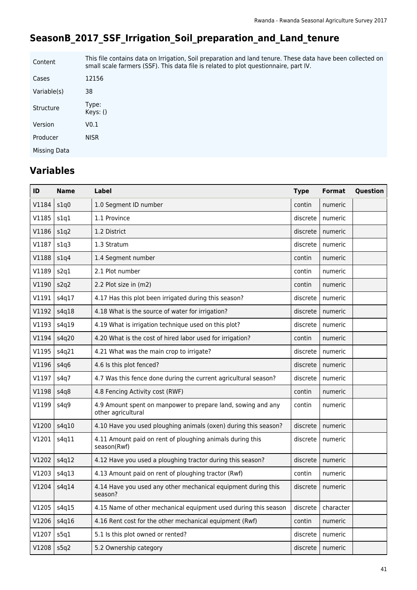## **SeasonB\_2017\_SSF\_Irrigation\_Soil\_preparation\_and\_Land\_tenure**

Content This file contains data on Irrigation, Soil preparation and land tenure. These data have been collected on<br>Content can be appelled for the set of the data file is related to also questionaries part IV. small scale farmers (SSF). This data file is related to plot questionnaire, part IV.

| Cases        | 12156             |
|--------------|-------------------|
| Variable(s)  | 38                |
| Structure    | Type:<br>Keys: () |
| Version      | V <sub>0.1</sub>  |
| Producer     | <b>NISR</b>       |
| Missing Data |                   |

| ID    | <b>Name</b> | <b>Label</b>                                                                       | <b>Type</b> | <b>Format</b> | Question |
|-------|-------------|------------------------------------------------------------------------------------|-------------|---------------|----------|
| V1184 | s1q0        | 1.0 Segment ID number                                                              | contin      | numeric       |          |
| V1185 | slq1        | 1.1 Province                                                                       | discrete    | numeric       |          |
| V1186 | s1q2        | 1.2 District                                                                       | discrete    | numeric       |          |
| V1187 | s1q3        | 1.3 Stratum                                                                        | discrete    | numeric       |          |
| V1188 | s1q4        | 1.4 Segment number                                                                 | contin      | numeric       |          |
| V1189 | s2q1        | 2.1 Plot number                                                                    | contin      | numeric       |          |
| V1190 | s2q2        | 2.2 Plot size in (m2)                                                              | contin      | numeric       |          |
| V1191 | s4q17       | 4.17 Has this plot been irrigated during this season?                              | discrete    | numeric       |          |
| V1192 | s4q18       | 4.18 What is the source of water for irrigation?                                   | discrete    | numeric       |          |
| V1193 | s4q19       | 4.19 What is irrigation technique used on this plot?                               | discrete    | numeric       |          |
| V1194 | s4q20       | 4.20 What is the cost of hired labor used for irrigation?                          | contin      | numeric       |          |
| V1195 | s4q21       | 4.21 What was the main crop to irrigate?                                           | discrete    | numeric       |          |
| V1196 | s4q6        | 4.6 Is this plot fenced?                                                           | discrete    | numeric       |          |
| V1197 | s4q7        | 4.7 Was this fence done during the current agricultural season?                    | discrete    | numeric       |          |
| V1198 | s4q8        | 4.8 Fencing Activity cost (RWF)                                                    | contin      | numeric       |          |
| V1199 | s4q9        | 4.9 Amount spent on manpower to prepare land, sowing and any<br>other agricultural | contin      | numeric       |          |
| V1200 | s4q10       | 4.10 Have you used ploughing animals (oxen) during this season?                    | discrete    | numeric       |          |
| V1201 | s4q11       | 4.11 Amount paid on rent of ploughing animals during this<br>season(Rwf)           | discrete    | numeric       |          |
| V1202 | s4q12       | 4.12 Have you used a ploughing tractor during this season?                         | discrete    | numeric       |          |
| V1203 | s4q13       | 4.13 Amount paid on rent of ploughing tractor (Rwf)                                | contin      | numeric       |          |
| V1204 | s4q14       | 4.14 Have you used any other mechanical equipment during this<br>season?           | discrete    | numeric       |          |
| V1205 | s4q15       | 4.15 Name of other mechanical equipment used during this season                    | discrete    | character     |          |
| V1206 | s4q16       | 4.16 Rent cost for the other mechanical equipment (Rwf)                            | contin      | numeric       |          |
| V1207 | s5q1        | 5.1 Is this plot owned or rented?                                                  | discrete    | numeric       |          |
| V1208 | s5q2        | 5.2 Ownership category                                                             | discrete    | numeric       |          |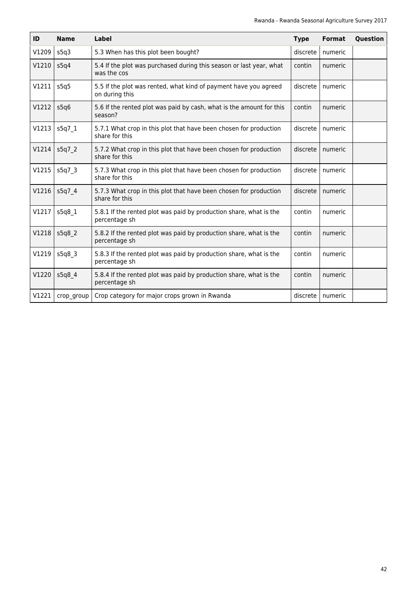| ID    | <b>Name</b> | Label                                                                               | <b>Type</b> | <b>Format</b> | <b>Question</b> |
|-------|-------------|-------------------------------------------------------------------------------------|-------------|---------------|-----------------|
| V1209 | s5q3        | 5.3 When has this plot been bought?                                                 | discrete    | numeric       |                 |
| V1210 | s5q4        | 5.4 If the plot was purchased during this season or last year, what<br>was the cos  | contin      | numeric       |                 |
| V1211 | s5q5        | 5.5 If the plot was rented, what kind of payment have you agreed<br>on during this  | discrete    | numeric       |                 |
| V1212 | s5q6        | 5.6 If the rented plot was paid by cash, what is the amount for this<br>season?     | contin      | numeric       |                 |
| V1213 | s5q7 1      | 5.7.1 What crop in this plot that have been chosen for production<br>share for this | discrete    | numeric       |                 |
| V1214 | s5q7 2      | 5.7.2 What crop in this plot that have been chosen for production<br>share for this | discrete    | numeric       |                 |
| V1215 | s5q7 3      | 5.7.3 What crop in this plot that have been chosen for production<br>share for this | discrete    | numeric       |                 |
| V1216 | s5q7 4      | 5.7.3 What crop in this plot that have been chosen for production<br>share for this | discrete    | numeric       |                 |
| V1217 | s5q8 1      | 5.8.1 If the rented plot was paid by production share, what is the<br>percentage sh | contin      | numeric       |                 |
| V1218 | $s5q8$ 2    | 5.8.2 If the rented plot was paid by production share, what is the<br>percentage sh | contin      | numeric       |                 |
| V1219 | s5q83       | 5.8.3 If the rented plot was paid by production share, what is the<br>percentage sh | contin      | numeric       |                 |
| V1220 | s5q8 4      | 5.8.4 If the rented plot was paid by production share, what is the<br>percentage sh | contin      | numeric       |                 |
| V1221 | crop group  | Crop category for major crops grown in Rwanda                                       | discrete    | numeric       |                 |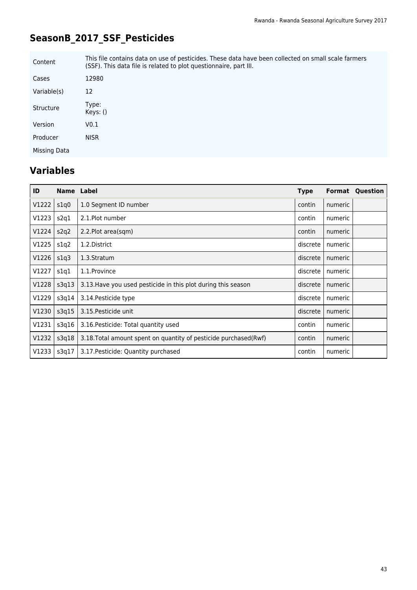# **SeasonB\_2017\_SSF\_Pesticides**

| Content      | This file contains data on use of pesticides. These data have been collected on small scale farmers<br>(SSF). This data file is related to plot questionnaire, part III. |
|--------------|--------------------------------------------------------------------------------------------------------------------------------------------------------------------------|
| Cases        | 12980                                                                                                                                                                    |
| Variable(s)  | 12                                                                                                                                                                       |
| Structure    | Type:<br>Keys: ()                                                                                                                                                        |
| Version      | V <sub>0.1</sub>                                                                                                                                                         |
| Producer     | <b>NISR</b>                                                                                                                                                              |
| Missing Data |                                                                                                                                                                          |

| ID    | Name Label |                                                                   | Type     | Format  | Question |
|-------|------------|-------------------------------------------------------------------|----------|---------|----------|
| V1222 | s1q0       | 1.0 Segment ID number                                             | contin   | numeric |          |
| V1223 | s2q1       | 2.1.Plot number                                                   | contin   | numeric |          |
| V1224 | s2q2       | 2.2. Plot area (sqm)                                              | contin   | numeric |          |
| V1225 | slq2       | 1.2. District                                                     | discrete | numeric |          |
| V1226 | s1q3       | 1.3.Stratum                                                       | discrete | numeric |          |
| V1227 | s1q1       | 1.1.Province                                                      | discrete | numeric |          |
| V1228 | s3q13      | 3.13. Have you used pesticide in this plot during this season     | discrete | numeric |          |
| V1229 | s3q14      | 3.14. Pesticide type                                              | discrete | numeric |          |
| V1230 | s3q15      | 3.15. Pesticide unit                                              | discrete | numeric |          |
| V1231 | s3q16      | 3.16. Pesticide: Total quantity used                              | contin   | numeric |          |
| V1232 | s3q18      | 3.18. Total amount spent on quantity of pesticide purchased (Rwf) | contin   | numeric |          |
| V1233 | s3g17      | 3.17. Pesticide: Quantity purchased                               | contin   | numeric |          |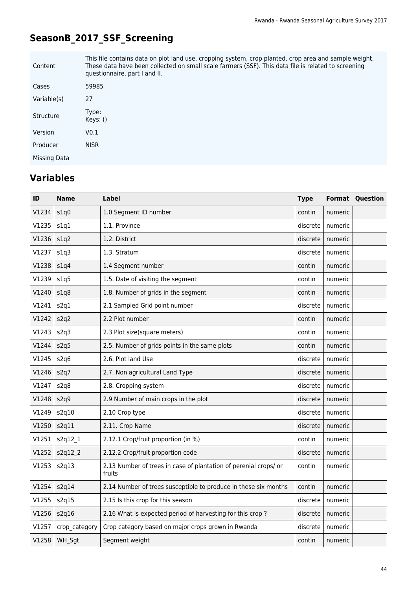# **SeasonB\_2017\_SSF\_Screening**

| Content      | This file contains data on plot land use, cropping system, crop planted, crop area and sample weight.<br>These data have been collected on small scale farmers (SSF). This data file is related to screening<br>questionnaire, part I and II. |
|--------------|-----------------------------------------------------------------------------------------------------------------------------------------------------------------------------------------------------------------------------------------------|
| Cases        | 59985                                                                                                                                                                                                                                         |
| Variable(s)  | 27                                                                                                                                                                                                                                            |
| Structure    | Type:<br>Keys: ()                                                                                                                                                                                                                             |
| Version      | V <sub>0.1</sub>                                                                                                                                                                                                                              |
| Producer     | <b>NISR</b>                                                                                                                                                                                                                                   |
| Missing Data |                                                                                                                                                                                                                                               |

| ID    | <b>Name</b>   | Label                                                                      | <b>Type</b> |         | <b>Format Question</b> |
|-------|---------------|----------------------------------------------------------------------------|-------------|---------|------------------------|
| V1234 | s1q0          | 1.0 Segment ID number                                                      | contin      | numeric |                        |
| V1235 | s1q1          | 1.1. Province                                                              | discrete    | numeric |                        |
| V1236 | s1q2          | 1.2. District                                                              | discrete    | numeric |                        |
| V1237 | s1q3          | 1.3. Stratum                                                               | discrete    | numeric |                        |
| V1238 | s1q4          | 1.4 Segment number                                                         | contin      | numeric |                        |
| V1239 | s1q5          | 1.5. Date of visiting the segment                                          | contin      | numeric |                        |
| V1240 | s1q8          | 1.8. Number of grids in the segment                                        | contin      | numeric |                        |
| V1241 | s2q1          | 2.1 Sampled Grid point number                                              | discrete    | numeric |                        |
| V1242 | s2q2          | 2.2 Plot number                                                            | contin      | numeric |                        |
| V1243 | s2q3          | 2.3 Plot size(square meters)                                               | contin      | numeric |                        |
| V1244 | s2q5          | 2.5. Number of grids points in the same plots                              | contin      | numeric |                        |
| V1245 | s2q6          | 2.6. Plot land Use                                                         | discrete    | numeric |                        |
| V1246 | s2q7          | 2.7. Non agricultural Land Type                                            | discrete    | numeric |                        |
| V1247 | s2q8          | 2.8. Cropping system                                                       | discrete    | numeric |                        |
| V1248 | s2q9          | 2.9 Number of main crops in the plot                                       | discrete    | numeric |                        |
| V1249 | s2q10         | 2.10 Crop type                                                             | discrete    | numeric |                        |
| V1250 | s2q11         | 2.11. Crop Name                                                            | discrete    | numeric |                        |
| V1251 | s2q12_1       | 2.12.1 Crop/fruit proportion (in %)                                        | contin      | numeric |                        |
| V1252 | s2q12_2       | 2.12.2 Crop/fruit proportion code                                          | discrete    | numeric |                        |
| V1253 | s2q13         | 2.13 Number of trees in case of plantation of perenial crops/ or<br>fruits | contin      | numeric |                        |
| V1254 | s2q14         | 2.14 Number of trees susceptible to produce in these six months            | contin      | numeric |                        |
| V1255 | s2q15         | 2.15 Is this crop for this season                                          | discrete    | numeric |                        |
| V1256 | s2q16         | 2.16 What is expected period of harvesting for this crop?                  | discrete    | numeric |                        |
| V1257 | crop category | Crop category based on major crops grown in Rwanda                         | discrete    | numeric |                        |
| V1258 | WH Sgt        | Segment weight                                                             | contin      | numeric |                        |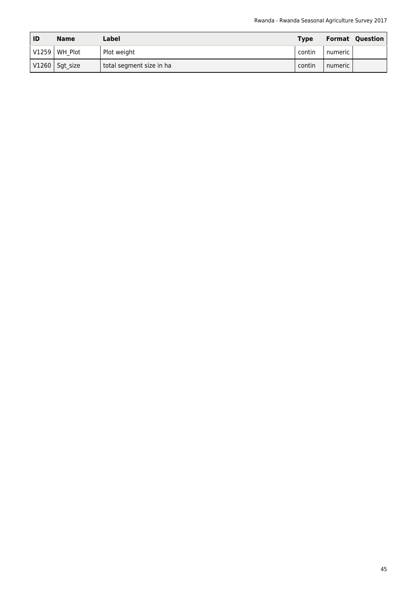| ID | <b>Name</b>      | Label                    | <b>Type</b> |         | <b>Format Question</b> |
|----|------------------|--------------------------|-------------|---------|------------------------|
|    | V1259   WH Plot  | Plot weight              | contin      | numeric |                        |
|    | V1260   Sgt size | total segment size in ha | contin      | numeric |                        |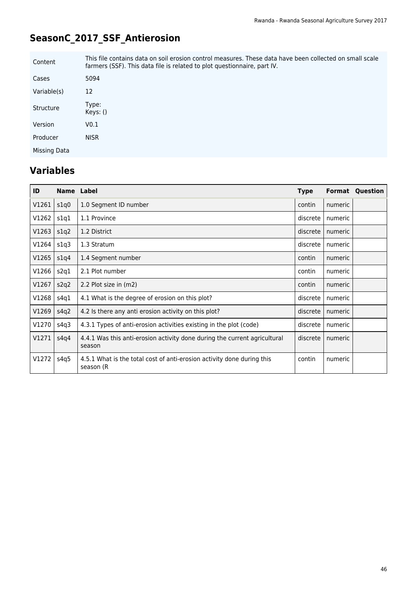# **SeasonC\_2017\_SSF\_Antierosion**

| Content      | This file contains data on soil erosion control measures. These data have been collected on small scale<br>farmers (SSF). This data file is related to plot questionnaire, part IV. |
|--------------|-------------------------------------------------------------------------------------------------------------------------------------------------------------------------------------|
| Cases        | 5094                                                                                                                                                                                |
| Variable(s)  | 12                                                                                                                                                                                  |
| Structure    | Type:<br>Keys: ()                                                                                                                                                                   |
| Version      | V <sub>0.1</sub>                                                                                                                                                                    |
| Producer     | <b>NISR</b>                                                                                                                                                                         |
| Missing Data |                                                                                                                                                                                     |

| ID    | Name Label |                                                                                     | Type     | Format  | Question |
|-------|------------|-------------------------------------------------------------------------------------|----------|---------|----------|
| V1261 | s1q0       | 1.0 Segment ID number                                                               | contin   | numeric |          |
| V1262 | s1q1       | 1.1 Province                                                                        | discrete | numeric |          |
| V1263 | slq2       | 1.2 District                                                                        | discrete | numeric |          |
| V1264 | s1q3       | 1.3 Stratum                                                                         | discrete | numeric |          |
| V1265 | s1q4       | 1.4 Segment number                                                                  | contin   | numeric |          |
| V1266 | s2q1       | 2.1 Plot number                                                                     | contin   | numeric |          |
| V1267 | s2q2       | 2.2 Plot size in (m2)                                                               | contin   | numeric |          |
| V1268 | s4q1       | 4.1 What is the degree of erosion on this plot?                                     | discrete | numeric |          |
| V1269 | s4q2       | 4.2 Is there any anti erosion activity on this plot?                                | discrete | numeric |          |
| V1270 | s4q3       | 4.3.1 Types of anti-erosion activities existing in the plot (code)                  | discrete | numeric |          |
| V1271 | s4q4       | 4.4.1 Was this anti-erosion activity done during the current agricultural<br>season | discrete | numeric |          |
| V1272 | s4q5       | 4.5.1 What is the total cost of anti-erosion activity done during this<br>season (R | contin   | numeric |          |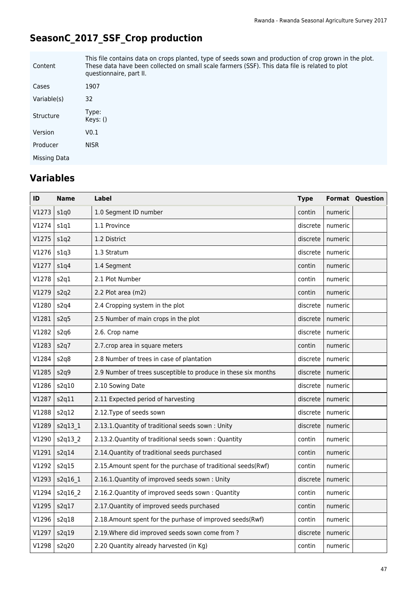# **SeasonC\_2017\_SSF\_Crop production**

| Content      | This file contains data on crops planted, type of seeds sown and production of crop grown in the plot.<br>These data have been collected on small scale farmers (SSF). This data file is related to plot<br>questionnaire, part II. |
|--------------|-------------------------------------------------------------------------------------------------------------------------------------------------------------------------------------------------------------------------------------|
| Cases        | 1907                                                                                                                                                                                                                                |
| Variable(s)  | 32                                                                                                                                                                                                                                  |
| Structure    | Type:<br>Keys: ()                                                                                                                                                                                                                   |
| Version      | V <sub>0.1</sub>                                                                                                                                                                                                                    |
| Producer     | <b>NISR</b>                                                                                                                                                                                                                         |
| Missing Data |                                                                                                                                                                                                                                     |

| ID    | <b>Name</b> | Label                                                          | <b>Type</b> |         | <b>Format Question</b> |
|-------|-------------|----------------------------------------------------------------|-------------|---------|------------------------|
| V1273 | s1q0        | 1.0 Segment ID number                                          | contin      | numeric |                        |
| V1274 | s1q1        | 1.1 Province                                                   | discrete    | numeric |                        |
| V1275 | s1q2        | 1.2 District                                                   | discrete    | numeric |                        |
| V1276 | slq3        | 1.3 Stratum                                                    | discrete    | numeric |                        |
| V1277 | s1q4        | 1.4 Segment                                                    | contin      | numeric |                        |
| V1278 | s2q1        | 2.1 Plot Number                                                | contin      | numeric |                        |
| V1279 | s2q2        | 2.2 Plot area (m2)                                             | contin      | numeric |                        |
| V1280 | s2q4        | 2.4 Cropping system in the plot                                | discrete    | numeric |                        |
| V1281 | s2q5        | 2.5 Number of main crops in the plot                           | discrete    | numeric |                        |
| V1282 | s2q6        | 2.6. Crop name                                                 | discrete    | numeric |                        |
| V1283 | s2q7        | 2.7.crop area in square meters                                 | contin      | numeric |                        |
| V1284 | s2q8        | 2.8 Number of trees in case of plantation                      | discrete    | numeric |                        |
| V1285 | s2q9        | 2.9 Number of trees susceptible to produce in these six months | discrete    | numeric |                        |
| V1286 | s2q10       | 2.10 Sowing Date                                               | discrete    | numeric |                        |
| V1287 | s2q11       | 2.11 Expected period of harvesting                             | discrete    | numeric |                        |
| V1288 | s2q12       | 2.12. Type of seeds sown                                       | discrete    | numeric |                        |
| V1289 | s2q13_1     | 2.13.1. Quantity of traditional seeds sown: Unity              | discrete    | numeric |                        |
| V1290 | s2q13_2     | 2.13.2. Quantity of traditional seeds sown: Quantity           | contin      | numeric |                        |
| V1291 | s2q14       | 2.14. Quantity of traditional seeds purchased                  | contin      | numeric |                        |
| V1292 | s2q15       | 2.15. Amount spent for the purchase of traditional seeds (Rwf) | contin      | numeric |                        |
| V1293 | s2q16 1     | 2.16.1. Quantity of improved seeds sown: Unity                 | discrete    | numeric |                        |
| V1294 | s2q16_2     | 2.16.2. Quantity of improved seeds sown: Quantity              | contin      | numeric |                        |
| V1295 | s2q17       | 2.17. Quantity of improved seeds purchased                     | contin      | numeric |                        |
| V1296 | s2q18       | 2.18. Amount spent for the purhase of improved seeds (Rwf)     | contin      | numeric |                        |
| V1297 | s2q19       | 2.19. Where did improved seeds sown come from?                 | discrete    | numeric |                        |
| V1298 | s2q20       | 2.20 Quantity already harvested (in Kg)                        | contin      | numeric |                        |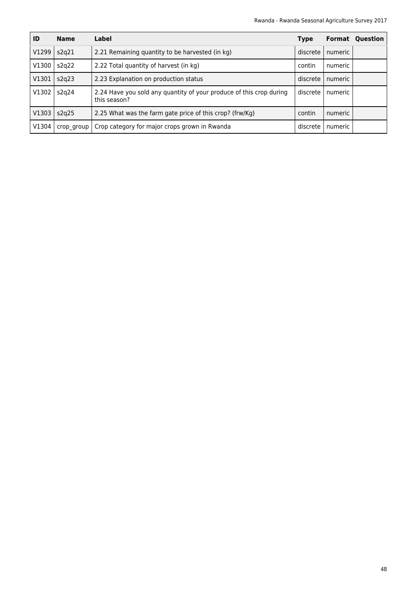| ID    | <b>Name</b> | Label                                                                               | <b>Type</b> | Format  | Question |
|-------|-------------|-------------------------------------------------------------------------------------|-------------|---------|----------|
| V1299 | s2q21       | 2.21 Remaining quantity to be harvested (in kg)                                     | discrete    | numeric |          |
| V1300 | s2q22       | 2.22 Total quantity of harvest (in kg)                                              | contin      | numeric |          |
| V1301 | s2q23       | 2.23 Explanation on production status                                               | discrete    | numeric |          |
| V1302 | s2g24       | 2.24 Have you sold any quantity of your produce of this crop during<br>this season? | discrete    | numeric |          |
| V1303 | s2q25       | 2.25 What was the farm gate price of this crop? (frw/Kg)                            | contin      | numeric |          |
| V1304 | crop group  | Crop category for major crops grown in Rwanda                                       | discrete    | numeric |          |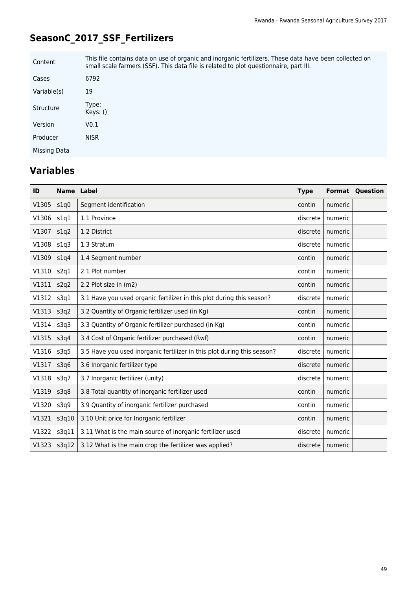# **SeasonC\_2017\_SSF\_Fertilizers**

| Content      | This file contains data on use of organic and inorganic fertilizers. These data have been collected on<br>small scale farmers (SSF). This data file is related to plot questionnaire, part III. |
|--------------|-------------------------------------------------------------------------------------------------------------------------------------------------------------------------------------------------|
| Cases        | 6792                                                                                                                                                                                            |
| Variable(s)  | 19                                                                                                                                                                                              |
| Structure    | Type:<br>Keys: ()                                                                                                                                                                               |
| Version      | V <sub>0.1</sub>                                                                                                                                                                                |
| Producer     | <b>NISR</b>                                                                                                                                                                                     |
| Missing Data |                                                                                                                                                                                                 |

| ID    | <b>Name Label</b> |                                                                         | <b>Type</b> |         | <b>Format Question</b> |
|-------|-------------------|-------------------------------------------------------------------------|-------------|---------|------------------------|
| V1305 | s1q0              | Segment identification                                                  | contin      | numeric |                        |
| V1306 | s1q1              | 1.1 Province                                                            | discrete    | numeric |                        |
| V1307 | s1q2              | 1.2 District                                                            | discrete    | numeric |                        |
| V1308 | s1q3              | 1.3 Stratum                                                             | discrete    | numeric |                        |
| V1309 | s1q4              | 1.4 Segment number                                                      | contin      | numeric |                        |
| V1310 | s2q1              | 2.1 Plot number                                                         | contin      | numeric |                        |
| V1311 | s2q2              | 2.2 Plot size in (m2)                                                   | contin      | numeric |                        |
| V1312 | s3q1              | 3.1 Have you used organic fertilizer in this plot during this season?   | discrete    | numeric |                        |
| V1313 | s3q2              | 3.2 Quantity of Organic fertilizer used (in Kg)                         | contin      | numeric |                        |
| V1314 | s3q3              | 3.3 Quantity of Organic fertilizer purchased (in Kg)                    | contin      | numeric |                        |
| V1315 | s3q4              | 3.4 Cost of Organic fertilizer purchased (Rwf)                          | contin      | numeric |                        |
| V1316 | s3q5              | 3.5 Have you used inorganic fertilizer in this plot during this season? | discrete    | numeric |                        |
| V1317 | s3q6              | 3.6 Inorganic fertilizer type                                           | discrete    | numeric |                        |
| V1318 | s3q7              | 3.7 Inorganic fertilizer (unity)                                        | discrete    | numeric |                        |
| V1319 | s3q8              | 3.8 Total quantity of inorganic fertilizer used                         | contin      | numeric |                        |
| V1320 | s3q9              | 3.9 Quantity of inorganic fertilizer purchased                          | contin      | numeric |                        |
| V1321 | s3q10             | 3.10 Unit price for Inorganic fertilizer                                | contin      | numeric |                        |
| V1322 | s3q11             | 3.11 What is the main source of inorganic fertilizer used               | discrete    | numeric |                        |
| V1323 | s3q12             | 3.12 What is the main crop the fertilizer was applied?                  | discrete    | numeric |                        |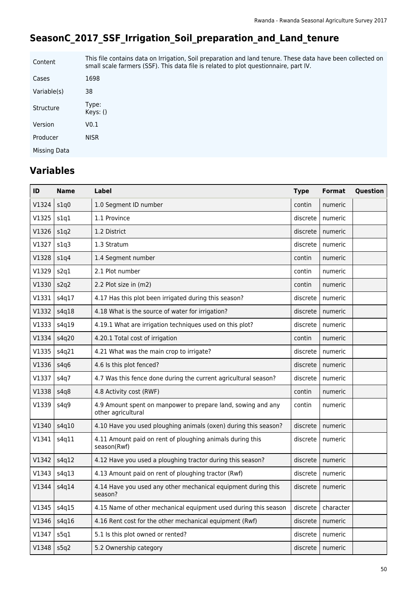## **SeasonC\_2017\_SSF\_Irrigation\_Soil\_preparation\_and\_Land\_tenure**

| Content      | This file contains data on Irrigation, Soil preparation and land tenure. These data have been collected on<br>small scale farmers (SSF). This data file is related to plot questionnaire, part IV. |
|--------------|----------------------------------------------------------------------------------------------------------------------------------------------------------------------------------------------------|
| Cases        | 1698                                                                                                                                                                                               |
| Variable(s)  | 38                                                                                                                                                                                                 |
| Structure    | Type:<br>Keys: ()                                                                                                                                                                                  |
| Version      | V <sub>0.1</sub>                                                                                                                                                                                   |
| Producer     | <b>NISR</b>                                                                                                                                                                                        |
| Missing Data |                                                                                                                                                                                                    |

| ID    | <b>Name</b> | <b>Label</b>                                                                       | <b>Type</b> | Format    | Question |
|-------|-------------|------------------------------------------------------------------------------------|-------------|-----------|----------|
| V1324 | s1q0        | 1.0 Segment ID number                                                              | contin      | numeric   |          |
| V1325 | slq1        | 1.1 Province                                                                       | discrete    | numeric   |          |
| V1326 | s1q2        | 1.2 District                                                                       | discrete    | numeric   |          |
| V1327 | s1q3        | 1.3 Stratum                                                                        | discrete    | numeric   |          |
| V1328 | s1q4        | 1.4 Segment number                                                                 | contin      | numeric   |          |
| V1329 | s2q1        | 2.1 Plot number                                                                    | contin      | numeric   |          |
| V1330 | s2q2        | 2.2 Plot size in (m2)                                                              | contin      | numeric   |          |
| V1331 | s4q17       | 4.17 Has this plot been irrigated during this season?                              | discrete    | numeric   |          |
| V1332 | s4q18       | 4.18 What is the source of water for irrigation?                                   | discrete    | numeric   |          |
| V1333 | s4q19       | 4.19.1 What are irrigation techniques used on this plot?                           | discrete    | numeric   |          |
| V1334 | s4q20       | 4.20.1 Total cost of irrigation                                                    | contin      | numeric   |          |
| V1335 | s4q21       | 4.21 What was the main crop to irrigate?                                           | discrete    | numeric   |          |
| V1336 | s4q6        | 4.6 Is this plot fenced?                                                           | discrete    | numeric   |          |
| V1337 | s4q7        | 4.7 Was this fence done during the current agricultural season?                    | discrete    | numeric   |          |
| V1338 | s4q8        | 4.8 Activity cost (RWF)                                                            | contin      | numeric   |          |
| V1339 | s4q9        | 4.9 Amount spent on manpower to prepare land, sowing and any<br>other agricultural | contin      | numeric   |          |
| V1340 | s4q10       | 4.10 Have you used ploughing animals (oxen) during this season?                    | discrete    | numeric   |          |
| V1341 | s4q11       | 4.11 Amount paid on rent of ploughing animals during this<br>season(Rwf)           | discrete    | numeric   |          |
| V1342 | s4q12       | 4.12 Have you used a ploughing tractor during this season?                         | discrete    | numeric   |          |
| V1343 | s4q13       | 4.13 Amount paid on rent of ploughing tractor (Rwf)                                | discrete    | numeric   |          |
| V1344 | s4q14       | 4.14 Have you used any other mechanical equipment during this<br>season?           | discrete    | numeric   |          |
| V1345 | s4q15       | 4.15 Name of other mechanical equipment used during this season                    | discrete    | character |          |
| V1346 | s4q16       | 4.16 Rent cost for the other mechanical equipment (Rwf)                            | discrete    | numeric   |          |
| V1347 | s5q1        | 5.1 Is this plot owned or rented?                                                  | discrete    | numeric   |          |
| V1348 | s5q2        | 5.2 Ownership category                                                             | discrete    | numeric   |          |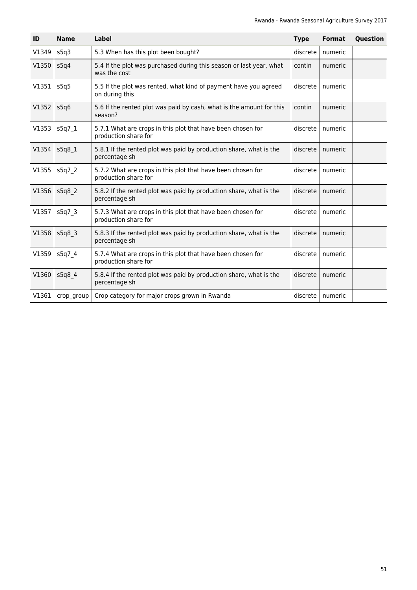| ID    | <b>Name</b> | Label                                                                               | <b>Type</b> | <b>Format</b> | <b>Question</b> |
|-------|-------------|-------------------------------------------------------------------------------------|-------------|---------------|-----------------|
| V1349 | s5q3        | 5.3 When has this plot been bought?                                                 | discrete    | numeric       |                 |
| V1350 | s5q4        | 5.4 If the plot was purchased during this season or last year, what<br>was the cost | contin      | numeric       |                 |
| V1351 | s5q5        | 5.5 If the plot was rented, what kind of payment have you agreed<br>on during this  | discrete    | numeric       |                 |
| V1352 | s5q6        | 5.6 If the rented plot was paid by cash, what is the amount for this<br>season?     | contin      | numeric       |                 |
| V1353 | s5q7 1      | 5.7.1 What are crops in this plot that have been chosen for<br>production share for | discrete    | numeric       |                 |
| V1354 | s5q8 1      | 5.8.1 If the rented plot was paid by production share, what is the<br>percentage sh | discrete    | numeric       |                 |
| V1355 | s5q7 2      | 5.7.2 What are crops in this plot that have been chosen for<br>production share for | discrete    | numeric       |                 |
| V1356 | s5q82       | 5.8.2 If the rented plot was paid by production share, what is the<br>percentage sh | discrete    | numeric       |                 |
| V1357 | $s5q7$ 3    | 5.7.3 What are crops in this plot that have been chosen for<br>production share for | discrete    | numeric       |                 |
| V1358 | $s5q8$ 3    | 5.8.3 If the rented plot was paid by production share, what is the<br>percentage sh | discrete    | numeric       |                 |
| V1359 | s5q7 4      | 5.7.4 What are crops in this plot that have been chosen for<br>production share for | discrete    | numeric       |                 |
| V1360 | s5q8 4      | 5.8.4 If the rented plot was paid by production share, what is the<br>percentage sh | discrete    | numeric       |                 |
| V1361 | crop group  | Crop category for major crops grown in Rwanda                                       | discrete    | numeric       |                 |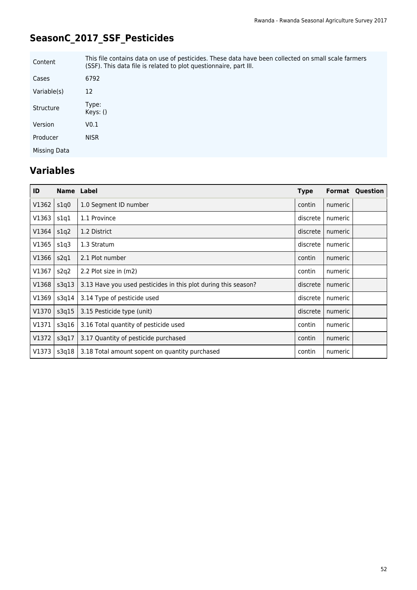# **SeasonC\_2017\_SSF\_Pesticides**

| Content      | This file contains data on use of pesticides. These data have been collected on small scale farmers<br>(SSF). This data file is related to plot questionnaire, part III. |
|--------------|--------------------------------------------------------------------------------------------------------------------------------------------------------------------------|
| Cases        | 6792                                                                                                                                                                     |
| Variable(s)  | 12                                                                                                                                                                       |
| Structure    | Type:<br>Keys: ()                                                                                                                                                        |
| Version      | V <sub>0.1</sub>                                                                                                                                                         |
| Producer     | <b>NISR</b>                                                                                                                                                              |
| Missing Data |                                                                                                                                                                          |

| ID    | Name Label |                                                                | Type     | Format  | Question |
|-------|------------|----------------------------------------------------------------|----------|---------|----------|
| V1362 | s1q0       | 1.0 Segment ID number                                          | contin   | numeric |          |
| V1363 | slq1       | 1.1 Province                                                   | discrete | numeric |          |
| V1364 | slq2       | 1.2 District                                                   | discrete | numeric |          |
| V1365 | slq3       | 1.3 Stratum                                                    | discrete | numeric |          |
| V1366 | s2q1       | 2.1 Plot number                                                | contin   | numeric |          |
| V1367 | s2q2       | 2.2 Plot size in (m2)                                          | contin   | numeric |          |
| V1368 | s3q13      | 3.13 Have you used pesticides in this plot during this season? | discrete | numeric |          |
| V1369 | s3q14      | 3.14 Type of pesticide used                                    | discrete | numeric |          |
| V1370 | s3q15      | 3.15 Pesticide type (unit)                                     | discrete | numeric |          |
| V1371 | s3q16      | 3.16 Total quantity of pesticide used                          | contin   | numeric |          |
| V1372 | s3q17      | 3.17 Quantity of pesticide purchased                           | contin   | numeric |          |
| V1373 | s3q18      | 3.18 Total amount sopent on quantity purchased                 | contin   | numeric |          |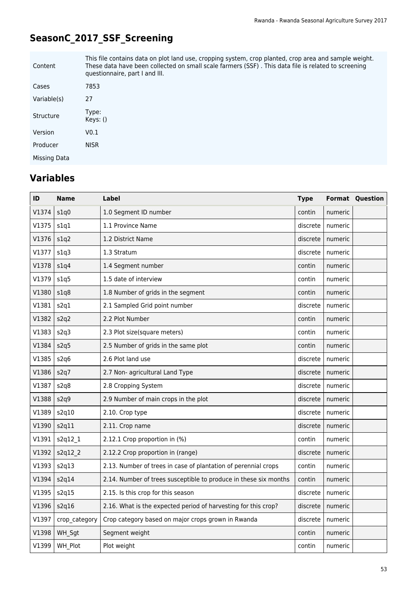# **SeasonC\_2017\_SSF\_Screening**

| Content      | This file contains data on plot land use, cropping system, crop planted, crop area and sample weight.<br>These data have been collected on small scale farmers (SSF). This data file is related to screening<br>questionnaire, part I and III. |
|--------------|------------------------------------------------------------------------------------------------------------------------------------------------------------------------------------------------------------------------------------------------|
| Cases        | 7853                                                                                                                                                                                                                                           |
| Variable(s)  | 27                                                                                                                                                                                                                                             |
| Structure    | Type:<br>Keys: ()                                                                                                                                                                                                                              |
| Version      | V <sub>0.1</sub>                                                                                                                                                                                                                               |
| Producer     | <b>NISR</b>                                                                                                                                                                                                                                    |
| Missing Data |                                                                                                                                                                                                                                                |

| ID    | <b>Name</b>   | Label                                                            | <b>Type</b> |         | <b>Format Question</b> |
|-------|---------------|------------------------------------------------------------------|-------------|---------|------------------------|
| V1374 | s1q0          | 1.0 Segment ID number                                            | contin      | numeric |                        |
| V1375 | slq1          | 1.1 Province Name                                                | discrete    | numeric |                        |
| V1376 | s1q2          | 1.2 District Name                                                | discrete    | numeric |                        |
| V1377 | s1q3          | 1.3 Stratum                                                      | discrete    | numeric |                        |
| V1378 | s1q4          | 1.4 Segment number                                               | contin      | numeric |                        |
| V1379 | s1q5          | 1.5 date of interview                                            | contin      | numeric |                        |
| V1380 | s1q8          | 1.8 Number of grids in the segment                               | contin      | numeric |                        |
| V1381 | s2q1          | 2.1 Sampled Grid point number                                    | discrete    | numeric |                        |
| V1382 | s2q2          | 2.2 Plot Number                                                  | contin      | numeric |                        |
| V1383 | s2q3          | 2.3 Plot size(square meters)                                     | contin      | numeric |                        |
| V1384 | s2q5          | 2.5 Number of grids in the same plot                             | contin      | numeric |                        |
| V1385 | s2q6          | 2.6 Plot land use                                                | discrete    | numeric |                        |
| V1386 | s2q7          | 2.7 Non- agricultural Land Type                                  | discrete    | numeric |                        |
| V1387 | s2q8          | 2.8 Cropping System                                              | discrete    | numeric |                        |
| V1388 | s2q9          | 2.9 Number of main crops in the plot                             | discrete    | numeric |                        |
| V1389 | s2q10         | 2.10. Crop type                                                  | discrete    | numeric |                        |
| V1390 | s2q11         | 2.11. Crop name                                                  | discrete    | numeric |                        |
| V1391 | s2q12 1       | 2.12.1 Crop proportion in (%)                                    | contin      | numeric |                        |
| V1392 | s2q12_2       | 2.12.2 Crop proportion in (range)                                | discrete    | numeric |                        |
| V1393 | s2q13         | 2.13. Number of trees in case of plantation of perennial crops   | contin      | numeric |                        |
| V1394 | s2q14         | 2.14. Number of trees susceptible to produce in these six months | contin      | numeric |                        |
| V1395 | s2q15         | 2.15. Is this crop for this season                               | discrete    | numeric |                        |
| V1396 | s2q16         | 2.16. What is the expected period of harvesting for this crop?   | discrete    | numeric |                        |
| V1397 | crop category | Crop category based on major crops grown in Rwanda               | discrete    | numeric |                        |
| V1398 | WH Sgt        | Segment weight                                                   | contin      | numeric |                        |
| V1399 | WH Plot       | Plot weight                                                      | contin      | numeric |                        |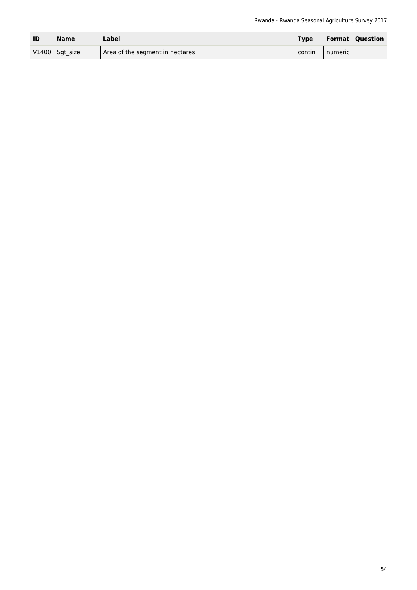| l ID | Name           | Label                           | <b>Type</b> |         | <b>Format Ouestion</b> |
|------|----------------|---------------------------------|-------------|---------|------------------------|
|      | V1400 Sgt size | Area of the segment in hectares | contin      | numeric |                        |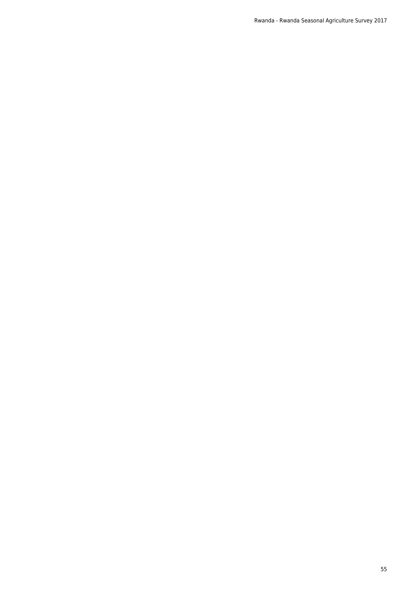Rwanda - Rwanda Seasonal Agriculture Survey 2017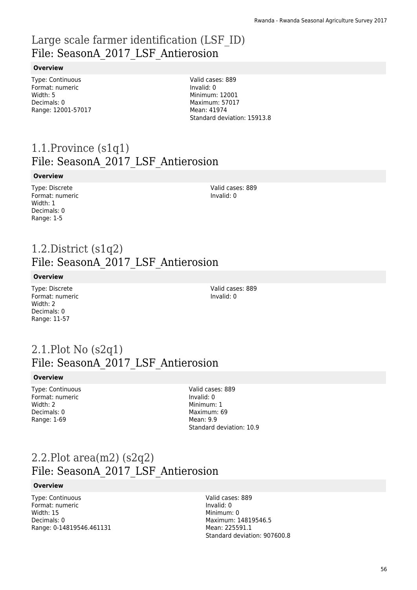### Large scale farmer identification (LSF\_ID) File: SeasonA\_2017\_LSF\_Antierosion

### **Overview**

Type: Continuous Format: numeric Width: 5 Decimals: 0 Range: 12001-57017 Valid cases: 889 Invalid: 0 Minimum: 12001 Maximum: 57017 Mean: 41974 Standard deviation: 15913.8

### 1.1.Province (s1q1) File: SeasonA\_2017\_LSF\_Antierosion

#### **Overview**

Type: Discrete Format: numeric Width: 1 Decimals: 0 Range: 1-5

Valid cases: 889 Invalid: 0

### 1.2.District (s1q2) File: SeasonA\_2017\_LSF\_Antierosion

#### **Overview**

Type: Discrete Format: numeric Width: 2 Decimals: 0 Range: 11-57

Valid cases: 889 Invalid: 0

### 2.1.Plot No (s2q1) File: SeasonA\_2017\_LSF\_Antierosion

#### **Overview**

Type: Continuous Format: numeric Width: 2 Decimals: 0 Range: 1-69

Valid cases: 889 Invalid: 0 Minimum: 1 Maximum: 69 Mean: 9.9 Standard deviation: 10.9

### 2.2.Plot area(m2) (s2q2) File: SeasonA\_2017\_LSF\_Antierosion

#### **Overview**

Type: Continuous Format: numeric Width: 15 Decimals: 0 Range: 0-14819546.461131

Valid cases: 889 Invalid: 0 Minimum: 0 Maximum: 14819546.5 Mean: 225591.1 Standard deviation: 907600.8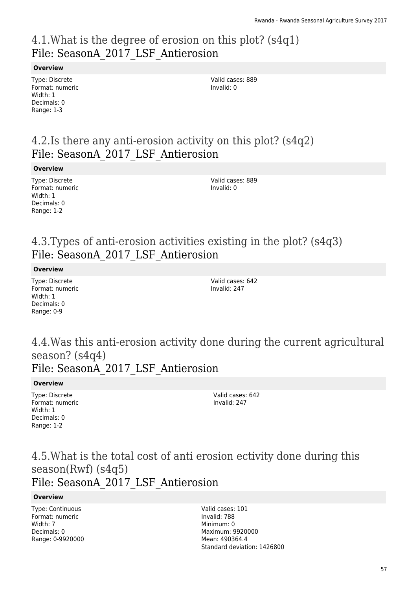## 4.1.What is the degree of erosion on this plot? (s4q1) File: SeasonA\_2017\_LSF\_Antierosion

#### **Overview**

Type: Discrete Format: numeric Width: 1 Decimals: 0 Range: 1-3

Valid cases: 889 Invalid: 0

### 4.2.Is there any anti-erosion activity on this plot? (s4q2) File: SeasonA\_2017\_LSF\_Antierosion

#### **Overview**

Type: Discrete Format: numeric Width: 1 Decimals: 0 Range: 1-2

Valid cases: 889 Invalid: 0

## 4.3.Types of anti-erosion activities existing in the plot? (s4q3) File: SeasonA\_2017\_LSF\_Antierosion

#### **Overview**

Type: Discrete Format: numeric Width: 1 Decimals: 0 Range: 0-9

Valid cases: 642 Invalid: 247

### 4.4.Was this anti-erosion activity done during the current agricultural season? (s4q4) File: SeasonA\_2017\_LSF\_Antierosion

#### **Overview**

Type: Discrete Format: numeric Width: 1 Decimals: 0 Range: 1-2

Valid cases: 642 Invalid: 247

### 4.5.What is the total cost of anti erosion ectivity done during this season(Rwf) (s4q5) File: SeasonA\_2017\_LSF\_Antierosion

#### **Overview**

Type: Continuous Format: numeric Width: 7 Decimals: 0 Range: 0-9920000

Valid cases: 101 Invalid: 788 Minimum: 0 Maximum: 9920000 Mean: 490364.4 Standard deviation: 1426800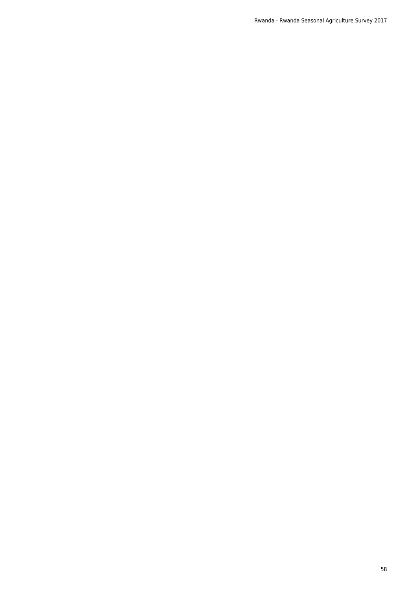Rwanda - Rwanda Seasonal Agriculture Survey 2017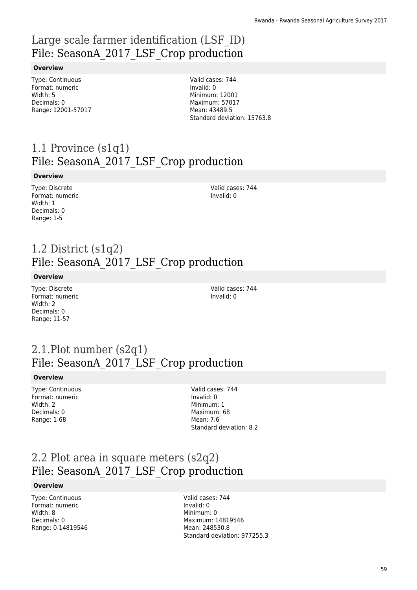## Large scale farmer identification (LSF\_ID) File: SeasonA\_2017\_LSF\_Crop production

#### **Overview**

Type: Continuous Format: numeric Width: 5 Decimals: 0 Range: 12001-57017 Valid cases: 744 Invalid: 0 Minimum: 12001 Maximum: 57017 Mean: 43489.5 Standard deviation: 15763.8

## 1.1 Province (s1q1) File: SeasonA\_2017\_LSF\_Crop production

#### **Overview**

Type: Discrete Format: numeric Width: 1 Decimals: 0 Range: 1-5

Valid cases: 744 Invalid: 0

### 1.2 District (s1q2) File: SeasonA\_2017\_LSF\_Crop production

#### **Overview**

Type: Discrete Format: numeric Width: 2 Decimals: 0 Range: 11-57

Valid cases: 744 Invalid: 0

### 2.1.Plot number (s2q1) File: SeasonA\_2017\_LSF\_Crop production

#### **Overview**

Type: Continuous Format: numeric Width: 2 Decimals: 0 Range: 1-68

Valid cases: 744 Invalid: 0 Minimum: 1 Maximum: 68 Mean: 76 Standard deviation: 8.2

### 2.2 Plot area in square meters (s2q2) File: SeasonA\_2017\_LSF\_Crop production

#### **Overview**

Type: Continuous Format: numeric Width: 8 Decimals: 0 Range: 0-14819546

Valid cases: 744 Invalid: 0 Minimum: 0 Maximum: 14819546 Mean: 248530.8 Standard deviation: 977255.3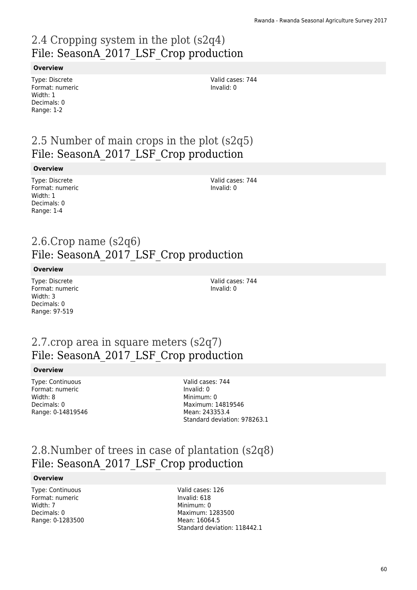### 2.4 Cropping system in the plot (s2q4) File: SeasonA\_2017\_LSF\_Crop production

#### **Overview**

Type: Discrete Format: numeric Width: 1 Decimals: 0 Range: 1-2

Valid cases: 744 Invalid: 0

## 2.5 Number of main crops in the plot (s2q5) File: SeasonA\_2017\_LSF\_Crop production

#### **Overview**

Type: Discrete Format: numeric Width: 1 Decimals: 0 Range: 1-4

Valid cases: 744 Invalid: 0

### 2.6.Crop name (s2q6) File: SeasonA\_2017\_LSF\_Crop production

#### **Overview**

Type: Discrete Format: numeric Width: 3 Decimals: 0 Range: 97-519

Valid cases: 744 Invalid: 0

### 2.7.crop area in square meters (s2q7) File: SeasonA\_2017\_LSF\_Crop production

#### **Overview**

Type: Continuous Format: numeric Width: 8 Decimals: 0 Range: 0-14819546

Valid cases: 744 Invalid: 0 Minimum: 0 Maximum: 14819546 Mean: 243353.4 Standard deviation: 978263.1

### 2.8.Number of trees in case of plantation (s2q8) File: SeasonA\_2017\_LSF\_Crop production

#### **Overview**

Type: Continuous Format: numeric Width: 7 Decimals: 0 Range: 0-1283500 Valid cases: 126 Invalid: 618 Minimum: 0 Maximum: 1283500 Mean: 16064.5 Standard deviation: 118442.1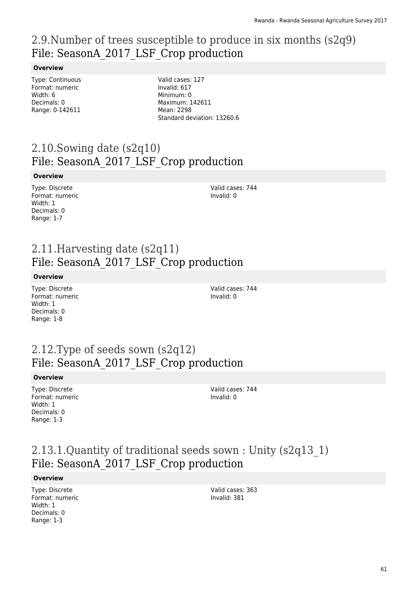## 2.9.Number of trees susceptible to produce in six months (s2q9) File: SeasonA\_2017\_LSF\_Crop production

### **Overview**

Type: Continuous Format: numeric Width: 6 Decimals: 0 Range: 0-142611

Valid cases: 127 Invalid: 617 Minimum: 0 Maximum: 142611 Mean: 2298 Standard deviation: 13260.6

## 2.10.Sowing date (s2q10) File: SeasonA\_2017\_LSF\_Crop production

#### **Overview**

Type: Discrete Format: numeric Width: 1 Decimals: 0 Range: 1-7

Valid cases: 744 Invalid: 0

### 2.11.Harvesting date (s2q11) File: SeasonA\_2017\_LSF\_Crop production

### **Overview**

Type: Discrete Format: numeric Width: 1 Decimals: 0 Range: 1-8

Valid cases: 744 Invalid: 0

### 2.12.Type of seeds sown (s2q12) File: SeasonA\_2017\_LSF\_Crop production

#### **Overview**

Type: Discrete Format: numeric Width: 1 Decimals: 0 Range: 1-3

Valid cases: 744 Invalid: 0

## 2.13.1.Quantity of traditional seeds sown : Unity (s2q13\_1) File: SeasonA\_2017\_LSF\_Crop production

#### **Overview**

Type: Discrete Format: numeric Width: 1 Decimals: 0 Range: 1-3

Valid cases: 363 Invalid: 381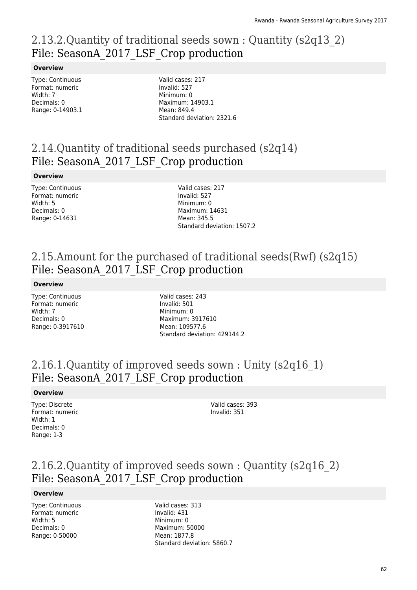## 2.13.2.Quantity of traditional seeds sown : Quantity (s2q13\_2) File: SeasonA\_2017\_LSF\_Crop production

### **Overview**

Type: Continuous Format: numeric Width: 7 Decimals: 0 Range: 0-14903.1 Valid cases: 217 Invalid: 527 Minimum: 0 Maximum: 14903.1 Mean: 849.4 Standard deviation: 2321.6

## 2.14.Quantity of traditional seeds purchased (s2q14) File: SeasonA\_2017\_LSF\_Crop production

#### **Overview**

Type: Continuous Format: numeric Width: 5 Decimals: 0 Range: 0-14631

Valid cases: 217 Invalid: 527 Minimum: 0 Maximum: 14631 Mean: 345.5 Standard deviation: 1507.2

## 2.15.Amount for the purchased of traditional seeds(Rwf) (s2q15) File: SeasonA\_2017\_LSF\_Crop production

### **Overview**

Type: Continuous Format: numeric Width: 7 Decimals: 0 Range: 0-3917610

Valid cases: 243 Invalid: 501 Minimum: 0 Maximum: 3917610 Mean: 109577.6 Standard deviation: 429144.2

## 2.16.1.Quantity of improved seeds sown : Unity (s2q16\_1) File: SeasonA\_2017\_LSF\_Crop production

### **Overview**

Type: Discrete Format: numeric Width: 1 Decimals: 0 Range: 1-3

Valid cases: 393 Invalid: 351

## 2.16.2.Quantity of improved seeds sown : Quantity (s2q16\_2) File: SeasonA\_2017\_LSF\_Crop production

### **Overview**

Type: Continuous Format: numeric Width: 5 Decimals: 0 Range: 0-50000

Valid cases: 313 Invalid: 431 Minimum: 0 Maximum: 50000 Mean: 1877.8 Standard deviation: 5860.7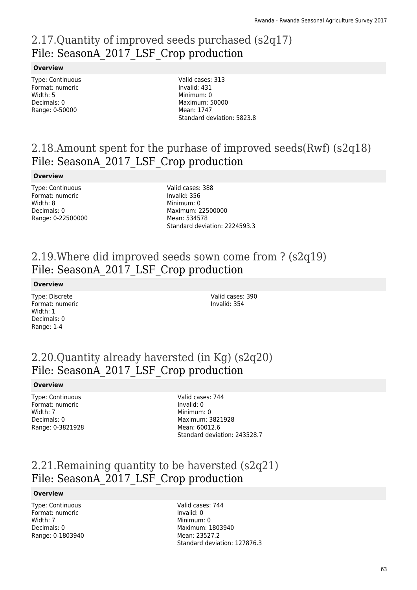## 2.17.Quantity of improved seeds purchased (s2q17) File: SeasonA\_2017\_LSF\_Crop production

### **Overview**

Type: Continuous Format: numeric Width: 5 Decimals: 0 Range: 0-50000

Valid cases: 313 Invalid: 431 Minimum: 0 Maximum: 50000 Mean: 1747 Standard deviation: 5823.8

## 2.18.Amount spent for the purhase of improved seeds(Rwf) (s2q18) File: SeasonA\_2017\_LSF\_Crop production

#### **Overview**

Type: Continuous Format: numeric Width: 8 Decimals: 0 Range: 0-22500000 Valid cases: 388 Invalid: 356 Minimum: 0 Maximum: 22500000 Mean: 534578 Standard deviation: 2224593.3

### 2.19.Where did improved seeds sown come from ? (s2q19) File: SeasonA\_2017\_LSF\_Crop production

### **Overview**

Type: Discrete Format: numeric Width: 1 Decimals: 0 Range: 1-4

Valid cases: 390 Invalid: 354

## 2.20.Quantity already haversted (in Kg) (s2q20) File: SeasonA\_2017\_LSF\_Crop production

#### **Overview**

Type: Continuous Format: numeric Width: 7 Decimals: 0 Range: 0-3821928 Valid cases: 744 Invalid: 0 Minimum: 0 Maximum: 3821928 Mean: 60012.6 Standard deviation: 243528.7

## 2.21.Remaining quantity to be haversted (s2q21) File: SeasonA\_2017\_LSF\_Crop production

### **Overview**

Type: Continuous Format: numeric Width: 7 Decimals: 0 Range: 0-1803940

Valid cases: 744 Invalid: 0 Minimum: 0 Maximum: 1803940 Mean: 23527.2 Standard deviation: 127876.3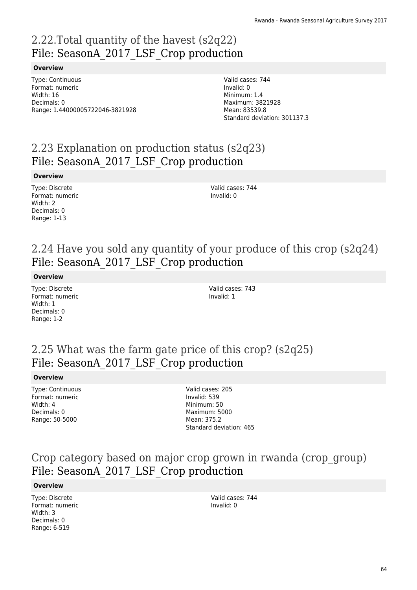## 2.22.Total quantity of the havest (s2q22) File: SeasonA\_2017\_LSF\_Crop production

#### **Overview**

Type: Continuous Format: numeric Width: 16 Decimals: 0 Range: 1.44000005722046-3821928

Valid cases: 744 Invalid: 0 Minimum: 1.4 Maximum: 3821928 Mean: 83539.8 Standard deviation: 301137.3

## 2.23 Explanation on production status (s2q23) File: SeasonA\_2017\_LSF\_Crop production

#### **Overview**

Type: Discrete Format: numeric Width: 2 Decimals: 0 Range: 1-13

Valid cases: 744 Invalid: 0

### 2.24 Have you sold any quantity of your produce of this crop (s2q24) File: SeasonA\_2017\_LSF\_Crop production

#### **Overview**

Type: Discrete Format: numeric Width: 1 Decimals: 0 Range: 1-2

Valid cases: 743 Invalid: 1

### 2.25 What was the farm gate price of this crop? (s2q25) File: SeasonA\_2017\_LSF\_Crop production

#### **Overview**

Type: Continuous Format: numeric Width: 4 Decimals: 0 Range: 50-5000

Valid cases: 205 Invalid: 539 Minimum: 50 Maximum: 5000 Mean: 375.2 Standard deviation: 465

### Crop category based on major crop grown in rwanda (crop\_group) File: SeasonA\_2017\_LSF\_Crop production

#### **Overview**

Type: Discrete Format: numeric Width: 3 Decimals: 0 Range: 6-519

Valid cases: 744 Invalid: 0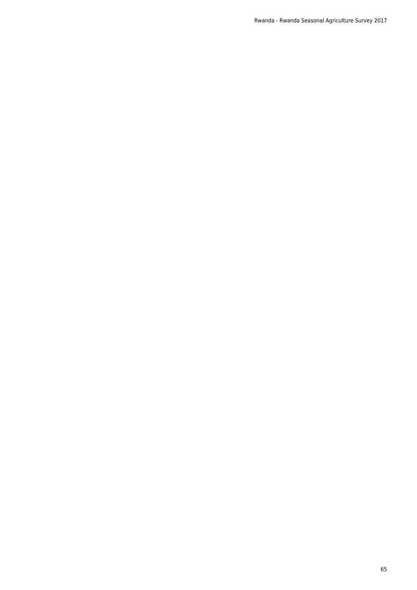Rwanda - Rwanda Seasonal Agriculture Survey 2017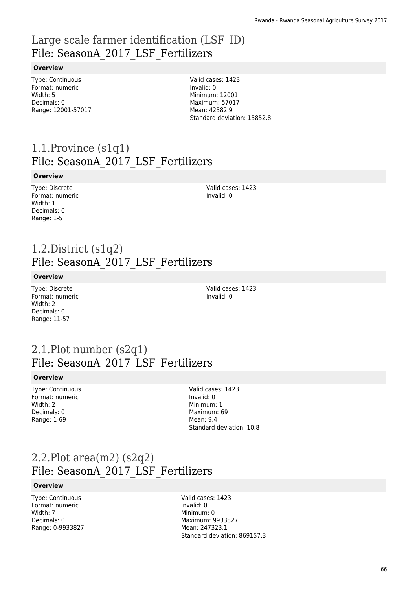### Large scale farmer identification (LSF\_ID) File: SeasonA\_2017\_LSF\_Fertilizers

### **Overview**

Type: Continuous Format: numeric Width: 5 Decimals: 0 Range: 12001-57017 Valid cases: 1423 Invalid: 0 Minimum: 12001 Maximum: 57017 Mean: 42582.9 Standard deviation: 15852.8

## 1.1.Province (s1q1) File: SeasonA\_2017\_LSF\_Fertilizers

#### **Overview**

Type: Discrete Format: numeric Width: 1 Decimals: 0 Range: 1-5

Valid cases: 1423 Invalid: 0

### 1.2.District (s1q2) File: SeasonA\_2017\_LSF\_Fertilizers

#### **Overview**

Type: Discrete Format: numeric Width: 2 Decimals: 0 Range: 11-57

Valid cases: 1423 Invalid: 0

### 2.1.Plot number (s2q1) File: SeasonA\_2017\_LSF\_Fertilizers

#### **Overview**

Type: Continuous Format: numeric Width: 2 Decimals: 0 Range: 1-69

Valid cases: 1423 Invalid: 0 Minimum: 1 Maximum: 69 Mean: 9.4 Standard deviation: 10.8

### 2.2.Plot area(m2) (s2q2) File: SeasonA\_2017\_LSF\_Fertilizers

#### **Overview**

Type: Continuous Format: numeric Width: 7 Decimals: 0 Range: 0-9933827 Valid cases: 1423 Invalid: 0 Minimum: 0 Maximum: 9933827 Mean: 247323.1 Standard deviation: 869157.3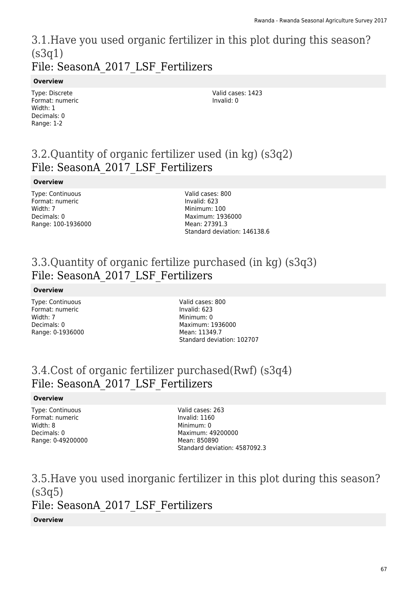### 3.1.Have you used organic fertilizer in this plot during this season? (s3q1) File: SeasonA\_2017\_LSF\_Fertilizers

### **Overview**

Type: Discrete Format: numeric Width: 1 Decimals: 0 Range: 1-2

Valid cases: 1423 Invalid: 0

## 3.2.Quantity of organic fertilizer used (in kg) (s3q2) File: SeasonA\_2017\_LSF\_Fertilizers

#### **Overview**

Type: Continuous Format: numeric Width: 7 Decimals: 0 Range: 100-1936000

Valid cases: 800 Invalid: 623 Minimum: 100 Maximum: 1936000 Mean: 27391.3 Standard deviation: 146138.6

## 3.3.Quantity of organic fertilize purchased (in kg) (s3q3) File: SeasonA\_2017\_LSF\_Fertilizers

### **Overview**

Type: Continuous Format: numeric Width: 7 Decimals: 0 Range: 0-1936000 Valid cases: 800 Invalid: 623 Minimum: 0 Maximum: 1936000 Mean: 11349.7 Standard deviation: 102707

## 3.4.Cost of organic fertilizer purchased(Rwf) (s3q4) File: SeasonA\_2017\_LSF\_Fertilizers

#### **Overview**

Type: Continuous Format: numeric Width: 8 Decimals: 0 Range: 0-49200000 Valid cases: 263 Invalid: 1160 Minimum: 0 Maximum: 49200000 Mean: 850890 Standard deviation: 4587092.3

3.5.Have you used inorganic fertilizer in this plot during this season? (s3q5) File: SeasonA\_2017\_LSF\_Fertilizers

### **Overview**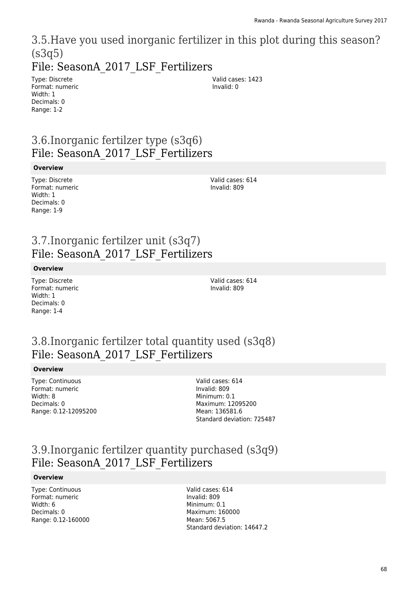3.5.Have you used inorganic fertilizer in this plot during this season? (s3q5) File: SeasonA\_2017\_LSF\_Fertilizers

Type: Discrete Format: numeric Width: 1 Decimals: 0 Range: 1-2

Valid cases: 1423 Invalid: 0

### 3.6.Inorganic fertilzer type (s3q6) File: SeasonA\_2017\_LSF\_Fertilizers

#### **Overview**

Type: Discrete Format: numeric Width: 1 Decimals: 0 Range: 1-9

Valid cases: 614 Invalid: 809

### 3.7.Inorganic fertilzer unit (s3q7) File: SeasonA\_2017\_LSF\_Fertilizers

#### **Overview**

Type: Discrete Format: numeric Width: 1 Decimals: 0 Range: 1-4

Valid cases: 614 Invalid: 809

### 3.8.Inorganic fertilzer total quantity used (s3q8) File: SeasonA\_2017\_LSF\_Fertilizers

#### **Overview**

Type: Continuous Format: numeric Width: 8 Decimals: 0 Range: 0.12-12095200

Valid cases: 614 Invalid: 809 Minimum: 0.1 Maximum: 12095200 Mean: 136581.6 Standard deviation: 725487

### 3.9.Inorganic fertilzer quantity purchased (s3q9) File: SeasonA\_2017\_LSF\_Fertilizers

#### **Overview**

Type: Continuous Format: numeric Width: 6 Decimals: 0 Range: 0.12-160000 Valid cases: 614 Invalid: 809 Minimum: 0.1 Maximum: 160000 Mean: 5067.5 Standard deviation: 14647.2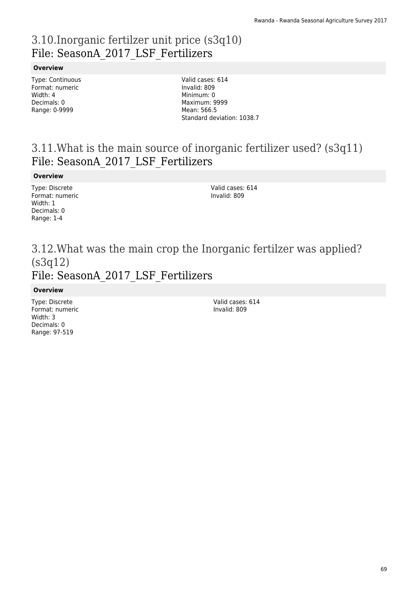## 3.10.Inorganic fertilzer unit price (s3q10) File: SeasonA\_2017\_LSF\_Fertilizers

### **Overview**

| Type: Continuous |
|------------------|
| Format: numeric  |
| Width: 4         |
| Decimals: 0      |
| Range: 0-9999    |

Valid cases: 614 Invalid: 809 Minimum: 0 Maximum: 9999 Mean: 566.5 Standard deviation: 1038.7

### 3.11.What is the main source of inorganic fertilizer used? (s3q11) File: SeasonA\_2017\_LSF\_Fertilizers

#### **Overview**

Type: Discrete Format: numeric Width: 1 Decimals: 0 Range: 1-4

Valid cases: 614 Invalid: 809

# 3.12.What was the main crop the Inorganic fertilzer was applied? (s3q12)

# File: SeasonA\_2017\_LSF\_Fertilizers

### **Overview**

Type: Discrete Format: numeric Width: 3 Decimals: 0 Range: 97-519

Valid cases: 614 Invalid: 809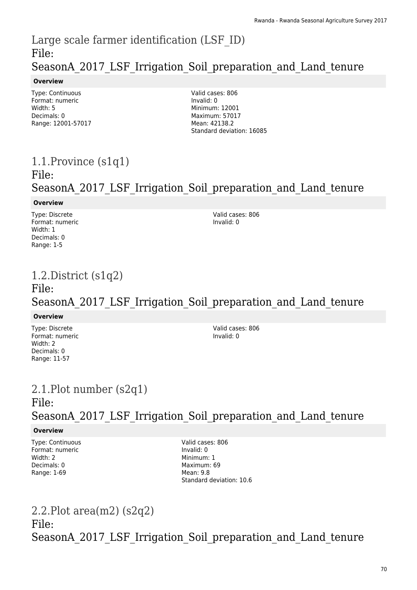### Large scale farmer identification (LSF\_ID) File: SeasonA 2017 LSF Irrigation Soil preparation and Land tenure

### **Overview**

Type: Continuous Format: numeric Width: 5 Decimals: 0 Range: 12001-57017

Valid cases: 806 Invalid: 0 Minimum: 12001 Maximum: 57017 Mean: 42138.2 Standard deviation: 16085

# 1.1.Province (s1q1) File:

# SeasonA 2017 LSF Irrigation Soil preparation and Land tenure

### **Overview**

Type: Discrete Format: numeric Width: 1 Decimals: 0 Range: 1-5

Valid cases: 806 Invalid: 0

# 1.2.District (s1q2) File: SeasonA 2017 LSF Irrigation Soil preparation and Land tenure

### **Overview**

Type: Discrete Format: numeric Width: 2 Decimals: 0 Range: 11-57

Valid cases: 806 Invalid: 0

# 2.1.Plot number (s2q1) File:

SeasonA 2017 LSF Irrigation Soil preparation and Land tenure

### **Overview**

Type: Continuous Format: numeric Width: 2 Decimals: 0 Range: 1-69

Valid cases: 806 Invalid: 0 Minimum: 1 Maximum: 69 Mean: 9.8 Standard deviation: 10.6

### 2.2.Plot area(m2) (s2q2) File: SeasonA 2017 LSF Irrigation Soil preparation and Land tenure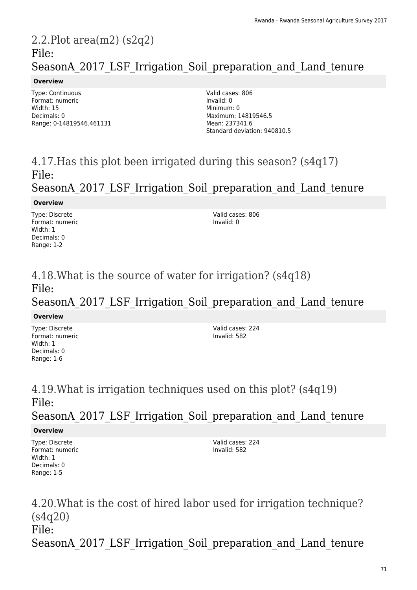### 2.2.Plot area(m2) (s2q2) File: SeasonA 2017 LSF Irrigation Soil preparation and Land tenure

### **Overview**

Type: Continuous Format: numeric Width: 15 Decimals: 0 Range: 0-14819546.461131 Valid cases: 806 Invalid: 0 Minimum: 0 Maximum: 14819546.5 Mean: 237341.6 Standard deviation: 940810.5

### 4.17.Has this plot been irrigated during this season? (s4q17) File: SeasonA 2017 LSF Irrigation Soil preparation and Land tenure

### **Overview**

Type: Discrete Format: numeric Width: 1 Decimals: 0 Range: 1-2

Valid cases: 806 Invalid: 0

# 4.18.What is the source of water for irrigation? (s4q18) File:

## SeasonA 2017 LSF Irrigation Soil preparation and Land tenure

### **Overview**

Type: Discrete Format: numeric Width: 1 Decimals: 0 Range: 1-6

Valid cases: 224 Invalid: 582

# 4.19.What is irrigation techniques used on this plot? (s4q19) File:

SeasonA 2017 LSF Irrigation Soil preparation and Land tenure

### **Overview**

Type: Discrete Format: numeric Width: 1 Decimals: 0 Range: 1-5

Valid cases: 224 Invalid: 582

4.20.What is the cost of hired labor used for irrigation technique? (s4q20) File: SeasonA 2017 LSF Irrigation Soil preparation and Land tenure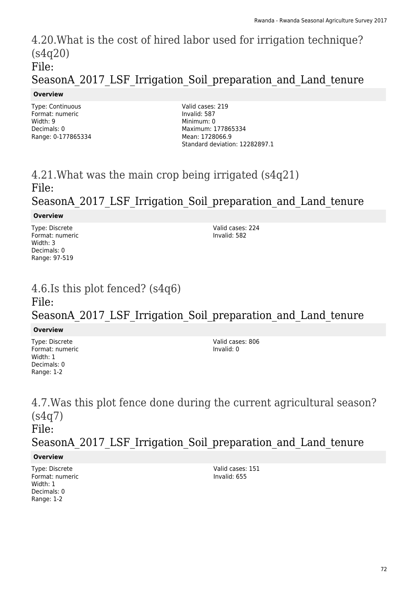4.20.What is the cost of hired labor used for irrigation technique? (s4q20) File: SeasonA 2017 LSF Irrigation Soil preparation and Land tenure

### **Overview**

Type: Continuous Format: numeric Width: 9 Decimals: 0 Range: 0-177865334

Valid cases: 219 Invalid: 587 Minimum: 0 Maximum: 177865334 Mean: 1728066.9 Standard deviation: 12282897.1

4.21.What was the main crop being irrigated (s4q21) File:

SeasonA 2017 LSF Irrigation Soil preparation and Land tenure

### **Overview**

Type: Discrete Format: numeric Width: 3 Decimals: 0 Range: 97-519

Valid cases: 224 Invalid: 582

# 4.6.Is this plot fenced? (s4q6) File:

# SeasonA 2017 LSF Irrigation Soil preparation and Land tenure

### **Overview**

Type: Discrete Format: numeric Width: 1 Decimals: 0 Range: 1-2

Valid cases: 806 Invalid: 0

4.7.Was this plot fence done during the current agricultural season? (s4q7) File:

# SeasonA 2017 LSF Irrigation Soil preparation and Land tenure

### **Overview**

Type: Discrete Format: numeric Width: 1 Decimals: 0 Range: 1-2

Valid cases: 151 Invalid: 655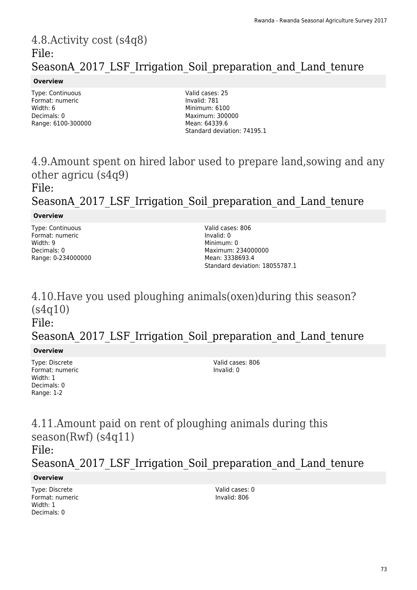## 4.8.Activity cost (s4q8) File: SeasonA\_2017\_LSF\_Irrigation Soil preparation and Land tenure

#### **Overview**

Type: Continuous Format: numeric Width: 6 Decimals: 0 Range: 6100-300000 Valid cases: 25 Invalid: 781 Minimum: 6100 Maximum: 300000 Mean: 64339.6 Standard deviation: 74195.1

# 4.9.Amount spent on hired labor used to prepare land,sowing and any other agricu (s4q9)

### File:

# SeasonA 2017 LSF Irrigation Soil preparation and Land tenure

### **Overview**

Type: Continuous Format: numeric Width: 9 Decimals: 0 Range: 0-234000000 Valid cases: 806 Invalid: 0 Minimum: 0 Maximum: 234000000 Mean: 3338693.4 Standard deviation: 18055787.1

### 4.10.Have you used ploughing animals(oxen)during this season?  $(s4q10)$ File: SeasonA 2017 LSF Irrigation Soil preparation and Land tenure

### **Overview**

Type: Discrete Format: numeric Width: 1 Decimals: 0 Range: 1-2

Valid cases: 806 Invalid: 0

4.11.Amount paid on rent of ploughing animals during this season(Rwf) (s4q11) File:

SeasonA 2017 LSF Irrigation Soil preparation and Land tenure

#### **Overview**

Type: Discrete Format: numeric Width: 1 Decimals: 0

Valid cases: 0 Invalid: 806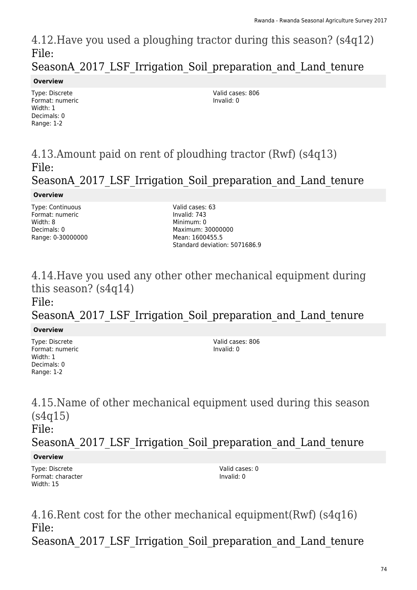4.12.Have you used a ploughing tractor during this season? (s4q12) File:

SeasonA 2017 LSF Irrigation Soil preparation and Land tenure

### **Overview**

Type: Discrete Format: numeric Width: 1 Decimals: 0 Range: 1-2

Valid cases: 806 Invalid: 0

### 4.13.Amount paid on rent of ploudhing tractor (Rwf) (s4q13) File: SeasonA 2017 LSF Irrigation Soil preparation and Land tenure

### **Overview**

Type: Continuous Format: numeric Width: 8 Decimals: 0 Range: 0-30000000

Valid cases: 63 Invalid: 743 Minimum: 0 Maximum: 30000000 Mean: 1600455.5 Standard deviation: 5071686.9

### 4.14.Have you used any other other mechanical equipment during this season? (s4q14) File:

SeasonA 2017 LSF Irrigation Soil preparation and Land tenure

### **Overview**

Type: Discrete Format: numeric Width: 1 Decimals: 0 Range: 1-2

Valid cases: 806 Invalid: 0

4.15.Name of other mechanical equipment used during this season (s4q15) File:

SeasonA 2017 LSF Irrigation Soil preparation and Land tenure

### **Overview**

Type: Discrete Format: character Width: 15

Valid cases: 0 Invalid: 0

# 4.16.Rent cost for the other mechanical equipment(Rwf) (s4q16) File:

SeasonA 2017 LSF Irrigation Soil preparation and Land tenure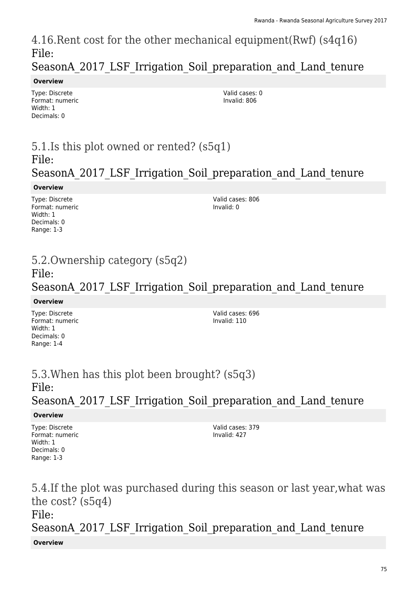4.16.Rent cost for the other mechanical equipment(Rwf) (s4q16) File:

# SeasonA 2017 LSF Irrigation Soil preparation and Land tenure

### **Overview**

Type: Discrete Format: numeric Width: 1 Decimals: 0

Valid cases: 0 Invalid: 806

## 5.1.Is this plot owned or rented? (s5q1) File: SeasonA 2017 LSF Irrigation Soil preparation and Land tenure

### **Overview**

Type: Discrete Format: numeric Width: 1 Decimals: 0 Range: 1-3

Valid cases: 806 Invalid: 0

# 5.2.Ownership category (s5q2)

### File:

# SeasonA 2017 LSF Irrigation Soil preparation and Land tenure

### **Overview**

Type: Discrete Format: numeric Width: 1 Decimals: 0 Range: 1-4

Valid cases: 696 Invalid: 110

# 5.3.When has this plot been brought? (s5q3) File: SeasonA 2017 LSF Irrigation Soil preparation and Land tenure

### **Overview**

Type: Discrete Format: numeric Width: 1 Decimals: 0 Range: 1-3

Valid cases: 379 Invalid: 427

5.4.If the plot was purchased during this season or last year,what was the cost? (s5q4) File: SeasonA 2017 LSF Irrigation Soil preparation and Land tenure **Overview**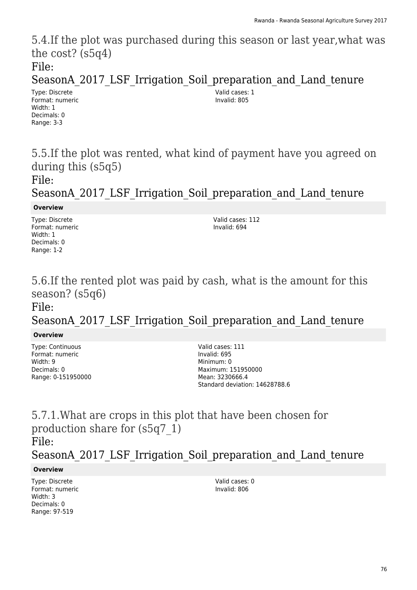5.4.If the plot was purchased during this season or last year,what was the cost? (s5q4)

File:

SeasonA 2017 LSF Irrigation Soil preparation and Land tenure

Type: Discrete Format: numeric Width: 1 Decimals: 0 Range: 3-3

Valid cases: 1 Invalid: 805

5.5.If the plot was rented, what kind of payment have you agreed on during this (s5q5)

### File:

SeasonA 2017 LSF Irrigation Soil preparation and Land tenure

### **Overview**

Type: Discrete Format: numeric Width: 1 Decimals: 0 Range: 1-2

Valid cases: 112 Invalid: 694

5.6.If the rented plot was paid by cash, what is the amount for this season? (s5q6)

### File:

SeasonA 2017 LSF Irrigation Soil preparation and Land tenure

### **Overview**

Type: Continuous Format: numeric Width: 9 Decimals: 0 Range: 0-151950000

Valid cases: 111 Invalid: 695 Minimum: 0 Maximum: 151950000 Mean: 3230666.4 Standard deviation: 14628788.6

5.7.1.What are crops in this plot that have been chosen for production share for (s5q7\_1) File: SeasonA 2017 LSF Irrigation Soil preparation and Land tenure

### **Overview**

Type: Discrete Format: numeric Width: 3 Decimals: 0 Range: 97-519

Valid cases: 0 Invalid: 806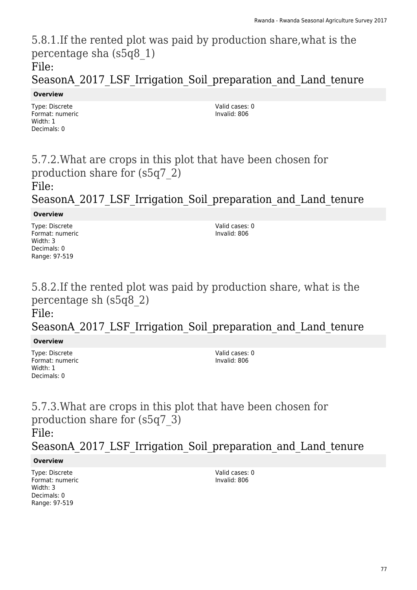### 5.8.1.If the rented plot was paid by production share,what is the percentage sha (s5q8\_1) File:

# SeasonA 2017 LSF Irrigation Soil preparation and Land tenure

### **Overview**

Type: Discrete Format: numeric Width: 1 Decimals: 0

Valid cases: 0 Invalid: 806

# 5.7.2.What are crops in this plot that have been chosen for production share for (s5q7\_2)

### File:

SeasonA 2017 LSF Irrigation Soil preparation and Land tenure

### **Overview**

Type: Discrete Format: numeric Width: 3 Decimals: 0 Range: 97-519

Valid cases: 0 Invalid: 806

# 5.8.2.If the rented plot was paid by production share, what is the percentage sh (s5q8\_2)

### File:

SeasonA 2017 LSF Irrigation Soil preparation and Land tenure

### **Overview**

Type: Discrete Format: numeric Width: 1 Decimals: 0

Valid cases: 0 Invalid: 806

### 5.7.3.What are crops in this plot that have been chosen for production share for (s5q7\_3) File:

SeasonA 2017 LSF Irrigation Soil preparation and Land tenure

### **Overview**

Type: Discrete Format: numeric Width: 3 Decimals: 0 Range: 97-519

Valid cases: 0 Invalid: 806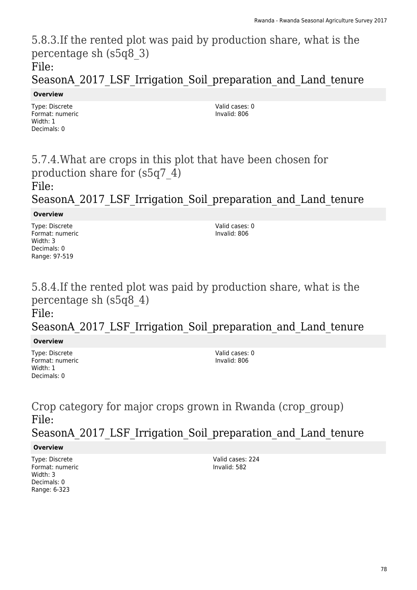# 5.8.3.If the rented plot was paid by production share, what is the percentage sh (s5q8\_3) File:

## SeasonA 2017 LSF Irrigation Soil preparation and Land tenure

### **Overview**

Type: Discrete Format: numeric Width: 1 Decimals: 0

Valid cases: 0 Invalid: 806

### 5.7.4.What are crops in this plot that have been chosen for production share for (s5q7\_4) File:

# SeasonA 2017 LSF Irrigation Soil preparation and Land tenure

### **Overview**

Type: Discrete Format: numeric Width: 3 Decimals: 0 Range: 97-519

Valid cases: 0 Invalid: 806

# 5.8.4.If the rented plot was paid by production share, what is the percentage sh (s5q8\_4)

### File:

SeasonA 2017 LSF Irrigation Soil preparation and Land tenure

### **Overview**

Type: Discrete Format: numeric Width: 1 Decimals: 0

Valid cases: 0 Invalid: 806

# Crop category for major crops grown in Rwanda (crop\_group) File:

SeasonA 2017 LSF Irrigation Soil preparation and Land tenure

### **Overview**

Type: Discrete Format: numeric Width: 3 Decimals: 0 Range: 6-323

Valid cases: 224 Invalid: 582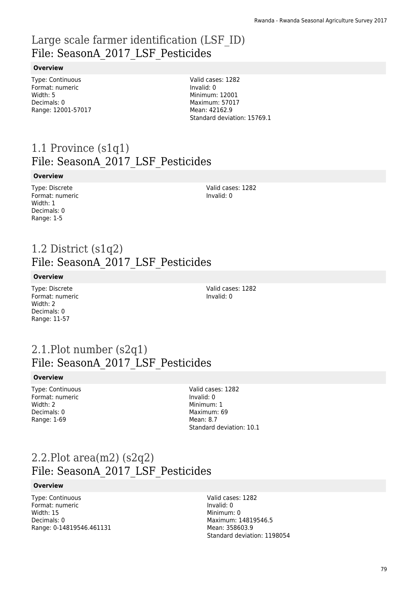### Large scale farmer identification (LSF\_ID) File: SeasonA\_2017\_LSF\_Pesticides

### **Overview**

Type: Continuous Format: numeric Width: 5 Decimals: 0 Range: 12001-57017 Valid cases: 1282 Invalid: 0 Minimum: 12001 Maximum: 57017 Mean: 42162.9 Standard deviation: 15769.1

## 1.1 Province (s1q1) File: SeasonA\_2017\_LSF\_Pesticides

#### **Overview**

Type: Discrete Format: numeric Width: 1 Decimals: 0 Range: 1-5

Valid cases: 1282 Invalid: 0

### 1.2 District (s1q2) File: SeasonA\_2017\_LSF\_Pesticides

#### **Overview**

Type: Discrete Format: numeric Width: 2 Decimals: 0 Range: 11-57

Valid cases: 1282 Invalid: 0

### 2.1.Plot number (s2q1) File: SeasonA\_2017\_LSF\_Pesticides

#### **Overview**

Type: Continuous Format: numeric Width: 2 Decimals: 0 Range: 1-69

Valid cases: 1282 Invalid: 0 Minimum: 1 Maximum: 69 Mean: 8.7 Standard deviation: 10.1

### 2.2.Plot area(m2) (s2q2) File: SeasonA\_2017\_LSF\_Pesticides

#### **Overview**

Type: Continuous Format: numeric Width: 15 Decimals: 0 Range: 0-14819546.461131 Valid cases: 1282 Invalid: 0 Minimum: 0 Maximum: 14819546.5 Mean: 358603.9 Standard deviation: 1198054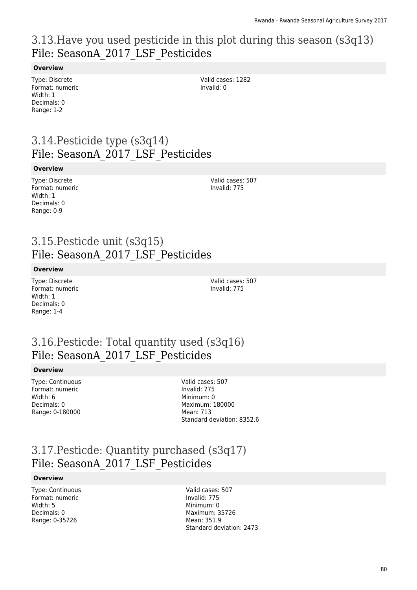## 3.13.Have you used pesticide in this plot during this season (s3q13) File: SeasonA\_2017\_LSF\_Pesticides

**Overview**

Type: Discrete Format: numeric Width: 1 Decimals: 0 Range: 1-2

Valid cases: 1282 Invalid: 0

## 3.14.Pesticide type (s3q14) File: SeasonA\_2017\_LSF\_Pesticides

#### **Overview**

Type: Discrete Format: numeric Width: 1 Decimals: 0 Range: 0-9

Valid cases: 507 Invalid: 775

### 3.15.Pesticde unit (s3q15) File: SeasonA\_2017\_LSF\_Pesticides

#### **Overview**

Type: Discrete Format: numeric Width: 1 Decimals: 0 Range: 1-4

Valid cases: 507 Invalid: 775

### 3.16.Pesticde: Total quantity used (s3q16) File: SeasonA\_2017\_LSF\_Pesticides

#### **Overview**

Type: Continuous Format: numeric Width: 6 Decimals: 0 Range: 0-180000

Valid cases: 507 Invalid: 775 Minimum: 0 Maximum: 180000 Mean: 713 Standard deviation: 8352.6

# 3.17.Pesticde: Quantity purchased (s3q17) File: SeasonA\_2017\_LSF\_Pesticides

#### **Overview**

Type: Continuous Format: numeric Width: 5 Decimals: 0 Range: 0-35726

Valid cases: 507 Invalid: 775 Minimum: 0 Maximum: 35726 Mean: 351.9 Standard deviation: 2473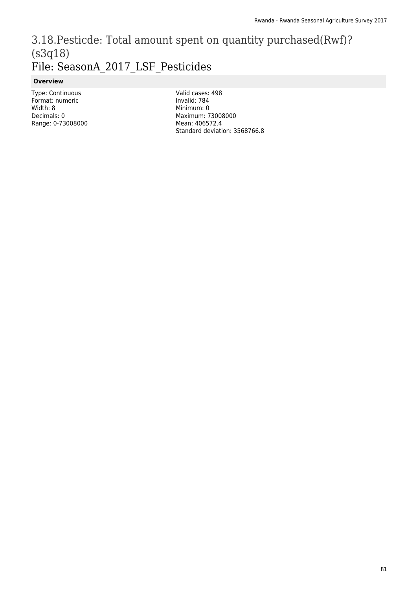## 3.18.Pesticde: Total amount spent on quantity purchased(Rwf)? (s3q18) File: SeasonA\_2017\_LSF\_Pesticides

#### **Overview**

Type: Continuous Format: numeric Width: 8 Decimals: 0 Range: 0-73008000 Valid cases: 498 Invalid: 784 Minimum: 0 Maximum: 73008000 Mean: 406572.4 Standard deviation: 3568766.8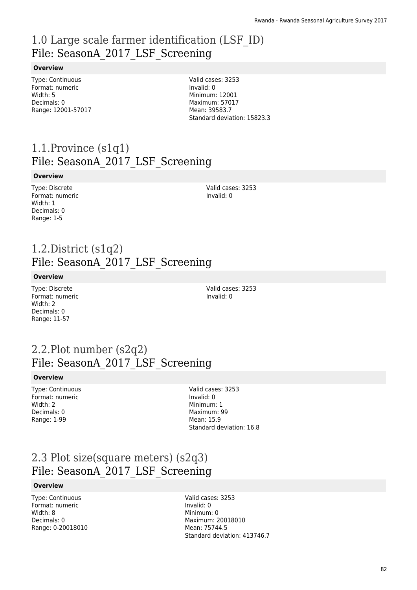## 1.0 Large scale farmer identification (LSF\_ID) File: SeasonA\_2017\_LSF\_Screening

#### **Overview**

Type: Continuous Format: numeric Width: 5 Decimals: 0 Range: 12001-57017

Valid cases: 3253 Invalid: 0 Minimum: 12001 Maximum: 57017 Mean: 39583.7 Standard deviation: 15823.3

## 1.1.Province (s1q1) File: SeasonA\_2017\_LSF\_Screening

#### **Overview**

Type: Discrete Format: numeric Width: 1 Decimals: 0 Range: 1-5

Valid cases: 3253 Invalid: 0

### 1.2.District (s1q2) File: SeasonA\_2017\_LSF\_Screening

#### **Overview**

Type: Discrete Format: numeric Width: 2 Decimals: 0 Range: 11-57

Valid cases: 3253 Invalid: 0

### 2.2.Plot number (s2q2) File: SeasonA\_2017\_LSF\_Screening

#### **Overview**

Type: Continuous Format: numeric Width: 2 Decimals: 0 Range: 1-99

Valid cases: 3253 Invalid: 0 Minimum: 1 Maximum: 99 Mean: 15.9 Standard deviation: 16.8

### 2.3 Plot size(square meters) (s2q3) File: SeasonA 2017 LSF Screening

#### **Overview**

Type: Continuous Format: numeric Width: 8 Decimals: 0 Range: 0-20018010

Valid cases: 3253 Invalid: 0 Minimum: 0 Maximum: 20018010 Mean: 75744.5 Standard deviation: 413746.7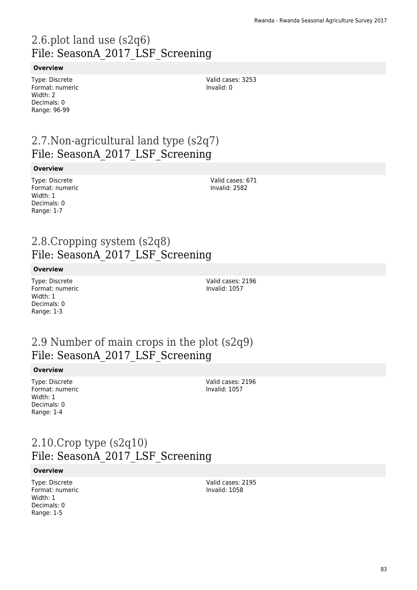# 2.6.plot land use (s2q6) File: SeasonA\_2017\_LSF\_Screening

### **Overview**

Type: Discrete Format: numeric Width: 2 Decimals: 0 Range: 96-99

Valid cases: 3253 Invalid: 0

## 2.7.Non-agricultural land type (s2q7) File: SeasonA\_2017\_LSF\_Screening

#### **Overview**

Type: Discrete Format: numeric Width: 1 Decimals: 0 Range: 1-7

Valid cases: 671 Invalid: 2582

### 2.8.Cropping system (s2q8) File: SeasonA 2017 LSF Screening

#### **Overview**

Type: Discrete Format: numeric Width: 1 Decimals: 0 Range: 1-3

Valid cases: 2196 Invalid: 1057

## 2.9 Number of main crops in the plot (s2q9) File: SeasonA\_2017\_LSF\_Screening

#### **Overview**

Type: Discrete Format: numeric Width: 1 Decimals: 0 Range: 1-4

Valid cases: 2196 Invalid: 1057

## 2.10.Crop type (s2q10) File: SeasonA\_2017\_LSF\_Screening

#### **Overview**

Type: Discrete Format: numeric Width: 1 Decimals: 0 Range: 1-5

Valid cases: 2195 Invalid: 1058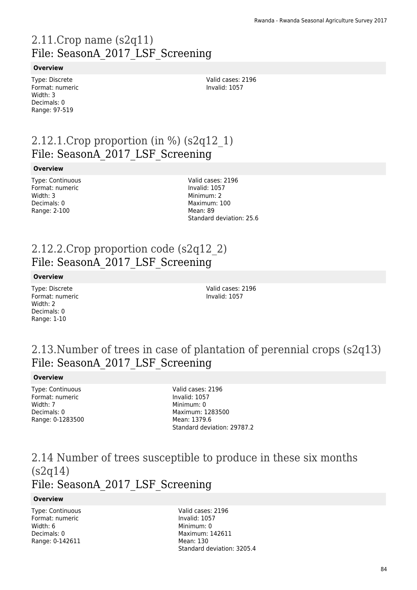# 2.11.Crop name (s2q11) File: SeasonA\_2017\_LSF\_Screening

#### **Overview**

Type: Discrete Format: numeric Width: 3 Decimals: 0 Range: 97-519

Valid cases: 2196 Invalid: 1057

### 2.12.1.Crop proportion (in  $\%$ ) (s2q12-1) File: SeasonA\_2017\_LSF\_Screening

#### **Overview**

Type: Continuous Format: numeric Width: 3 Decimals: 0 Range: 2-100

Valid cases: 2196 Invalid: 1057 Minimum: 2 Maximum: 100 Mean: 89 Standard deviation: 25.6

### 2.12.2.Crop proportion code (s2q12\_2) File: SeasonA\_2017\_LSF\_Screening

#### **Overview**

Type: Discrete Format: numeric Width: 2 Decimals: 0 Range: 1-10

Valid cases: 2196 Invalid: 1057

### 2.13.Number of trees in case of plantation of perennial crops (s2q13) File: SeasonA\_2017\_LSF\_Screening

#### **Overview**

Type: Continuous Format: numeric Width: 7 Decimals: 0 Range: 0-1283500

Valid cases: 2196 Invalid: 1057 Minimum: 0 Maximum: 1283500 Mean: 1379.6 Standard deviation: 29787.2

# 2.14 Number of trees susceptible to produce in these six months (s2q14)

### File: SeasonA\_2017\_LSF\_Screening

#### **Overview**

Type: Continuous Format: numeric Width: 6 Decimals: 0 Range: 0-142611

Valid cases: 2196 Invalid: 1057 Minimum: 0 Maximum: 142611 Mean: 130 Standard deviation: 3205.4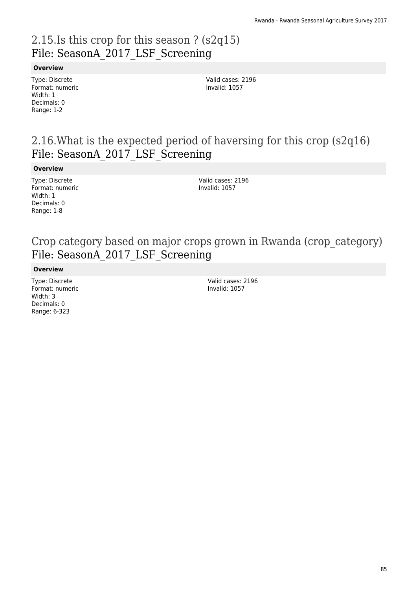## 2.15.Is this crop for this season ? (s2q15) File: SeasonA\_2017\_LSF\_Screening

#### **Overview**

Type: Discrete Format: numeric Width: 1 Decimals: 0 Range: 1-2

Valid cases: 2196 Invalid: 1057

### 2.16.What is the expected period of haversing for this crop (s2q16) File: SeasonA\_2017\_LSF\_Screening

**Overview**

Type: Discrete Format: numeric Width: 1 Decimals: 0 Range: 1-8

Valid cases: 2196 Invalid: 1057

### Crop category based on major crops grown in Rwanda (crop\_category) File: SeasonA\_2017\_LSF\_Screening

**Overview**

Type: Discrete Format: numeric Width: 3 Decimals: 0 Range: 6-323

Valid cases: 2196 Invalid: 1057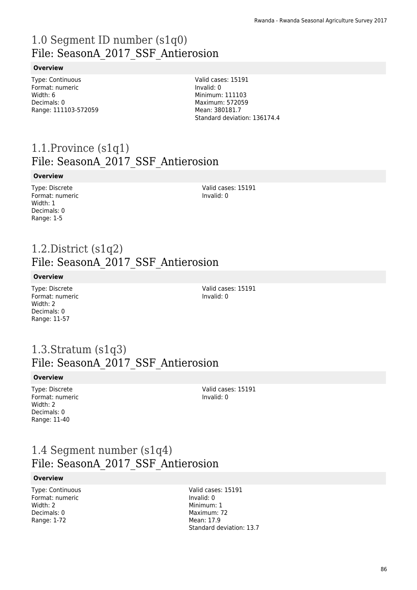# 1.0 Segment ID number (s1q0) File: SeasonA\_2017\_SSF\_Antierosion

#### **Overview**

Type: Continuous Format: numeric Width: 6 Decimals: 0 Range: 111103-572059 Valid cases: 15191 Invalid: 0 Minimum: 111103 Maximum: 572059 Mean: 380181.7 Standard deviation: 136174.4

## 1.1.Province (s1q1) File: SeasonA\_2017\_SSF\_Antierosion

#### **Overview**

Type: Discrete Format: numeric Width: 1 Decimals: 0 Range: 1-5

Valid cases: 15191 Invalid: 0

### 1.2.District (s1q2) File: SeasonA\_2017\_SSF\_Antierosion

#### **Overview**

Type: Discrete Format: numeric Width: 2 Decimals: 0 Range: 11-57

Valid cases: 15191 Invalid: 0

### 1.3.Stratum (s1q3) File: SeasonA\_2017\_SSF\_Antierosion

#### **Overview**

Type: Discrete Format: numeric Width: 2 Decimals: 0 Range: 11-40

Valid cases: 15191 Invalid: 0

### 1.4 Segment number (s1q4) File: SeasonA\_2017\_SSF\_Antierosion

#### **Overview**

Type: Continuous Format: numeric Width: 2 Decimals: 0 Range: 1-72

Valid cases: 15191 Invalid: 0 Minimum: 1 Maximum: 72 Mean: 17.9 Standard deviation: 13.7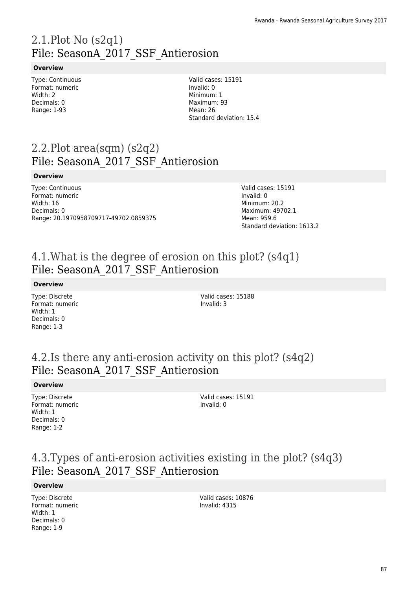# 2.1.Plot No (s2q1) File: SeasonA\_2017\_SSF\_Antierosion

#### **Overview**

Type: Continuous Format: numeric Width: 2 Decimals: 0 Range: 1-93

Valid cases: 15191 Invalid: 0 Minimum: 1 Maximum: 93 Mean: 26 Standard deviation: 15.4

## 2.2.Plot area(sqm) (s2q2) File: SeasonA\_2017\_SSF\_Antierosion

#### **Overview**

Type: Continuous Format: numeric Width: 16 Decimals: 0 Range: 20.1970958709717-49702.0859375 Valid cases: 15191 Invalid: 0 Minimum: 20.2 Maximum: 49702.1 Mean: 959.6 Standard deviation: 1613.2

## 4.1.What is the degree of erosion on this plot? (s4q1) File: SeasonA\_2017\_SSF\_Antierosion

#### **Overview**

Type: Discrete Format: numeric Width: 1 Decimals: 0 Range: 1-3

Valid cases: 15188 Invalid: 3

### 4.2.Is there any anti-erosion activity on this plot? (s4q2) File: SeasonA\_2017\_SSF\_Antierosion

#### **Overview**

Type: Discrete Format: numeric Width: 1 Decimals: 0 Range: 1-2

Valid cases: 15191 Invalid: 0

### 4.3.Types of anti-erosion activities existing in the plot? (s4q3) File: SeasonA\_2017\_SSF\_Antierosion

#### **Overview**

Type: Discrete Format: numeric Width: 1 Decimals: 0 Range: 1-9

Valid cases: 10876 Invalid: 4315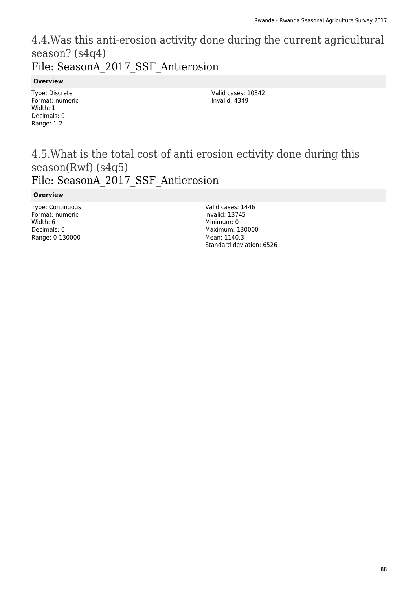### 4.4.Was this anti-erosion activity done during the current agricultural season? (s4q4) File: SeasonA\_2017\_SSF\_Antierosion

#### **Overview**

Type: Discrete Format: numeric Width: 1 Decimals: 0 Range: 1-2

Valid cases: 10842 Invalid: 4349

### 4.5.What is the total cost of anti erosion ectivity done during this season(Rwf) (s4q5) File: SeasonA\_2017\_SSF\_Antierosion

#### **Overview**

Type: Continuous Format: numeric Width: 6 Decimals: 0 Range: 0-130000

Valid cases: 1446 Invalid: 13745 Minimum: 0 Maximum: 130000 Mean: 1140.3 Standard deviation: 6526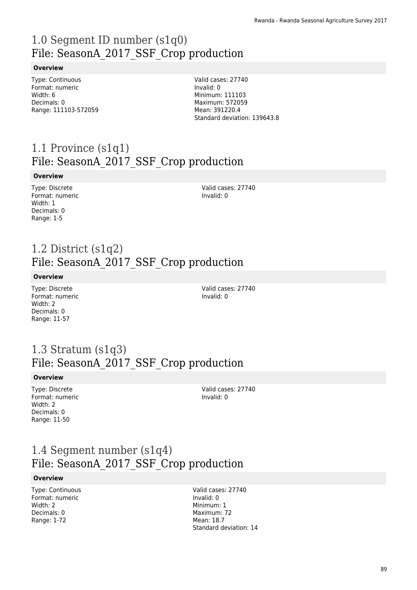# 1.0 Segment ID number (s1q0) File: SeasonA\_2017\_SSF\_Crop production

#### **Overview**

Type: Continuous Format: numeric Width: 6 Decimals: 0 Range: 111103-572059

Valid cases: 27740 Invalid: 0 Minimum: 111103 Maximum: 572059 Mean: 391220.4 Standard deviation: 139643.8

# 1.1 Province (s1q1) File: SeasonA\_2017\_SSF\_Crop production

#### **Overview**

Type: Discrete Format: numeric Width: 1 Decimals: 0 Range: 1-5

Valid cases: 27740 Invalid: 0

### 1.2 District (s1q2) File: SeasonA\_2017\_SSF\_Crop production

#### **Overview**

Type: Discrete Format: numeric Width: 2 Decimals: 0 Range: 11-57

Valid cases: 27740 Invalid: 0

### 1.3 Stratum (s1q3) File: SeasonA\_2017\_SSF\_Crop production

#### **Overview**

Type: Discrete Format: numeric Width: 2 Decimals: 0 Range: 11-50

Valid cases: 27740 Invalid: 0

### 1.4 Segment number (s1q4) File: SeasonA\_2017\_SSF\_Crop production

#### **Overview**

Type: Continuous Format: numeric Width: 2 Decimals: 0 Range: 1-72

Valid cases: 27740 Invalid: 0 Minimum: 1 Maximum: 72 Mean: 18.7 Standard deviation: 14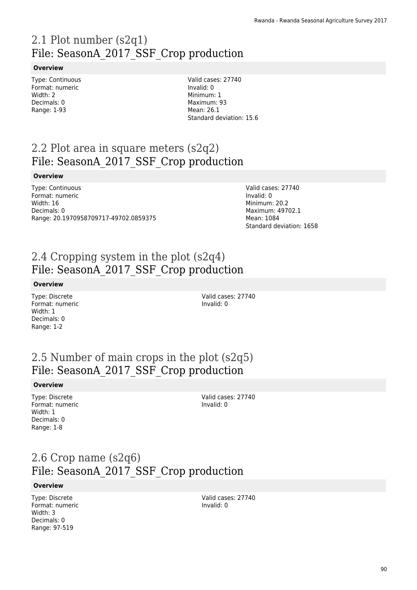# 2.1 Plot number (s2q1) File: SeasonA\_2017\_SSF\_Crop production

#### **Overview**

Type: Continuous Format: numeric Width: 2 Decimals: 0 Range: 1-93

Valid cases: 27740 Invalid: 0 Minimum: 1 Maximum: 93 Mean: 26.1 Standard deviation: 15.6

## 2.2 Plot area in square meters (s2q2) File: SeasonA\_2017\_SSF\_Crop production

#### **Overview**

Type: Continuous Format: numeric Width: 16 Decimals: 0 Range: 20.1970958709717-49702.0859375

Valid cases: 27740 Invalid: 0 Minimum: 20.2 Maximum: 49702.1 Mean: 1084 Standard deviation: 1658

# 2.4 Cropping system in the plot (s2q4) File: SeasonA\_2017\_SSF\_Crop production

#### **Overview**

Type: Discrete Format: numeric Width: 1 Decimals: 0 Range: 1-2

Valid cases: 27740 Invalid: 0

### 2.5 Number of main crops in the plot (s2q5) File: SeasonA\_2017\_SSF\_Crop production

#### **Overview**

Type: Discrete Format: numeric Width: 1 Decimals: 0 Range: 1-8

Valid cases: 27740 Invalid: 0

# 2.6 Crop name (s2q6) File: SeasonA\_2017\_SSF\_Crop production

#### **Overview**

Type: Discrete Format: numeric Width: 3 Decimals: 0 Range: 97-519

Valid cases: 27740 Invalid: 0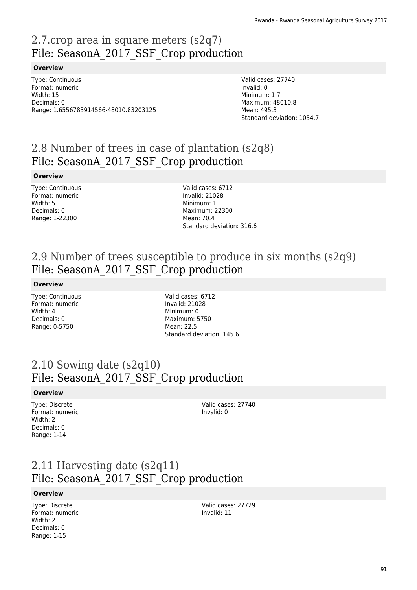## 2.7.crop area in square meters (s2q7) File: SeasonA\_2017\_SSF\_Crop production

#### **Overview**

Type: Continuous Format: numeric Width: 15 Decimals: 0 Range: 1.6556783914566-48010.83203125 Valid cases: 27740 Invalid: 0 Minimum: 1.7 Maximum: 48010.8 Mean: 495.3 Standard deviation: 1054.7

# 2.8 Number of trees in case of plantation (s2q8) File: SeasonA\_2017\_SSF\_Crop production

#### **Overview**

Type: Continuous Format: numeric Width: 5 Decimals: 0 Range: 1-22300

Valid cases: 6712 Invalid: 21028 Minimum: 1 Maximum: 22300 Mean: 70.4 Standard deviation: 316.6

## 2.9 Number of trees susceptible to produce in six months (s2q9) File: SeasonA\_2017\_SSF\_Crop production

#### **Overview**

Type: Continuous Format: numeric Width: 4 Decimals: 0 Range: 0-5750

Valid cases: 6712 Invalid: 21028 Minimum: 0 Maximum: 5750 Mean: 22.5 Standard deviation: 145.6

### 2.10 Sowing date (s2q10) File: SeasonA\_2017\_SSF\_Crop production

#### **Overview**

Type: Discrete Format: numeric Width: 2 Decimals: 0 Range: 1-14

Valid cases: 27740 Invalid: 0

### 2.11 Harvesting date (s2q11) File: SeasonA\_2017\_SSF\_Crop production

#### **Overview**

Type: Discrete Format: numeric Width: 2 Decimals: 0 Range: 1-15

Valid cases: 27729 Invalid: 11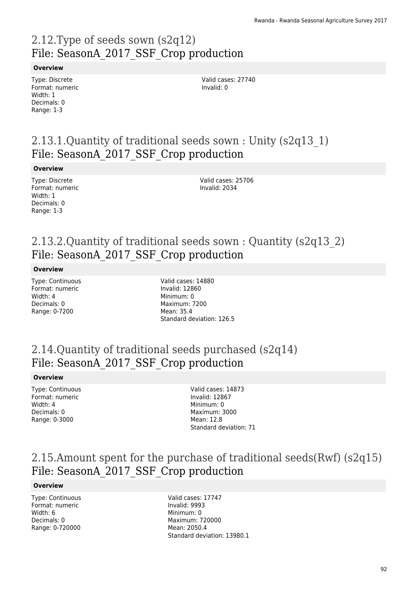# 2.12.Type of seeds sown (s2q12) File: SeasonA\_2017\_SSF\_Crop production

#### **Overview**

Type: Discrete Format: numeric Width: 1 Decimals: 0 Range: 1-3

Valid cases: 27740 Invalid: 0

### 2.13.1.Quantity of traditional seeds sown : Unity (s2q13\_1) File: SeasonA\_2017\_SSF\_Crop production

**Overview**

Type: Discrete Format: numeric Width: 1 Decimals: 0 Range: 1-3

Valid cases: 25706 Invalid: 2034

## 2.13.2.Quantity of traditional seeds sown : Quantity (s2q13\_2) File: SeasonA\_2017\_SSF\_Crop production

#### **Overview**

Type: Continuous Format: numeric Width: 4 Decimals: 0 Range: 0-7200

Valid cases: 14880 Invalid: 12860 Minimum: 0 Maximum: 7200 Mean: 35.4 Standard deviation: 126.5

## 2.14.Quantity of traditional seeds purchased (s2q14) File: SeasonA\_2017\_SSF\_Crop production

#### **Overview**

Type: Continuous Format: numeric Width: 4 Decimals: 0 Range: 0-3000

Valid cases: 14873 Invalid: 12867 Minimum: 0 Maximum: 3000 Mean: 12.8 Standard deviation: 71

### 2.15.Amount spent for the purchase of traditional seeds(Rwf) (s2q15) File: SeasonA\_2017\_SSF\_Crop production

#### **Overview**

Type: Continuous Format: numeric Width: 6 Decimals: 0 Range: 0-720000

Valid cases: 17747 Invalid: 9993 Minimum: 0 Maximum: 720000 Mean: 2050.4 Standard deviation: 13980.1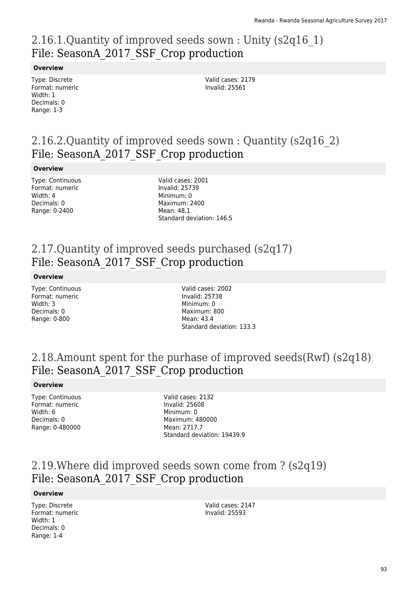# 2.16.1.Quantity of improved seeds sown : Unity (s2q16\_1) File: SeasonA\_2017\_SSF\_Crop production

#### **Overview**

Type: Discrete Format: numeric Width: 1 Decimals: 0 Range: 1-3

Valid cases: 2179 Invalid: 25561

## 2.16.2.Quantity of improved seeds sown : Quantity (s2q16\_2) File: SeasonA\_2017\_SSF\_Crop production

#### **Overview**

Type: Continuous Format: numeric Width: 4 Decimals: 0 Range: 0-2400

Valid cases: 2001 Invalid: 25739 Minimum: 0 Maximum: 2400 Mean: 48.1 Standard deviation: 146.5

## 2.17.Quantity of improved seeds purchased (s2q17) File: SeasonA\_2017\_SSF\_Crop production

#### **Overview**

Type: Continuous Format: numeric Width: 3 Decimals: 0 Range: 0-800

Valid cases: 2002 Invalid: 25738 Minimum: 0 Maximum: 800 Mean: 43.4 Standard deviation: 133.3

### 2.18.Amount spent for the purhase of improved seeds(Rwf) (s2q18) File: SeasonA\_2017\_SSF\_Crop production

#### **Overview**

Type: Continuous Format: numeric Width: 6 Decimals: 0 Range: 0-480000

Valid cases: 2132 Invalid: 25608 Minimum: 0 Maximum: 480000 Mean: 2717.7 Standard deviation: 19439.9

### 2.19.Where did improved seeds sown come from ? (s2q19) File: SeasonA\_2017\_SSF\_Crop production

#### **Overview**

Type: Discrete Format: numeric Width: 1 Decimals: 0 Range: 1-4

Valid cases: 2147 Invalid: 25593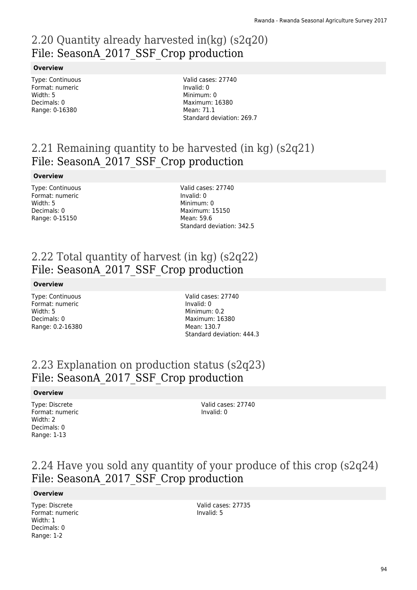# 2.20 Quantity already harvested in(kg) (s2q20) File: SeasonA\_2017\_SSF\_Crop production

#### **Overview**

Type: Continuous Format: numeric Width: 5 Decimals: 0 Range: 0-16380

Valid cases: 27740 Invalid: 0 Minimum: 0 Maximum: 16380 Mean: 71.1 Standard deviation: 269.7

# 2.21 Remaining quantity to be harvested (in kg) (s2q21) File: SeasonA\_2017\_SSF\_Crop production

#### **Overview**

Type: Continuous Format: numeric Width: 5 Decimals: 0 Range: 0-15150

Valid cases: 27740 Invalid: 0 Minimum: 0 Maximum: 15150 Mean: 59.6 Standard deviation: 342.5

## 2.22 Total quantity of harvest (in kg) (s2q22) File: SeasonA\_2017\_SSF\_Crop production

#### **Overview**

Type: Continuous Format: numeric Width: 5 Decimals: 0 Range: 0.2-16380

Valid cases: 27740 Invalid: 0 Minimum: 0.2 Maximum: 16380 Mean: 130.7 Standard deviation: 444.3

### 2.23 Explanation on production status (s2q23) File: SeasonA\_2017\_SSF\_Crop production

#### **Overview**

Type: Discrete Format: numeric Width: 2 Decimals: 0 Range: 1-13

Valid cases: 27740 Invalid: 0

### 2.24 Have you sold any quantity of your produce of this crop (s2q24) File: SeasonA\_2017\_SSF\_Crop production

#### **Overview**

Type: Discrete Format: numeric Width: 1 Decimals: 0 Range: 1-2

Valid cases: 27735 Invalid: 5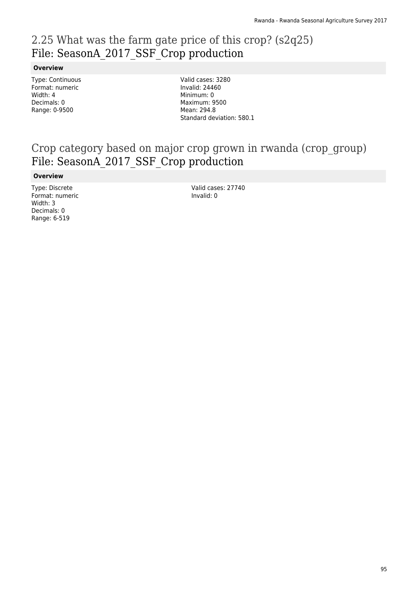# 2.25 What was the farm gate price of this crop? (s2q25) File: SeasonA\_2017\_SSF\_Crop production

#### **Overview**

Type: Continuous Format: numeric Width: 4 Decimals: 0 Range: 0-9500

Valid cases: 3280 Invalid: 24460 Minimum: 0 Maximum: 9500 Mean: 294.8 Standard deviation: 580.1

## Crop category based on major crop grown in rwanda (crop\_group) File: SeasonA\_2017\_SSF\_Crop production

#### **Overview**

Type: Discrete Format: numeric Width: 3 Decimals: 0 Range: 6-519

Valid cases: 27740 Invalid: 0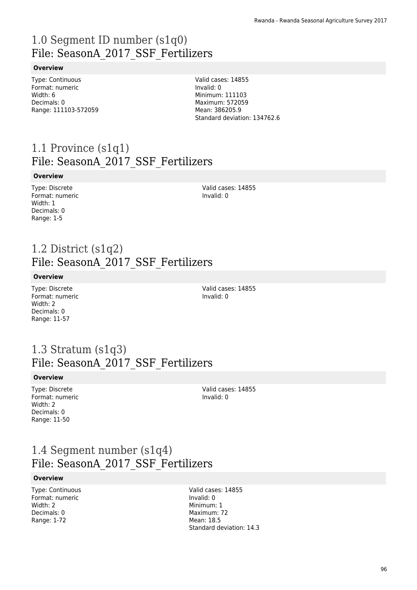# 1.0 Segment ID number (s1q0) File: SeasonA\_2017\_SSF\_Fertilizers

#### **Overview**

Type: Continuous Format: numeric Width: 6 Decimals: 0 Range: 111103-572059 Valid cases: 14855 Invalid: 0 Minimum: 111103 Maximum: 572059 Mean: 386205.9 Standard deviation: 134762.6

## 1.1 Province (s1q1) File: SeasonA\_2017\_SSF\_Fertilizers

#### **Overview**

Type: Discrete Format: numeric Width: 1 Decimals: 0 Range: 1-5

Valid cases: 14855 Invalid: 0

### 1.2 District (s1q2) File: SeasonA\_2017\_SSF\_Fertilizers

#### **Overview**

Type: Discrete Format: numeric Width: 2 Decimals: 0 Range: 11-57

Valid cases: 14855 Invalid: 0

### 1.3 Stratum (s1q3) File: SeasonA\_2017\_SSF\_Fertilizers

#### **Overview**

Type: Discrete Format: numeric Width: 2 Decimals: 0 Range: 11-50

Valid cases: 14855 Invalid: 0

### 1.4 Segment number (s1q4) File: SeasonA\_2017\_SSF\_Fertilizers

#### **Overview**

Type: Continuous Format: numeric Width: 2 Decimals: 0 Range: 1-72

Valid cases: 14855 Invalid: 0 Minimum: 1 Maximum: 72 Mean: 18.5 Standard deviation: 14.3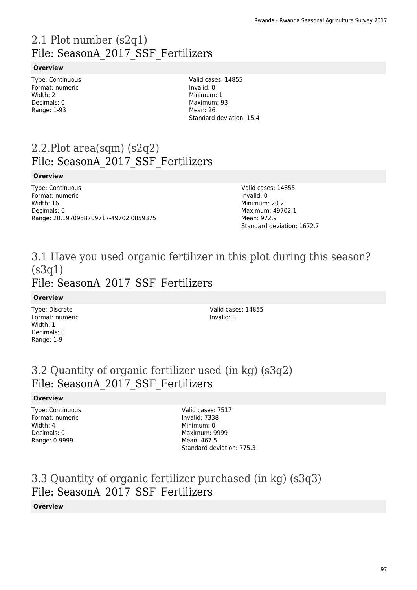# 2.1 Plot number (s2q1) File: SeasonA\_2017\_SSF\_Fertilizers

#### **Overview**

Type: Continuous Format: numeric Width: 2 Decimals: 0 Range: 1-93

Valid cases: 14855 Invalid: 0 Minimum: 1 Maximum: 93 Mean: 26 Standard deviation: 15.4

## 2.2.Plot area(sqm) (s2q2) File: SeasonA\_2017\_SSF\_Fertilizers

#### **Overview**

Type: Continuous Format: numeric Width: 16 Decimals: 0 Range: 20.1970958709717-49702.0859375 Valid cases: 14855 Invalid: 0 Minimum: 20.2 Maximum: 49702.1 Mean: 972.9 Standard deviation: 1672.7

# 3.1 Have you used organic fertilizer in this plot during this season? (s3q1)

### File: SeasonA\_2017\_SSF\_Fertilizers

### **Overview**

Type: Discrete Format: numeric Width: 1 Decimals: 0 Range: 1-9

Valid cases: 14855 Invalid: 0

## 3.2 Quantity of organic fertilizer used (in kg) (s3q2) File: SeasonA\_2017\_SSF\_Fertilizers

### **Overview**

Type: Continuous Format: numeric Width: 4 Decimals: 0 Range: 0-9999

Valid cases: 7517 Invalid: 7338 Minimum: 0 Maximum: 9999 Mean: 467.5 Standard deviation: 775.3

# 3.3 Quantity of organic fertilizer purchased (in kg) (s3q3) File: SeasonA\_2017\_SSF\_Fertilizers

### **Overview**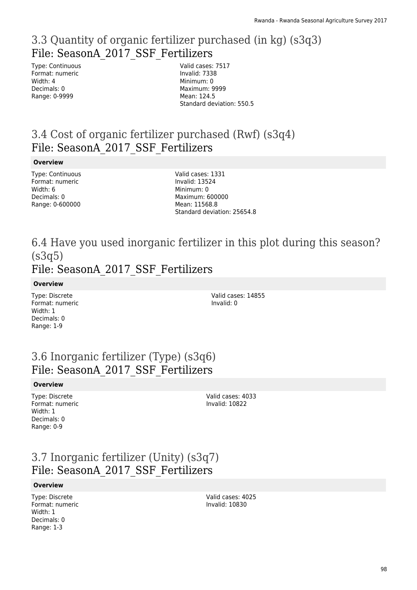## 3.3 Quantity of organic fertilizer purchased (in kg) (s3q3) File: SeasonA\_2017\_SSF\_Fertilizers

Type: Continuous Format: numeric Width: 4 Decimals: 0 Range: 0-9999

Valid cases: 7517 Invalid: 7338 Minimum: 0 Maximum: 9999 Mean: 124.5 Standard deviation: 550.5

## 3.4 Cost of organic fertilizer purchased (Rwf) (s3q4) File: SeasonA\_2017\_SSF\_Fertilizers

#### **Overview**

Type: Continuous Format: numeric Width: 6 Decimals: 0 Range: 0-600000

Valid cases: 1331 Invalid: 13524 Minimum: 0 Maximum: 600000 Mean: 11568.8 Standard deviation: 25654.8

# 6.4 Have you used inorganic fertilizer in this plot during this season?  $(s3q5)$

# File: SeasonA\_2017\_SSF\_Fertilizers

#### **Overview**

Type: Discrete Format: numeric Width: 1 Decimals: 0 Range: 1-9

Valid cases: 14855 Invalid: 0

## 3.6 Inorganic fertilizer (Type) (s3q6) File: SeasonA\_2017\_SSF\_Fertilizers

#### **Overview**

Type: Discrete Format: numeric Width: 1 Decimals: 0 Range: 0-9

Valid cases: 4033 Invalid: 10822

### 3.7 Inorganic fertilizer (Unity) (s3q7) File: SeasonA\_2017\_SSF\_Fertilizers

### **Overview**

Type: Discrete Format: numeric Width: 1 Decimals: 0 Range: 1-3

Valid cases: 4025 Invalid: 10830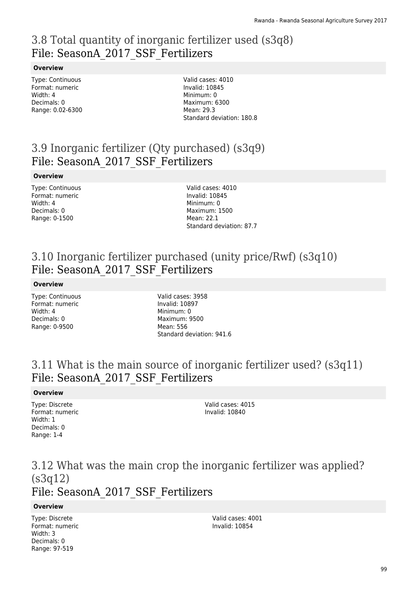## 3.8 Total quantity of inorganic fertilizer used (s3q8) File: SeasonA\_2017\_SSF\_Fertilizers

#### **Overview**

Type: Continuous Format: numeric Width: 4 Decimals: 0 Range: 0.02-6300

Valid cases: 4010 Invalid: 10845 Minimum: 0 Maximum: 6300 Mean: 29.3 Standard deviation: 180.8

## 3.9 Inorganic fertilizer (Qty purchased) (s3q9) File: SeasonA\_2017\_SSF\_Fertilizers

#### **Overview**

Type: Continuous Format: numeric Width: 4 Decimals: 0 Range: 0-1500

Valid cases: 4010 Invalid: 10845 Minimum: 0 Maximum: 1500 Mean: 22.1 Standard deviation: 87.7

## 3.10 Inorganic fertilizer purchased (unity price/Rwf) (s3q10) File: SeasonA\_2017\_SSF\_Fertilizers

#### **Overview**

Type: Continuous Format: numeric Width: 4 Decimals: 0 Range: 0-9500

Valid cases: 3958 Invalid: 10897 Minimum: 0 Maximum: 9500 Mean: 556 Standard deviation: 941.6

### 3.11 What is the main source of inorganic fertilizer used? (s3q11) File: SeasonA\_2017\_SSF\_Fertilizers

### **Overview**

Type: Discrete Format: numeric Width: 1 Decimals: 0 Range: 1-4

Valid cases: 4015 Invalid: 10840

# 3.12 What was the main crop the inorganic fertilizer was applied? (s3q12)

File: SeasonA\_2017\_SSF\_Fertilizers

### **Overview**

Type: Discrete Format: numeric Width: 3 Decimals: 0 Range: 97-519

Valid cases: 4001 Invalid: 10854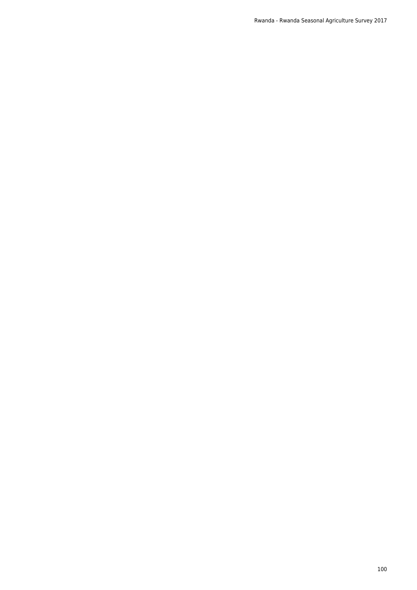Rwanda - Rwanda Seasonal Agriculture Survey 2017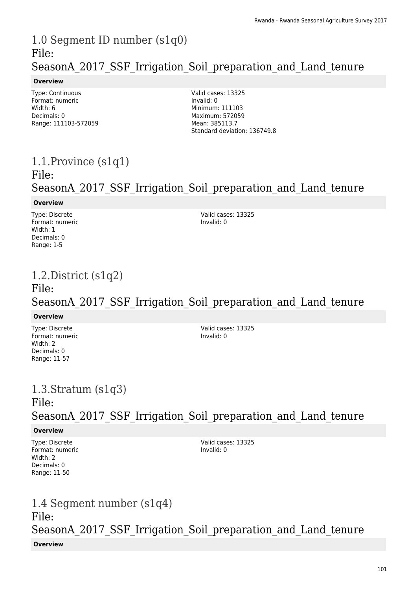# 1.0 Segment ID number (s1q0) File:

# SeasonA 2017 SSF Irrigation Soil preparation and Land tenure

### **Overview**

Type: Continuous Format: numeric Width: 6 Decimals: 0 Range: 111103-572059 Valid cases: 13325 Invalid: 0 Minimum: 111103 Maximum: 572059 Mean: 385113.7 Standard deviation: 136749.8

### 1.1.Province (s1q1) File:

# SeasonA 2017 SSF Irrigation Soil preparation and Land tenure

### **Overview**

Type: Discrete Format: numeric Width: 1 Decimals: 0 Range: 1-5

Valid cases: 13325 Invalid: 0

# 1.2.District (s1q2) File: SeasonA 2017 SSF Irrigation Soil preparation and Land tenure

### **Overview**

Type: Discrete Format: numeric Width: 2 Decimals: 0 Range: 11-57

Valid cases: 13325 Invalid: 0

## 1.3.Stratum (s1q3) File: SeasonA 2017 SSF Irrigation Soil preparation and Land tenure

### **Overview**

Type: Discrete Format: numeric Width: 2 Decimals: 0 Range: 11-50

Valid cases: 13325 Invalid: 0

### 1.4 Segment number (s1q4) File: SeasonA 2017 SSF Irrigation Soil preparation and Land tenure **Overview**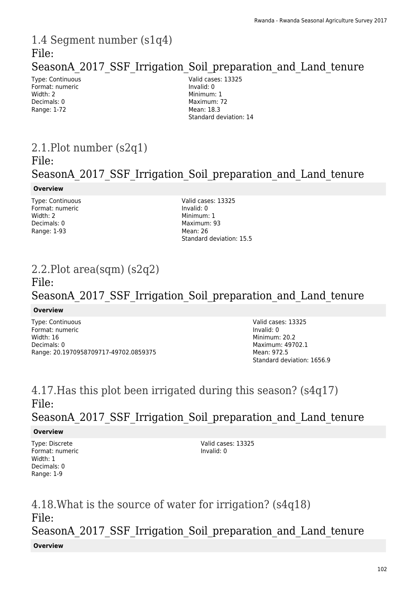# 1.4 Segment number (s1q4) File:

# SeasonA 2017 SSF Irrigation Soil preparation and Land tenure

Type: Continuous Format: numeric Width: 2 Decimals: 0 Range: 1-72

Valid cases: 13325 Invalid: 0 Minimum: 1 Maximum: 72 Mean: 18.3 Standard deviation: 14

# 2.1.Plot number (s2q1) File: SeasonA 2017 SSF Irrigation Soil preparation and Land tenure

#### **Overview**

Type: Continuous Format: numeric Width: 2 Decimals: 0 Range: 1-93

Valid cases: 13325 Invalid: 0 Minimum: 1 Maximum: 93 Mean: 26 Standard deviation: 15.5

# 2.2.Plot area(sqm) (s2q2)

### File: SeasonA 2017 SSF Irrigation Soil preparation and Land tenure

### **Overview**

Type: Continuous Format: numeric Width: 16 Decimals: 0 Range: 20.1970958709717-49702.0859375

Valid cases: 13325 Invalid: 0 Minimum: 20.2 Maximum: 49702.1 Mean: 972.5 Standard deviation: 1656.9

# 4.17.Has this plot been irrigated during this season? (s4q17) File:

SeasonA 2017 SSF Irrigation Soil preparation and Land tenure

### **Overview**

Type: Discrete Format: numeric Width: 1 Decimals: 0 Range: 1-9

Valid cases: 13325 Invalid: 0

4.18.What is the source of water for irrigation? (s4q18) File: SeasonA 2017 SSF Irrigation Soil preparation and Land tenure **Overview**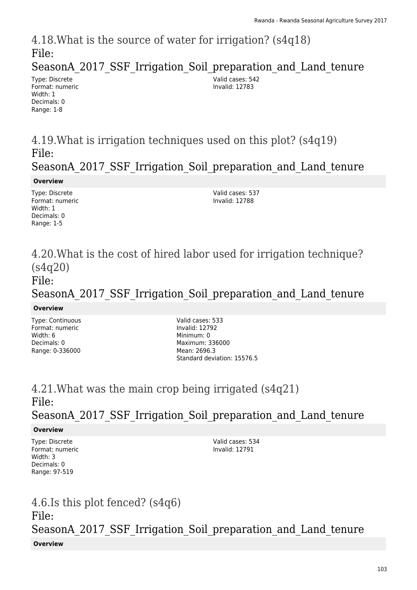# 4.18.What is the source of water for irrigation? (s4q18) File:

SeasonA 2017 SSF Irrigation Soil preparation and Land tenure

Type: Discrete Format: numeric Width: 1 Decimals: 0 Range: 1-8

Valid cases: 542 Invalid: 12783

4.19.What is irrigation techniques used on this plot? (s4q19) File: SeasonA 2017 SSF Irrigation Soil preparation and Land tenure

#### **Overview**

Type: Discrete Format: numeric Width: 1 Decimals: 0 Range: 1-5

Valid cases: 537 Invalid: 12788

### 4.20.What is the cost of hired labor used for irrigation technique? (s4q20) File:

SeasonA 2017 SSF Irrigation Soil preparation and Land tenure

#### **Overview**

Type: Continuous Format: numeric Width: 6 Decimals: 0 Range: 0-336000

Valid cases: 533 Invalid: 12792 Minimum: 0 Maximum: 336000 Mean: 2696.3 Standard deviation: 15576.5

## 4.21.What was the main crop being irrigated (s4q21) File: SeasonA 2017 SSF Irrigation Soil preparation and Land tenure

### **Overview**

Type: Discrete Format: numeric Width: 3 Decimals: 0 Range: 97-519

Valid cases: 534 Invalid: 12791

4.6.Is this plot fenced? (s4q6) File: SeasonA 2017 SSF Irrigation Soil preparation and Land tenure **Overview**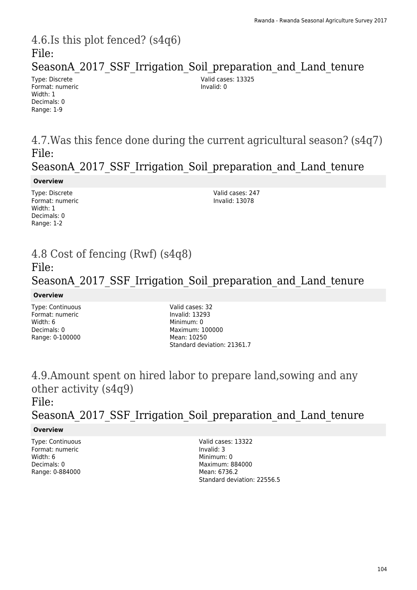### 4.6.Is this plot fenced? (s4q6) File: SeasonA 2017 SSF Irrigation Soil preparation and Land tenure

Type: Discrete Format: numeric Width: 1 Decimals: 0 Range: 1-9

Valid cases: 13325 Invalid: 0

4.7.Was this fence done during the current agricultural season? (s4q7) File:

SeasonA 2017 SSF Irrigation Soil preparation and Land tenure

#### **Overview**

Type: Discrete Format: numeric Width: 1 Decimals: 0 Range: 1-2

Valid cases: 247 Invalid: 13078

### 4.8 Cost of fencing (Rwf) (s4q8) File: SeasonA 2017 SSF Irrigation Soil preparation and Land tenure

#### **Overview**

Type: Continuous Format: numeric Width: 6 Decimals: 0 Range: 0-100000

Valid cases: 32 Invalid: 13293 Minimum: 0 Maximum: 100000 Mean: 10250 Standard deviation: 21361.7

# 4.9.Amount spent on hired labor to prepare land,sowing and any other activity (s4q9) File:

# SeasonA 2017 SSF Irrigation Soil preparation and Land tenure

#### **Overview**

Type: Continuous Format: numeric Width: 6 Decimals: 0 Range: 0-884000

Valid cases: 13322 Invalid: 3 Minimum: 0 Maximum: 884000 Mean: 6736.2 Standard deviation: 22556.5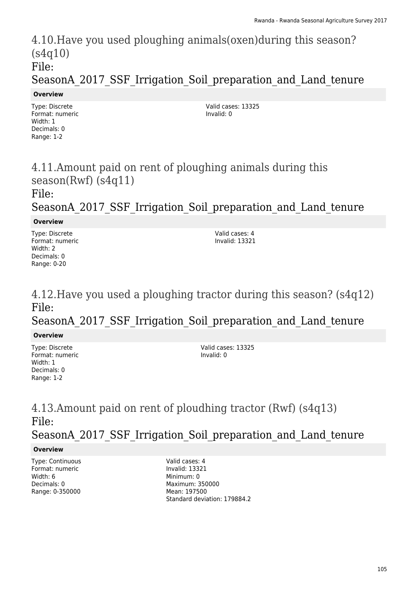4.10.Have you used ploughing animals(oxen)during this season? (s4q10) File:

# SeasonA 2017 SSF Irrigation Soil preparation and Land tenure

### **Overview**

Type: Discrete Format: numeric Width: 1 Decimals: 0 Range: 1-2

Valid cases: 13325 Invalid: 0

# 4.11.Amount paid on rent of ploughing animals during this season(Rwf) (s4q11) File:

SeasonA 2017 SSF Irrigation Soil preparation and Land tenure

### **Overview**

Type: Discrete Format: numeric Width: 2 Decimals: 0 Range: 0-20

Valid cases: 4 Invalid: 13321

# 4.12.Have you used a ploughing tractor during this season? (s4q12) File:

SeasonA 2017 SSF Irrigation Soil preparation and Land tenure

### **Overview**

Type: Discrete Format: numeric Width: 1 Decimals: 0 Range: 1-2

Valid cases: 13325 Invalid: 0

# 4.13.Amount paid on rent of ploudhing tractor (Rwf) (s4q13) File:

SeasonA 2017 SSF Irrigation Soil preparation and Land tenure

### **Overview**

Type: Continuous Format: numeric Width: 6 Decimals: 0 Range: 0-350000

Valid cases: 4 Invalid: 13321 Minimum: 0 Maximum: 350000 Mean: 197500 Standard deviation: 179884.2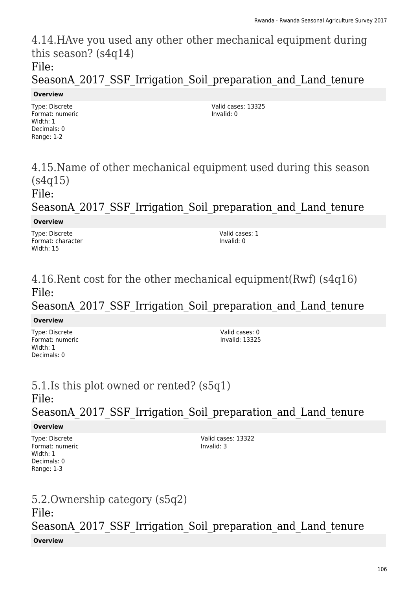4.14.HAve you used any other other mechanical equipment during this season? (s4q14) File:

# SeasonA 2017 SSF Irrigation Soil preparation and Land tenure

### **Overview**

Type: Discrete Format: numeric Width: 1 Decimals: 0 Range: 1-2

Valid cases: 13325 Invalid: 0

4.15.Name of other mechanical equipment used during this season (s4q15) File:

# SeasonA 2017 SSF Irrigation Soil preparation and Land tenure

### **Overview**

Type: Discrete Format: character Width: 15

Valid cases: 1 Invalid: 0

# 4.16.Rent cost for the other mechanical equipment(Rwf) (s4q16) File:

SeasonA 2017 SSF Irrigation Soil preparation and Land tenure

### **Overview**

Type: Discrete Format: numeric Width: 1 Decimals: 0

Valid cases: 0 Invalid: 13325

## 5.1.Is this plot owned or rented? (s5q1) File: SeasonA 2017 SSF Irrigation Soil preparation and Land tenure

### **Overview**

Type: Discrete Format: numeric Width: 1 Decimals: 0 Range: 1-3

Valid cases: 13322 Invalid: 3

5.2.Ownership category (s5q2) File: SeasonA 2017 SSF Irrigation Soil preparation and Land tenure **Overview**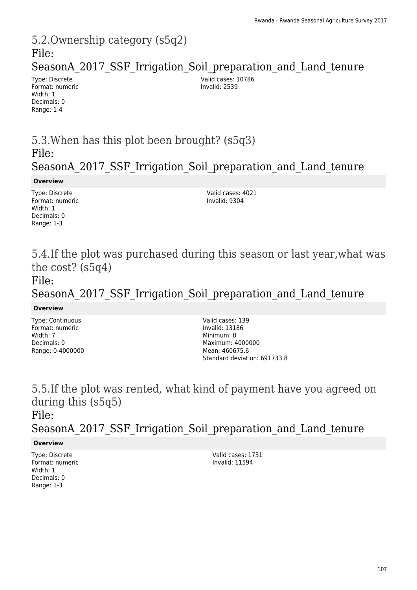### 5.2.Ownership category (s5q2) File: SeasonA 2017 SSF Irrigation Soil preparation and Land tenure

Type: Discrete Format: numeric Width: 1 Decimals: 0 Range: 1-4

Valid cases: 10786 Invalid: 2539

## 5.3.When has this plot been brought? (s5q3) File: SeasonA 2017 SSF Irrigation Soil preparation and Land tenure

#### **Overview**

Type: Discrete Format: numeric Width: 1 Decimals: 0 Range: 1-3

Valid cases: 4021 Invalid: 9304

### 5.4.If the plot was purchased during this season or last year,what was the cost? (s5q4) File:

# SeasonA 2017 SSF Irrigation Soil preparation and Land tenure

### **Overview**

Type: Continuous Format: numeric Width: 7 Decimals: 0 Range: 0-4000000 Valid cases: 139 Invalid: 13186 Minimum: 0 Maximum: 4000000 Mean: 460675.6 Standard deviation: 691733.8

# 5.5.If the plot was rented, what kind of payment have you agreed on during this (s5q5) File: SeasonA 2017 SSF Irrigation Soil preparation and Land tenure

**Overview**

Type: Discrete Format: numeric Width: 1 Decimals: 0 Range: 1-3

Valid cases: 1731 Invalid: 11594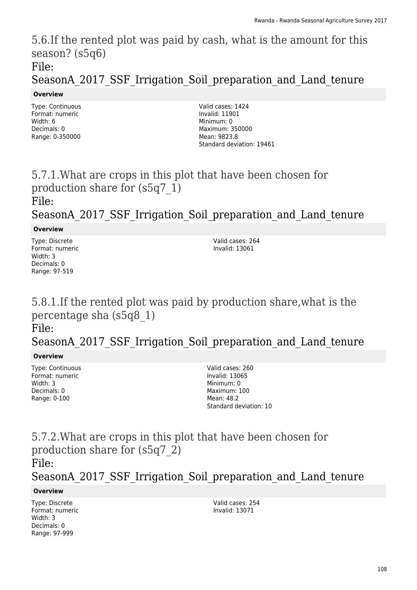### 5.6.If the rented plot was paid by cash, what is the amount for this season? (s5q6) File:

SeasonA 2017 SSF Irrigation Soil preparation and Land tenure

### **Overview**

Type: Continuous Format: numeric Width: 6 Decimals: 0 Range: 0-350000

Valid cases: 1424 Invalid: 11901 Minimum: 0 Maximum: 350000 Mean: 9823.8 Standard deviation: 19461

# 5.7.1.What are crops in this plot that have been chosen for production share for (s5q7\_1) File:

SeasonA 2017 SSF Irrigation Soil preparation and Land tenure

### **Overview**

Type: Discrete Format: numeric Width: 3 Decimals: 0 Range: 97-519

Valid cases: 264 Invalid: 13061

5.8.1.If the rented plot was paid by production share,what is the percentage sha (s5q8\_1)

### File:

SeasonA 2017 SSF Irrigation Soil preparation and Land tenure **Overview**

Type: Continuous Format: numeric Width: 3 Decimals: 0 Range: 0-100

Valid cases: 260 Invalid: 13065 Minimum: 0 Maximum: 100 Mean: 48.2 Standard deviation: 10

### 5.7.2.What are crops in this plot that have been chosen for production share for (s5q7\_2) File:

SeasonA 2017 SSF Irrigation Soil preparation and Land tenure

### **Overview**

Type: Discrete Format: numeric Width: 3 Decimals: 0 Range: 97-999

Valid cases: 254 Invalid: 13071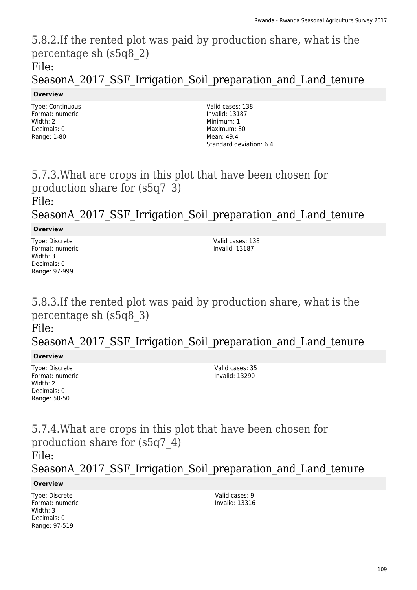# 5.8.2.If the rented plot was paid by production share, what is the percentage sh (s5q8\_2) File:

SeasonA 2017 SSF Irrigation Soil preparation and Land tenure

#### **Overview**

Type: Continuous Format: numeric Width: 2 Decimals: 0 Range: 1-80

Valid cases: 138 Invalid: 13187 Minimum: 1 Maximum: 80 Mean: 49.4 Standard deviation: 6.4

5.7.3.What are crops in this plot that have been chosen for production share for (s5q7\_3) File:

SeasonA 2017 SSF Irrigation Soil preparation and Land tenure

#### **Overview**

Type: Discrete Format: numeric Width: 3 Decimals: 0 Range: 97-999

Valid cases: 138 Invalid: 13187

5.8.3.If the rented plot was paid by production share, what is the percentage sh (s5q8\_3)

### File:

SeasonA 2017 SSF Irrigation Soil preparation and Land tenure **Overview**

Type: Discrete Format: numeric Width: 2 Decimals: 0 Range: 50-50

Valid cases: 35 Invalid: 13290

5.7.4.What are crops in this plot that have been chosen for production share for (s5q7\_4) File:

SeasonA 2017 SSF Irrigation Soil preparation and Land tenure

#### **Overview**

Type: Discrete Format: numeric Width: 3 Decimals: 0 Range: 97-519

Valid cases: 9 Invalid: 13316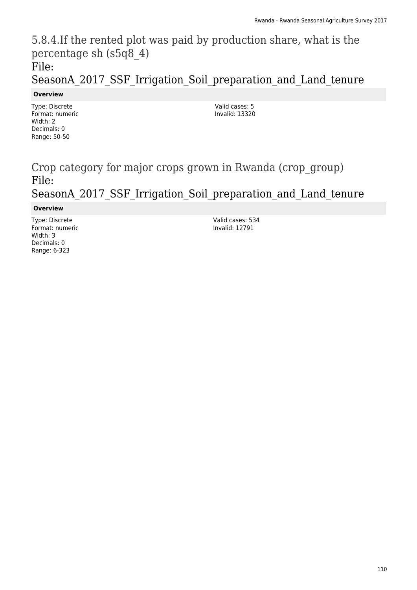# 5.8.4.If the rented plot was paid by production share, what is the percentage sh (s5q8\_4) File:

SeasonA 2017 SSF Irrigation Soil preparation and Land tenure

#### **Overview**

Type: Discrete Format: numeric Width: 2 Decimals: 0 Range: 50-50

Valid cases: 5 Invalid: 13320

Crop category for major crops grown in Rwanda (crop\_group) File: SeasonA 2017 SSF Irrigation Soil preparation and Land tenure

#### **Overview**

Type: Discrete Format: numeric Width: 3 Decimals: 0 Range: 6-323

Valid cases: 534 Invalid: 12791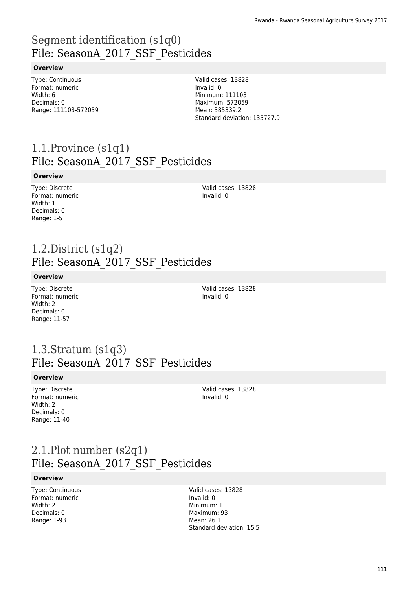# Segment identification (s1q0) File: SeasonA\_2017\_SSF\_Pesticides

#### **Overview**

Type: Continuous Format: numeric Width: 6 Decimals: 0 Range: 111103-572059 Valid cases: 13828 Invalid: 0 Minimum: 111103 Maximum: 572059 Mean: 385339.2 Standard deviation: 135727.9

# 1.1.Province (s1q1) File: SeasonA\_2017\_SSF\_Pesticides

#### **Overview**

Type: Discrete Format: numeric Width: 1 Decimals: 0 Range: 1-5

Valid cases: 13828 Invalid: 0

### 1.2.District (s1q2) File: SeasonA\_2017\_SSF\_Pesticides

#### **Overview**

Type: Discrete Format: numeric Width: 2 Decimals: 0 Range: 11-57

Valid cases: 13828 Invalid: 0

### 1.3.Stratum (s1q3) File: SeasonA\_2017\_SSF\_Pesticides

#### **Overview**

Type: Discrete Format: numeric Width: 2 Decimals: 0 Range: 11-40

Valid cases: 13828 Invalid: 0

# 2.1.Plot number (s2q1) File: SeasonA\_2017\_SSF\_Pesticides

#### **Overview**

Type: Continuous Format: numeric Width: 2 Decimals: 0 Range: 1-93

Valid cases: 13828 Invalid: 0 Minimum: 1 Maximum: 93 Mean: 26.1 Standard deviation: 15.5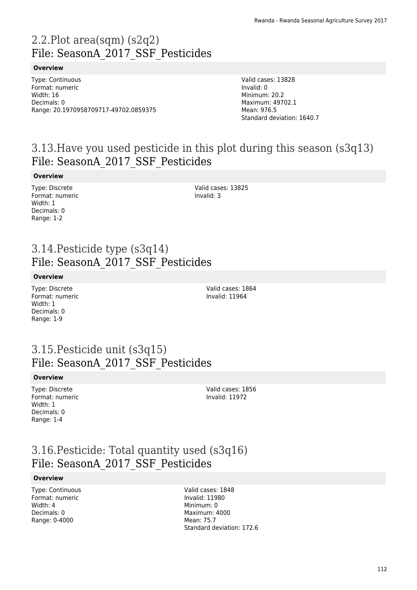# 2.2.Plot area(sqm) (s2q2) File: SeasonA\_2017\_SSF\_Pesticides

#### **Overview**

Type: Continuous Format: numeric Width: 16 Decimals: 0 Range: 20.1970958709717-49702.0859375 Valid cases: 13828 Invalid: 0 Minimum: 20.2 Maximum: 49702.1 Mean: 976.5 Standard deviation: 1640.7

# 3.13.Have you used pesticide in this plot during this season (s3q13) File: SeasonA\_2017\_SSF\_Pesticides

**Overview**

Type: Discrete Format: numeric Width: 1 Decimals: 0 Range: 1-2

Valid cases: 13825 Invalid: 3

### 3.14.Pesticide type (s3q14) File: SeasonA\_2017\_SSF\_Pesticides

#### **Overview**

Type: Discrete Format: numeric Width: 1 Decimals: 0 Range: 1-9

Valid cases: 1864 Invalid: 11964

### 3.15.Pesticide unit (s3q15) File: SeasonA\_2017\_SSF\_Pesticides

#### **Overview**

Type: Discrete Format: numeric Width: 1 Decimals: 0 Range: 1-4

Valid cases: 1856 Invalid: 11972

# 3.16.Pesticide: Total quantity used (s3q16) File: SeasonA\_2017\_SSF\_Pesticides

#### **Overview**

Type: Continuous Format: numeric Width: 4 Decimals: 0 Range: 0-4000

Valid cases: 1848 Invalid: 11980 Minimum: 0 Maximum: 4000 Mean: 75.7 Standard deviation: 172.6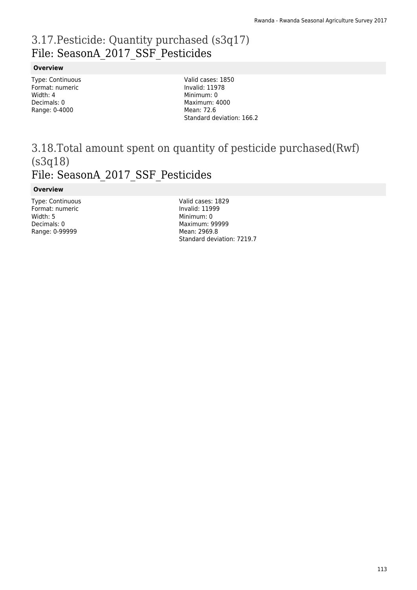# 3.17.Pesticide: Quantity purchased (s3q17) File: SeasonA\_2017\_SSF\_Pesticides

#### **Overview**

Type: Continuous Format: numeric Width: 4 Decimals: 0 Range: 0-4000

Valid cases: 1850 Invalid: 11978 Minimum: 0 Maximum: 4000 Mean: 72.6 Standard deviation: 166.2

# 3.18.Total amount spent on quantity of pesticide purchased(Rwf) (s3q18) File: SeasonA\_2017\_SSF\_Pesticides

#### **Overview**

Type: Continuous Format: numeric Width: 5 Decimals: 0 Range: 0-99999

Valid cases: 1829 Invalid: 11999 Minimum: 0 Maximum: 99999 Mean: 2969.8 Standard deviation: 7219.7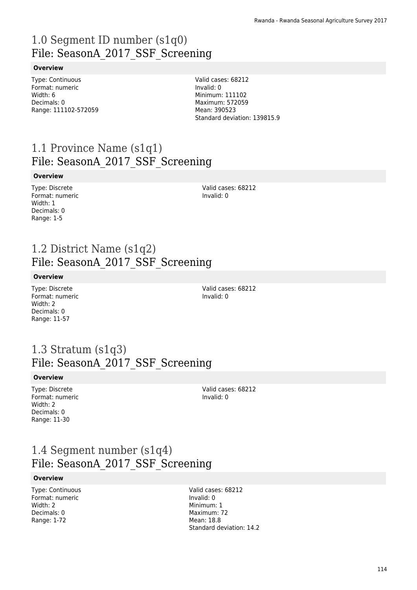# 1.0 Segment ID number (s1q0) File: SeasonA\_2017\_SSF\_Screening

#### **Overview**

Type: Continuous Format: numeric Width: 6 Decimals: 0 Range: 111102-572059 Valid cases: 68212 Invalid: 0 Minimum: 111102 Maximum: 572059 Mean: 390523 Standard deviation: 139815.9

# 1.1 Province Name (s1q1) File: SeasonA\_2017\_SSF\_Screening

#### **Overview**

Type: Discrete Format: numeric Width: 1 Decimals: 0 Range: 1-5

Valid cases: 68212 Invalid: 0

### 1.2 District Name (s1q2) File: SeasonA\_2017\_SSF\_Screening

#### **Overview**

Type: Discrete Format: numeric Width: 2 Decimals: 0 Range: 11-57

Valid cases: 68212 Invalid: 0

### 1.3 Stratum (s1q3) File: SeasonA\_2017\_SSF\_Screening

#### **Overview**

Type: Discrete Format: numeric Width: 2 Decimals: 0 Range: 11-30

Valid cases: 68212 Invalid: 0

### 1.4 Segment number (s1q4) File: SeasonA\_2017\_SSF\_Screening

#### **Overview**

Type: Continuous Format: numeric Width: 2 Decimals: 0 Range: 1-72

Valid cases: 68212 Invalid: 0 Minimum: 1 Maximum: 72 Mean: 18.8 Standard deviation: 14.2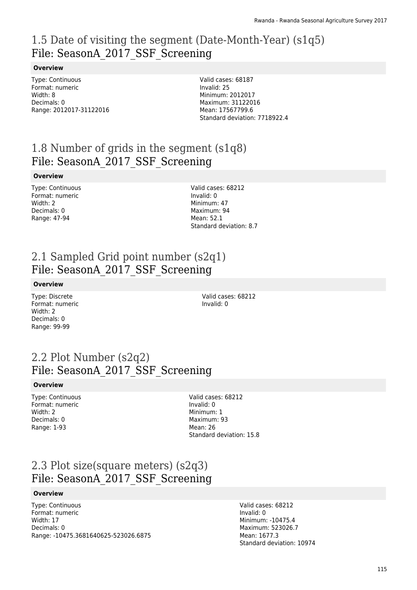# 1.5 Date of visiting the segment (Date-Month-Year) (s1q5) File: SeasonA\_2017\_SSF\_Screening

#### **Overview**

Type: Continuous Format: numeric Width: 8 Decimals: 0 Range: 2012017-31122016

Valid cases: 68187 Invalid: 25 Minimum: 2012017 Maximum: 31122016 Mean: 17567799.6 Standard deviation: 7718922.4

# 1.8 Number of grids in the segment (s1q8) File: SeasonA\_2017\_SSF\_Screening

#### **Overview**

Type: Continuous Format: numeric Width: 2 Decimals: 0 Range: 47-94

Valid cases: 68212 Invalid: 0 Minimum: 47 Maximum: 94 Mean: 52.1 Standard deviation: 8.7

# 2.1 Sampled Grid point number (s2q1) File: SeasonA\_2017\_SSF\_Screening

#### **Overview**

Type: Discrete Format: numeric Width: 2 Decimals: 0 Range: 99-99

Valid cases: 68212 Invalid: 0

### 2.2 Plot Number (s2q2) File: SeasonA\_2017\_SSF\_Screening

#### **Overview**

Type: Continuous Format: numeric Width: 2 Decimals: 0 Range: 1-93

Valid cases: 68212 Invalid: 0 Minimum: 1 Maximum: 93 Mean: 26 Standard deviation: 15.8

### 2.3 Plot size(square meters) (s2q3) File: SeasonA\_2017\_SSF\_Screening

#### **Overview**

Type: Continuous Format: numeric Width: 17 Decimals: 0 Range: -10475.3681640625-523026.6875

Valid cases: 68212 Invalid: 0 Minimum: -10475.4 Maximum: 523026.7 Mean: 1677.3 Standard deviation: 10974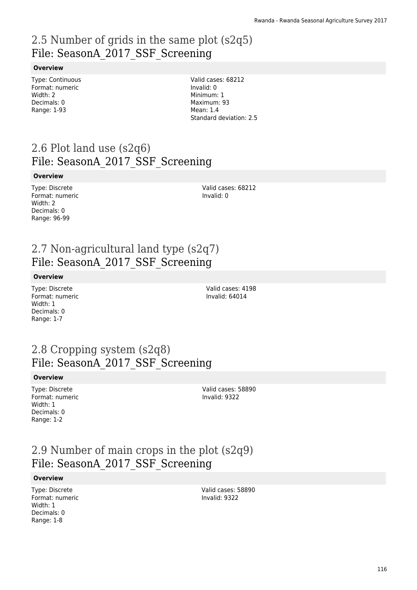# 2.5 Number of grids in the same plot (s2q5) File: SeasonA\_2017\_SSF\_Screening

#### **Overview**

Type: Continuous Format: numeric Width: 2 Decimals: 0 Range: 1-93

Valid cases: 68212 Invalid: 0 Minimum: 1 Maximum: 93 Mean: 1.4 Standard deviation: 2.5

# 2.6 Plot land use (s2q6) File: SeasonA\_2017\_SSF\_Screening

#### **Overview**

Type: Discrete Format: numeric Width: 2 Decimals: 0 Range: 96-99

Valid cases: 68212 Invalid: 0

### 2.7 Non-agricultural land type (s2q7) File: SeasonA\_2017\_SSF\_Screening

#### **Overview**

Type: Discrete Format: numeric Width: 1 Decimals: 0 Range: 1-7

Valid cases: 4198 Invalid: 64014

### 2.8 Cropping system (s2q8) File: SeasonA\_2017\_SSF\_Screening

#### **Overview**

Type: Discrete Format: numeric Width: 1 Decimals: 0 Range: 1-2

Valid cases: 58890 Invalid: 9322

# 2.9 Number of main crops in the plot (s2q9) File: SeasonA\_2017\_SSF\_Screening

#### **Overview**

Type: Discrete Format: numeric Width: 1 Decimals: 0 Range: 1-8

Valid cases: 58890 Invalid: 9322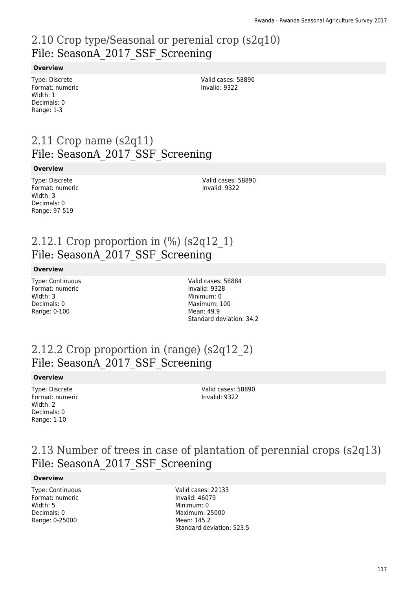# 2.10 Crop type/Seasonal or perenial crop (s2q10) File: SeasonA\_2017\_SSF\_Screening

#### **Overview**

Type: Discrete Format: numeric Width: 1 Decimals: 0 Range: 1-3

Valid cases: 58890 Invalid: 9322

# 2.11 Crop name (s2q11) File: SeasonA\_2017\_SSF\_Screening

#### **Overview**

Type: Discrete Format: numeric Width: 3 Decimals: 0 Range: 97-519

Valid cases: 58890 Invalid: 9322

### 2.12.1 Crop proportion in  $(\%)$  (s2q12-1) File: SeasonA\_2017\_SSF\_Screening

#### **Overview**

Type: Continuous Format: numeric Width: 3 Decimals: 0 Range: 0-100

Valid cases: 58884 Invalid: 9328 Minimum: 0 Maximum: 100 Mean: 49.9 Standard deviation: 34.2

### 2.12.2 Crop proportion in (range) (s2q12\_2) File: SeasonA\_2017\_SSF\_Screening

#### **Overview**

Type: Discrete Format: numeric Width: 2 Decimals: 0 Range: 1-10

Valid cases: 58890 Invalid: 9322

### 2.13 Number of trees in case of plantation of perennial crops (s2q13) File: SeasonA\_2017\_SSF\_Screening

#### **Overview**

Type: Continuous Format: numeric Width: 5 Decimals: 0 Range: 0-25000

Valid cases: 22133 Invalid: 46079 Minimum: 0 Maximum: 25000 Mean: 145.2 Standard deviation: 523.5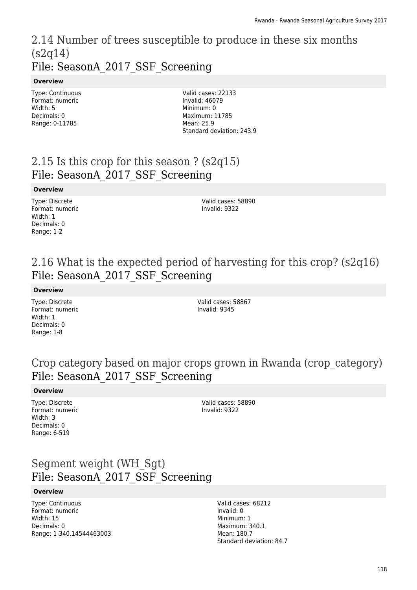### 2.14 Number of trees susceptible to produce in these six months (s2q14) File: SeasonA\_2017\_SSF\_Screening

#### **Overview**

Type: Continuous Format: numeric Width: 5 Decimals: 0 Range: 0-11785

Valid cases: 22133 Invalid: 46079 Minimum: 0 Maximum: 11785 Mean: 25.9 Standard deviation: 243.9

# 2.15 Is this crop for this season ? (s2q15) File: SeasonA\_2017\_SSF\_Screening

#### **Overview**

Type: Discrete Format: numeric Width: 1 Decimals: 0 Range: 1-2

Valid cases: 58890 Invalid: 9322

# 2.16 What is the expected period of harvesting for this crop? (s2q16) File: SeasonA\_2017\_SSF\_Screening

#### **Overview**

Type: Discrete Format: numeric Width: 1 Decimals: 0 Range: 1-8

Valid cases: 58867 Invalid: 9345

### Crop category based on major crops grown in Rwanda (crop\_category) File: SeasonA\_2017\_SSF\_Screening

#### **Overview**

Type: Discrete Format: numeric Width: 3 Decimals: 0 Range: 6-519

Valid cases: 58890 Invalid: 9322

### Segment weight (WH\_Sgt) File: SeasonA\_2017\_SSF\_Screening

#### **Overview**

Type: Continuous Format: numeric Width: 15 Decimals: 0 Range: 1-340.14544463003

Valid cases: 68212 Invalid: 0 Minimum: 1 Maximum: 340.1 Mean: 180.7 Standard deviation: 84.7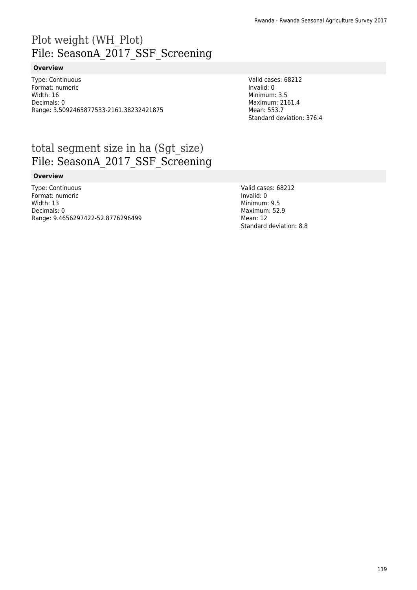# Plot weight (WH\_Plot) File: SeasonA\_2017\_SSF\_Screening

#### **Overview**

Type: Continuous Format: numeric Width: 16 Decimals: 0 Range: 3.5092465877533-2161.38232421875

Valid cases: 68212 Invalid: 0 Minimum: 3.5 Maximum: 2161.4 Mean: 553.7 Standard deviation: 376.4

# total segment size in ha (Sgt\_size) File: SeasonA\_2017\_SSF\_Screening

#### **Overview**

Type: Continuous Format: numeric Width: 13 Decimals: 0 Range: 9.4656297422-52.8776296499 Valid cases: 68212 Invalid: 0 Minimum: 9.5 Maximum: 52.9 Mean: 12 Standard deviation: 8.8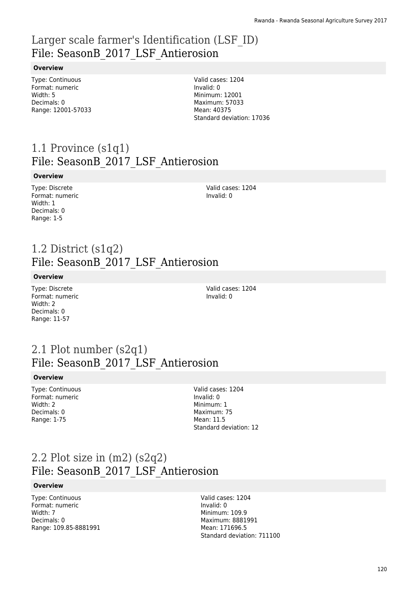# Larger scale farmer's Identification (LSF\_ID) File: SeasonB\_2017\_LSF\_Antierosion

#### **Overview**

Type: Continuous Format: numeric Width: 5 Decimals: 0 Range: 12001-57033 Valid cases: 1204 Invalid: 0 Minimum: 12001 Maximum: 57033 Mean: 40375 Standard deviation: 17036

# 1.1 Province (s1q1) File: SeasonB\_2017\_LSF\_Antierosion

#### **Overview**

Type: Discrete Format: numeric Width: 1 Decimals: 0 Range: 1-5

Valid cases: 1204 Invalid: 0

### 1.2 District (s1q2) File: SeasonB\_2017\_LSF\_Antierosion

#### **Overview**

Type: Discrete Format: numeric Width: 2 Decimals: 0 Range: 11-57

Valid cases: 1204 Invalid: 0

### 2.1 Plot number (s2q1) File: SeasonB\_2017\_LSF\_Antierosion

#### **Overview**

Type: Continuous Format: numeric Width: 2 Decimals: 0 Range: 1-75

Valid cases: 1204 Invalid: 0 Minimum: 1 Maximum: 75 Mean: 11.5 Standard deviation: 12

### 2.2 Plot size in (m2) (s2q2) File: SeasonB\_2017\_LSF\_Antierosion

#### **Overview**

Type: Continuous Format: numeric Width: 7 Decimals: 0 Range: 109.85-8881991 Valid cases: 1204 Invalid: 0 Minimum: 109.9 Maximum: 8881991 Mean: 171696.5 Standard deviation: 711100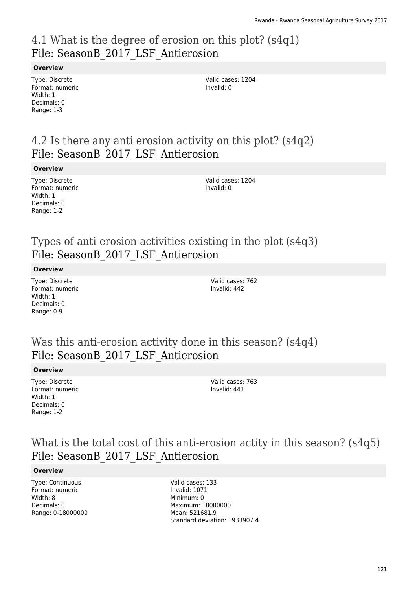# 4.1 What is the degree of erosion on this plot? (s4q1) File: SeasonB\_2017\_LSF\_Antierosion

**Overview**

Type: Discrete Format: numeric Width: 1 Decimals: 0 Range: 1-3

Valid cases: 1204 Invalid: 0

# 4.2 Is there any anti erosion activity on this plot? (s4q2) File: SeasonB\_2017\_LSF\_Antierosion

**Overview**

Type: Discrete Format: numeric Width: 1 Decimals: 0 Range: 1-2

Valid cases: 1204 Invalid: 0

# Types of anti erosion activities existing in the plot (s4q3) File: SeasonB\_2017\_LSF\_Antierosion

**Overview**

Type: Discrete Format: numeric Width: 1 Decimals: 0 Range: 0-9

Valid cases: 762 Invalid: 442

# Was this anti-erosion activity done in this season? (s4q4) File: SeasonB\_2017\_LSF\_Antierosion

#### **Overview**

Type: Discrete Format: numeric Width: 1 Decimals: 0 Range: 1-2

Valid cases: 763 Invalid: 441

### What is the total cost of this anti-erosion actity in this season? (s4q5) File: SeasonB\_2017\_LSF\_Antierosion

#### **Overview**

Type: Continuous Format: numeric Width: 8 Decimals: 0 Range: 0-18000000 Valid cases: 133 Invalid: 1071 Minimum: 0 Maximum: 18000000 Mean: 521681.9 Standard deviation: 1933907.4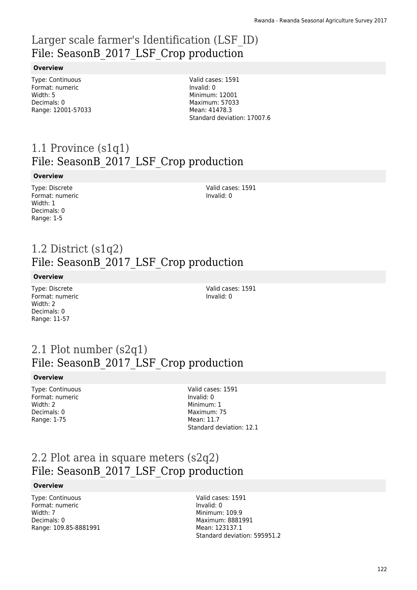# Larger scale farmer's Identification (LSF\_ID) File: SeasonB\_2017\_LSF\_Crop production

#### **Overview**

Type: Continuous Format: numeric Width: 5 Decimals: 0 Range: 12001-57033 Valid cases: 1591 Invalid: 0 Minimum: 12001 Maximum: 57033 Mean: 41478.3 Standard deviation: 17007.6

# 1.1 Province (s1q1) File: SeasonB\_2017\_LSF\_Crop production

#### **Overview**

Type: Discrete Format: numeric Width: 1 Decimals: 0 Range: 1-5

Valid cases: 1591 Invalid: 0

### 1.2 District (s1q2) File: SeasonB\_2017\_LSF\_Crop production

#### **Overview**

Type: Discrete Format: numeric Width: 2 Decimals: 0 Range: 11-57

Valid cases: 1591 Invalid: 0

### 2.1 Plot number (s2q1) File: SeasonB\_2017\_LSF\_Crop production

#### **Overview**

Type: Continuous Format: numeric Width: 2 Decimals: 0 Range: 1-75

Valid cases: 1591 Invalid: 0 Minimum: 1 Maximum: 75 Mean: 11.7 Standard deviation: 12.1

### 2.2 Plot area in square meters (s2q2) File: SeasonB\_2017\_LSF\_Crop production

#### **Overview**

Type: Continuous Format: numeric Width: 7 Decimals: 0 Range: 109.85-8881991

Valid cases: 1591 Invalid: 0 Minimum: 109.9 Maximum: 8881991 Mean: 123137.1 Standard deviation: 595951.2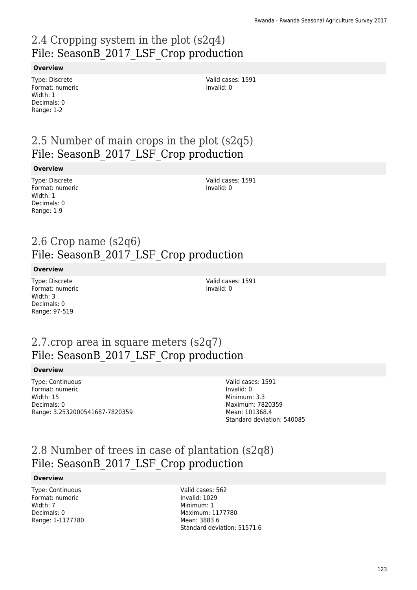# 2.4 Cropping system in the plot (s2q4) File: SeasonB\_2017\_LSF\_Crop production

#### **Overview**

Type: Discrete Format: numeric Width: 1 Decimals: 0 Range: 1-2

Valid cases: 1591 Invalid: 0

# 2.5 Number of main crops in the plot (s2q5) File: SeasonB\_2017\_LSF\_Crop production

#### **Overview**

Type: Discrete Format: numeric Width: 1 Decimals: 0 Range: 1-9

Valid cases: 1591 Invalid: 0

### 2.6 Crop name (s2q6) File: SeasonB\_2017\_LSF\_Crop production

#### **Overview**

Type: Discrete Format: numeric Width: 3 Decimals: 0 Range: 97-519

Valid cases: 1591 Invalid: 0

### 2.7.crop area in square meters (s2q7) File: SeasonB\_2017\_LSF\_Crop production

#### **Overview**

Type: Continuous Format: numeric Width: 15 Decimals: 0 Range: 3.2532000541687-7820359 Valid cases: 1591 Invalid: 0 Minimum: 3.3 Maximum: 7820359 Mean: 101368.4 Standard deviation: 540085

### 2.8 Number of trees in case of plantation (s2q8) File: SeasonB\_2017\_LSF\_Crop production

#### **Overview**

Type: Continuous Format: numeric Width: 7 Decimals: 0 Range: 1-1177780

Valid cases: 562 Invalid: 1029 Minimum: 1 Maximum: 1177780 Mean: 3883.6 Standard deviation: 51571.6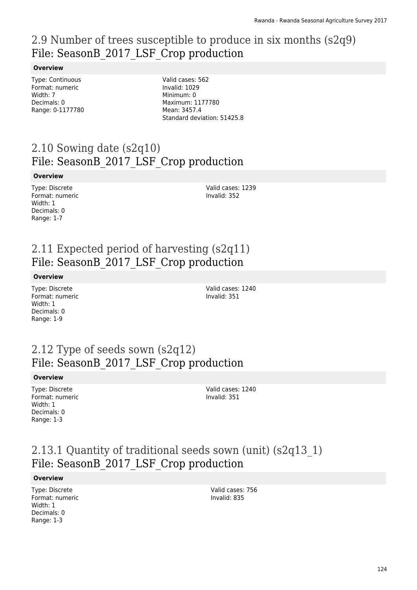# 2.9 Number of trees susceptible to produce in six months (s2q9) File: SeasonB\_2017\_LSF\_Crop production

#### **Overview**

Type: Continuous Format: numeric Width: 7 Decimals: 0 Range: 0-1177780

Valid cases: 562 Invalid: 1029 Minimum: 0 Maximum: 1177780 Mean: 3457.4 Standard deviation: 51425.8

# 2.10 Sowing date (s2q10) File: SeasonB\_2017\_LSF\_Crop production

#### **Overview**

Type: Discrete Format: numeric Width: 1 Decimals: 0 Range: 1-7

Valid cases: 1239 Invalid: 352

# 2.11 Expected period of harvesting (s2q11) File: SeasonB\_2017\_LSF\_Crop production

#### **Overview**

Type: Discrete Format: numeric Width: 1 Decimals: 0 Range: 1-9

Valid cases: 1240 Invalid: 351

### 2.12 Type of seeds sown (s2q12) File: SeasonB\_2017\_LSF\_Crop production

#### **Overview**

Type: Discrete Format: numeric Width: 1 Decimals: 0 Range: 1-3

Valid cases: 1240 Invalid: 351

# 2.13.1 Quantity of traditional seeds sown (unit) (s2q13\_1) File: SeasonB\_2017\_LSF\_Crop production

#### **Overview**

Type: Discrete Format: numeric Width: 1 Decimals: 0 Range: 1-3

Valid cases: 756 Invalid: 835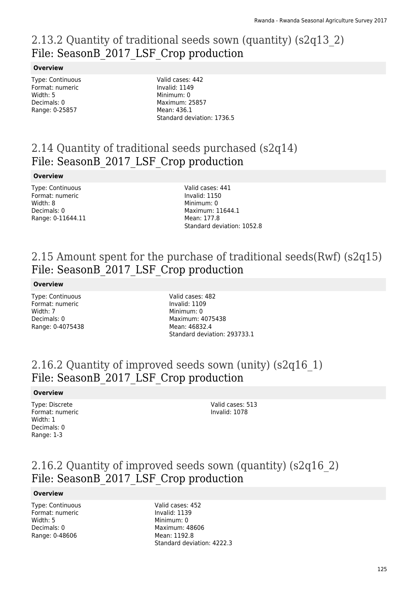# 2.13.2 Quantity of traditional seeds sown (quantity) (s2q13\_2) File: SeasonB\_2017\_LSF\_Crop production

#### **Overview**

Type: Continuous Format: numeric Width: 5 Decimals: 0 Range: 0-25857

Valid cases: 442 Invalid: 1149 Minimum: 0 Maximum: 25857 Mean: 436.1 Standard deviation: 1736.5

# 2.14 Quantity of traditional seeds purchased (s2q14) File: SeasonB\_2017\_LSF\_Crop production

#### **Overview**

Type: Continuous Format: numeric Width: 8 Decimals: 0 Range: 0-11644.11

Valid cases: 441 Invalid: 1150 Minimum: 0 Maximum: 11644.1 Mean: 177.8 Standard deviation: 1052.8

# 2.15 Amount spent for the purchase of traditional seeds(Rwf) (s2q15) File: SeasonB\_2017\_LSF\_Crop production

#### **Overview**

Type: Continuous Format: numeric Width: 7 Decimals: 0 Range: 0-4075438 Valid cases: 482 Invalid: 1109 Minimum: 0 Maximum: 4075438 Mean: 46832.4 Standard deviation: 293733.1

# 2.16.2 Quantity of improved seeds sown (unity) (s2q16\_1) File: SeasonB\_2017\_LSF\_Crop production

#### **Overview**

Type: Discrete Format: numeric Width: 1 Decimals: 0 Range: 1-3

Valid cases: 513 Invalid: 1078

# 2.16.2 Quantity of improved seeds sown (quantity) (s2q16\_2) File: SeasonB\_2017\_LSF\_Crop production

#### **Overview**

Type: Continuous Format: numeric Width: 5 Decimals: 0 Range: 0-48606

Valid cases: 452 Invalid: 1139 Minimum: 0 Maximum: 48606 Mean: 1192.8 Standard deviation: 4222.3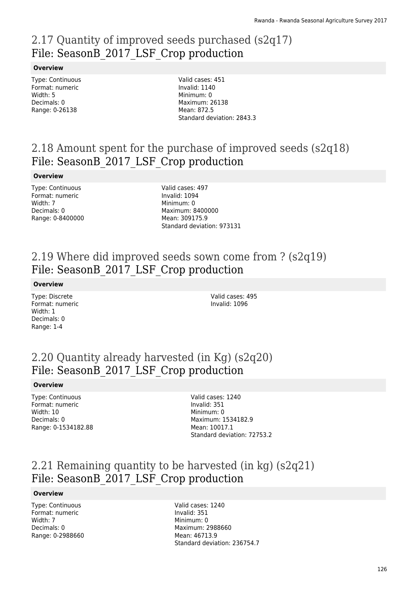# 2.17 Quantity of improved seeds purchased (s2q17) File: SeasonB\_2017\_LSF\_Crop production

#### **Overview**

Type: Continuous Format: numeric Width: 5 Decimals: 0 Range: 0-26138

Valid cases: 451 Invalid: 1140 Minimum: 0 Maximum: 26138 Mean: 872.5 Standard deviation: 2843.3

# 2.18 Amount spent for the purchase of improved seeds (s2q18) File: SeasonB\_2017\_LSF\_Crop production

#### **Overview**

Type: Continuous Format: numeric Width: 7 Decimals: 0 Range: 0-8400000

Valid cases: 497 Invalid: 1094 Minimum: 0 Maximum: 8400000 Mean: 309175.9 Standard deviation: 973131

# 2.19 Where did improved seeds sown come from ? (s2q19) File: SeasonB 2017 LSF Crop production

#### **Overview**

Type: Discrete Format: numeric Width: 1 Decimals: 0 Range: 1-4

Valid cases: 495 Invalid: 1096

# 2.20 Quantity already harvested (in Kg) (s2q20) File: SeasonB\_2017\_LSF\_Crop production

#### **Overview**

Type: Continuous Format: numeric Width: 10 Decimals: 0 Range: 0-1534182.88 Valid cases: 1240 Invalid: 351 Minimum: 0 Maximum: 1534182.9 Mean: 10017.1 Standard deviation: 72753.2

# 2.21 Remaining quantity to be harvested (in kg) (s2q21) File: SeasonB\_2017\_LSF\_Crop production

#### **Overview**

Type: Continuous Format: numeric Width: 7 Decimals: 0 Range: 0-2988660

Valid cases: 1240 Invalid: 351 Minimum: 0 Maximum: 2988660 Mean: 46713.9 Standard deviation: 236754.7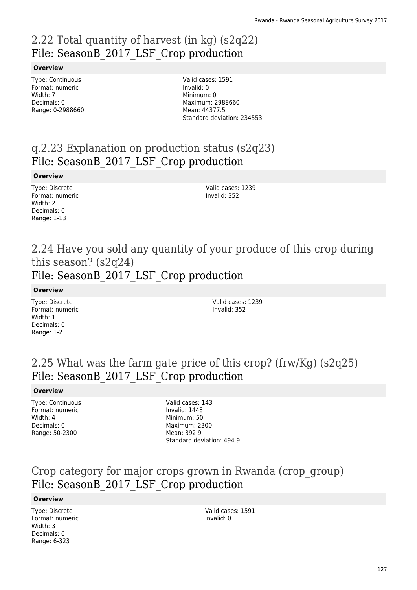# 2.22 Total quantity of harvest (in kg) (s2q22) File: SeasonB\_2017\_LSF\_Crop production

#### **Overview**

Type: Continuous Format: numeric Width: 7 Decimals: 0 Range: 0-2988660 Valid cases: 1591 Invalid: 0 Minimum: 0 Maximum: 2988660 Mean: 44377.5 Standard deviation: 234553

# q.2.23 Explanation on production status (s2q23) File: SeasonB\_2017\_LSF\_Crop production

#### **Overview**

Type: Discrete Format: numeric Width: 2 Decimals: 0 Range: 1-13

Valid cases: 1239 Invalid: 352

2.24 Have you sold any quantity of your produce of this crop during this season? (s2q24)

# File: SeasonB\_2017\_LSF\_Crop production

#### **Overview**

Type: Discrete Format: numeric Width: 1 Decimals: 0 Range: 1-2

Valid cases: 1239 Invalid: 352

# 2.25 What was the farm gate price of this crop? (frw/Kg) (s2q25) File: SeasonB\_2017\_LSF\_Crop production

#### **Overview**

Type: Continuous Format: numeric Width: 4 Decimals: 0 Range: 50-2300

Valid cases: 143 Invalid: 1448 Minimum: 50 Maximum: 2300 Mean: 392.9 Standard deviation: 494.9

# Crop category for major crops grown in Rwanda (crop\_group) File: SeasonB\_2017\_LSF\_Crop production

#### **Overview**

Type: Discrete Format: numeric Width: 3 Decimals: 0 Range: 6-323

Valid cases: 1591 Invalid: 0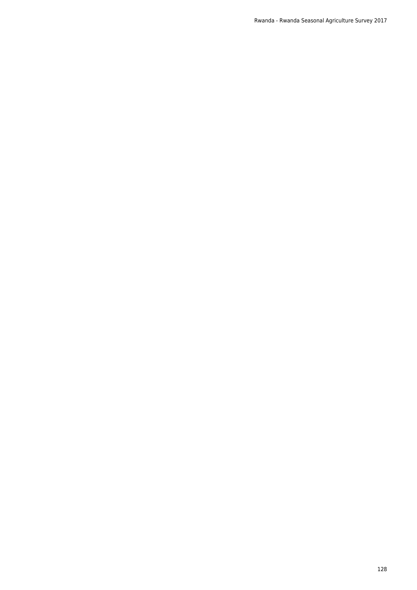Rwanda - Rwanda Seasonal Agriculture Survey 2017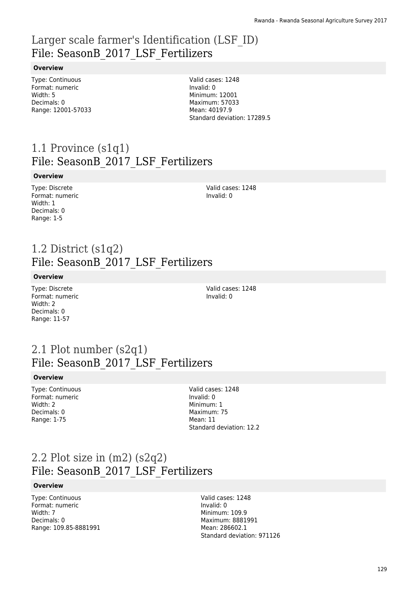# Larger scale farmer's Identification (LSF\_ID) File: SeasonB\_2017\_LSF\_Fertilizers

#### **Overview**

Type: Continuous Format: numeric Width: 5 Decimals: 0 Range: 12001-57033 Valid cases: 1248 Invalid: 0 Minimum: 12001 Maximum: 57033 Mean: 40197.9 Standard deviation: 17289.5

# 1.1 Province (s1q1) File: SeasonB\_2017\_LSF\_Fertilizers

#### **Overview**

Type: Discrete Format: numeric Width: 1 Decimals: 0 Range: 1-5

Valid cases: 1248 Invalid: 0

### 1.2 District (s1q2) File: SeasonB\_2017\_LSF\_Fertilizers

#### **Overview**

Type: Discrete Format: numeric Width: 2 Decimals: 0 Range: 11-57

Valid cases: 1248 Invalid: 0

### 2.1 Plot number (s2q1) File: SeasonB\_2017\_LSF\_Fertilizers

#### **Overview**

Type: Continuous Format: numeric Width: 2 Decimals: 0 Range: 1-75

Valid cases: 1248 Invalid: 0 Minimum: 1 Maximum: 75 Mean: 11 Standard deviation: 12.2

### 2.2 Plot size in (m2) (s2q2) File: SeasonB\_2017\_LSF\_Fertilizers

#### **Overview**

Type: Continuous Format: numeric Width: 7 Decimals: 0 Range: 109.85-8881991 Valid cases: 1248 Invalid: 0 Minimum: 109.9 Maximum: 8881991 Mean: 286602.1 Standard deviation: 971126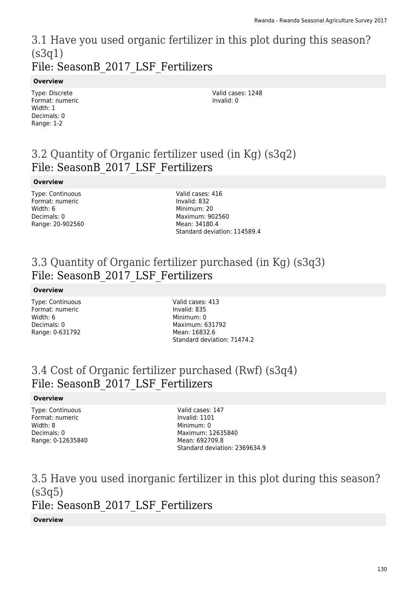### 3.1 Have you used organic fertilizer in this plot during this season? (s3q1) File: SeasonB\_2017\_LSF\_Fertilizers

#### **Overview**

Type: Discrete Format: numeric Width: 1 Decimals: 0 Range: 1-2

Valid cases: 1248 Invalid: 0

# 3.2 Quantity of Organic fertilizer used (in Kg) (s3q2) File: SeasonB\_2017\_LSF\_Fertilizers

#### **Overview**

Type: Continuous Format: numeric Width: 6 Decimals: 0 Range: 20-902560

Valid cases: 416 Invalid: 832 Minimum: 20 Maximum: 902560 Mean: 34180.4 Standard deviation: 114589.4

# 3.3 Quantity of Organic fertilizer purchased (in Kg) (s3q3) File: SeasonB\_2017\_LSF\_Fertilizers

#### **Overview**

Type: Continuous Format: numeric Width: 6 Decimals: 0 Range: 0-631792

Valid cases: 413 Invalid: 835 Minimum: 0 Maximum: 631792 Mean: 16832.6 Standard deviation: 71474.2

# 3.4 Cost of Organic fertilizer purchased (Rwf) (s3q4) File: SeasonB\_2017\_LSF\_Fertilizers

#### **Overview**

Type: Continuous Format: numeric Width: 8 Decimals: 0 Range: 0-12635840

Valid cases: 147 Invalid: 1101 Minimum: 0 Maximum: 12635840 Mean: 692709.8 Standard deviation: 2369634.9

3.5 Have you used inorganic fertilizer in this plot during this season? (s3q5) File: SeasonB\_2017\_LSF\_Fertilizers

#### **Overview**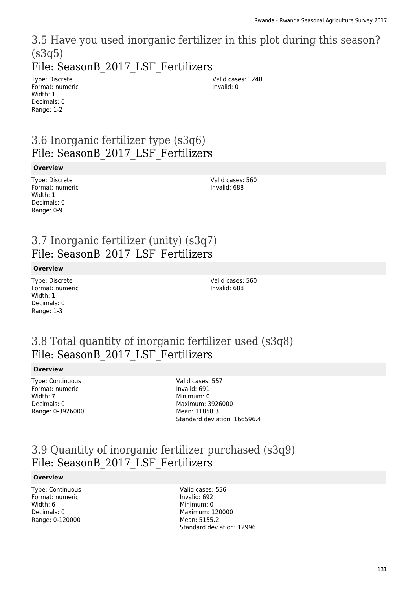3.5 Have you used inorganic fertilizer in this plot during this season? (s3q5) File: SeasonB\_2017\_LSF\_Fertilizers

Type: Discrete Format: numeric Width: 1 Decimals: 0 Range: 1-2

Valid cases: 1248 Invalid: 0

# 3.6 Inorganic fertilizer type (s3q6) File: SeasonB\_2017\_LSF\_Fertilizers

#### **Overview**

Type: Discrete Format: numeric Width: 1 Decimals: 0 Range: 0-9

Valid cases: 560 Invalid: 688

### 3.7 Inorganic fertilizer (unity) (s3q7) File: SeasonB\_2017\_LSF\_Fertilizers

#### **Overview**

Type: Discrete Format: numeric Width: 1 Decimals: 0 Range: 1-3

Valid cases: 560 Invalid: 688

### 3.8 Total quantity of inorganic fertilizer used (s3q8) File: SeasonB\_2017\_LSF\_Fertilizers

#### **Overview**

| Type: Continuous |
|------------------|
| Format: numeric  |
| Width: 7         |
| Decimals: 0      |
| Range: 0-3926000 |

Valid cases: 557 Invalid: 691 Minimum: 0 Maximum: 3926000 Mean: 11858.3 Standard deviation: 166596.4

# 3.9 Quantity of inorganic fertilizer purchased (s3q9) File: SeasonB\_2017\_LSF\_Fertilizers

#### **Overview**

Type: Continuous Format: numeric Width: 6 Decimals: 0 Range: 0-120000

Valid cases: 556 Invalid: 692 Minimum: 0 Maximum: 120000 Mean: 5155.2 Standard deviation: 12996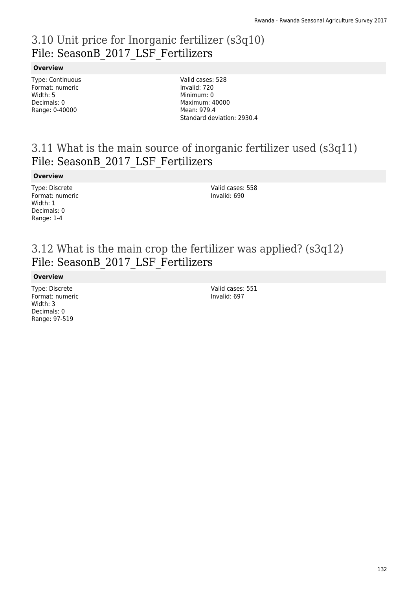# 3.10 Unit price for Inorganic fertilizer (s3q10) File: SeasonB\_2017\_LSF\_Fertilizers

#### **Overview**

Type: Continuous Format: numeric Width: 5 Decimals: 0 Range: 0-40000

Valid cases: 528 Invalid: 720 Minimum: 0 Maximum: 40000 Mean: 979.4 Standard deviation: 2930.4

## 3.11 What is the main source of inorganic fertilizer used (s3q11) File: SeasonB\_2017\_LSF\_Fertilizers

**Overview**

Type: Discrete Format: numeric Width: 1 Decimals: 0 Range: 1-4

Valid cases: 558 Invalid: 690

### 3.12 What is the main crop the fertilizer was applied? (s3q12) File: SeasonB\_2017\_LSF\_Fertilizers

#### **Overview**

Type: Discrete Format: numeric Width: 3 Decimals: 0 Range: 97-519

Valid cases: 551 Invalid: 697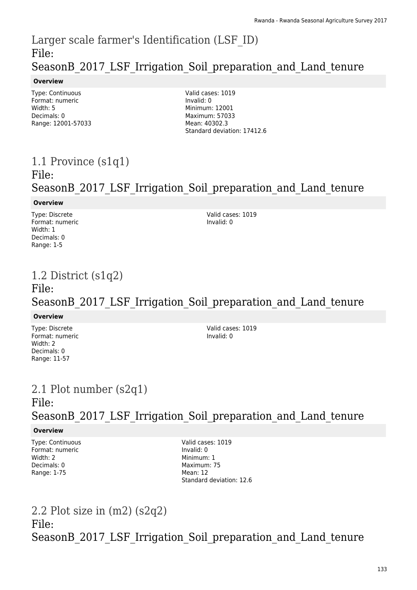### Larger scale farmer's Identification (LSF\_ID) File: SeasonB 2017 LSF Irrigation Soil preparation and Land tenure

#### **Overview**

Type: Continuous Format: numeric Width: 5 Decimals: 0 Range: 12001-57033 Valid cases: 1019 Invalid: 0 Minimum: 12001 Maximum: 57033 Mean: 40302.3 Standard deviation: 17412.6

### 1.1 Province (s1q1) File:

# SeasonB 2017 LSF Irrigation Soil preparation and Land tenure

#### **Overview**

Type: Discrete Format: numeric Width: 1 Decimals: 0 Range: 1-5

Valid cases: 1019 Invalid: 0

# 1.2 District (s1q2) File: SeasonB 2017 LSF Irrigation Soil preparation and Land tenure

#### **Overview**

Type: Discrete Format: numeric Width: 2 Decimals: 0 Range: 11-57

Valid cases: 1019 Invalid: 0

# 2.1 Plot number (s2q1) File:

SeasonB 2017 LSF Irrigation Soil preparation and Land tenure

#### **Overview**

Type: Continuous Format: numeric Width: 2 Decimals: 0 Range: 1-75

Valid cases: 1019 Invalid: 0 Minimum: 1 Maximum: 75 Mean: 12 Standard deviation: 12.6

## 2.2 Plot size in (m2) (s2q2) File: SeasonB 2017 LSF Irrigation Soil preparation and Land tenure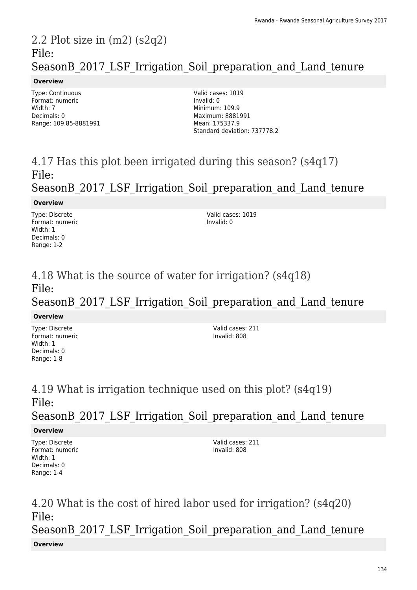### 2.2 Plot size in (m2) (s2q2) File: SeasonB 2017 LSF Irrigation Soil preparation and Land tenure

#### **Overview**

Type: Continuous Format: numeric Width: 7 Decimals: 0 Range: 109.85-8881991 Valid cases: 1019 Invalid: 0 Minimum: 109.9 Maximum: 8881991 Mean: 175337.9 Standard deviation: 737778.2

### 4.17 Has this plot been irrigated during this season? (s4q17) File: SeasonB 2017 LSF Irrigation Soil preparation and Land tenure

#### **Overview**

Type: Discrete Format: numeric Width: 1 Decimals: 0 Range: 1-2

Valid cases: 1019 Invalid: 0

# 4.18 What is the source of water for irrigation? (s4q18) File:

# SeasonB 2017 LSF Irrigation Soil preparation and Land tenure

#### **Overview**

Type: Discrete Format: numeric Width: 1 Decimals: 0 Range: 1-8

Valid cases: 211 Invalid: 808

# 4.19 What is irrigation technique used on this plot? (s4q19) File:

SeasonB 2017 LSF Irrigation Soil preparation and Land tenure

**Overview**

Type: Discrete Format: numeric Width: 1 Decimals: 0 Range: 1-4

Valid cases: 211 Invalid: 808

4.20 What is the cost of hired labor used for irrigation? (s4q20) File: SeasonB 2017 LSF Irrigation Soil preparation and Land tenure

#### **Overview**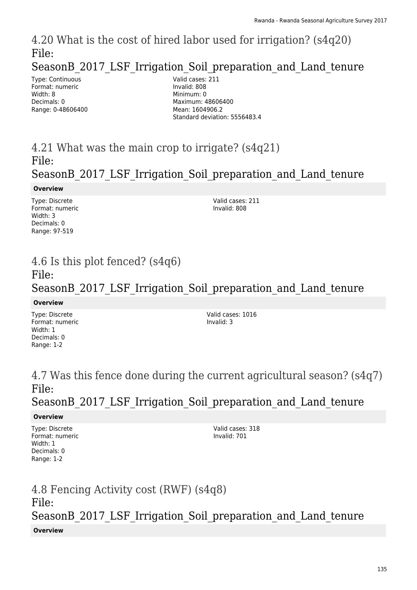# 4.20 What is the cost of hired labor used for irrigation? (s4q20) File:

# SeasonB 2017 LSF Irrigation Soil preparation and Land tenure

Type: Continuous Format: numeric Width: 8 Decimals: 0 Range: 0-48606400

Valid cases: 211 Invalid: 808 Minimum: 0 Maximum: 48606400 Mean: 1604906.2 Standard deviation: 5556483.4

# 4.21 What was the main crop to irrigate? (s4q21) File: SeasonB 2017 LSF Irrigation Soil preparation and Land tenure

#### **Overview**

Type: Discrete Format: numeric Width: 3 Decimals: 0 Range: 97-519

Valid cases: 211 Invalid: 808

# 4.6 Is this plot fenced? (s4q6)

# File:

# SeasonB 2017 LSF Irrigation Soil preparation and Land tenure

#### **Overview**

Type: Discrete Format: numeric Width: 1 Decimals: 0 Range: 1-2

Valid cases: 1016 Invalid: 3

# 4.7 Was this fence done during the current agricultural season? (s4q7) File:

# SeasonB 2017 LSF Irrigation Soil preparation and Land tenure

#### **Overview**

Type: Discrete Format: numeric Width: 1 Decimals: 0 Range: 1-2

Valid cases: 318 Invalid: 701

### 4.8 Fencing Activity cost (RWF) (s4q8) File: SeasonB 2017 LSF Irrigation Soil preparation and Land tenure **Overview**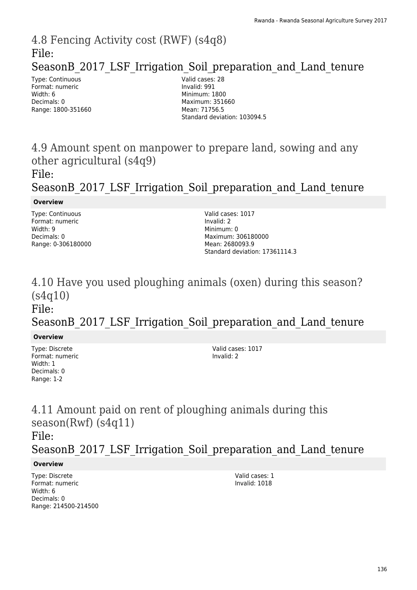### 4.8 Fencing Activity cost (RWF) (s4q8) File: SeasonB 2017 LSF Irrigation Soil preparation and Land tenure

Type: Continuous Format: numeric Width: 6 Decimals: 0 Range: 1800-351660 Valid cases: 28 Invalid: 991 Minimum: 1800 Maximum: 351660 Mean: 71756.5 Standard deviation: 103094.5

# 4.9 Amount spent on manpower to prepare land, sowing and any other agricultural (s4q9) File: SeasonB 2017 LSF Irrigation Soil preparation and Land tenure

#### **Overview**

Type: Continuous Format: numeric Width: 9 Decimals: 0 Range: 0-306180000 Valid cases: 1017 Invalid: 2 Minimum: 0 Maximum: 306180000 Mean: 2680093.9 Standard deviation: 17361114.3

### 4.10 Have you used ploughing animals (oxen) during this season?  $(s4q10)$ File:

SeasonB 2017 LSF Irrigation Soil preparation and Land tenure

#### **Overview**

Type: Discrete Format: numeric Width: 1 Decimals: 0 Range: 1-2

Valid cases: 1017 Invalid: 2

### 4.11 Amount paid on rent of ploughing animals during this season(Rwf) (s4q11) File:

SeasonB 2017 LSF Irrigation Soil preparation and Land tenure

#### **Overview**

Type: Discrete Format: numeric Width: 6 Decimals: 0 Range: 214500-214500 Valid cases: 1 Invalid: 1018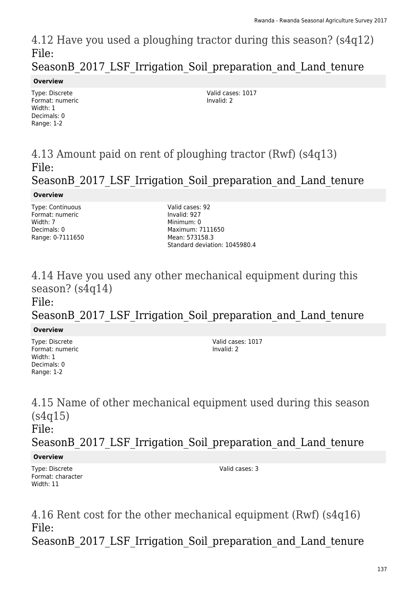4.12 Have you used a ploughing tractor during this season? (s4q12) File:

SeasonB 2017 LSF Irrigation Soil preparation and Land tenure

#### **Overview**

Type: Discrete Format: numeric Width: 1 Decimals: 0 Range: 1-2

Valid cases: 1017 Invalid: 2

# 4.13 Amount paid on rent of ploughing tractor (Rwf) (s4q13) File: SeasonB 2017 LSF Irrigation Soil preparation and Land tenure

#### **Overview**

Type: Continuous Format: numeric Width: 7 Decimals: 0 Range: 0-7111650 Valid cases: 92 Invalid: 927 Minimum: 0 Maximum: 7111650 Mean: 573158.3 Standard deviation: 1045980.4

## 4.14 Have you used any other mechanical equipment during this season? (s4q14) File:

SeasonB 2017 LSF Irrigation Soil preparation and Land tenure

#### **Overview**

Type: Discrete Format: numeric Width: 1 Decimals: 0 Range: 1-2

Valid cases: 1017 Invalid: 2

4.15 Name of other mechanical equipment used during this season (s4q15)

File:

SeasonB 2017 LSF Irrigation Soil preparation and Land tenure

#### **Overview**

Type: Discrete Format: character Width: 11

Valid cases: 3

4.16 Rent cost for the other mechanical equipment (Rwf) (s4q16) File: SeasonB 2017 LSF Irrigation Soil preparation and Land tenure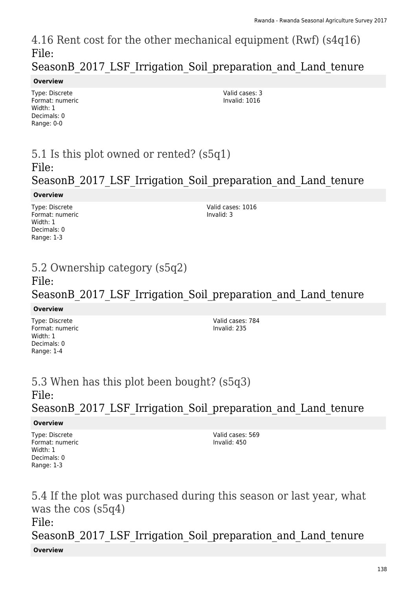4.16 Rent cost for the other mechanical equipment (Rwf) (s4q16) File:

SeasonB 2017 LSF Irrigation Soil preparation and Land tenure

#### **Overview**

Type: Discrete Format: numeric Width: 1 Decimals: 0 Range: 0-0

Valid cases: 3 Invalid: 1016

# 5.1 Is this plot owned or rented? (s5q1)

# SeasonB 2017 LSF Irrigation Soil preparation and Land tenure

File:

#### **Overview**

Type: Discrete Format: numeric Width: 1 Decimals: 0 Range: 1-3

Valid cases: 1016 Invalid: 3

# 5.2 Ownership category (s5q2) File:

SeasonB 2017 LSF Irrigation Soil preparation and Land tenure

#### **Overview**

Type: Discrete Format: numeric Width: 1 Decimals: 0 Range: 1-4

Valid cases: 784 Invalid: 235

### 5.3 When has this plot been bought? (s5q3) File: SeasonB 2017 LSF Irrigation Soil preparation and Land tenure

#### **Overview**

Type: Discrete Format: numeric Width: 1 Decimals: 0 Range: 1-3

Valid cases: 569 Invalid: 450

5.4 If the plot was purchased during this season or last year, what was the cos (s5q4)

### File:

SeasonB 2017 LSF Irrigation Soil preparation and Land tenure **Overview**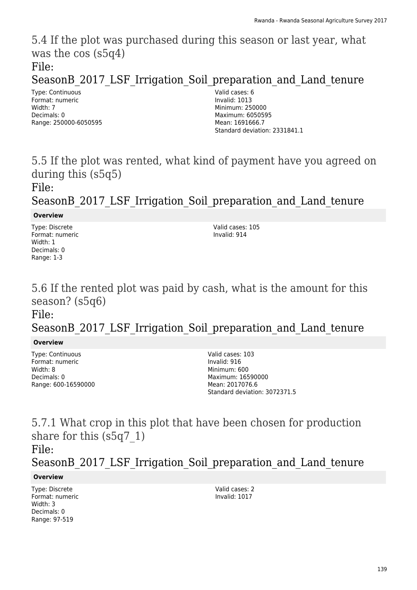# 5.4 If the plot was purchased during this season or last year, what was the cos (s5q4) File:

# SeasonB 2017 LSF Irrigation Soil preparation and Land tenure

Type: Continuous Format: numeric Width: 7 Decimals: 0 Range: 250000-6050595

Valid cases: 6 Invalid: 1013 Minimum: 250000 Maximum: 6050595 Mean: 1691666.7 Standard deviation: 2331841.1

# 5.5 If the plot was rented, what kind of payment have you agreed on during this (s5q5)

# File:

SeasonB 2017 LSF Irrigation Soil preparation and Land tenure

#### **Overview**

Type: Discrete Format: numeric Width: 1 Decimals: 0 Range: 1-3

Valid cases: 105 Invalid: 914

### 5.6 If the rented plot was paid by cash, what is the amount for this season? (s5q6) File:

SeasonB 2017 LSF Irrigation Soil preparation and Land tenure

#### **Overview**

Type: Continuous Format: numeric Width: 8 Decimals: 0 Range: 600-16590000

Valid cases: 103 Invalid: 916 Minimum: 600 Maximum: 16590000 Mean: 2017076.6 Standard deviation: 3072371.5

# 5.7.1 What crop in this plot that have been chosen for production share for this (s5q7\_1)

### File:

SeasonB 2017 LSF Irrigation Soil preparation and Land tenure

#### **Overview**

Type: Discrete Format: numeric Width: 3 Decimals: 0 Range: 97-519

Valid cases: 2 Invalid: 1017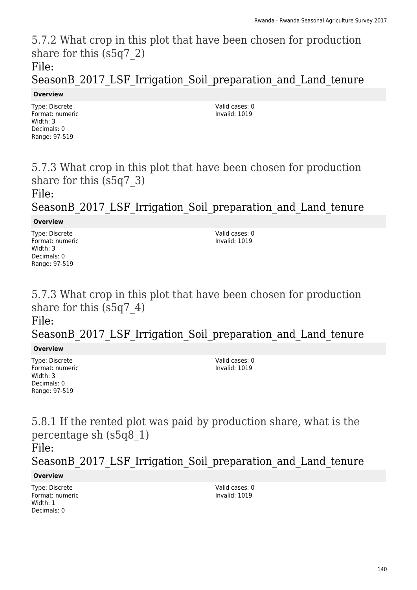# 5.7.2 What crop in this plot that have been chosen for production share for this (s5q7\_2) File:

# SeasonB 2017 LSF Irrigation Soil preparation and Land tenure

#### **Overview**

Type: Discrete Format: numeric Width: 3 Decimals: 0 Range: 97-519

Valid cases: 0 Invalid: 1019

5.7.3 What crop in this plot that have been chosen for production share for this (s5q7\3)

### File:

SeasonB 2017 LSF Irrigation Soil preparation and Land tenure

#### **Overview**

Type: Discrete Format: numeric Width: 3 Decimals: 0 Range: 97-519

Valid cases: 0 Invalid: 1019

5.7.3 What crop in this plot that have been chosen for production share for this (s5q7\_4)

### File:

SeasonB 2017 LSF Irrigation Soil preparation and Land tenure

#### **Overview**

Type: Discrete Format: numeric Width: 3 Decimals: 0 Range: 97-519

Valid cases: 0 Invalid: 1019

5.8.1 If the rented plot was paid by production share, what is the percentage sh (s5q8\_1)

File:

SeasonB 2017 LSF Irrigation Soil preparation and Land tenure

#### **Overview**

Type: Discrete Format: numeric Width: 1 Decimals: 0

Valid cases: 0 Invalid: 1019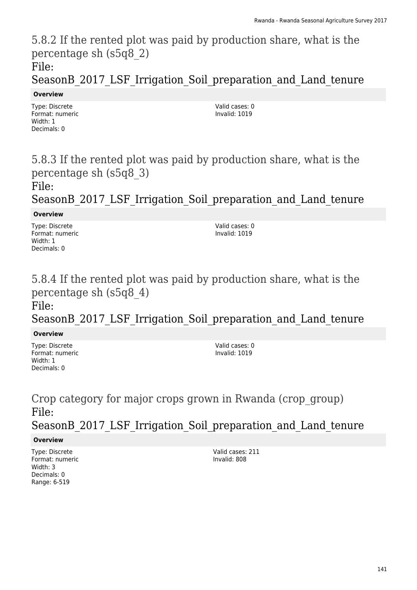# 5.8.2 If the rented plot was paid by production share, what is the percentage sh (s5q8\_2) File:

# SeasonB 2017 LSF Irrigation Soil preparation and Land tenure

#### **Overview**

Type: Discrete Format: numeric Width: 1 Decimals: 0

Valid cases: 0 Invalid: 1019

5.8.3 If the rented plot was paid by production share, what is the percentage sh (s5q8\_3)

### File:

SeasonB 2017 LSF Irrigation Soil preparation and Land tenure

#### **Overview**

Type: Discrete Format: numeric Width: 1 Decimals: 0

Valid cases: 0 Invalid: 1019

### 5.8.4 If the rented plot was paid by production share, what is the percentage sh (s5q8\_4) File:

SeasonB 2017 LSF Irrigation Soil preparation and Land tenure

#### **Overview**

Type: Discrete Format: numeric Width: 1 Decimals: 0

Valid cases: 0 Invalid: 1019

Crop category for major crops grown in Rwanda (crop\_group) File: SeasonB 2017 LSF Irrigation Soil preparation and Land tenure

#### **Overview**

Type: Discrete Format: numeric Width: 3 Decimals: 0 Range: 6-519

Valid cases: 211 Invalid: 808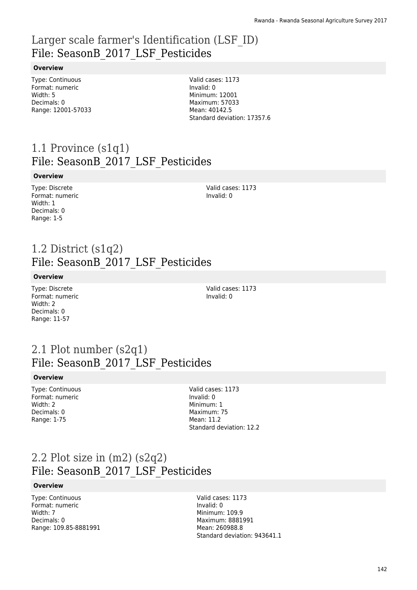## Larger scale farmer's Identification (LSF\_ID) File: SeasonB\_2017\_LSF\_Pesticides

#### **Overview**

Type: Continuous Format: numeric Width: 5 Decimals: 0 Range: 12001-57033 Valid cases: 1173 Invalid: 0 Minimum: 12001 Maximum: 57033 Mean: 40142.5 Standard deviation: 17357.6

# 1.1 Province (s1q1) File: SeasonB\_2017\_LSF\_Pesticides

#### **Overview**

Type: Discrete Format: numeric Width: 1 Decimals: 0 Range: 1-5

Valid cases: 1173 Invalid: 0

### 1.2 District (s1q2) File: SeasonB\_2017\_LSF\_Pesticides

#### **Overview**

Type: Discrete Format: numeric Width: 2 Decimals: 0 Range: 11-57

Valid cases: 1173 Invalid: 0

### 2.1 Plot number (s2q1) File: SeasonB\_2017\_LSF\_Pesticides

#### **Overview**

Type: Continuous Format: numeric Width: 2 Decimals: 0 Range: 1-75

Valid cases: 1173 Invalid: 0 Minimum: 1 Maximum: 75 Mean: 11.2 Standard deviation: 12.2

### 2.2 Plot size in (m2) (s2q2) File: SeasonB\_2017\_LSF\_Pesticides

#### **Overview**

Type: Continuous Format: numeric Width: 7 Decimals: 0 Range: 109.85-8881991 Valid cases: 1173 Invalid: 0 Minimum: 109.9 Maximum: 8881991 Mean: 260988.8 Standard deviation: 943641.1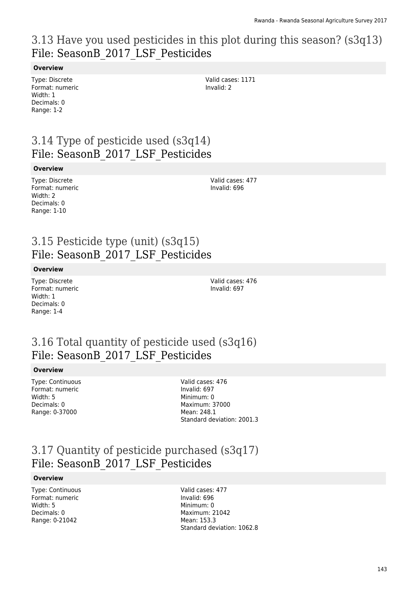# 3.13 Have you used pesticides in this plot during this season? (s3q13) File: SeasonB\_2017\_LSF\_Pesticides

**Overview**

Type: Discrete Format: numeric Width: 1 Decimals: 0 Range: 1-2

Valid cases: 1171 Invalid: 2

# 3.14 Type of pesticide used (s3q14) File: SeasonB\_2017\_LSF\_Pesticides

#### **Overview**

Type: Discrete Format: numeric Width: 2 Decimals: 0 Range: 1-10

Valid cases: 477 Invalid: 696

## 3.15 Pesticide type (unit) (s3q15) File: SeasonB\_2017\_LSF\_Pesticides

#### **Overview**

Type: Discrete Format: numeric Width: 1 Decimals: 0 Range: 1-4

Valid cases: 476 Invalid: 697

# 3.16 Total quantity of pesticide used (s3q16) File: SeasonB\_2017\_LSF\_Pesticides

#### **Overview**

Type: Continuous Format: numeric Width: 5 Decimals: 0 Range: 0-37000

Valid cases: 476 Invalid: 697 Minimum: 0 Maximum: 37000 Mean: 248.1 Standard deviation: 2001.3

# 3.17 Quantity of pesticide purchased (s3q17) File: SeasonB\_2017\_LSF\_Pesticides

#### **Overview**

Type: Continuous Format: numeric Width: 5 Decimals: 0 Range: 0-21042

Valid cases: 477 Invalid: 696 Minimum: 0 Maximum: 21042 Mean: 153.3 Standard deviation: 1062.8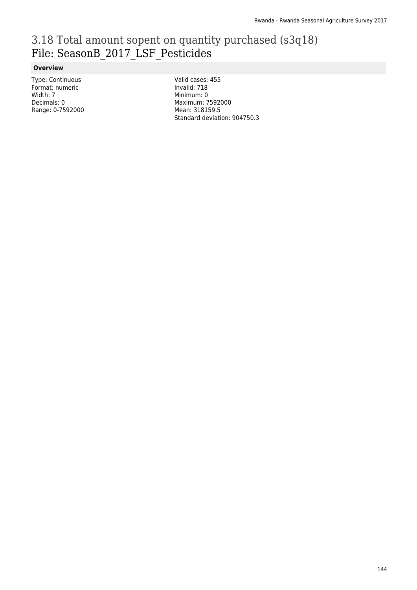# 3.18 Total amount sopent on quantity purchased (s3q18) File: SeasonB\_2017\_LSF\_Pesticides

#### **Overview**

Type: Continuous Format: numeric Width: 7 Decimals: 0 Range: 0-7592000 Valid cases: 455 Invalid: 718 Minimum: 0 Maximum: 7592000 Mean: 318159.5 Standard deviation: 904750.3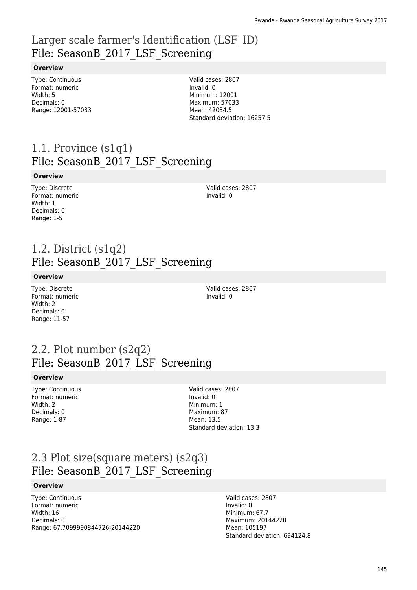## Larger scale farmer's Identification (LSF\_ID) File: SeasonB 2017 LSF Screening

### **Overview**

Type: Continuous Format: numeric Width: 5 Decimals: 0 Range: 12001-57033 Valid cases: 2807 Invalid: 0 Minimum: 12001 Maximum: 57033 Mean: 42034.5 Standard deviation: 16257.5

## 1.1. Province (s1q1) File: SeasonB 2017 LSF Screening

#### **Overview**

Type: Discrete Format: numeric Width: 1 Decimals: 0 Range: 1-5

Valid cases: 2807 Invalid: 0

### 1.2. District (s1q2) File: SeasonB 2017 LSF Screening

#### **Overview**

Type: Discrete Format: numeric Width: 2 Decimals: 0 Range: 11-57

Valid cases: 2807 Invalid: 0

### 2.2. Plot number (s2q2) File: SeasonB\_2017\_LSF\_Screening

#### **Overview**

Type: Continuous Format: numeric Width: 2 Decimals: 0 Range: 1-87

Valid cases: 2807 Invalid: 0 Minimum: 1 Maximum: 87 Mean: 13.5 Standard deviation: 13.3

### 2.3 Plot size(square meters) (s2q3) File: SeasonB 2017 LSF Screening

#### **Overview**

Type: Continuous Format: numeric Width: 16 Decimals: 0 Range: 67.7099990844726-20144220 Valid cases: 2807 Invalid: 0 Minimum: 67.7 Maximum: 20144220 Mean: 105197 Standard deviation: 694124.8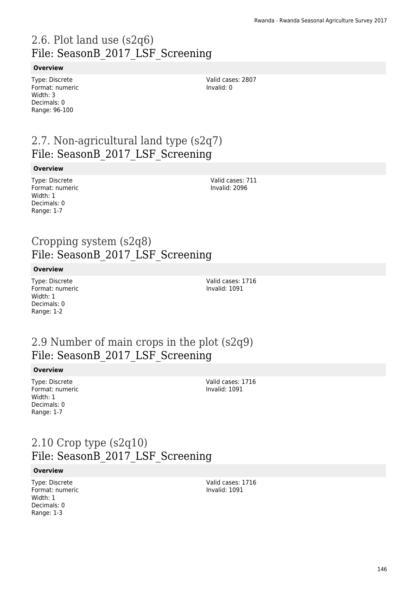# 2.6. Plot land use (s2q6) File: SeasonB 2017 LSF Screening

### **Overview**

Type: Discrete Format: numeric Width: 3 Decimals: 0 Range: 96-100

Valid cases: 2807 Invalid: 0

### 2.7. Non-agricultural land type (s2q7) File: SeasonB 2017 LSF Screening

#### **Overview**

Type: Discrete Format: numeric Width: 1 Decimals: 0 Range: 1-7

Valid cases: 711 Invalid: 2096

### Cropping system (s2q8) File: SeasonB 2017 LSF Screening

#### **Overview**

Type: Discrete Format: numeric Width: 1 Decimals: 0 Range: 1-2

Valid cases: 1716 Invalid: 1091

### 2.9 Number of main crops in the plot (s2q9) File: SeasonB 2017 LSF Screening

#### **Overview**

Type: Discrete Format: numeric Width: 1 Decimals: 0 Range: 1-7

Valid cases: 1716 Invalid: 1091

### 2.10 Crop type (s2q10) File: SeasonB\_2017\_LSF\_Screening

#### **Overview**

Type: Discrete Format: numeric Width: 1 Decimals: 0 Range: 1-3

Valid cases: 1716 Invalid: 1091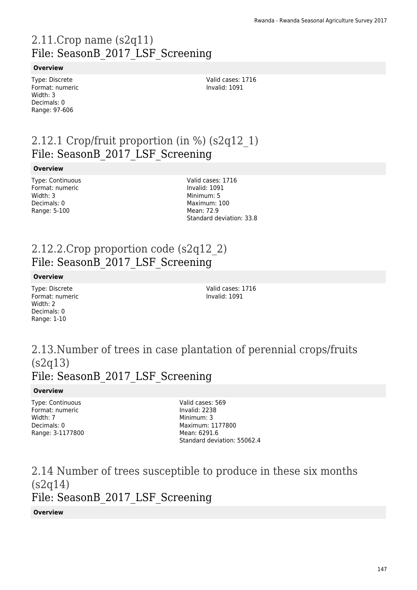# 2.11.Crop name (s2q11) File: SeasonB\_2017\_LSF\_Screening

### **Overview**

Type: Discrete Format: numeric Width: 3 Decimals: 0 Range: 97-606

Valid cases: 1716 Invalid: 1091

# 2.12.1 Crop/fruit proportion (in %) (s2q12\_1) File: SeasonB 2017 LSF Screening

#### **Overview**

Type: Continuous Format: numeric Width: 3 Decimals: 0 Range: 5-100

Valid cases: 1716 Invalid: 1091 Minimum: 5 Maximum: 100 Mean: 72.9 Standard deviation: 33.8

## 2.12.2.Crop proportion code (s2q12\_2) File: SeasonB\_2017\_LSF\_Screening

### **Overview**

Type: Discrete Format: numeric Width: 2 Decimals: 0 Range: 1-10

Valid cases: 1716 Invalid: 1091

### 2.13.Number of trees in case plantation of perennial crops/fruits (s2q13) File: SeasonB 2017 LSF Screening

### **Overview**

Type: Continuous Format: numeric Width: 7 Decimals: 0 Range: 3-1177800 Valid cases: 569 Invalid: 2238 Minimum: 3 Maximum: 1177800 Mean: 6291.6 Standard deviation: 55062.4

2.14 Number of trees susceptible to produce in these six months (s2q14) File: SeasonB\_2017\_LSF\_Screening **Overview**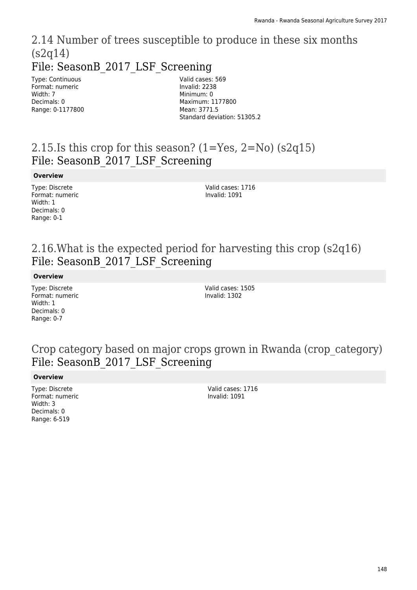### 2.14 Number of trees susceptible to produce in these six months (s2q14) File: SeasonB\_2017\_LSF\_Screening

Type: Continuous Format: numeric Width: 7 Decimals: 0 Range: 0-1177800

Valid cases: 569 Invalid: 2238 Minimum: 0 Maximum: 1177800 Mean: 3771.5 Standard deviation: 51305.2

# 2.15.Is this crop for this season?  $(1=Yes, 2=No)$   $(s2q15)$ File: SeasonB 2017 LSF Screening

**Overview**

Type: Discrete Format: numeric Width: 1 Decimals: 0 Range: 0-1

Valid cases: 1716 Invalid: 1091

### 2.16.What is the expected period for harvesting this crop (s2q16) File: SeasonB 2017 LSF Screening

### **Overview**

Type: Discrete Format: numeric Width: 1 Decimals: 0 Range: 0-7

Valid cases: 1505 Invalid: 1302

### Crop category based on major crops grown in Rwanda (crop\_category) File: SeasonB\_2017\_LSF\_Screening

#### **Overview**

Type: Discrete Format: numeric Width: 3 Decimals: 0 Range: 6-519

Valid cases: 1716 Invalid: 1091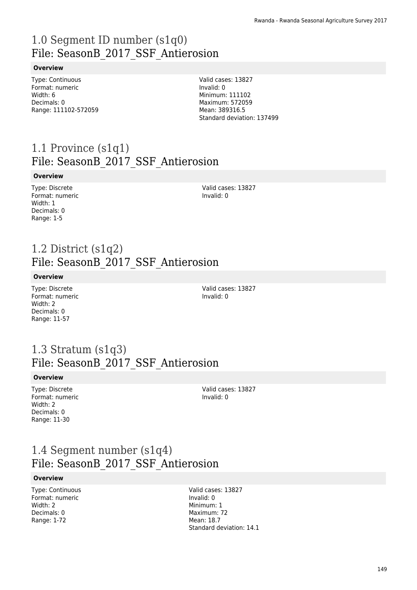# 1.0 Segment ID number (s1q0) File: SeasonB\_2017\_SSF\_Antierosion

### **Overview**

Type: Continuous Format: numeric Width: 6 Decimals: 0 Range: 111102-572059 Valid cases: 13827 Invalid: 0 Minimum: 111102 Maximum: 572059 Mean: 389316.5 Standard deviation: 137499

# 1.1 Province (s1q1) File: SeasonB\_2017\_SSF\_Antierosion

#### **Overview**

Type: Discrete Format: numeric Width: 1 Decimals: 0 Range: 1-5

Valid cases: 13827 Invalid: 0

### 1.2 District (s1q2) File: SeasonB\_2017\_SSF\_Antierosion

#### **Overview**

Type: Discrete Format: numeric Width: 2 Decimals: 0 Range: 11-57

Valid cases: 13827 Invalid: 0

### 1.3 Stratum (s1q3) File: SeasonB\_2017\_SSF\_Antierosion

#### **Overview**

Type: Discrete Format: numeric Width: 2 Decimals: 0 Range: 11-30

Valid cases: 13827 Invalid: 0

### 1.4 Segment number (s1q4) File: SeasonB\_2017\_SSF\_Antierosion

#### **Overview**

Type: Continuous Format: numeric Width: 2 Decimals: 0 Range: 1-72

Valid cases: 13827 Invalid: 0 Minimum: 1 Maximum: 72 Mean: 18.7 Standard deviation: 14.1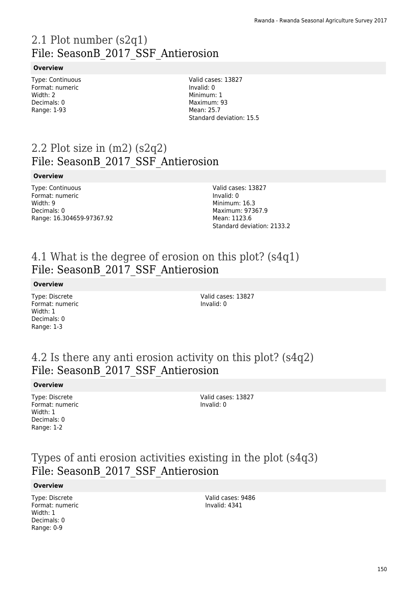# 2.1 Plot number (s2q1) File: SeasonB\_2017\_SSF\_Antierosion

### **Overview**

Type: Continuous Format: numeric Width: 2 Decimals: 0 Range: 1-93

Valid cases: 13827 Invalid: 0 Minimum: 1 Maximum: 93 Mean: 25.7 Standard deviation: 15.5

# 2.2 Plot size in (m2) (s2q2) File: SeasonB\_2017\_SSF\_Antierosion

#### **Overview**

Type: Continuous Format: numeric Width: 9 Decimals: 0 Range: 16.304659-97367.92

Valid cases: 13827 Invalid: 0 Minimum: 16.3 Maximum: 97367.9 Mean: 1123.6 Standard deviation: 2133.2

### 4.1 What is the degree of erosion on this plot? (s4q1) File: SeasonB\_2017\_SSF\_Antierosion

### **Overview**

Type: Discrete Format: numeric Width: 1 Decimals: 0 Range: 1-3

Valid cases: 13827 Invalid: 0

### 4.2 Is there any anti erosion activity on this plot? (s4q2) File: SeasonB\_2017\_SSF\_Antierosion

#### **Overview**

Type: Discrete Format: numeric Width: 1 Decimals: 0 Range: 1-2

Valid cases: 13827 Invalid: 0

### Types of anti erosion activities existing in the plot (s4q3) File: SeasonB\_2017\_SSF\_Antierosion

### **Overview**

Type: Discrete Format: numeric Width: 1 Decimals: 0 Range: 0-9

Valid cases: 9486 Invalid: 4341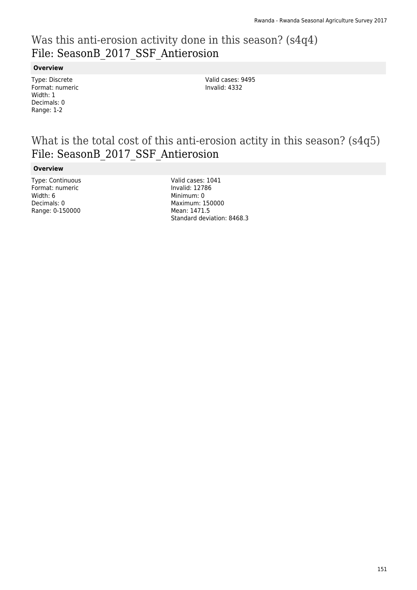# Was this anti-erosion activity done in this season? (s4q4) File: SeasonB\_2017\_SSF\_Antierosion

### **Overview**

Type: Discrete Format: numeric Width: 1 Decimals: 0 Range: 1-2

Valid cases: 9495 Invalid: 4332

### What is the total cost of this anti-erosion actity in this season? (s4q5) File: SeasonB\_2017\_SSF\_Antierosion

#### **Overview**

Type: Continuous Format: numeric Width: 6 Decimals: 0 Range: 0-150000

Valid cases: 1041 Invalid: 12786 Minimum: 0 Maximum: 150000 Mean: 1471.5 Standard deviation: 8468.3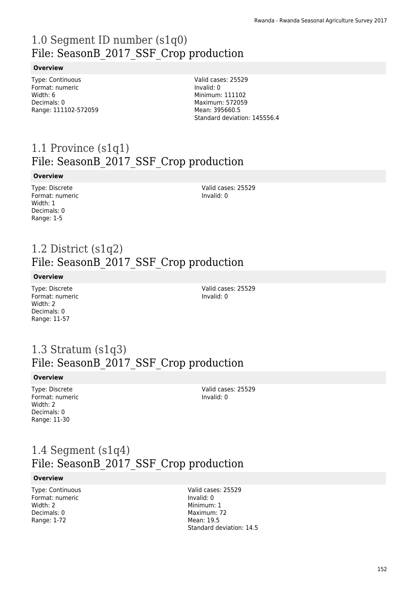# 1.0 Segment ID number (s1q0) File: SeasonB\_2017\_SSF\_Crop production

### **Overview**

Type: Continuous Format: numeric Width: 6 Decimals: 0 Range: 111102-572059

Valid cases: 25529 Invalid: 0 Minimum: 111102 Maximum: 572059 Mean: 395660.5 Standard deviation: 145556.4

# 1.1 Province (s1q1) File: SeasonB\_2017\_SSF\_Crop production

#### **Overview**

Type: Discrete Format: numeric Width: 1 Decimals: 0 Range: 1-5

Valid cases: 25529 Invalid: 0

### 1.2 District (s1q2) File: SeasonB\_2017\_SSF\_Crop production

#### **Overview**

Type: Discrete Format: numeric Width: 2 Decimals: 0 Range: 11-57

Valid cases: 25529 Invalid: 0

### 1.3 Stratum (s1q3) File: SeasonB\_2017\_SSF\_Crop production

#### **Overview**

Type: Discrete Format: numeric Width: 2 Decimals: 0 Range: 11-30

Valid cases: 25529 Invalid: 0

# 1.4 Segment (s1q4) File: SeasonB\_2017\_SSF\_Crop production

#### **Overview**

Type: Continuous Format: numeric Width: 2 Decimals: 0 Range: 1-72

Valid cases: 25529 Invalid: 0 Minimum: 1 Maximum: 72 Mean: 19.5 Standard deviation: 14.5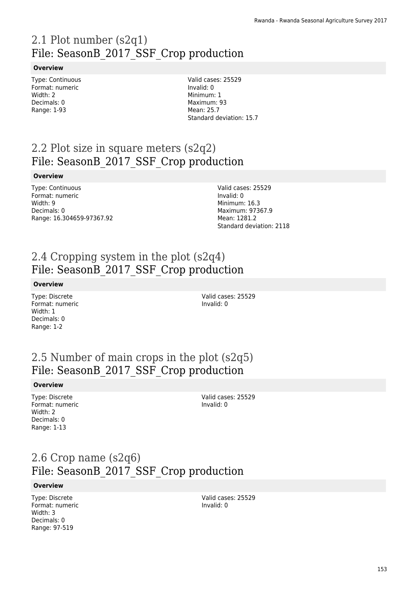# 2.1 Plot number (s2q1) File: SeasonB\_2017\_SSF\_Crop production

### **Overview**

Type: Continuous Format: numeric Width: 2 Decimals: 0 Range: 1-93

Valid cases: 25529 Invalid: 0 Minimum: 1 Maximum: 93 Mean: 25.7 Standard deviation: 15.7

# 2.2 Plot size in square meters  $(s2q2)$ File: SeasonB\_2017\_SSF\_Crop production

#### **Overview**

Type: Continuous Format: numeric Width: 9 Decimals: 0 Range: 16.304659-97367.92 Valid cases: 25529 Invalid: 0 Minimum: 16.3 Maximum: 97367.9 Mean: 1281.2 Standard deviation: 2118

# 2.4 Cropping system in the plot (s2q4) File: SeasonB\_2017\_SSF\_Crop production

#### **Overview**

Type: Discrete Format: numeric Width: 1 Decimals: 0 Range: 1-2

Valid cases: 25529 Invalid: 0

### 2.5 Number of main crops in the plot (s2q5) File: SeasonB\_2017\_SSF\_Crop production

#### **Overview**

Type: Discrete Format: numeric Width: 2 Decimals: 0 Range: 1-13

Valid cases: 25529 Invalid: 0

# 2.6 Crop name (s2q6) File: SeasonB\_2017\_SSF\_Crop production

#### **Overview**

Type: Discrete Format: numeric Width: 3 Decimals: 0 Range: 97-519

Valid cases: 25529 Invalid: 0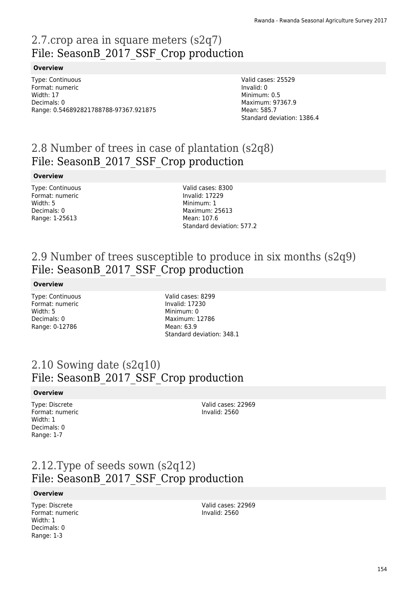## 2.7.crop area in square meters (s2q7) File: SeasonB\_2017\_SSF\_Crop production

### **Overview**

Type: Continuous Format: numeric Width: 17 Decimals: 0 Range: 0.546892821788788-97367.921875 Valid cases: 25529 Invalid: 0 Minimum: 0.5 Maximum: 97367.9 Mean: 585.7 Standard deviation: 1386.4

# 2.8 Number of trees in case of plantation (s2q8) File: SeasonB\_2017\_SSF\_Crop production

#### **Overview**

Type: Continuous Format: numeric Width: 5 Decimals: 0 Range: 1-25613

Valid cases: 8300 Invalid: 17229 Minimum: 1 Maximum: 25613 Mean: 107.6 Standard deviation: 577.2

# 2.9 Number of trees susceptible to produce in six months (s2q9) File: SeasonB\_2017\_SSF\_Crop production

### **Overview**

Type: Continuous Format: numeric Width: 5 Decimals: 0 Range: 0-12786

Valid cases: 8299 Invalid: 17230 Minimum: 0 Maximum: 12786 Mean: 63.9 Standard deviation: 348.1

### 2.10 Sowing date (s2q10) File: SeasonB\_2017\_SSF\_Crop production

### **Overview**

Type: Discrete Format: numeric Width: 1 Decimals: 0 Range: 1-7

Valid cases: 22969 Invalid: 2560

### 2.12.Type of seeds sown (s2q12) File: SeasonB\_2017\_SSF\_Crop production

#### **Overview**

Type: Discrete Format: numeric Width: 1 Decimals: 0 Range: 1-3

Valid cases: 22969 Invalid: 2560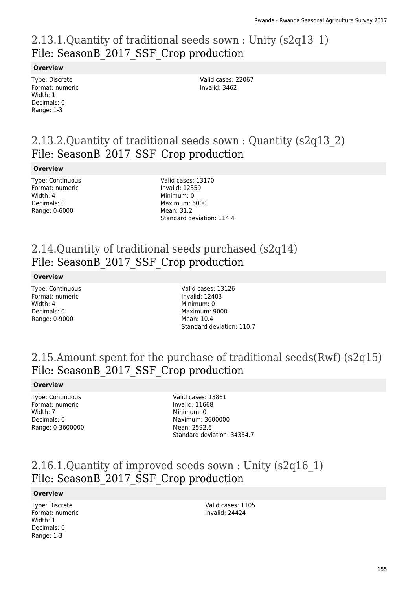# 2.13.1.Quantity of traditional seeds sown : Unity (s2q13\_1) File: SeasonB\_2017\_SSF\_Crop production

#### **Overview**

Type: Discrete Format: numeric Width: 1 Decimals: 0 Range: 1-3

Valid cases: 22067 Invalid: 3462

# 2.13.2.Quantity of traditional seeds sown : Quantity (s2q13\_2) File: SeasonB\_2017\_SSF\_Crop production

#### **Overview**

Type: Continuous Format: numeric Width: 4 Decimals: 0 Range: 0-6000

Valid cases: 13170 Invalid: 12359 Minimum: 0 Maximum: 6000 Mean: 31.2 Standard deviation: 114.4

## 2.14.Quantity of traditional seeds purchased (s2q14) File: SeasonB\_2017\_SSF\_Crop production

#### **Overview**

Type: Continuous Format: numeric Width: 4 Decimals: 0 Range: 0-9000

Valid cases: 13126 Invalid: 12403 Minimum: 0 Maximum: 9000 Mean: 10.4 Standard deviation: 110.7

### 2.15.Amount spent for the purchase of traditional seeds(Rwf) (s2q15) File: SeasonB\_2017\_SSF\_Crop production

#### **Overview**

Type: Continuous Format: numeric Width: 7 Decimals: 0 Range: 0-3600000 Valid cases: 13861 Invalid: 11668 Minimum: 0 Maximum: 3600000 Mean: 2592.6 Standard deviation: 34354.7

## 2.16.1.Quantity of improved seeds sown : Unity (s2q16\_1) File: SeasonB\_2017\_SSF\_Crop production

#### **Overview**

Type: Discrete Format: numeric Width: 1 Decimals: 0 Range: 1-3

Valid cases: 1105 Invalid: 24424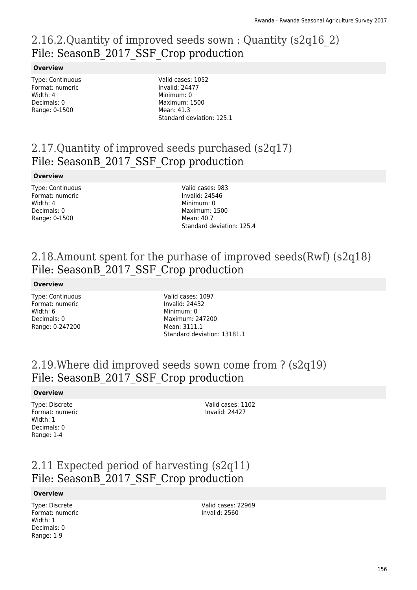# 2.16.2.Quantity of improved seeds sown : Quantity (s2q16\_2) File: SeasonB\_2017\_SSF\_Crop production

### **Overview**

Type: Continuous Format: numeric Width: 4 Decimals: 0 Range: 0-1500

Valid cases: 1052 Invalid: 24477 Minimum: 0 Maximum: 1500 Mean: 41.3 Standard deviation: 125.1

# 2.17.Quantity of improved seeds purchased (s2q17) File: SeasonB\_2017\_SSF\_Crop production

#### **Overview**

Type: Continuous Format: numeric Width: 4 Decimals: 0 Range: 0-1500

Valid cases: 983 Invalid: 24546 Minimum: 0 Maximum: 1500 Mean: 40.7 Standard deviation: 125.4

### 2.18.Amount spent for the purhase of improved seeds(Rwf) (s2q18) File: SeasonB\_2017\_SSF\_Crop production

#### **Overview**

Type: Continuous Format: numeric Width: 6 Decimals: 0 Range: 0-247200 Valid cases: 1097 Invalid: 24432 Minimum: 0 Maximum: 247200 Mean: 3111.1 Standard deviation: 13181.1

## 2.19.Where did improved seeds sown come from ? (s2q19) File: SeasonB\_2017\_SSF\_Crop production

#### **Overview**

Type: Discrete Format: numeric Width: 1 Decimals: 0 Range: 1-4

Valid cases: 1102 Invalid: 24427

## 2.11 Expected period of harvesting (s2q11) File: SeasonB\_2017\_SSF\_Crop production

#### **Overview**

Type: Discrete Format: numeric Width: 1 Decimals: 0 Range: 1-9

Valid cases: 22969 Invalid: 2560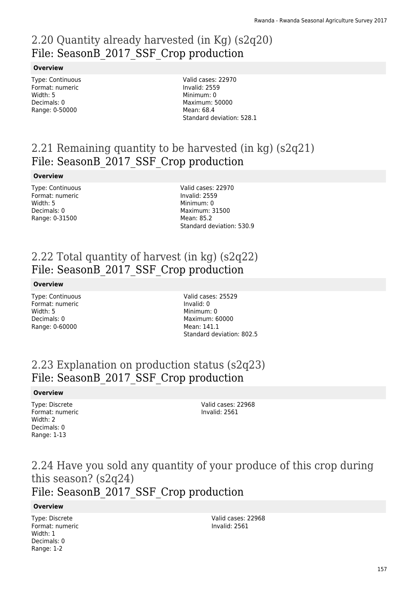# 2.20 Quantity already harvested (in Kg) (s2q20) File: SeasonB\_2017\_SSF\_Crop production

### **Overview**

Type: Continuous Format: numeric Width: 5 Decimals: 0 Range: 0-50000

Valid cases: 22970 Invalid: 2559 Minimum: 0 Maximum: 50000 Mean: 68.4 Standard deviation: 528.1

# 2.21 Remaining quantity to be harvested (in kg) (s2q21) File: SeasonB\_2017\_SSF\_Crop production

#### **Overview**

Type: Continuous Format: numeric Width: 5 Decimals: 0 Range: 0-31500

Valid cases: 22970 Invalid: 2559 Minimum: 0 Maximum: 31500 Mean: 85.2 Standard deviation: 530.9

# 2.22 Total quantity of harvest (in kg) (s2q22) File: SeasonB\_2017\_SSF\_Crop production

#### **Overview**

Type: Continuous Format: numeric Width: 5 Decimals: 0 Range: 0-60000

Valid cases: 25529 Invalid: 0 Minimum: 0 Maximum: 60000 Mean: 141.1 Standard deviation: 802.5

## 2.23 Explanation on production status (s2q23) File: SeasonB\_2017\_SSF\_Crop production

#### **Overview**

Type: Discrete Format: numeric Width: 2 Decimals: 0 Range: 1-13

Valid cases: 22968 Invalid: 2561

# 2.24 Have you sold any quantity of your produce of this crop during this season? (s2q24)

## File: SeasonB\_2017\_SSF\_Crop production

### **Overview**

Type: Discrete Format: numeric Width: 1 Decimals: 0 Range: 1-2

Valid cases: 22968 Invalid: 2561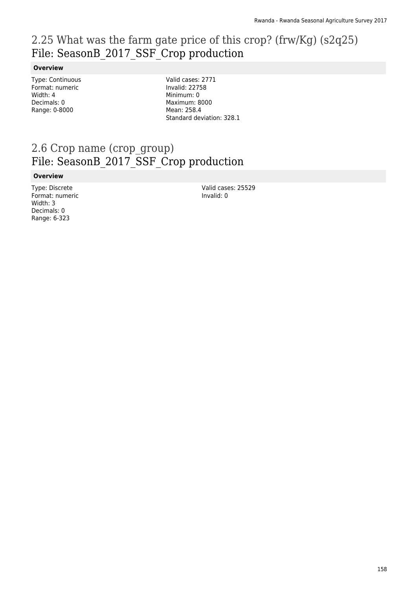# 2.25 What was the farm gate price of this crop? (frw/Kg) (s2q25) File: SeasonB\_2017\_SSF\_Crop production

### **Overview**

Type: Continuous Format: numeric Width: 4 Decimals: 0 Range: 0-8000

Valid cases: 2771 Invalid: 22758 Minimum: 0 Maximum: 8000 Mean: 258.4 Standard deviation: 328.1

# 2.6 Crop name (crop\_group) File: SeasonB\_2017\_SSF\_Crop production

#### **Overview**

Type: Discrete Format: numeric Width: 3 Decimals: 0 Range: 6-323

Valid cases: 25529 Invalid: 0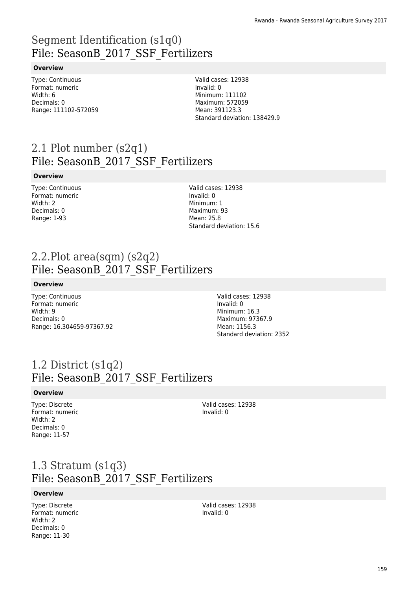# Segment Identification (s1q0) File: SeasonB\_2017\_SSF\_Fertilizers

### **Overview**

Type: Continuous Format: numeric Width: 6 Decimals: 0 Range: 111102-572059 Valid cases: 12938 Invalid: 0 Minimum: 111102 Maximum: 572059 Mean: 391123.3 Standard deviation: 138429.9

# 2.1 Plot number (s2q1) File: SeasonB\_2017\_SSF\_Fertilizers

#### **Overview**

Type: Continuous Format: numeric Width: 2 Decimals: 0 Range: 1-93

Valid cases: 12938 Invalid: 0 Minimum: 1 Maximum: 93 Mean: 25.8 Standard deviation: 15.6

### 2.2.Plot area(sqm) (s2q2) File: SeasonB\_2017\_SSF\_Fertilizers

#### **Overview**

Type: Continuous Format: numeric Width: 9 Decimals: 0 Range: 16.304659-97367.92

Valid cases: 12938 Invalid: 0 Minimum: 16.3 Maximum: 97367.9 Mean: 1156.3 Standard deviation: 2352

### 1.2 District (s1q2) File: SeasonB\_2017\_SSF\_Fertilizers

#### **Overview**

Type: Discrete Format: numeric Width: 2 Decimals: 0 Range: 11-57

Valid cases: 12938 Invalid: 0

### 1.3 Stratum (s1q3) File: SeasonB\_2017\_SSF\_Fertilizers

#### **Overview**

Type: Discrete Format: numeric Width: 2 Decimals: 0 Range: 11-30

Valid cases: 12938 Invalid: 0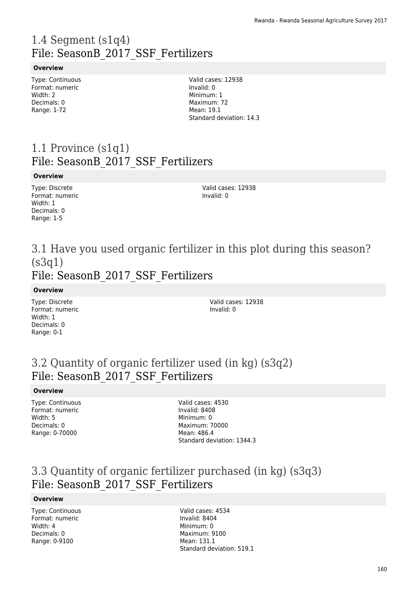# 1.4 Segment (s1q4) File: SeasonB\_2017\_SSF\_Fertilizers

### **Overview**

Type: Continuous Format: numeric Width: 2 Decimals: 0 Range: 1-72

Valid cases: 12938 Invalid: 0 Minimum: 1 Maximum: 72 Mean: 19.1 Standard deviation: 14.3

# 1.1 Province (s1q1) File: SeasonB\_2017\_SSF\_Fertilizers

#### **Overview**

Type: Discrete Format: numeric Width: 1 Decimals: 0 Range: 1-5

Valid cases: 12938 Invalid: 0

# 3.1 Have you used organic fertilizer in this plot during this season? (s3q1)

### File: SeasonB\_2017\_SSF\_Fertilizers

### **Overview**

Type: Discrete Format: numeric Width: 1 Decimals: 0 Range: 0-1

Valid cases: 12938 Invalid: 0

# 3.2 Quantity of organic fertilizer used (in kg) (s3q2) File: SeasonB\_2017\_SSF\_Fertilizers

### **Overview**

Type: Continuous Format: numeric Width: 5 Decimals: 0 Range: 0-70000

Valid cases: 4530 Invalid: 8408 Minimum: 0 Maximum: 70000 Mean: 486.4 Standard deviation: 1344.3

# 3.3 Quantity of organic fertilizer purchased (in kg) (s3q3) File: SeasonB\_2017\_SSF\_Fertilizers

### **Overview**

Type: Continuous Format: numeric Width: 4 Decimals: 0 Range: 0-9100

Valid cases: 4534 Invalid: 8404 Minimum: 0 Maximum: 9100 Mean: 131.1 Standard deviation: 519.1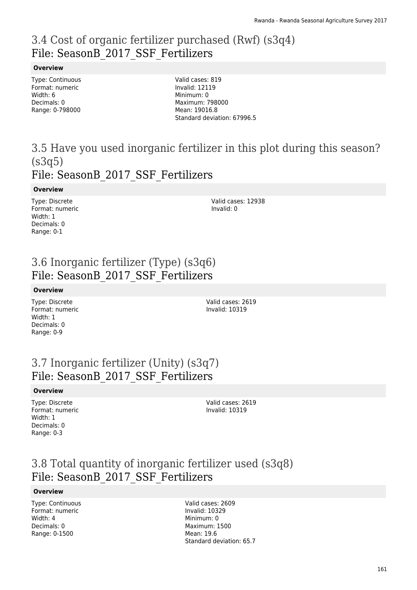# 3.4 Cost of organic fertilizer purchased (Rwf) (s3q4) File: SeasonB\_2017\_SSF\_Fertilizers

### **Overview**

Valid cases: 819 Invalid: 12119 Minimum: 0 Maximum: 798000 Mean: 19016.8 Standard deviation: 67996.5

### 3.5 Have you used inorganic fertilizer in this plot during this season? (s3q5) File: SeasonB\_2017\_SSF\_Fertilizers

### **Overview**

Type: Discrete Format: numeric Width: 1 Decimals: 0 Range: 0-1

Valid cases: 12938 Invalid: 0

## 3.6 Inorganic fertilizer (Type) (s3q6) File: SeasonB\_2017\_SSF\_Fertilizers

### **Overview**

Type: Discrete Format: numeric Width: 1 Decimals: 0 Range: 0-9

Valid cases: 2619 Invalid: 10319

### 3.7 Inorganic fertilizer (Unity) (s3q7) File: SeasonB\_2017\_SSF\_Fertilizers

#### **Overview**

Type: Discrete Format: numeric Width: 1 Decimals: 0 Range: 0-3

Valid cases: 2619 Invalid: 10319

## 3.8 Total quantity of inorganic fertilizer used (s3q8) File: SeasonB\_2017\_SSF\_Fertilizers

### **Overview**

Type: Continuous Format: numeric Width: 4 Decimals: 0 Range: 0-1500

Valid cases: 2609 Invalid: 10329 Minimum: 0 Maximum: 1500 Mean: 19.6 Standard deviation: 65.7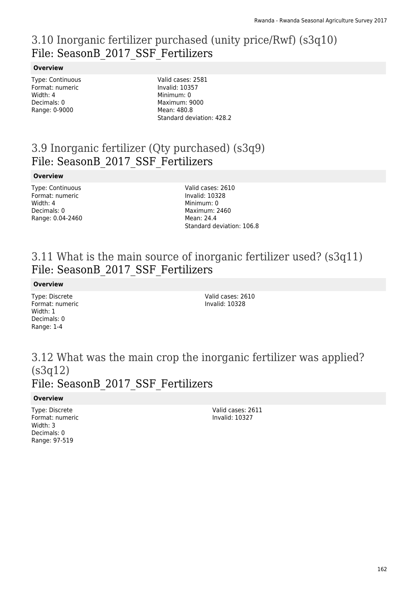# 3.10 Inorganic fertilizer purchased (unity price/Rwf) (s3q10) File: SeasonB\_2017\_SSF\_Fertilizers

### **Overview**

Type: Continuous Format: numeric Width: 4 Decimals: 0 Range: 0-9000

Valid cases: 2581 Invalid: 10357 Minimum: 0 Maximum: 9000 Mean: 480.8 Standard deviation: 428.2

# 3.9 Inorganic fertilizer (Qty purchased) (s3q9) File: SeasonB\_2017\_SSF\_Fertilizers

#### **Overview**

Type: Continuous Format: numeric Width: 4 Decimals: 0 Range: 0.04-2460 Valid cases: 2610 Invalid: 10328 Minimum: 0 Maximum: 2460 Mean: 24.4 Standard deviation: 106.8

### 3.11 What is the main source of inorganic fertilizer used? (s3q11) File: SeasonB\_2017\_SSF\_Fertilizers

### **Overview**

Type: Discrete Format: numeric Width: 1 Decimals: 0 Range: 1-4

Valid cases: 2610 Invalid: 10328

### 3.12 What was the main crop the inorganic fertilizer was applied? (s3q12) File: SeasonB\_2017\_SSF\_Fertilizers

### **Overview**

Type: Discrete Format: numeric Width: 3 Decimals: 0 Range: 97-519

Valid cases: 2611 Invalid: 10327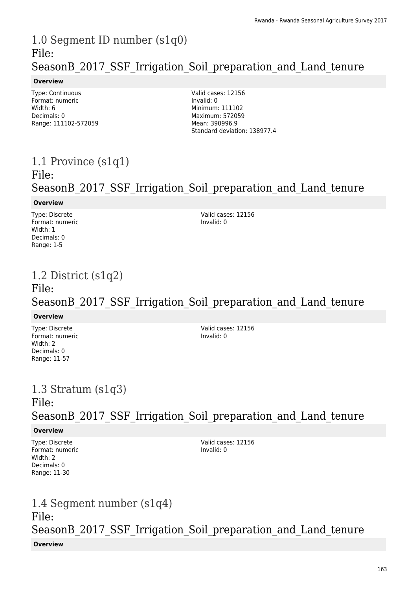### 1.0 Segment ID number (s1q0) File: SeasonB 2017 SSF Irrigation Soil preparation and Land tenure

### **Overview**

Type: Continuous Format: numeric Width: 6 Decimals: 0 Range: 111102-572059 Valid cases: 12156 Invalid: 0 Minimum: 111102 Maximum: 572059 Mean: 390996.9 Standard deviation: 138977.4

### 1.1 Province (s1q1) File:

# SeasonB 2017 SSF Irrigation Soil preparation and Land tenure

### **Overview**

Type: Discrete Format: numeric Width: 1 Decimals: 0 Range: 1-5

Valid cases: 12156 Invalid: 0

# 1.2 District (s1q2) File: SeasonB 2017 SSF Irrigation Soil preparation and Land tenure

### **Overview**

Type: Discrete Format: numeric Width: 2 Decimals: 0 Range: 11-57

Valid cases: 12156 Invalid: 0

# 1.3 Stratum (s1q3) File:

SeasonB 2017 SSF Irrigation Soil preparation and Land tenure

### **Overview**

Type: Discrete Format: numeric Width: 2 Decimals: 0 Range: 11-30

Valid cases: 12156 Invalid: 0

### 1.4 Segment number (s1q4) File: SeasonB 2017 SSF Irrigation Soil preparation and Land tenure **Overview**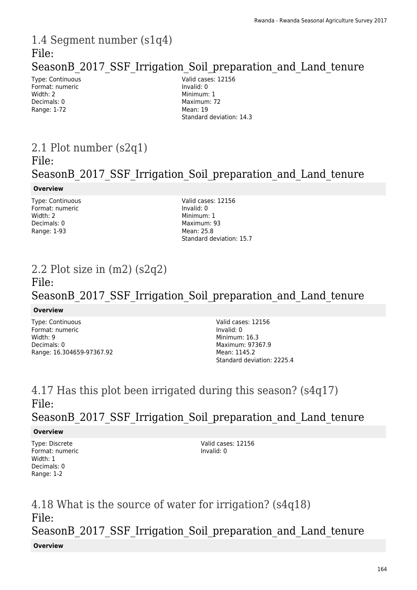# 1.4 Segment number (s1q4) File:

# SeasonB 2017 SSF Irrigation Soil preparation and Land tenure

Type: Continuous Format: numeric Width: 2 Decimals: 0 Range: 1-72

Valid cases: 12156 Invalid: 0 Minimum: 1 Maximum: 72 Mean: 19 Standard deviation: 14.3

# 2.1 Plot number (s2q1) File: SeasonB 2017 SSF Irrigation Soil preparation and Land tenure

### **Overview**

Type: Continuous Format: numeric Width: 2 Decimals: 0 Range: 1-93

Valid cases: 12156 Invalid: 0 Minimum: 1 Maximum: 93 Mean: 25.8 Standard deviation: 15.7

# 2.2 Plot size in (m2) (s2q2)

# File: SeasonB 2017 SSF Irrigation Soil preparation and Land tenure

### **Overview**

Type: Continuous Format: numeric Width: 9 Decimals: 0 Range: 16.304659-97367.92 Valid cases: 12156 Invalid: 0 Minimum: 16.3 Maximum: 97367.9 Mean: 1145.2 Standard deviation: 2225.4

# 4.17 Has this plot been irrigated during this season? (s4q17) File:

SeasonB 2017 SSF Irrigation Soil preparation and Land tenure

### **Overview**

Type: Discrete Format: numeric Width: 1 Decimals: 0 Range: 1-2

Valid cases: 12156 Invalid: 0

4.18 What is the source of water for irrigation? (s4q18) File: SeasonB 2017 SSF Irrigation Soil preparation and Land tenure **Overview**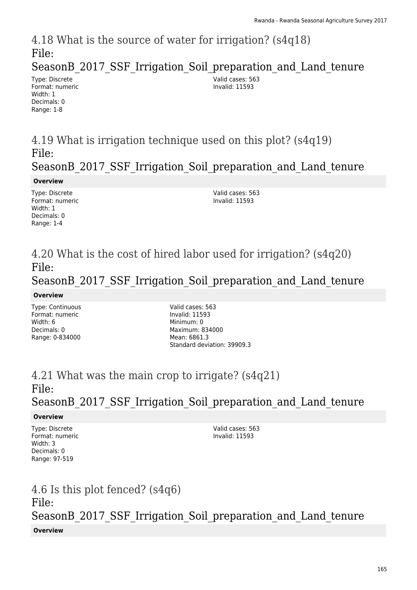# 4.18 What is the source of water for irrigation? (s4q18) File:

SeasonB 2017 SSF Irrigation Soil preparation and Land tenure

Type: Discrete Format: numeric Width: 1 Decimals: 0 Range: 1-8

Valid cases: 563 Invalid: 11593

4.19 What is irrigation technique used on this plot? (s4q19) File: SeasonB 2017 SSF Irrigation Soil preparation and Land tenure

### **Overview**

Type: Discrete Format: numeric Width: 1 Decimals: 0 Range: 1-4

Valid cases: 563 Invalid: 11593

# 4.20 What is the cost of hired labor used for irrigation? (s4q20) File:

SeasonB 2017 SSF Irrigation Soil preparation and Land tenure

### **Overview**

Type: Continuous Format: numeric Width: 6 Decimals: 0 Range: 0-834000

Valid cases: 563 Invalid: 11593 Minimum: 0 Maximum: 834000 Mean: 6861.3 Standard deviation: 39909.3

# 4.21 What was the main crop to irrigate? (s4q21) File:

# SeasonB 2017 SSF Irrigation Soil preparation and Land tenure

### **Overview**

Type: Discrete Format: numeric Width: 3 Decimals: 0 Range: 97-519

Valid cases: 563 Invalid: 11593

### 4.6 Is this plot fenced? (s4q6) File: SeasonB 2017 SSF Irrigation Soil preparation and Land tenure **Overview**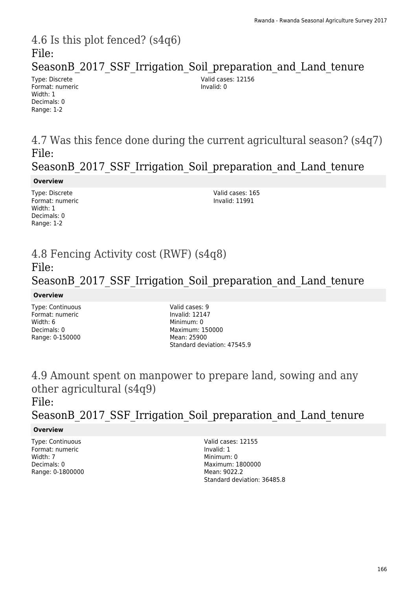### 4.6 Is this plot fenced? (s4q6) File: SeasonB 2017 SSF Irrigation Soil preparation and Land tenure

Type: Discrete Format: numeric Width: 1 Decimals: 0 Range: 1-2

Valid cases: 12156 Invalid: 0

4.7 Was this fence done during the current agricultural season? (s4q7) File:

SeasonB 2017 SSF Irrigation Soil preparation and Land tenure

### **Overview**

Type: Discrete Format: numeric Width: 1 Decimals: 0 Range: 1-2

Valid cases: 165 Invalid: 11991

### 4.8 Fencing Activity cost (RWF) (s4q8) File: SeasonB 2017 SSF Irrigation Soil preparation and Land tenure

### **Overview**

Type: Continuous Format: numeric Width: 6 Decimals: 0 Range: 0-150000

Valid cases: 9 Invalid: 12147 Minimum: 0 Maximum: 150000 Mean: 25900 Standard deviation: 47545.9

### 4.9 Amount spent on manpower to prepare land, sowing and any other agricultural (s4q9) File: SeasonB 2017 SSF Irrigation Soil preparation and Land tenure

### **Overview**

Type: Continuous Format: numeric Width: 7 Decimals: 0 Range: 0-1800000

Valid cases: 12155 Invalid: 1 Minimum: 0 Maximum: 1800000 Mean: 9022.2 Standard deviation: 36485.8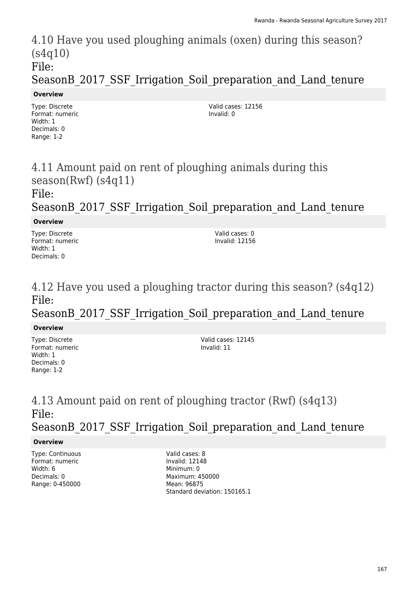4.10 Have you used ploughing animals (oxen) during this season? (s4q10) File:

# SeasonB 2017 SSF Irrigation Soil preparation and Land tenure

### **Overview**

Type: Discrete Format: numeric Width: 1 Decimals: 0 Range: 1-2

Valid cases: 12156 Invalid: 0

## 4.11 Amount paid on rent of ploughing animals during this season(Rwf) (s4q11) File:

# SeasonB 2017 SSF Irrigation Soil preparation and Land tenure

### **Overview**

Type: Discrete Format: numeric Width: 1 Decimals: 0

Valid cases: 0 Invalid: 12156

# 4.12 Have you used a ploughing tractor during this season? (s4q12) File:

SeasonB 2017 SSF Irrigation Soil preparation\_and\_Land\_tenure

### **Overview**

Type: Discrete Format: numeric Width: 1 Decimals: 0 Range: 1-2

Valid cases: 12145 Invalid: 11

# 4.13 Amount paid on rent of ploughing tractor (Rwf) (s4q13) File:

SeasonB 2017 SSF Irrigation Soil preparation and Land tenure

### **Overview**

Type: Continuous Format: numeric Width: 6 Decimals: 0 Range: 0-450000

Valid cases: 8 Invalid: 12148 Minimum: 0 Maximum: 450000 Mean: 96875 Standard deviation: 150165.1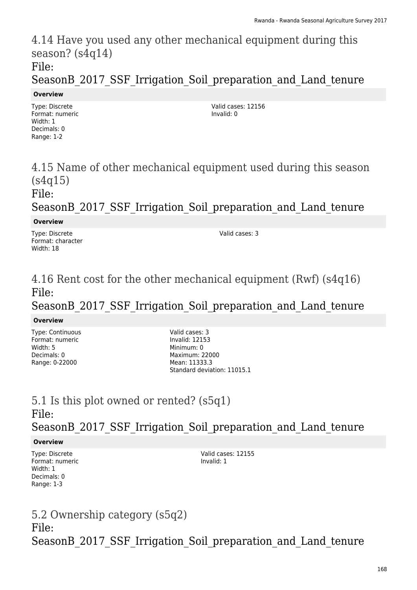### 4.14 Have you used any other mechanical equipment during this season? (s4q14) File: SeasonB 2017 SSF Irrigation Soil preparation and Land tenure

### **Overview**

Type: Discrete Format: numeric Width: 1 Decimals: 0 Range: 1-2

Valid cases: 12156 Invalid: 0

4.15 Name of other mechanical equipment used during this season (s4q15) File:

# SeasonB 2017 SSF Irrigation Soil preparation and Land tenure

### **Overview**

Type: Discrete Format: character Width: 18

Valid cases: 3

# 4.16 Rent cost for the other mechanical equipment (Rwf) (s4q16) File:

SeasonB 2017 SSF Irrigation Soil preparation and Land tenure **Overview**

Type: Continuous Format: numeric Width: 5 Decimals: 0 Range: 0-22000

Valid cases: 3 Invalid: 12153 Minimum: 0 Maximum: 22000 Mean: 11333.3 Standard deviation: 11015.1

## 5.1 Is this plot owned or rented? (s5q1) File: SeasonB 2017 SSF Irrigation Soil preparation and Land tenure

### **Overview**

Type: Discrete Format: numeric Width: 1 Decimals: 0 Range: 1-3

Valid cases: 12155 Invalid: 1

5.2 Ownership category (s5q2) File: SeasonB 2017 SSF Irrigation Soil preparation and Land tenure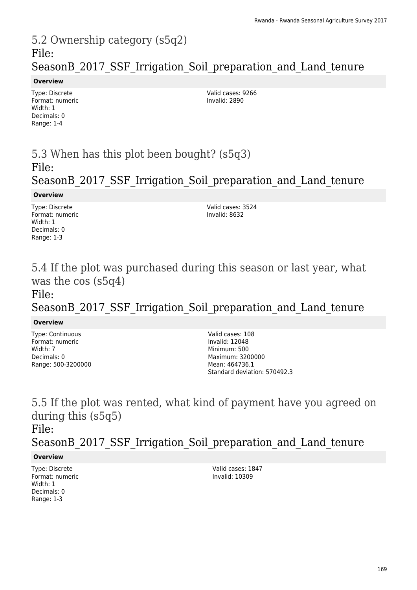### 5.2 Ownership category (s5q2) File: SeasonB 2017 SSF Irrigation Soil preparation and Land tenure

### **Overview**

Type: Discrete Format: numeric Width: 1 Decimals: 0 Range: 1-4

Valid cases: 9266 Invalid: 2890

# 5.3 When has this plot been bought? (s5q3) File: SeasonB 2017 SSF Irrigation Soil preparation and Land tenure

#### **Overview**

Type: Discrete Format: numeric Width: 1 Decimals: 0 Range: 1-3

Valid cases: 3524 Invalid: 8632

## 5.4 If the plot was purchased during this season or last year, what was the cos (s5q4)

### File:

# SeasonB 2017 SSF Irrigation Soil preparation and Land tenure

### **Overview**

Type: Continuous Format: numeric Width: 7 Decimals: 0 Range: 500-3200000 Valid cases: 108 Invalid: 12048 Minimum: 500 Maximum: 3200000 Mean: 464736.1 Standard deviation: 570492.3

5.5 If the plot was rented, what kind of payment have you agreed on during this (s5q5) File: SeasonB 2017 SSF Irrigation Soil preparation and Land tenure

### **Overview**

Type: Discrete Format: numeric Width: 1 Decimals: 0 Range: 1-3

Valid cases: 1847 Invalid: 10309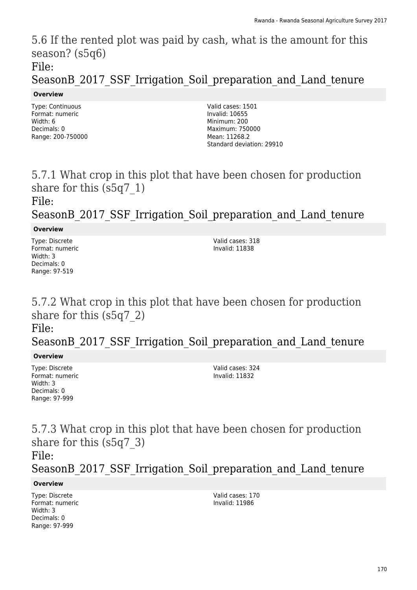# 5.6 If the rented plot was paid by cash, what is the amount for this season? (s5q6) File:

SeasonB 2017 SSF Irrigation Soil preparation and Land tenure

### **Overview**

Type: Continuous Format: numeric Width: 6 Decimals: 0 Range: 200-750000 Valid cases: 1501 Invalid: 10655 Minimum: 200 Maximum: 750000 Mean: 11268.2 Standard deviation: 29910

5.7.1 What crop in this plot that have been chosen for production share for this (s5q7 1)

### File:

SeasonB 2017 SSF Irrigation Soil preparation and Land tenure

### **Overview**

Type: Discrete Format: numeric Width: 3 Decimals: 0 Range: 97-519

Valid cases: 318 Invalid: 11838

5.7.2 What crop in this plot that have been chosen for production share for this (s5q7\_2)

### File:

SeasonB 2017 SSF Irrigation Soil preparation and Land tenure **Overview**

Type: Discrete Format: numeric Width: 3 Decimals: 0 Range: 97-999

Valid cases: 324 Invalid: 11832

5.7.3 What crop in this plot that have been chosen for production share for this (s5q7\3)

### File:

SeasonB 2017 SSF Irrigation Soil preparation and Land tenure

### **Overview**

Type: Discrete Format: numeric Width: 3 Decimals: 0 Range: 97-999

Valid cases: 170 Invalid: 11986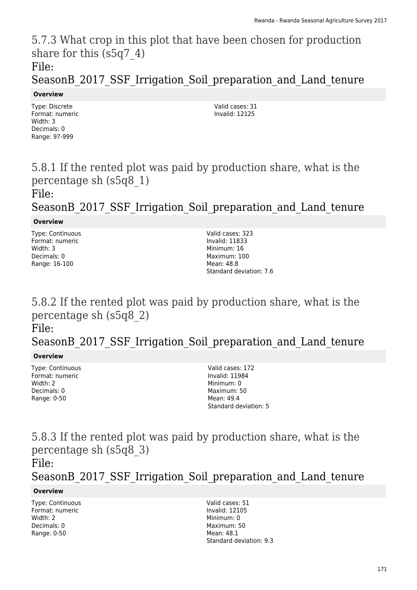# 5.7.3 What crop in this plot that have been chosen for production share for this (s5q7\_4) File:

# SeasonB 2017 SSF Irrigation Soil preparation and Land tenure

### **Overview**

Type: Discrete Format: numeric Width: 3 Decimals: 0 Range: 97-999

Valid cases: 31 Invalid: 12125

5.8.1 If the rented plot was paid by production share, what is the percentage sh (s5q8\_1)

### File:

SeasonB 2017 SSF Irrigation Soil preparation and Land tenure

### **Overview**

Type: Continuous Format: numeric Width: 3 Decimals: 0 Range: 16-100

Valid cases: 323 Invalid: 11833 Minimum: 16 Maximum: 100 Mean: 48.8 Standard deviation: 7.6

5.8.2 If the rented plot was paid by production share, what is the percentage sh (s5q8\_2)

### File:

SeasonB 2017 SSF Irrigation Soil preparation and Land tenure **Overview**

Type: Continuous Format: numeric Width: 2 Decimals: 0 Range: 0-50

Valid cases: 172 Invalid: 11984 Minimum: 0 Maximum: 50 Mean: 49.4 Standard deviation: 5

5.8.3 If the rented plot was paid by production share, what is the percentage sh (s5q8\_3) File:

SeasonB 2017 SSF Irrigation Soil preparation and Land tenure

### **Overview**

Type: Continuous Format: numeric Width: 2 Decimals: 0 Range: 0-50

Valid cases: 51 Invalid: 12105 Minimum: 0 Maximum: 50 Mean: 48.1 Standard deviation: 9.3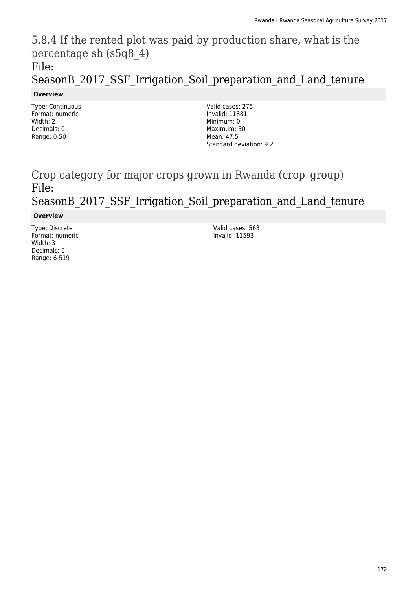# 5.8.4 If the rented plot was paid by production share, what is the percentage sh (s5q8\_4) File:

# SeasonB 2017 SSF Irrigation Soil preparation and Land tenure

### **Overview**

Type: Continuous Format: numeric Width: 2 Decimals: 0 Range: 0-50

Valid cases: 275 Invalid: 11881 Minimum: 0 Maximum: 50 Mean: 47.5 Standard deviation: 9.2

Crop category for major crops grown in Rwanda (crop\_group) File:

# SeasonB 2017 SSF Irrigation Soil preparation and Land tenure

### **Overview**

Type: Discrete Format: numeric Width: 3 Decimals: 0 Range: 6-519

Valid cases: 563 Invalid: 11593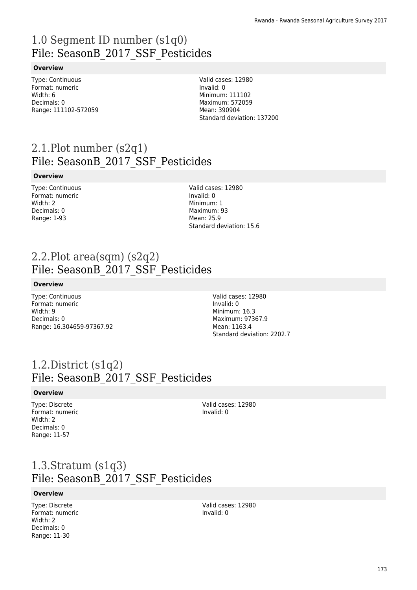# 1.0 Segment ID number (s1q0) File: SeasonB\_2017\_SSF\_Pesticides

### **Overview**

Type: Continuous Format: numeric Width: 6 Decimals: 0 Range: 111102-572059 Valid cases: 12980 Invalid: 0 Minimum: 111102 Maximum: 572059 Mean: 390904 Standard deviation: 137200

# 2.1.Plot number (s2q1) File: SeasonB\_2017\_SSF\_Pesticides

#### **Overview**

Type: Continuous Format: numeric Width: 2 Decimals: 0 Range: 1-93

Valid cases: 12980 Invalid: 0 Minimum: 1 Maximum: 93 Mean: 25.9 Standard deviation: 15.6

### 2.2.Plot area(sqm) (s2q2) File: SeasonB\_2017\_SSF\_Pesticides

#### **Overview**

Type: Continuous Format: numeric Width: 9 Decimals: 0 Range: 16.304659-97367.92

Valid cases: 12980 Invalid: 0 Minimum: 16.3 Maximum: 97367.9 Mean: 1163.4 Standard deviation: 2202.7

## 1.2.District (s1q2) File: SeasonB\_2017\_SSF\_Pesticides

#### **Overview**

Type: Discrete Format: numeric Width: 2 Decimals: 0 Range: 11-57

Valid cases: 12980 Invalid: 0

### 1.3.Stratum (s1q3) File: SeasonB\_2017\_SSF\_Pesticides

#### **Overview**

Type: Discrete Format: numeric Width: 2 Decimals: 0 Range: 11-30

Valid cases: 12980 Invalid: 0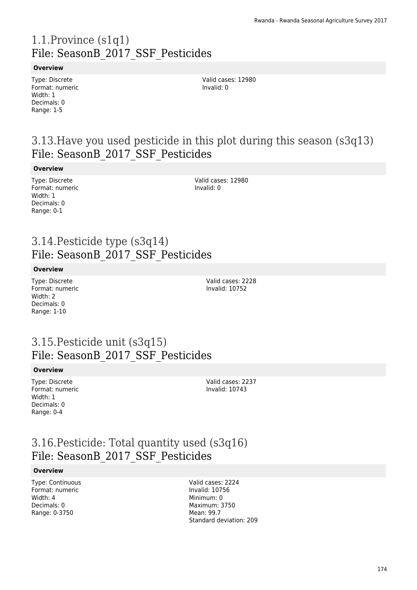# 1.1.Province (s1q1) File: SeasonB\_2017\_SSF\_Pesticides

#### **Overview**

Type: Discrete Format: numeric Width: 1 Decimals: 0 Range: 1-5

Valid cases: 12980 Invalid: 0

### 3.13.Have you used pesticide in this plot during this season (s3q13) File: SeasonB\_2017\_SSF\_Pesticides

**Overview**

Type: Discrete Format: numeric Width: 1 Decimals: 0 Range: 0-1

Valid cases: 12980 Invalid: 0

### 3.14.Pesticide type (s3q14) File: SeasonB\_2017\_SSF\_Pesticides

#### **Overview**

Type: Discrete Format: numeric Width: 2 Decimals: 0 Range: 1-10

Valid cases: 2228 Invalid: 10752

### 3.15.Pesticide unit (s3q15) File: SeasonB\_2017\_SSF\_Pesticides

#### **Overview**

Type: Discrete Format: numeric Width: 1 Decimals: 0 Range: 0-4

Valid cases: 2237 Invalid: 10743

### 3.16.Pesticide: Total quantity used (s3q16) File: SeasonB\_2017\_SSF\_Pesticides

#### **Overview**

Type: Continuous Format: numeric Width: 4 Decimals: 0 Range: 0-3750

Valid cases: 2224 Invalid: 10756 Minimum: 0 Maximum: 3750 Mean: 99.7 Standard deviation: 209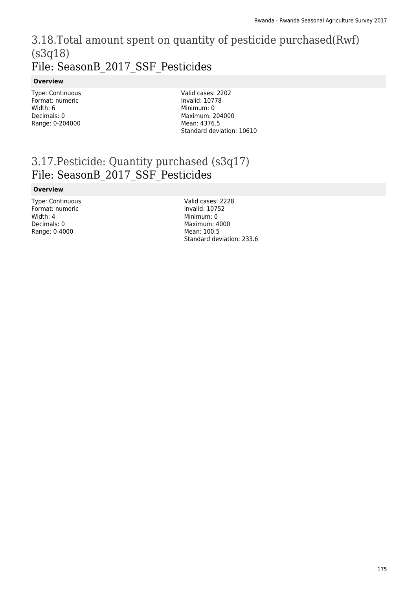### 3.18.Total amount spent on quantity of pesticide purchased(Rwf) (s3q18) File: SeasonB\_2017\_SSF\_Pesticides

### **Overview**

| Type: Continuous |
|------------------|
| Format: numeric  |
| Width: 6         |
| Decimals: 0      |
| Range: 0-204000  |

Valid cases: 2202 Invalid: 10778 Minimum: 0 Maximum: 204000 Mean: 4376.5 Standard deviation: 10610

# 3.17.Pesticide: Quantity purchased (s3q17) File: SeasonB\_2017\_SSF\_Pesticides

#### **Overview**

Type: Continuous Format: numeric Width: 4 Decimals: 0 Range: 0-4000

Valid cases: 2228 Invalid: 10752 Minimum: 0 Maximum: 4000 Mean: 100.5 Standard deviation: 233.6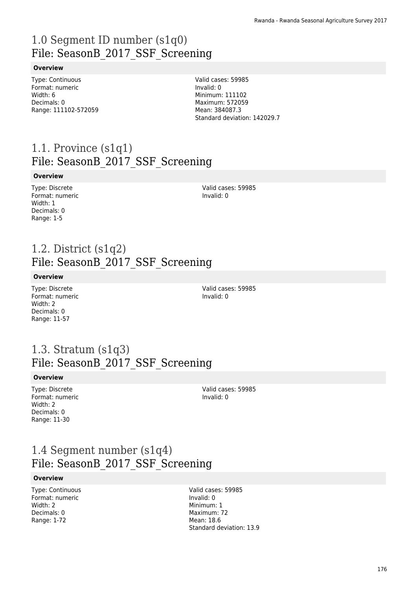# 1.0 Segment ID number (s1q0) File: SeasonB\_2017\_SSF\_Screening

### **Overview**

Type: Continuous Format: numeric Width: 6 Decimals: 0 Range: 111102-572059 Valid cases: 59985 Invalid: 0 Minimum: 111102 Maximum: 572059 Mean: 384087.3 Standard deviation: 142029.7

# 1.1. Province (s1q1) File: SeasonB\_2017\_SSF\_Screening

#### **Overview**

Type: Discrete Format: numeric Width: 1 Decimals: 0 Range: 1-5

Valid cases: 59985 Invalid: 0

### 1.2. District (s1q2) File: SeasonB 2017 SSF Screening

### **Overview**

Type: Discrete Format: numeric Width: 2 Decimals: 0 Range: 11-57

Valid cases: 59985 Invalid: 0

### 1.3. Stratum (s1q3) File: SeasonB\_2017\_SSF\_Screening

#### **Overview**

Type: Discrete Format: numeric Width: 2 Decimals: 0 Range: 11-30

Valid cases: 59985 Invalid: 0

### 1.4 Segment number (s1q4) File: SeasonB\_2017\_SSF\_Screening

#### **Overview**

Type: Continuous Format: numeric Width: 2 Decimals: 0 Range: 1-72

Valid cases: 59985 Invalid: 0 Minimum: 1 Maximum: 72 Mean: 18.6 Standard deviation: 13.9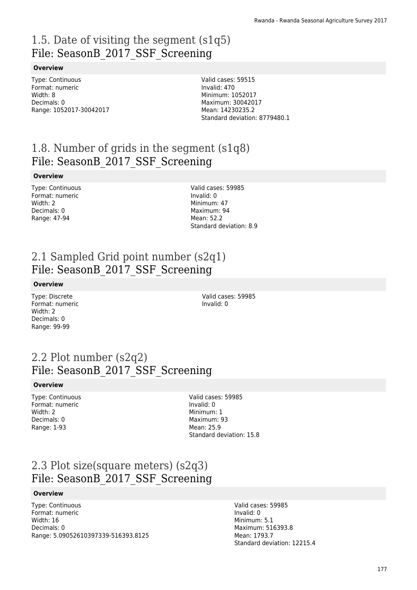# 1.5. Date of visiting the segment (s1q5) File: SeasonB\_2017\_SSF\_Screening

#### **Overview**

Type: Continuous Format: numeric Width: 8 Decimals: 0 Range: 1052017-30042017

Valid cases: 59515 Invalid: 470 Minimum: 1052017 Maximum: 30042017 Mean: 14230235.2 Standard deviation: 8779480.1

# 1.8. Number of grids in the segment (s1q8) File: SeasonB\_2017\_SSF\_Screening

#### **Overview**

Type: Continuous Format: numeric Width: 2 Decimals: 0 Range: 47-94

Valid cases: 59985 Invalid: 0 Minimum: 47 Maximum: 94 Mean: 52.2 Standard deviation: 8.9

# 2.1 Sampled Grid point number (s2q1) File: SeasonB 2017 SSF Screening

#### **Overview**

Type: Discrete Format: numeric Width: 2 Decimals: 0 Range: 99-99

Valid cases: 59985 Invalid: 0

### 2.2 Plot number (s2q2) File: SeasonB\_2017\_SSF\_Screening

#### **Overview**

Type: Continuous Format: numeric Width: 2 Decimals: 0 Range: 1-93

Valid cases: 59985 Invalid: 0 Minimum: 1 Maximum: 93 Mean: 25.9 Standard deviation: 15.8

### 2.3 Plot size(square meters) (s2q3) File: SeasonB\_2017\_SSF\_Screening

#### **Overview**

Type: Continuous Format: numeric Width: 16 Decimals: 0 Range: 5.09052610397339-516393.8125

Valid cases: 59985 Invalid: 0 Minimum: 5.1 Maximum: 516393.8 Mean: 1793.7 Standard deviation: 12215.4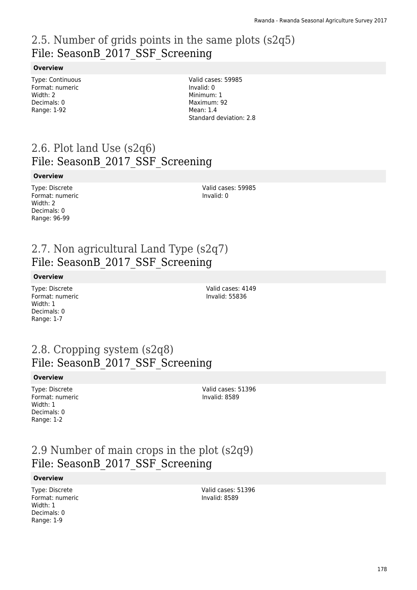# 2.5. Number of grids points in the same plots (s2q5) File: SeasonB\_2017\_SSF\_Screening

#### **Overview**

Type: Continuous Format: numeric Width: 2 Decimals: 0 Range: 1-92

Valid cases: 59985 Invalid: 0 Minimum: 1 Maximum: 92 Mean: 1.4 Standard deviation: 2.8

### 2.6. Plot land Use (s2q6) File: SeasonB\_2017\_SSF\_Screening

#### **Overview**

Type: Discrete Format: numeric Width: 2 Decimals: 0 Range: 96-99

Valid cases: 59985 Invalid: 0

### 2.7. Non agricultural Land Type (s2q7) File: SeasonB 2017 SSF Screening

### **Overview**

Type: Discrete Format: numeric Width: 1 Decimals: 0 Range: 1-7

Valid cases: 4149 Invalid: 55836

### 2.8. Cropping system (s2q8) File: SeasonB\_2017\_SSF\_Screening

#### **Overview**

Type: Discrete Format: numeric Width: 1 Decimals: 0 Range: 1-2

Valid cases: 51396 Invalid: 8589

## 2.9 Number of main crops in the plot (s2q9) File: SeasonB 2017 SSF Screening

#### **Overview**

Type: Discrete Format: numeric Width: 1 Decimals: 0 Range: 1-9

Valid cases: 51396 Invalid: 8589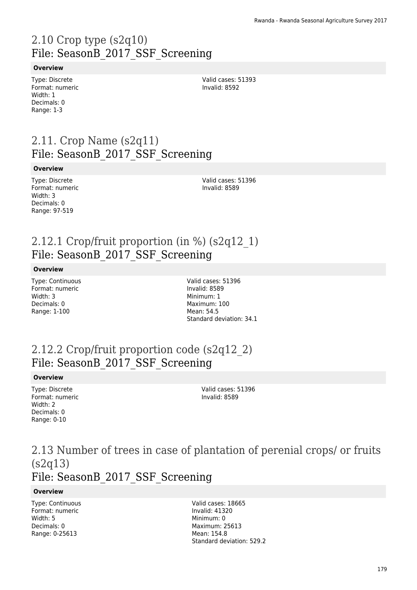# 2.10 Crop type (s2q10) File: SeasonB\_2017\_SSF\_Screening

#### **Overview**

Type: Discrete Format: numeric Width: 1 Decimals: 0 Range: 1-3

Valid cases: 51393 Invalid: 8592

## 2.11. Crop Name (s2q11) File: SeasonB 2017 SSF Screening

#### **Overview**

Type: Discrete Format: numeric Width: 3 Decimals: 0 Range: 97-519

Valid cases: 51396 Invalid: 8589

### 2.12.1 Crop/fruit proportion (in %) (s2q12\_1) File: SeasonB\_2017\_SSF\_Screening

#### **Overview**

Type: Continuous Format: numeric Width: 3 Decimals: 0 Range: 1-100

Valid cases: 51396 Invalid: 8589 Minimum: 1 Maximum: 100 Mean: 54.5 Standard deviation: 34.1

### 2.12.2 Crop/fruit proportion code (s2q12\_2) File: SeasonB\_2017\_SSF\_Screening

#### **Overview**

Type: Discrete Format: numeric Width: 2 Decimals: 0 Range: 0-10

Valid cases: 51396 Invalid: 8589

### 2.13 Number of trees in case of plantation of perenial crops/ or fruits (s2q13) File: SeasonB 2017 SSF Screening

### **Overview**

Type: Continuous Format: numeric Width: 5 Decimals: 0 Range: 0-25613

Valid cases: 18665 Invalid: 41320 Minimum: 0 Maximum: 25613 Mean: 154.8 Standard deviation: 529.2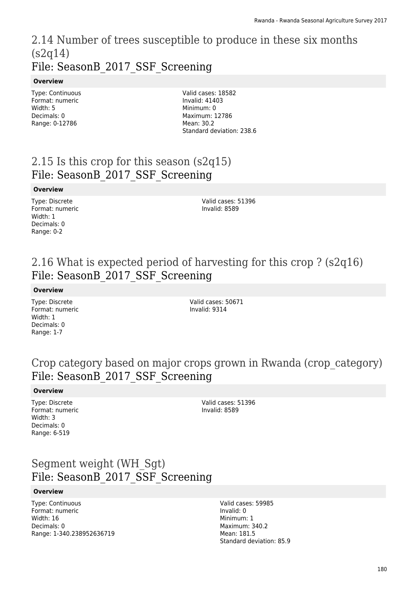### 2.14 Number of trees susceptible to produce in these six months (s2q14) File: SeasonB\_2017\_SSF\_Screening

### **Overview**

Type: Continuous Format: numeric Width: 5 Decimals: 0 Range: 0-12786

Valid cases: 18582 Invalid: 41403 Minimum: 0 Maximum: 12786 Mean: 30.2 Standard deviation: 238.6

# 2.15 Is this crop for this season (s2q15) File: SeasonB\_2017\_SSF\_Screening

#### **Overview**

Type: Discrete Format: numeric Width: 1 Decimals: 0 Range: 0-2

Valid cases: 51396 Invalid: 8589

# 2.16 What is expected period of harvesting for this crop ? (s2q16) File: SeasonB\_2017\_SSF\_Screening

### **Overview**

Type: Discrete Format: numeric Width: 1 Decimals: 0 Range: 1-7

Valid cases: 50671 Invalid: 9314

### Crop category based on major crops grown in Rwanda (crop\_category) File: SeasonB 2017 SSF Screening

### **Overview**

Type: Discrete Format: numeric Width: 3 Decimals: 0 Range: 6-519

Valid cases: 51396 Invalid: 8589

### Segment weight (WH\_Sgt) File: SeasonB\_2017\_SSF\_Screening

### **Overview**

Type: Continuous Format: numeric Width: 16 Decimals: 0 Range: 1-340.238952636719 Valid cases: 59985 Invalid: 0 Minimum: 1 Maximum: 340.2 Mean: 181.5 Standard deviation: 85.9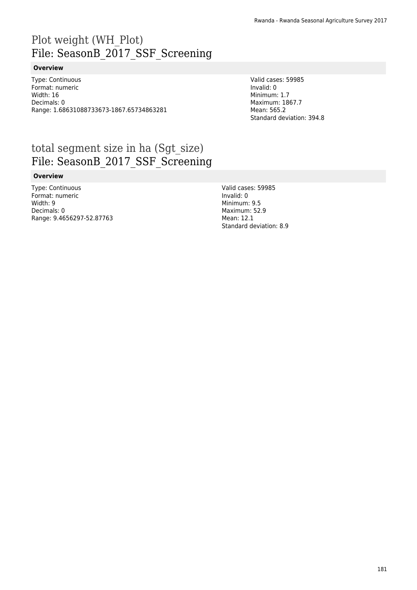# Plot weight (WH\_Plot) File: SeasonB\_2017\_SSF\_Screening

### **Overview**

Type: Continuous Format: numeric Width: 16 Decimals: 0 Range: 1.68631088733673-1867.65734863281 Valid cases: 59985 Invalid: 0 Minimum: 1.7 Maximum: 1867.7 Mean: 565.2 Standard deviation: 394.8

# total segment size in ha (Sgt\_size) File: SeasonB\_2017\_SSF\_Screening

### **Overview**

Type: Continuous Format: numeric Width: 9 Decimals: 0 Range: 9.4656297-52.87763 Valid cases: 59985 Invalid: 0 Minimum: 9.5 Maximum: 52.9 Mean: 12.1 Standard deviation: 8.9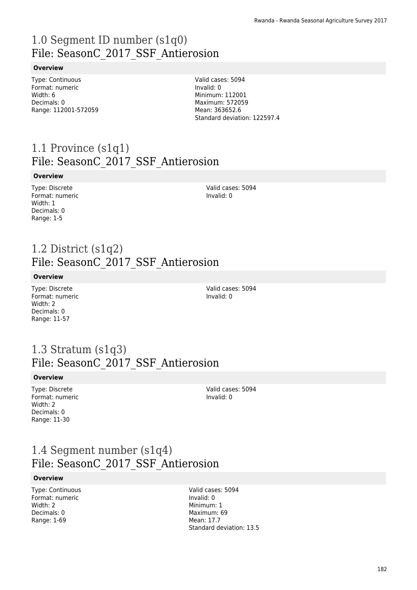# 1.0 Segment ID number (s1q0) File: SeasonC\_2017\_SSF\_Antierosion

### **Overview**

Type: Continuous Format: numeric Width: 6 Decimals: 0 Range: 112001-572059 Valid cases: 5094 Invalid: 0 Minimum: 112001 Maximum: 572059 Mean: 363652.6 Standard deviation: 122597.4

# 1.1 Province (s1q1) File: SeasonC\_2017\_SSF\_Antierosion

#### **Overview**

Type: Discrete Format: numeric Width: 1 Decimals: 0 Range: 1-5

Valid cases: 5094 Invalid: 0

# 1.2 District (s1q2) File: SeasonC\_2017\_SSF\_Antierosion

### **Overview**

Type: Discrete Format: numeric Width: 2 Decimals: 0 Range: 11-57

Valid cases: 5094 Invalid: 0

# 1.3 Stratum (s1q3) File: SeasonC\_2017\_SSF\_Antierosion

### **Overview**

Type: Discrete Format: numeric Width: 2 Decimals: 0 Range: 11-30

Valid cases: 5094 Invalid: 0

# 1.4 Segment number (s1q4) File: SeasonC\_2017\_SSF\_Antierosion

### **Overview**

Type: Continuous Format: numeric Width: 2 Decimals: 0 Range: 1-69

Valid cases: 5094 Invalid: 0 Minimum: 1 Maximum: 69 Mean: 17.7 Standard deviation: 13.5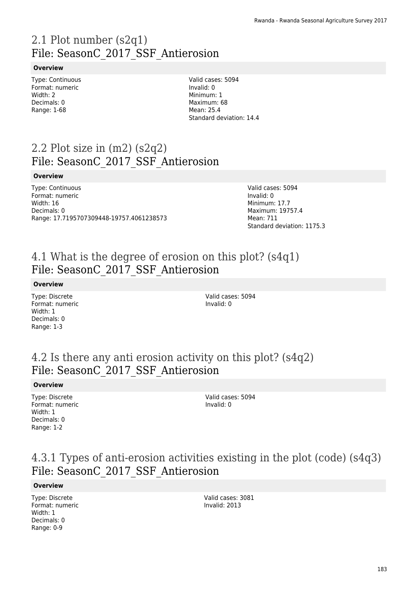# 2.1 Plot number (s2q1) File: SeasonC\_2017\_SSF\_Antierosion

### **Overview**

Type: Continuous Format: numeric Width: 2 Decimals: 0 Range: 1-68

Valid cases: 5094 Invalid: 0 Minimum: 1 Maximum: 68 Mean: 25.4 Standard deviation: 14.4

# 2.2 Plot size in (m2) (s2q2) File: SeasonC\_2017\_SSF\_Antierosion

### **Overview**

Type: Continuous Format: numeric Width: 16 Decimals: 0 Range: 17.7195707309448-19757.4061238573 Valid cases: 5094 Invalid: 0 Minimum: 17.7 Maximum: 19757.4 Mean: 711 Standard deviation: 1175.3

# 4.1 What is the degree of erosion on this plot? (s4q1) File: SeasonC\_2017\_SSF\_Antierosion

### **Overview**

Type: Discrete Format: numeric Width: 1 Decimals: 0 Range: 1-3

Valid cases: 5094 Invalid: 0

# 4.2 Is there any anti erosion activity on this plot? (s4q2) File: SeasonC\_2017\_SSF\_Antierosion

### **Overview**

Type: Discrete Format: numeric Width: 1 Decimals: 0 Range: 1-2

Valid cases: 5094 Invalid: 0

# 4.3.1 Types of anti-erosion activities existing in the plot (code) (s4q3) File: SeasonC\_2017\_SSF\_Antierosion

### **Overview**

Type: Discrete Format: numeric Width: 1 Decimals: 0 Range: 0-9

Valid cases: 3081 Invalid: 2013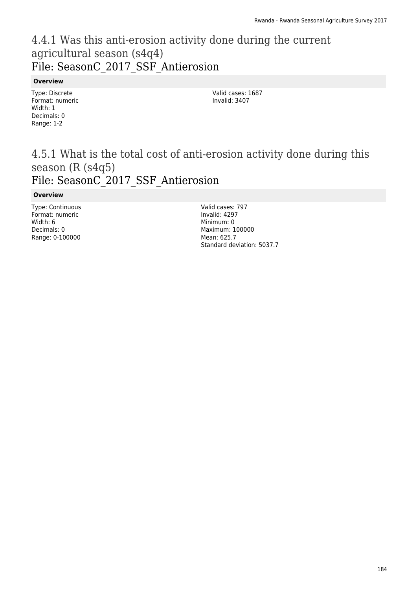# 4.4.1 Was this anti-erosion activity done during the current agricultural season (s4q4) File: SeasonC\_2017\_SSF\_Antierosion

### **Overview**

Type: Discrete Format: numeric Width: 1 Decimals: 0 Range: 1-2

Valid cases: 1687 Invalid: 3407

# 4.5.1 What is the total cost of anti-erosion activity done during this season (R (s4q5) File: SeasonC\_2017\_SSF\_Antierosion

#### **Overview**

Type: Continuous Format: numeric Width: 6 Decimals: 0 Range: 0-100000

Valid cases: 797 Invalid: 4297 Minimum: 0 Maximum: 100000 Mean: 625.7 Standard deviation: 5037.7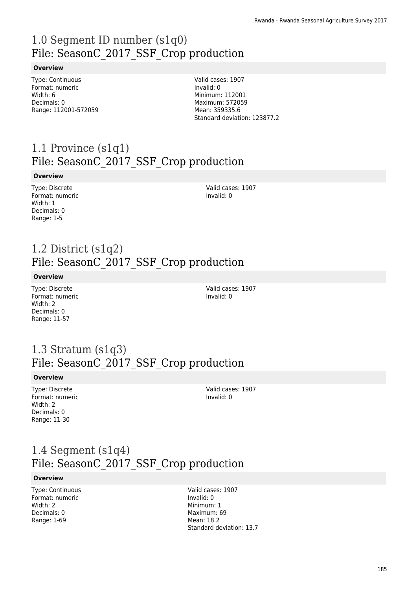# 1.0 Segment ID number (s1q0) File: SeasonC\_2017\_SSF\_Crop production

### **Overview**

Type: Continuous Format: numeric Width: 6 Decimals: 0 Range: 112001-572059

Valid cases: 1907 Invalid: 0 Minimum: 112001 Maximum: 572059 Mean: 359335.6 Standard deviation: 123877.2

# 1.1 Province (s1q1) File: SeasonC\_2017\_SSF\_Crop production

#### **Overview**

Type: Discrete Format: numeric Width: 1 Decimals: 0 Range: 1-5

Valid cases: 1907 Invalid: 0

# 1.2 District (s1q2) File: SeasonC\_2017\_SSF\_Crop production

### **Overview**

Type: Discrete Format: numeric Width: 2 Decimals: 0 Range: 11-57

Valid cases: 1907 Invalid: 0

# 1.3 Stratum (s1q3) File: SeasonC\_2017\_SSF\_Crop production

### **Overview**

Type: Discrete Format: numeric Width: 2 Decimals: 0 Range: 11-30

Valid cases: 1907 Invalid: 0

# 1.4 Segment (s1q4) File: SeasonC\_2017\_SSF\_Crop production

### **Overview**

Type: Continuous Format: numeric Width: 2 Decimals: 0 Range: 1-69

Valid cases: 1907 Invalid: 0 Minimum: 1 Maximum: 69 Mean: 18.2 Standard deviation: 13.7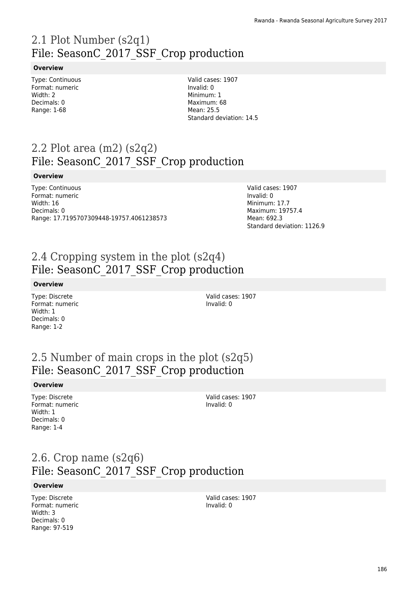# 2.1 Plot Number (s2q1) File: SeasonC\_2017\_SSF\_Crop production

### **Overview**

Type: Continuous Format: numeric Width: 2 Decimals: 0 Range: 1-68

Valid cases: 1907 Invalid: 0 Minimum: 1 Maximum: 68 Mean: 25.5 Standard deviation: 14.5

# 2.2 Plot area (m2) (s2q2) File: SeasonC\_2017\_SSF\_Crop production

### **Overview**

Type: Continuous Format: numeric Width: 16 Decimals: 0 Range: 17.7195707309448-19757.4061238573

Valid cases: 1907 Invalid: 0 Minimum: 17.7 Maximum: 19757.4 Mean: 692.3 Standard deviation: 1126.9

# 2.4 Cropping system in the plot (s2q4) File: SeasonC\_2017\_SSF\_Crop production

### **Overview**

Type: Discrete Format: numeric Width: 1 Decimals: 0 Range: 1-2

Valid cases: 1907 Invalid: 0

# 2.5 Number of main crops in the plot (s2q5) File: SeasonC\_2017\_SSF\_Crop production

### **Overview**

Type: Discrete Format: numeric Width: 1 Decimals: 0 Range: 1-4

Valid cases: 1907 Invalid: 0

# 2.6. Crop name (s2q6) File: SeasonC\_2017\_SSF\_Crop production

### **Overview**

Type: Discrete Format: numeric Width: 3 Decimals: 0 Range: 97-519

Valid cases: 1907 Invalid: 0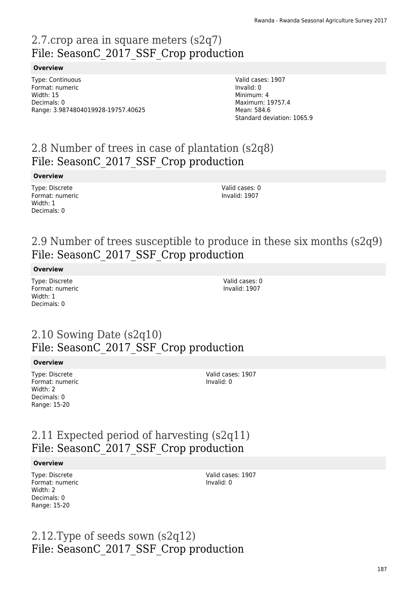# 2.7.crop area in square meters (s2q7) File: SeasonC\_2017\_SSF\_Crop production

### **Overview**

Type: Continuous Format: numeric Width: 15 Decimals: 0 Range: 3.9874804019928-19757.40625 Valid cases: 1907 Invalid: 0 Minimum: 4 Maximum: 19757.4 Mean: 584.6 Standard deviation: 1065.9

# 2.8 Number of trees in case of plantation (s2q8) File: SeasonC\_2017\_SSF\_Crop production

#### **Overview**

Type: Discrete Format: numeric Width: 1 Decimals: 0

Valid cases: 0 Invalid: 1907

# 2.9 Number of trees susceptible to produce in these six months (s2q9) File: SeasonC\_2017\_SSF\_Crop production

**Overview**

Type: Discrete Format: numeric Width: 1 Decimals: 0

Valid cases: 0 Invalid: 1907

# 2.10 Sowing Date (s2q10) File: SeasonC\_2017\_SSF\_Crop production

### **Overview**

Type: Discrete Format: numeric Width: 2 Decimals: 0 Range: 15-20

Valid cases: 1907 Invalid: 0

# 2.11 Expected period of harvesting (s2q11) File: SeasonC\_2017\_SSF\_Crop production

### **Overview**

Type: Discrete Format: numeric Width: 2 Decimals: 0 Range: 15-20

Valid cases: 1907 Invalid: 0

2.12.Type of seeds sown (s2q12) File: SeasonC\_2017\_SSF\_Crop production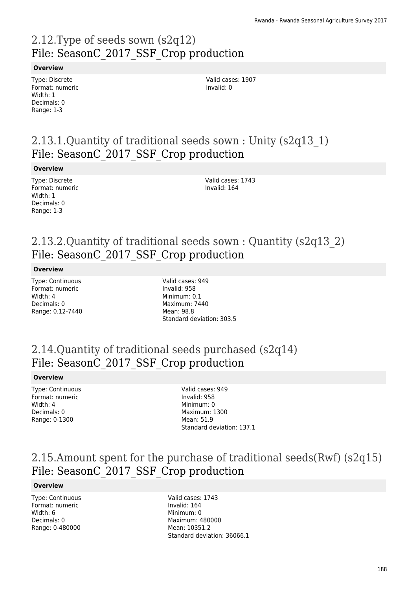# 2.12.Type of seeds sown (s2q12) File: SeasonC\_2017\_SSF\_Crop production

#### **Overview**

Type: Discrete Format: numeric Width: 1 Decimals: 0 Range: 1-3

Valid cases: 1907 Invalid: 0

# 2.13.1.Quantity of traditional seeds sown : Unity (s2q13\_1) File: SeasonC\_2017\_SSF\_Crop production

**Overview**

Type: Discrete Format: numeric Width: 1 Decimals: 0 Range: 1-3

Valid cases: 1743 Invalid: 164

# 2.13.2.Quantity of traditional seeds sown : Quantity (s2q13\_2) File: SeasonC\_2017\_SSF\_Crop production

**Overview**

Type: Continuous Format: numeric Width: 4 Decimals: 0 Range: 0.12-7440

Valid cases: 949 Invalid: 958 Minimum: 0.1 Maximum: 7440 Mean: 98.8 Standard deviation: 303.5

# 2.14.Quantity of traditional seeds purchased (s2q14) File: SeasonC\_2017\_SSF\_Crop production

#### **Overview**

Type: Continuous Format: numeric Width: 4 Decimals: 0 Range: 0-1300

Valid cases: 949 Invalid: 958 Minimum: 0 Maximum: 1300 Mean: 51.9 Standard deviation: 137.1

# 2.15.Amount spent for the purchase of traditional seeds(Rwf) (s2q15) File: SeasonC\_2017\_SSF\_Crop production

### **Overview**

Type: Continuous Format: numeric Width: 6 Decimals: 0 Range: 0-480000 Valid cases: 1743 Invalid: 164 Minimum: 0 Maximum: 480000 Mean: 10351.2 Standard deviation: 36066.1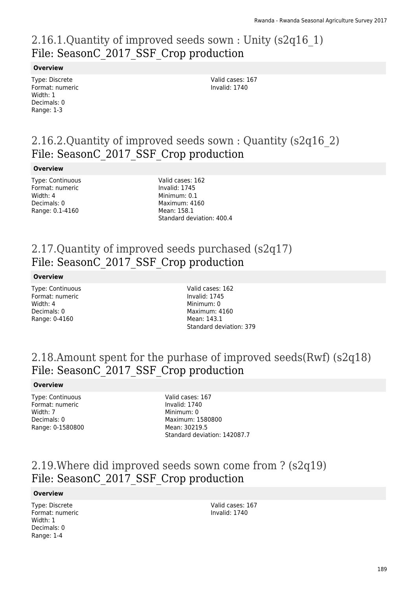# 2.16.1.Quantity of improved seeds sown : Unity (s2q16\_1) File: SeasonC\_2017\_SSF\_Crop production

#### **Overview**

Type: Discrete Format: numeric Width: 1 Decimals: 0 Range: 1-3

Valid cases: 167 Invalid: 1740

# 2.16.2.Quantity of improved seeds sown : Quantity (s2q16\_2) File: SeasonC\_2017\_SSF\_Crop production

#### **Overview**

Type: Continuous Format: numeric Width: 4 Decimals: 0 Range: 0.1-4160

Valid cases: 162 Invalid: 1745 Minimum: 0.1 Maximum: 4160 Mean: 158.1 Standard deviation: 400.4

# 2.17.Quantity of improved seeds purchased (s2q17) File: SeasonC\_2017\_SSF\_Crop production

### **Overview**

Type: Continuous Format: numeric Width: 4 Decimals: 0 Range: 0-4160

Valid cases: 162 Invalid: 1745 Minimum: 0 Maximum: 4160 Mean: 143.1 Standard deviation: 379

# 2.18.Amount spent for the purhase of improved seeds(Rwf) (s2q18) File: SeasonC\_2017\_SSF\_Crop production

### **Overview**

Type: Continuous Format: numeric Width: 7 Decimals: 0 Range: 0-1580800 Valid cases: 167 Invalid: 1740 Minimum: 0 Maximum: 1580800 Mean: 30219.5 Standard deviation: 142087.7

# 2.19.Where did improved seeds sown come from ? (s2q19) File: SeasonC\_2017\_SSF\_Crop production

### **Overview**

Type: Discrete Format: numeric Width: 1 Decimals: 0 Range: 1-4

Valid cases: 167 Invalid: 1740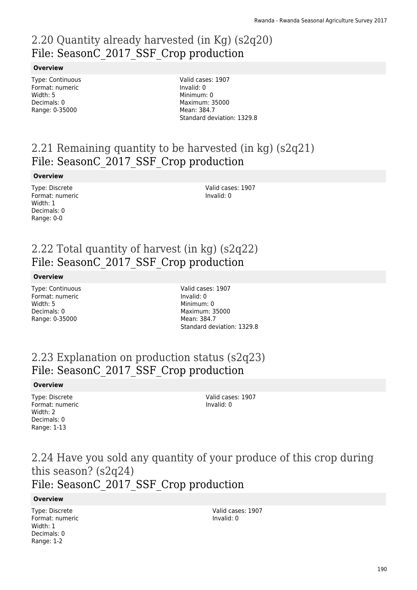# 2.20 Quantity already harvested (in Kg) (s2q20) File: SeasonC\_2017\_SSF\_Crop production

### **Overview**

Type: Continuous Format: numeric Width: 5 Decimals: 0 Range: 0-35000

Valid cases: 1907 Invalid: 0 Minimum: 0 Maximum: 35000 Mean: 384.7 Standard deviation: 1329.8

# 2.21 Remaining quantity to be harvested (in kg) (s2q21) File: SeasonC\_2017\_SSF\_Crop production

### **Overview**

Type: Discrete Format: numeric Width: 1 Decimals: 0 Range: 0-0

Valid cases: 1907 Invalid: 0

# 2.22 Total quantity of harvest (in kg) (s2q22) File: SeasonC\_2017\_SSF\_Crop production

### **Overview**

| Type: Continuous |
|------------------|
| Format: numeric  |
| Width: 5         |
| Decimals: 0      |
| Range: 0-35000   |

Valid cases: 1907 Invalid: 0 Minimum: 0 Maximum: 35000 Mean: 384.7 Standard deviation: 1329.8

# 2.23 Explanation on production status (s2q23) File: SeasonC\_2017\_SSF\_Crop production

### **Overview**

Type: Discrete Format: numeric Width: 2 Decimals: 0 Range: 1-13

Valid cases: 1907 Invalid: 0

2.24 Have you sold any quantity of your produce of this crop during this season? (s2q24)

File: SeasonC\_2017\_SSF\_Crop production

### **Overview**

Type: Discrete Format: numeric Width: 1 Decimals: 0 Range: 1-2

Valid cases: 1907 Invalid: 0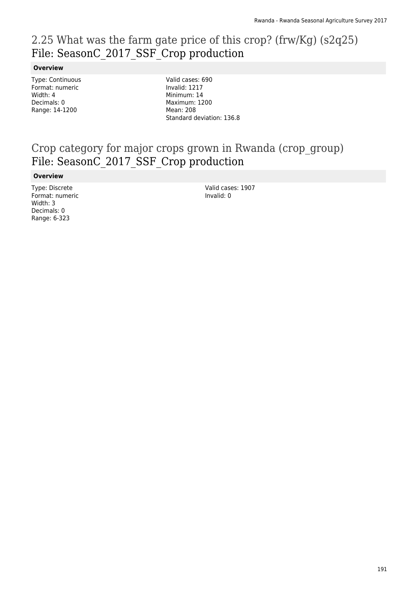# 2.25 What was the farm gate price of this crop? (frw/Kg) (s2q25) File: SeasonC\_2017\_SSF\_Crop production

### **Overview**

Type: Continuous Format: numeric Width: 4 Decimals: 0 Range: 14-1200

Valid cases: 690 Invalid: 1217 Minimum: 14 Maximum: 1200 Mean: 208 Standard deviation: 136.8

# Crop category for major crops grown in Rwanda (crop\_group) File: SeasonC\_2017\_SSF\_Crop production

### **Overview**

Type: Discrete Format: numeric Width: 3 Decimals: 0 Range: 6-323

Valid cases: 1907 Invalid: 0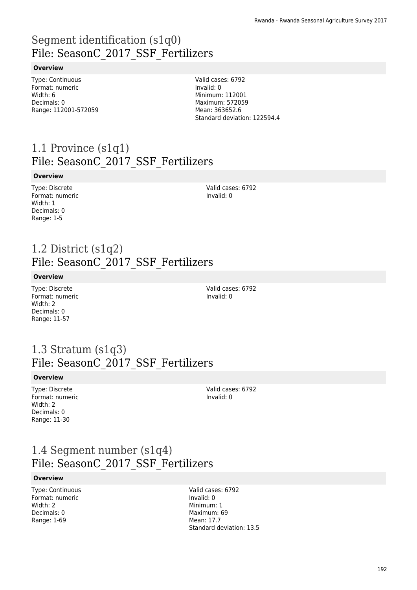# Segment identification (s1q0) File: SeasonC\_2017\_SSF\_Fertilizers

### **Overview**

Type: Continuous Format: numeric Width: 6 Decimals: 0 Range: 112001-572059 Valid cases: 6792 Invalid: 0 Minimum: 112001 Maximum: 572059 Mean: 363652.6 Standard deviation: 122594.4

# 1.1 Province (s1q1) File: SeasonC\_2017\_SSF\_Fertilizers

### **Overview**

Type: Discrete Format: numeric Width: 1 Decimals: 0 Range: 1-5

Valid cases: 6792 Invalid: 0

# 1.2 District (s1q2) File: SeasonC\_2017\_SSF\_Fertilizers

### **Overview**

Type: Discrete Format: numeric Width: 2 Decimals: 0 Range: 11-57

Valid cases: 6792 Invalid: 0

# 1.3 Stratum (s1q3) File: SeasonC\_2017\_SSF\_Fertilizers

### **Overview**

Type: Discrete Format: numeric Width: 2 Decimals: 0 Range: 11-30

Valid cases: 6792 Invalid: 0

# 1.4 Segment number (s1q4) File: SeasonC\_2017\_SSF\_Fertilizers

### **Overview**

Type: Continuous Format: numeric Width: 2 Decimals: 0 Range: 1-69

Valid cases: 6792 Invalid: 0 Minimum: 1 Maximum: 69 Mean: 17.7 Standard deviation: 13.5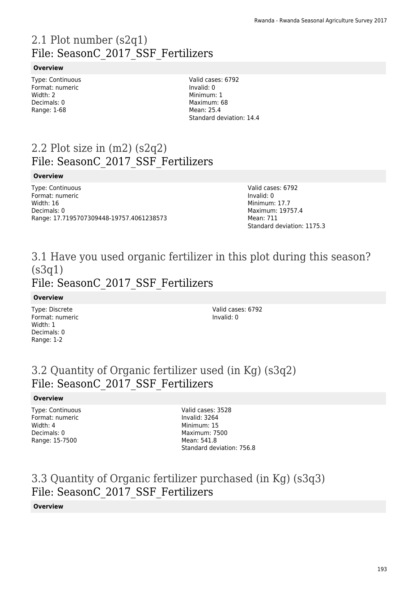# 2.1 Plot number (s2q1) File: SeasonC\_2017\_SSF\_Fertilizers

### **Overview**

Type: Continuous Format: numeric Width: 2 Decimals: 0 Range: 1-68

Valid cases: 6792 Invalid: 0 Minimum: 1 Maximum: 68 Mean: 25.4 Standard deviation: 14.4

# 2.2 Plot size in (m2) (s2q2) File: SeasonC\_2017\_SSF\_Fertilizers

### **Overview**

Type: Continuous Format: numeric Width: 16 Decimals: 0 Range: 17.7195707309448-19757.4061238573 Valid cases: 6792 Invalid: 0 Minimum: 17.7 Maximum: 19757.4 Mean: 711 Standard deviation: 1175.3

# 3.1 Have you used organic fertilizer in this plot during this season? (s3q1)

# File: SeasonC\_2017\_SSF\_Fertilizers

### **Overview**

Type: Discrete Format: numeric Width: 1 Decimals: 0 Range: 1-2

Valid cases: 6792 Invalid: 0

# 3.2 Quantity of Organic fertilizer used (in Kg) (s3q2) File: SeasonC\_2017\_SSF\_Fertilizers

### **Overview**

Type: Continuous Format: numeric Width: 4 Decimals: 0 Range: 15-7500

Valid cases: 3528 Invalid: 3264 Minimum: 15 Maximum: 7500 Mean: 541.8 Standard deviation: 756.8

# 3.3 Quantity of Organic fertilizer purchased (in Kg) (s3q3) File: SeasonC\_2017\_SSF\_Fertilizers

### **Overview**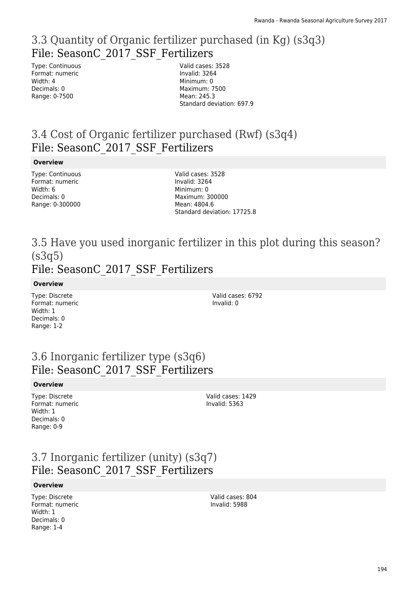# 3.3 Quantity of Organic fertilizer purchased (in Kg) (s3q3) File: SeasonC\_2017\_SSF\_Fertilizers

Type: Continuous Format: numeric Width: 4 Decimals: 0 Range: 0-7500

Valid cases: 3528 Invalid: 3264 Minimum: 0 Maximum: 7500 Mean: 245.3 Standard deviation: 697.9

# 3.4 Cost of Organic fertilizer purchased (Rwf) (s3q4) File: SeasonC\_2017\_SSF\_Fertilizers

### **Overview**

Type: Continuous Format: numeric Width: 6 Decimals: 0 Range: 0-300000

Valid cases: 3528 Invalid: 3264 Minimum: 0 Maximum: 300000 Mean: 4804.6 Standard deviation: 17725.8

# 3.5 Have you used inorganic fertilizer in this plot during this season? (s3q5)

# File: SeasonC\_2017\_SSF\_Fertilizers

### **Overview**

Type: Discrete Format: numeric Width: 1 Decimals: 0 Range: 1-2

Valid cases: 6792 Invalid: 0

# 3.6 Inorganic fertilizer type (s3q6) File: SeasonC\_2017\_SSF\_Fertilizers

### **Overview**

Type: Discrete Format: numeric Width: 1 Decimals: 0 Range: 0-9

Valid cases: 1429 Invalid: 5363

# 3.7 Inorganic fertilizer (unity) (s3q7) File: SeasonC\_2017\_SSF\_Fertilizers

### **Overview**

Type: Discrete Format: numeric Width: 1 Decimals: 0 Range: 1-4

Valid cases: 804 Invalid: 5988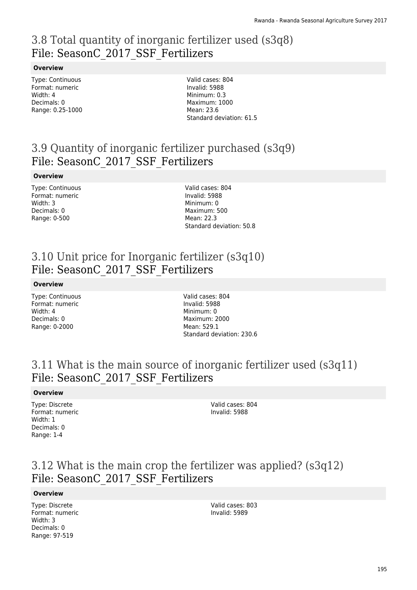# 3.8 Total quantity of inorganic fertilizer used (s3q8) File: SeasonC\_2017\_SSF\_Fertilizers

### **Overview**

Type: Continuous Format: numeric Width: 4 Decimals: 0 Range: 0.25-1000 Valid cases: 804 Invalid: 5988 Minimum: 0.3 Maximum: 1000 Mean: 23.6 Standard deviation: 61.5

# 3.9 Quantity of inorganic fertilizer purchased (s3q9) File: SeasonC\_2017\_SSF\_Fertilizers

### **Overview**

Type: Continuous Format: numeric Width: 3 Decimals: 0 Range: 0-500

Valid cases: 804 Invalid: 5988 Minimum: 0 Maximum: 500 Mean: 22.3 Standard deviation: 50.8

# 3.10 Unit price for Inorganic fertilizer (s3q10) File: SeasonC\_2017\_SSF\_Fertilizers

### **Overview**

Type: Continuous Format: numeric Width: 4 Decimals: 0 Range: 0-2000

Valid cases: 804 Invalid: 5988 Minimum: 0 Maximum: 2000 Mean: 529.1 Standard deviation: 230.6

# 3.11 What is the main source of inorganic fertilizer used (s3q11) File: SeasonC\_2017\_SSF\_Fertilizers

### **Overview**

Type: Discrete Format: numeric Width: 1 Decimals: 0 Range: 1-4

Valid cases: 804 Invalid: 5988

# 3.12 What is the main crop the fertilizer was applied? (s3q12) File: SeasonC\_2017\_SSF\_Fertilizers

### **Overview**

Type: Discrete Format: numeric Width: 3 Decimals: 0 Range: 97-519

Valid cases: 803 Invalid: 5989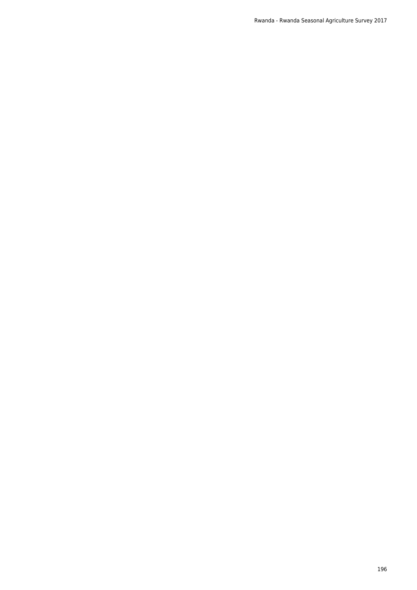Rwanda - Rwanda Seasonal Agriculture Survey 2017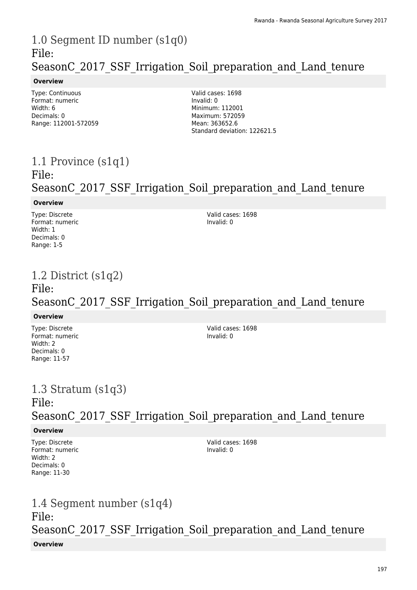# 1.0 Segment ID number (s1q0) File:

# SeasonC 2017 SSF Irrigation Soil preparation and Land tenure

### **Overview**

Type: Continuous Format: numeric Width: 6 Decimals: 0 Range: 112001-572059

Valid cases: 1698 Invalid: 0 Minimum: 112001 Maximum: 572059 Mean: 363652.6 Standard deviation: 122621.5

# 1.1 Province (s1q1)

# File: SeasonC 2017 SSF Irrigation Soil preparation and Land tenure

### **Overview**

Type: Discrete Format: numeric Width: 1 Decimals: 0 Range: 1-5

Valid cases: 1698 Invalid: 0

# 1.2 District (s1q2) File: SeasonC 2017 SSF Irrigation Soil preparation and Land tenure

### **Overview**

Type: Discrete Format: numeric Width: 2 Decimals: 0 Range: 11-57

Valid cases: 1698 Invalid: 0

# 1.3 Stratum (s1q3) File: SeasonC 2017 SSF Irrigation Soil preparation and Land tenure

### **Overview**

Type: Discrete Format: numeric Width: 2 Decimals: 0 Range: 11-30

Valid cases: 1698 Invalid: 0

# 1.4 Segment number (s1q4) File: SeasonC 2017 SSF Irrigation Soil preparation and Land tenure **Overview**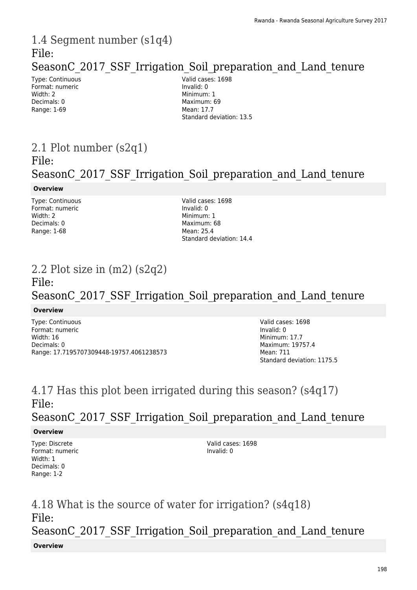# 1.4 Segment number (s1q4) File:

# SeasonC 2017 SSF Irrigation Soil preparation and Land tenure

Type: Continuous Format: numeric Width: 2 Decimals: 0 Range: 1-69

Valid cases: 1698 Invalid: 0 Minimum: 1 Maximum: 69 Mean: 17.7 Standard deviation: 13.5

# 2.1 Plot number (s2q1) File: SeasonC 2017 SSF Irrigation Soil preparation and Land tenure

### **Overview**

Type: Continuous Format: numeric Width: 2 Decimals: 0 Range: 1-68

Valid cases: 1698 Invalid: 0 Minimum: 1 Maximum: 68 Mean: 25.4 Standard deviation: 14.4

# 2.2 Plot size in (m2) (s2q2)

# File: SeasonC 2017 SSF Irrigation Soil preparation and Land tenure

### **Overview**

Type: Continuous Format: numeric Width: 16 Decimals: 0 Range: 17.7195707309448-19757.4061238573 Valid cases: 1698 Invalid: 0 Minimum: 17.7 Maximum: 19757.4 Mean: 711 Standard deviation: 1175.5

# 4.17 Has this plot been irrigated during this season? (s4q17) File:

SeasonC 2017 SSF Irrigation Soil preparation and Land tenure

### **Overview**

Type: Discrete Format: numeric Width: 1 Decimals: 0 Range: 1-2

Valid cases: 1698 Invalid: 0

4.18 What is the source of water for irrigation? (s4q18) File: SeasonC 2017 SSF Irrigation Soil preparation and Land tenure **Overview**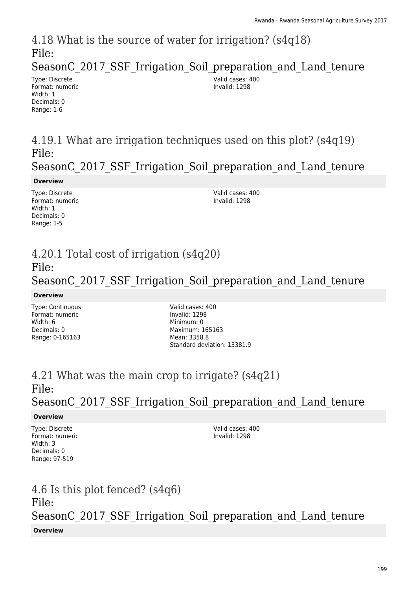# 4.18 What is the source of water for irrigation? (s4q18) File:

SeasonC 2017 SSF Irrigation Soil preparation and Land tenure

Type: Discrete Format: numeric Width: 1 Decimals: 0 Range: 1-6

Valid cases: 400 Invalid: 1298

4.19.1 What are irrigation techniques used on this plot? (s4q19) File:

SeasonC 2017 SSF Irrigation Soil preparation and Land tenure

### **Overview**

Type: Discrete Format: numeric Width: 1 Decimals: 0 Range: 1-5

Valid cases: 400 Invalid: 1298

# 4.20.1 Total cost of irrigation (s4q20)

### File:

SeasonC 2017 SSF Irrigation Soil preparation and Land tenure

### **Overview**

Type: Continuous Format: numeric Width: 6 Decimals: 0 Range: 0-165163

Valid cases: 400 Invalid: 1298 Minimum: 0 Maximum: 165163 Mean: 3358.8 Standard deviation: 13381.9

# 4.21 What was the main crop to irrigate? (s4q21) File:

SeasonC 2017 SSF Irrigation Soil preparation and Land tenure

### **Overview**

Type: Discrete Format: numeric Width: 3 Decimals: 0 Range: 97-519

Valid cases: 400 Invalid: 1298

### 4.6 Is this plot fenced? (s4q6) File: SeasonC 2017 SSF Irrigation Soil preparation and Land tenure **Overview**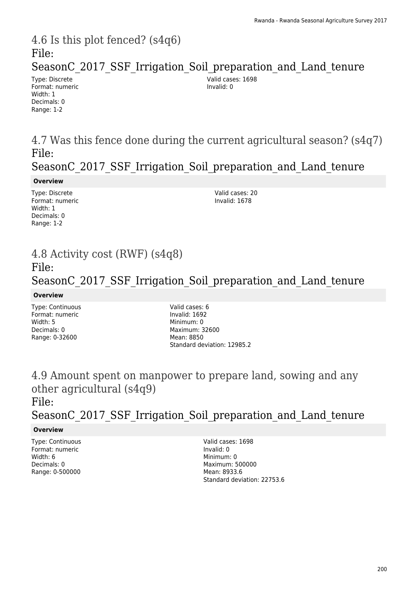# 4.6 Is this plot fenced? (s4q6) File: SeasonC 2017 SSF Irrigation Soil preparation and Land tenure

Type: Discrete Format: numeric Width: 1 Decimals: 0 Range: 1-2

Valid cases: 1698 Invalid: 0

4.7 Was this fence done during the current agricultural season? (s4q7) File:

SeasonC 2017 SSF Irrigation Soil preparation and Land tenure

### **Overview**

Type: Discrete Format: numeric Width: 1 Decimals: 0 Range: 1-2

Valid cases: 20 Invalid: 1678

# 4.8 Activity cost (RWF) (s4q8)

### File:

SeasonC 2017 SSF Irrigation Soil preparation and Land tenure

### **Overview**

Type: Continuous Format: numeric Width: 5 Decimals: 0 Range: 0-32600

Valid cases: 6 Invalid: 1692 Minimum: 0 Maximum: 32600 Mean: 8850 Standard deviation: 12985.2

# 4.9 Amount spent on manpower to prepare land, sowing and any other agricultural (s4q9) File: SeasonC 2017 SSF Irrigation Soil preparation and Land tenure

### **Overview**

Type: Continuous Format: numeric Width: 6 Decimals: 0 Range: 0-500000 Valid cases: 1698 Invalid: 0 Minimum: 0 Maximum: 500000 Mean: 8933.6 Standard deviation: 22753.6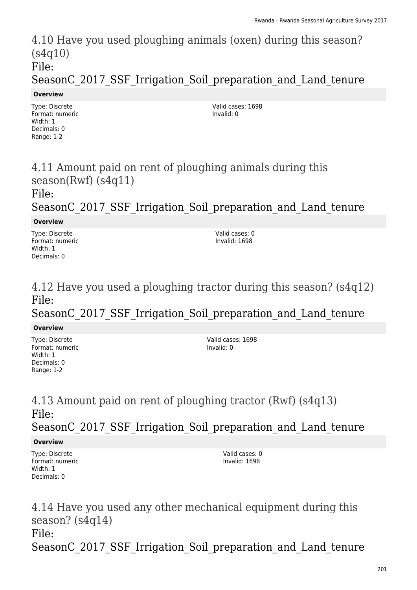4.10 Have you used ploughing animals (oxen) during this season? (s4q10) File:

SeasonC 2017 SSF Irrigation Soil preparation and Land tenure

### **Overview**

Type: Discrete Format: numeric Width: 1 Decimals: 0 Range: 1-2

Valid cases: 1698 Invalid: 0

4.11 Amount paid on rent of ploughing animals during this season(Rwf) (s4q11) File:

SeasonC 2017 SSF Irrigation Soil preparation and Land tenure

**Overview**

Type: Discrete Format: numeric Width: 1 Decimals: 0

Valid cases: 0 Invalid: 1698

4.12 Have you used a ploughing tractor during this season? (s4q12) File:

SeasonC 2017 SSF Irrigation Soil preparation and Land tenure

### **Overview**

Type: Discrete Format: numeric Width: 1 Decimals: 0 Range: 1-2

Valid cases: 1698 Invalid: 0

4.13 Amount paid on rent of ploughing tractor (Rwf) (s4q13) File:

SeasonC 2017 SSF Irrigation Soil preparation and Land tenure

### **Overview**

Type: Discrete Format: numeric Width: 1 Decimals: 0

Valid cases: 0 Invalid: 1698

4.14 Have you used any other mechanical equipment during this season? (s4q14) File: SeasonC\_2017\_SSF\_Irrigation\_Soil\_preparation\_and\_Land\_tenure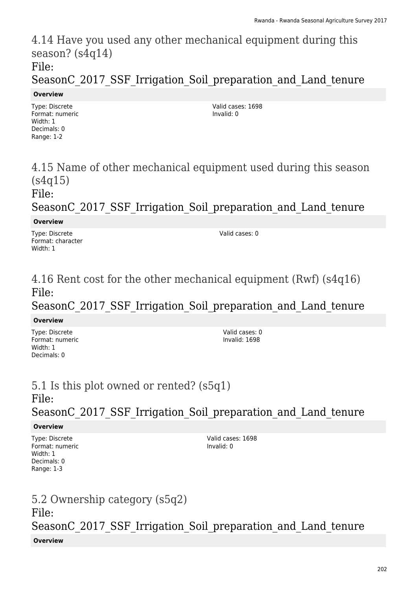# 4.14 Have you used any other mechanical equipment during this season? (s4q14) File: SeasonC 2017 SSF Irrigation Soil preparation and Land tenure

### **Overview**

Type: Discrete Format: numeric Width: 1 Decimals: 0 Range: 1-2

Valid cases: 1698 Invalid: 0

4.15 Name of other mechanical equipment used during this season (s4q15) File:

SeasonC 2017 SSF Irrigation Soil preparation and Land tenure

**Overview**

Type: Discrete Format: character Width: 1

Valid cases: 0

# 4.16 Rent cost for the other mechanical equipment (Rwf) (s4q16) File:

SeasonC 2017 SSF Irrigation Soil preparation and Land tenure **Overview**

Type: Discrete Format: numeric Width: 1 Decimals: 0

Valid cases: 0 Invalid: 1698

# 5.1 Is this plot owned or rented? (s5q1) File: SeasonC 2017 SSF Irrigation Soil preparation and Land tenure

### **Overview**

Type: Discrete Format: numeric Width: 1 Decimals: 0 Range: 1-3

Valid cases: 1698 Invalid: 0

5.2 Ownership category (s5q2) File: SeasonC 2017 SSF Irrigation Soil preparation and Land tenure **Overview**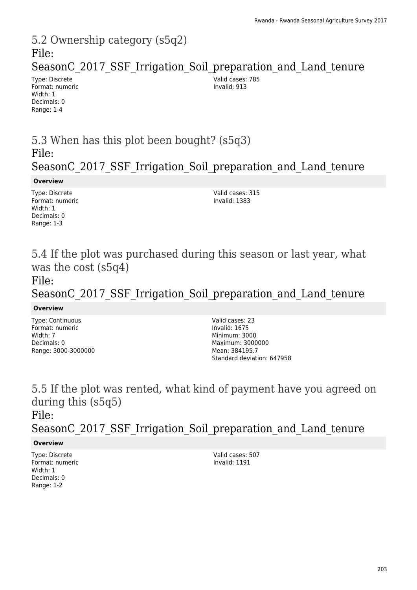# 5.2 Ownership category (s5q2) File: SeasonC 2017 SSF Irrigation Soil preparation and Land tenure

Type: Discrete Format: numeric Width: 1 Decimals: 0 Range: 1-4

Valid cases: 785 Invalid: 913

# 5.3 When has this plot been bought? (s5q3) File: SeasonC 2017 SSF Irrigation Soil preparation and Land tenure

### **Overview**

Type: Discrete Format: numeric Width: 1 Decimals: 0 Range: 1-3

Valid cases: 315 Invalid: 1383

# 5.4 If the plot was purchased during this season or last year, what was the cost (s5q4) File:

SeasonC 2017 SSF Irrigation Soil preparation and Land tenure

### **Overview**

Type: Continuous Format: numeric Width: 7 Decimals: 0 Range: 3000-3000000 Valid cases: 23 Invalid: 1675 Minimum: 3000 Maximum: 3000000 Mean: 384195.7 Standard deviation: 647958

# 5.5 If the plot was rented, what kind of payment have you agreed on during this (s5q5) File: SeasonC 2017 SSF Irrigation Soil preparation and Land tenure

**Overview**

Type: Discrete Format: numeric Width: 1 Decimals: 0 Range: 1-2

Valid cases: 507 Invalid: 1191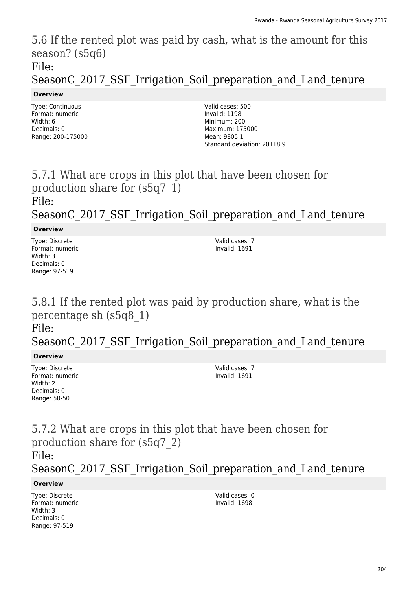### 5.6 If the rented plot was paid by cash, what is the amount for this season? (s5q6) File:

# SeasonC 2017 SSF Irrigation Soil preparation and Land tenure

### **Overview**

Type: Continuous Format: numeric Width: 6 Decimals: 0 Range: 200-175000

Valid cases: 500 Invalid: 1198 Minimum: 200 Maximum: 175000 Mean: 9805.1 Standard deviation: 20118.9

# 5.7.1 What are crops in this plot that have been chosen for production share for (s5q7\_1) File:

SeasonC 2017 SSF Irrigation Soil preparation and Land tenure

### **Overview**

Type: Discrete Format: numeric Width: 3 Decimals: 0 Range: 97-519

Valid cases: 7 Invalid: 1691

5.8.1 If the rented plot was paid by production share, what is the percentage sh (s5q8\_1)

### File:

SeasonC 2017 SSF Irrigation Soil preparation and Land tenure **Overview**

Type: Discrete Format: numeric Width: 2 Decimals: 0 Range: 50-50

Valid cases: 7 Invalid: 1691

5.7.2 What are crops in this plot that have been chosen for production share for (s5q7\_2)

# File:

SeasonC 2017 SSF Irrigation Soil preparation and Land tenure

### **Overview**

Type: Discrete Format: numeric Width: 3 Decimals: 0 Range: 97-519

Valid cases: 0 Invalid: 1698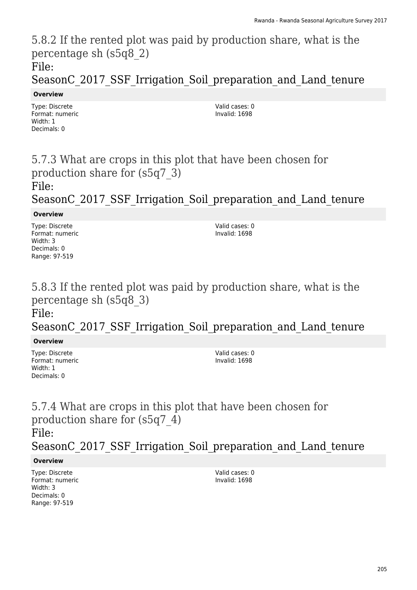### 5.8.2 If the rented plot was paid by production share, what is the percentage sh (s5q8\_2) File:

# SeasonC 2017 SSF Irrigation Soil preparation and Land tenure

### **Overview**

Type: Discrete Format: numeric Width: 1 Decimals: 0

Valid cases: 0 Invalid: 1698

# 5.7.3 What are crops in this plot that have been chosen for production share for (s5q7\_3)

### File:

SeasonC 2017 SSF Irrigation Soil preparation and Land tenure

### **Overview**

Type: Discrete Format: numeric Width: 3 Decimals: 0 Range: 97-519

Valid cases: 0 Invalid: 1698

# 5.8.3 If the rented plot was paid by production share, what is the percentage sh (s5q8\_3)

### File:

SeasonC 2017 SSF Irrigation Soil preparation and Land tenure

### **Overview**

Type: Discrete Format: numeric Width: 1 Decimals: 0

Valid cases: 0 Invalid: 1698

# 5.7.4 What are crops in this plot that have been chosen for production share for (s5q7\_4) File:

SeasonC 2017 SSF Irrigation Soil preparation and Land tenure

### **Overview**

Type: Discrete Format: numeric Width: 3 Decimals: 0 Range: 97-519

Valid cases: 0 Invalid: 1698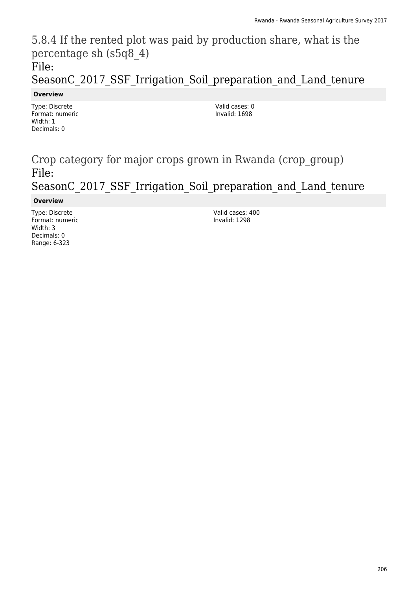### 5.8.4 If the rented plot was paid by production share, what is the percentage sh (s5q8\_4) File:

# SeasonC 2017 SSF Irrigation Soil preparation and Land tenure

### **Overview**

Type: Discrete Format: numeric Width: 1 Decimals: 0

Valid cases: 0 Invalid: 1698

# Crop category for major crops grown in Rwanda (crop\_group) File: SeasonC 2017 SSF Irrigation Soil preparation and Land tenure

### **Overview**

Type: Discrete Format: numeric Width: 3 Decimals: 0 Range: 6-323

Valid cases: 400 Invalid: 1298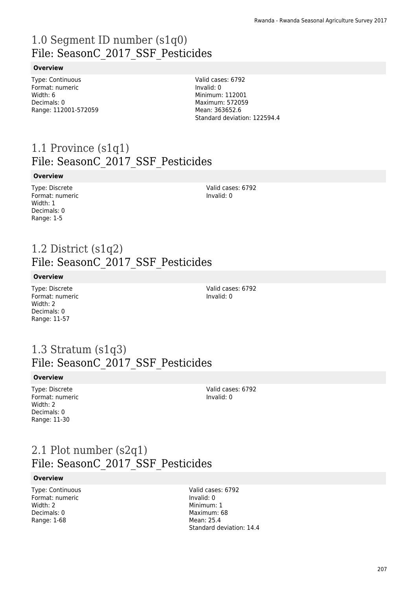# 1.0 Segment ID number (s1q0) File: SeasonC\_2017\_SSF\_Pesticides

### **Overview**

Type: Continuous Format: numeric Width: 6 Decimals: 0 Range: 112001-572059 Valid cases: 6792 Invalid: 0 Minimum: 112001 Maximum: 572059 Mean: 363652.6 Standard deviation: 122594.4

# 1.1 Province (s1q1) File: SeasonC\_2017\_SSF\_Pesticides

### **Overview**

Type: Discrete Format: numeric Width: 1 Decimals: 0 Range: 1-5

Valid cases: 6792 Invalid: 0

# 1.2 District (s1q2) File: SeasonC\_2017\_SSF\_Pesticides

### **Overview**

Type: Discrete Format: numeric Width: 2 Decimals: 0 Range: 11-57

Valid cases: 6792 Invalid: 0

# 1.3 Stratum (s1q3) File: SeasonC\_2017\_SSF\_Pesticides

### **Overview**

Type: Discrete Format: numeric Width: 2 Decimals: 0 Range: 11-30

Valid cases: 6792 Invalid: 0

# 2.1 Plot number (s2q1) File: SeasonC\_2017\_SSF\_Pesticides

### **Overview**

Type: Continuous Format: numeric Width: 2 Decimals: 0 Range: 1-68

Valid cases: 6792 Invalid: 0 Minimum: 1 Maximum: 68 Mean: 25.4 Standard deviation: 14.4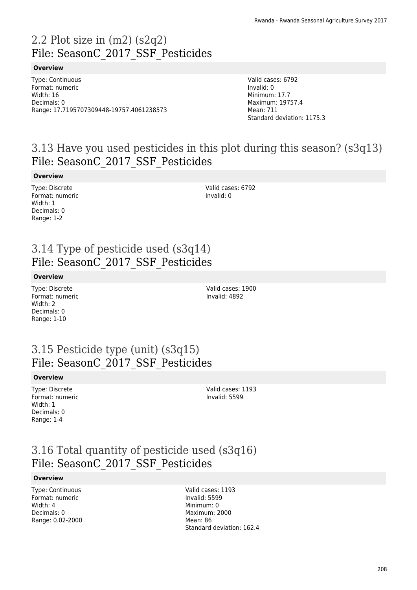# 2.2 Plot size in (m2) (s2q2) File: SeasonC\_2017\_SSF\_Pesticides

### **Overview**

Type: Continuous Format: numeric Width: 16 Decimals: 0 Range: 17.7195707309448-19757.4061238573 Valid cases: 6792 Invalid: 0 Minimum: 17.7 Maximum: 19757.4 Mean: 711 Standard deviation: 1175.3

# 3.13 Have you used pesticides in this plot during this season? (s3q13) File: SeasonC\_2017\_SSF\_Pesticides

### **Overview**

Type: Discrete Format: numeric Width: 1 Decimals: 0 Range: 1-2

Valid cases: 6792 Invalid: 0

# 3.14 Type of pesticide used (s3q14) File: SeasonC\_2017\_SSF\_Pesticides

### **Overview**

Type: Discrete Format: numeric Width: 2 Decimals: 0 Range: 1-10

Valid cases: 1900 Invalid: 4892

### 3.15 Pesticide type (unit) (s3q15) File: SeasonC\_2017\_SSF\_Pesticides

### **Overview**

Type: Discrete Format: numeric Width: 1 Decimals: 0 Range: 1-4

Valid cases: 1193 Invalid: 5599

# 3.16 Total quantity of pesticide used (s3q16) File: SeasonC\_2017\_SSF\_Pesticides

### **Overview**

Type: Continuous Format: numeric Width: 4 Decimals: 0 Range: 0.02-2000 Valid cases: 1193 Invalid: 5599 Minimum: 0 Maximum: 2000 Mean: 86 Standard deviation: 162.4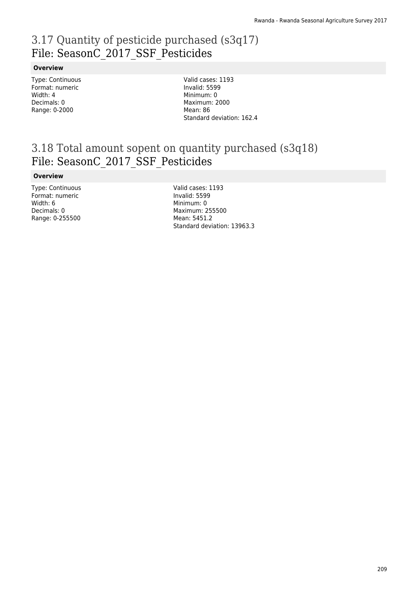# 3.17 Quantity of pesticide purchased (s3q17) File: SeasonC\_2017\_SSF\_Pesticides

### **Overview**

Type: Continuous Format: numeric Width: 4 Decimals: 0 Range: 0-2000

Valid cases: 1193 Invalid: 5599 Minimum: 0 Maximum: 2000 Mean: 86 Standard deviation: 162.4

# 3.18 Total amount sopent on quantity purchased (s3q18) File: SeasonC\_2017\_SSF\_Pesticides

#### **Overview**

Type: Continuous Format: numeric Width: 6 Decimals: 0 Range: 0-255500

Valid cases: 1193 Invalid: 5599 Minimum: 0 Maximum: 255500 Mean: 5451.2 Standard deviation: 13963.3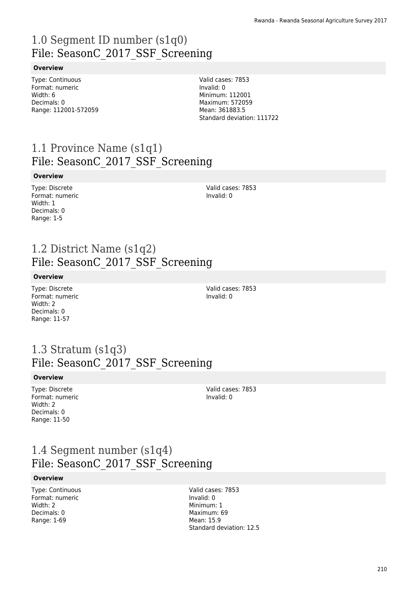# 1.0 Segment ID number (s1q0) File: SeasonC\_2017\_SSF\_Screening

### **Overview**

Type: Continuous Format: numeric Width: 6 Decimals: 0 Range: 112001-572059 Valid cases: 7853 Invalid: 0 Minimum: 112001 Maximum: 572059 Mean: 361883.5 Standard deviation: 111722

# 1.1 Province Name (s1q1) File: SeasonC\_2017\_SSF\_Screening

### **Overview**

Type: Discrete Format: numeric Width: 1 Decimals: 0 Range: 1-5

Valid cases: 7853 Invalid: 0

# 1.2 District Name (s1q2) File: SeasonC\_2017\_SSF\_Screening

### **Overview**

Type: Discrete Format: numeric Width: 2 Decimals: 0 Range: 11-57

Valid cases: 7853 Invalid: 0

# 1.3 Stratum (s1q3) File: SeasonC\_2017\_SSF\_Screening

### **Overview**

Type: Discrete Format: numeric Width: 2 Decimals: 0 Range: 11-50

Valid cases: 7853 Invalid: 0

# 1.4 Segment number (s1q4) File: SeasonC\_2017\_SSF\_Screening

### **Overview**

Type: Continuous Format: numeric Width: 2 Decimals: 0 Range: 1-69

Valid cases: 7853 Invalid: 0 Minimum: 1 Maximum: 69 Mean: 15.9 Standard deviation: 12.5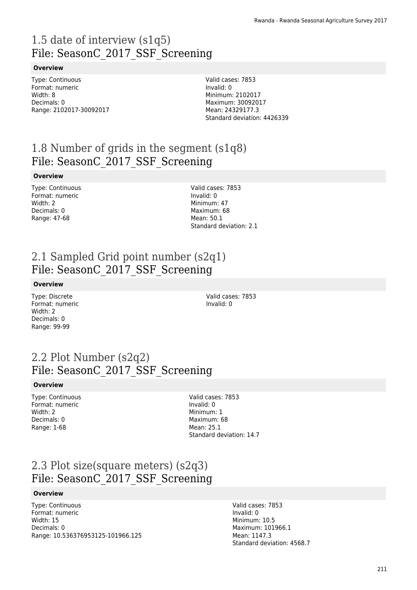# 1.5 date of interview (s1q5) File: SeasonC\_2017\_SSF\_Screening

#### **Overview**

Type: Continuous Format: numeric Width: 8 Decimals: 0 Range: 2102017-30092017

Valid cases: 7853 Invalid: 0 Minimum: 2102017 Maximum: 30092017 Mean: 24329177.3 Standard deviation: 4426339

# 1.8 Number of grids in the segment (s1q8) File: SeasonC\_2017\_SSF\_Screening

#### **Overview**

Type: Continuous Format: numeric Width: 2 Decimals: 0 Range: 47-68

Valid cases: 7853 Invalid: 0 Minimum: 47 Maximum: 68 Mean: 50.1 Standard deviation: 2.1

# 2.1 Sampled Grid point number (s2q1) File: SeasonC\_2017\_SSF\_Screening

#### **Overview**

Type: Discrete Format: numeric Width: 2 Decimals: 0 Range: 99-99

Valid cases: 7853 Invalid: 0

# 2.2 Plot Number (s2q2) File: SeasonC\_2017\_SSF\_Screening

#### **Overview**

Type: Continuous Format: numeric Width: 2 Decimals: 0 Range: 1-68

Valid cases: 7853 Invalid: 0 Minimum: 1 Maximum: 68 Mean: 25.1 Standard deviation: 14.7

# 2.3 Plot size(square meters) (s2q3) File: SeasonC\_2017\_SSF\_Screening

### **Overview**

Type: Continuous Format: numeric Width: 15 Decimals: 0 Range: 10.536376953125-101966.125

Valid cases: 7853 Invalid: 0 Minimum: 10.5 Maximum: 101966.1 Mean: 1147.3 Standard deviation: 4568.7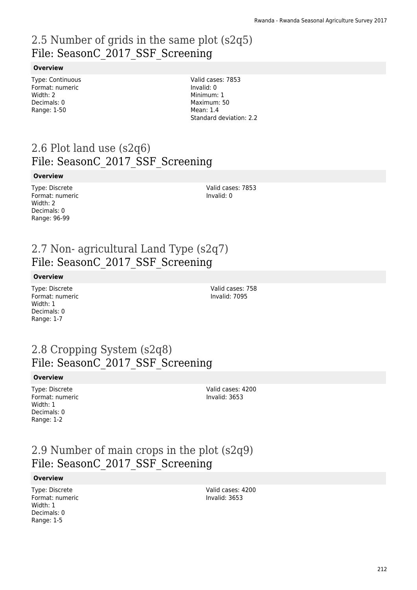# 2.5 Number of grids in the same plot (s2q5) File: SeasonC\_2017\_SSF\_Screening

### **Overview**

Type: Continuous Format: numeric Width: 2 Decimals: 0 Range: 1-50

Valid cases: 7853 Invalid: 0 Minimum: 1 Maximum: 50 Mean: 1.4 Standard deviation: 2.2

# 2.6 Plot land use (s2q6) File: SeasonC\_2017\_SSF\_Screening

#### **Overview**

Type: Discrete Format: numeric Width: 2 Decimals: 0 Range: 96-99

Valid cases: 7853 Invalid: 0

# 2.7 Non- agricultural Land Type (s2q7) File: SeasonC\_2017\_SSF\_Screening

### **Overview**

Type: Discrete Format: numeric Width: 1 Decimals: 0 Range: 1-7

Valid cases: 758 Invalid: 7095

### 2.8 Cropping System (s2q8) File: SeasonC\_2017\_SSF\_Screening

### **Overview**

Type: Discrete Format: numeric Width: 1 Decimals: 0 Range: 1-2

Valid cases: 4200 Invalid: 3653

# 2.9 Number of main crops in the plot (s2q9) File: SeasonC\_2017\_SSF\_Screening

#### **Overview**

Type: Discrete Format: numeric Width: 1 Decimals: 0 Range: 1-5

Valid cases: 4200 Invalid: 3653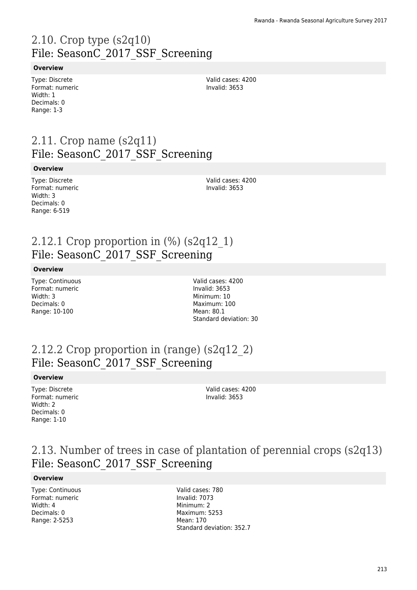# 2.10. Crop type (s2q10) File: SeasonC\_2017\_SSF\_Screening

### **Overview**

Type: Discrete Format: numeric Width: 1 Decimals: 0 Range: 1-3

Valid cases: 4200 Invalid: 3653

# 2.11. Crop name (s2q11) File: SeasonC\_2017\_SSF\_Screening

#### **Overview**

Type: Discrete Format: numeric Width: 3 Decimals: 0 Range: 6-519

Valid cases: 4200 Invalid: 3653

# 2.12.1 Crop proportion in  $(\%)$  (s2q12-1) File: SeasonC\_2017\_SSF\_Screening

#### **Overview**

Type: Continuous Format: numeric Width: 3 Decimals: 0 Range: 10-100

Valid cases: 4200 Invalid: 3653 Minimum: 10 Maximum: 100 Mean: 80.1 Standard deviation: 30

# 2.12.2 Crop proportion in (range) (s2q12\_2) File: SeasonC\_2017\_SSF\_Screening

#### **Overview**

Type: Discrete Format: numeric Width: 2 Decimals: 0 Range: 1-10

Valid cases: 4200 Invalid: 3653

# 2.13. Number of trees in case of plantation of perennial crops (s2q13) File: SeasonC\_2017\_SSF\_Screening

#### **Overview**

Type: Continuous Format: numeric Width: 4 Decimals: 0 Range: 2-5253

Valid cases: 780 Invalid: 7073 Minimum: 2 Maximum: 5253 Mean: 170 Standard deviation: 352.7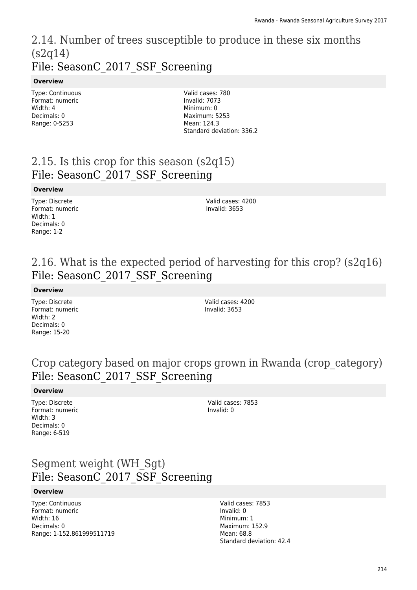# 2.14. Number of trees susceptible to produce in these six months (s2q14) File: SeasonC\_2017\_SSF\_Screening

### **Overview**

Type: Continuous Format: numeric Width: 4 Decimals: 0 Range: 0-5253

Valid cases: 780 Invalid: 7073 Minimum: 0 Maximum: 5253 Mean: 124.3 Standard deviation: 336.2

# 2.15. Is this crop for this season (s2q15) File: SeasonC\_2017\_SSF\_Screening

### **Overview**

Type: Discrete Format: numeric Width: 1 Decimals: 0 Range: 1-2

Valid cases: 4200 Invalid: 3653

# 2.16. What is the expected period of harvesting for this crop? (s2q16) File: SeasonC\_2017\_SSF\_Screening

### **Overview**

Type: Discrete Format: numeric Width: 2 Decimals: 0 Range: 15-20

Valid cases: 4200 Invalid: 3653

# Crop category based on major crops grown in Rwanda (crop\_category) File: SeasonC 2017 SSF Screening

### **Overview**

Type: Discrete Format: numeric Width: 3 Decimals: 0 Range: 6-519

Valid cases: 7853 Invalid: 0

# Segment weight (WH\_Sgt) File: SeasonC\_2017\_SSF\_Screening

### **Overview**

Type: Continuous Format: numeric Width: 16 Decimals: 0 Range: 1-152.861999511719 Valid cases: 7853 Invalid: 0 Minimum: 1 Maximum: 152.9 Mean: 68.8 Standard deviation: 42.4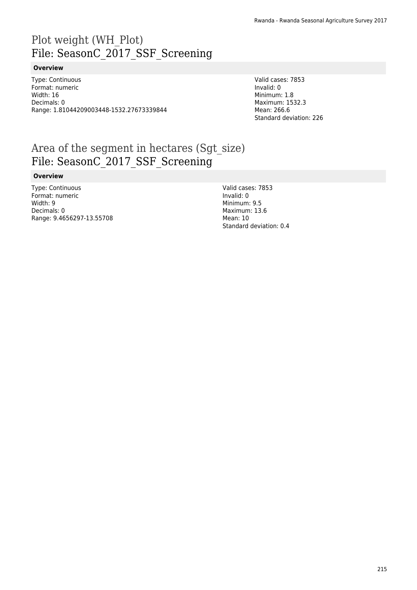# Plot weight (WH\_Plot) File: SeasonC\_2017\_SSF\_Screening

### **Overview**

Type: Continuous Format: numeric Width: 16 Decimals: 0 Range: 1.81044209003448-1532.27673339844 Valid cases: 7853 Invalid: 0 Minimum: 1.8 Maximum: 1532.3 Mean: 266.6 Standard deviation: 226

# Area of the segment in hectares (Sgt\_size) File: SeasonC\_2017\_SSF\_Screening

#### **Overview**

Type: Continuous Format: numeric Width: 9 Decimals: 0 Range: 9.4656297-13.55708 Valid cases: 7853 Invalid: 0 Minimum: 9.5 Maximum: 13.6 Mean: 10 Standard deviation: 0.4